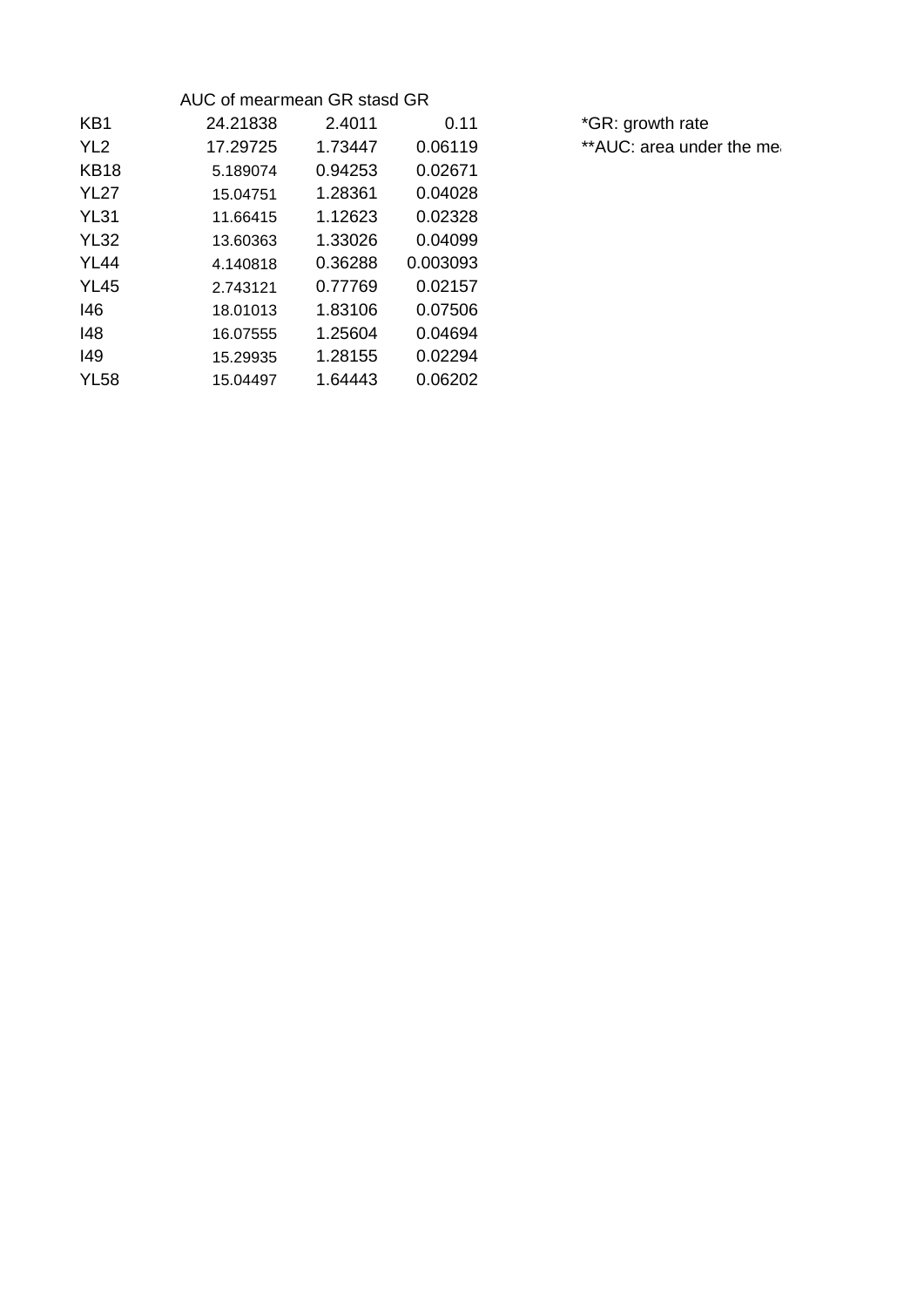| AUC of mearmean GR stasd GR |         |          |  |  |
|-----------------------------|---------|----------|--|--|
| 24.21838                    | 2.4011  | 0.11     |  |  |
| 17.29725                    | 1.73447 | 0.06119  |  |  |
| 5.189074                    | 0.94253 | 0.02671  |  |  |
| 15.04751                    | 1.28361 | 0.04028  |  |  |
| 11.66415                    | 1.12623 | 0.02328  |  |  |
| 13.60363                    | 1.33026 | 0.04099  |  |  |
| 4.140818                    | 0.36288 | 0.003093 |  |  |
| 2.743121                    | 0.77769 | 0.02157  |  |  |
| 18.01013                    | 1.83106 | 0.07506  |  |  |
| 16.07555                    | 1.25604 | 0.04694  |  |  |
| 15.29935                    | 1.28155 | 0.02294  |  |  |
| 15.04497                    | 1.64443 | 0.06202  |  |  |
|                             |         |          |  |  |

\*GR: growth rate \*\*AUC: area under the mea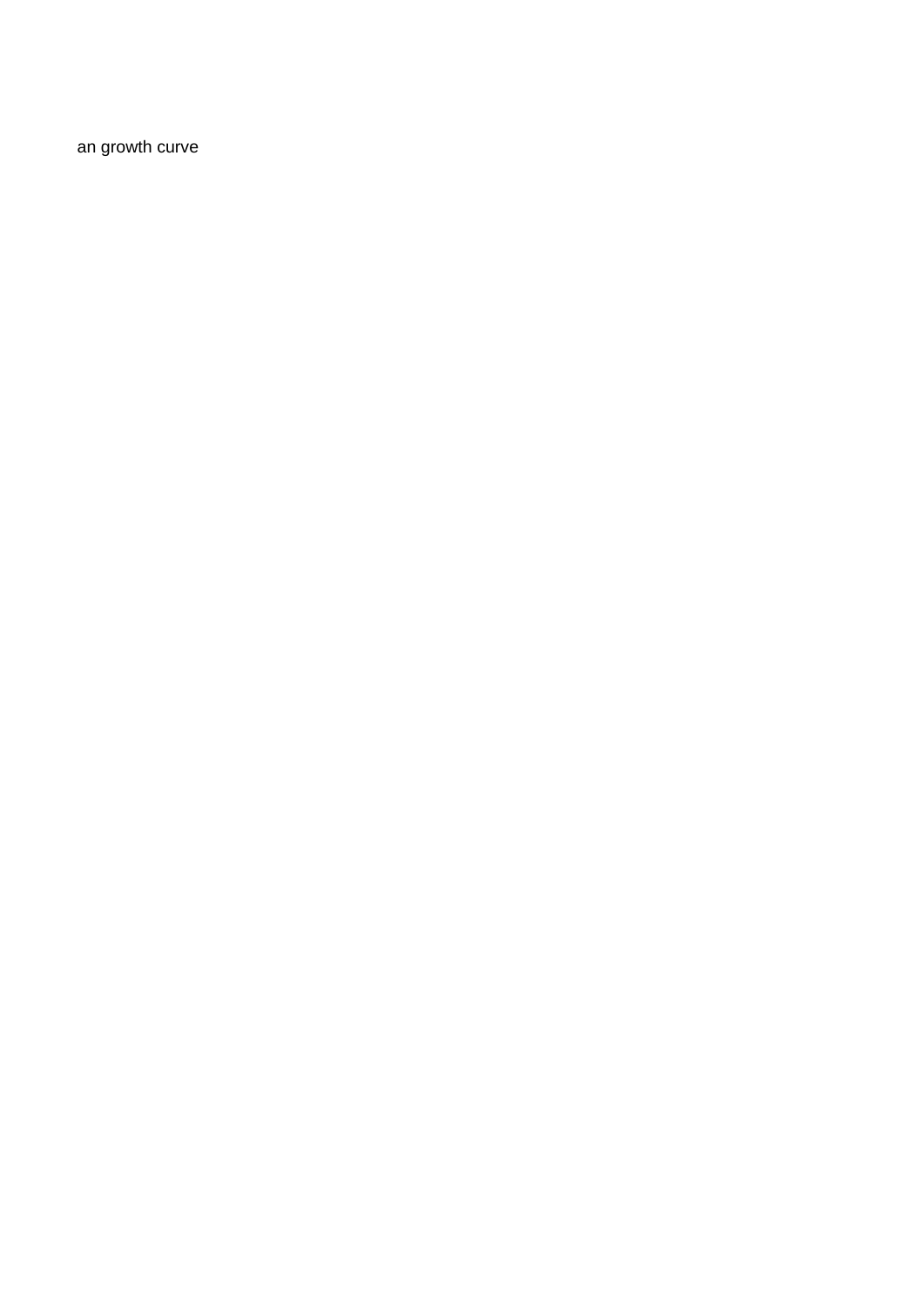an growth curve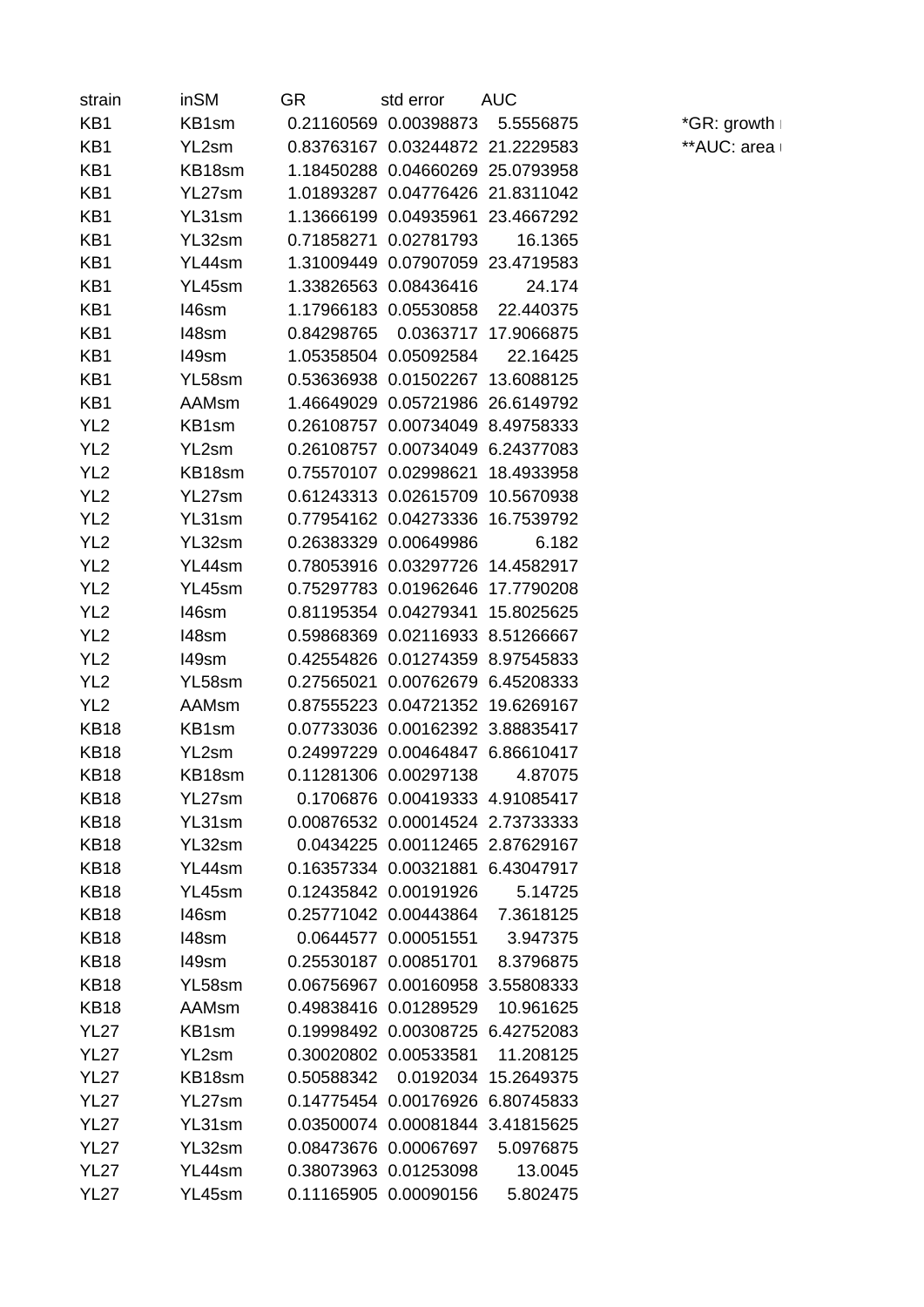| strain          | inSM         | GR         | std error             | AUC        |
|-----------------|--------------|------------|-----------------------|------------|
| KB1             | KB1sm        | 0.21160569 | 0.00398873            | 5.5556875  |
| KB1             | YL2sm        | 0.83763167 | 0.03244872            | 21.2229583 |
| KB1             | KB18sm       | 1.18450288 | 0.04660269            | 25.0793958 |
| KB1             | YL27sm       | 1.01893287 | 0.04776426            | 21.8311042 |
| KB1             | YL31sm       | 1.13666199 | 0.04935961            | 23.4667292 |
| KB1             | YL32sm       | 0.71858271 | 0.02781793            | 16.1365    |
| KB1             | YL44sm       | 1.31009449 | 0.07907059            | 23.4719583 |
| KB1             | YL45sm       | 1.33826563 | 0.08436416            | 24.174     |
| KB1             | I46sm        | 1.17966183 | 0.05530858            | 22.440375  |
| KB1             | 148sm        | 0.84298765 | 0.0363717             | 17.9066875 |
| KB1             | 149sm        | 1.05358504 | 0.05092584            | 22.16425   |
| KB1             | YL58sm       | 0.53636938 | 0.01502267            | 13.6088125 |
| KB1             | AAMsm        | 1.46649029 | 0.05721986            | 26.6149792 |
| YL <sub>2</sub> | KB1sm        | 0.26108757 | 0.00734049            | 8.49758333 |
| YL <sub>2</sub> | YL2sm        | 0.26108757 | 0.00734049            | 6.24377083 |
| YL <sub>2</sub> | KB18sm       | 0.75570107 | 0.02998621            | 18.4933958 |
| YL <sub>2</sub> | YL27sm       | 0.61243313 | 0.02615709            | 10.5670938 |
| YL <sub>2</sub> | YL31sm       | 0.77954162 | 0.04273336            | 16.7539792 |
| YL <sub>2</sub> | YL32sm       | 0.26383329 | 0.00649986            | 6.182      |
| YL <sub>2</sub> | YL44sm       | 0.78053916 | 0.03297726            | 14.4582917 |
| YL <sub>2</sub> | YL45sm       | 0.75297783 | 0.01962646            | 17.7790208 |
| YL <sub>2</sub> | 146sm        | 0.81195354 | 0.04279341            | 15.8025625 |
| YL <sub>2</sub> | 148sm        | 0.59868369 | 0.02116933            | 8.51266667 |
| YL <sub>2</sub> | 149sm        | 0.42554826 | 0.01274359            | 8.97545833 |
| YL <sub>2</sub> | YL58sm       | 0.27565021 | 0.00762679            | 6.45208333 |
| YL <sub>2</sub> | <b>AAMsm</b> | 0.87555223 | 0.04721352            | 19.6269167 |
| <b>KB18</b>     | KB1sm        | 0.07733036 | 0.00162392            | 3.88835417 |
| <b>KB18</b>     | YL2sm        | 0.24997229 | 0.00464847            | 6.86610417 |
| <b>KB18</b>     | KB18sm       | 0.11281306 | 0.00297138            | 4.87075    |
| <b>KB18</b>     | YL27sm       |            | 0.1706876 0.00419333  | 4.91085417 |
| <b>KB18</b>     | YL31sm       |            | 0.00876532 0.00014524 | 2.73733333 |
| <b>KB18</b>     | YL32sm       |            | 0.0434225 0.00112465  | 2.87629167 |
| <b>KB18</b>     | YL44sm       | 0.16357334 | 0.00321881            | 6.43047917 |
| <b>KB18</b>     | YL45sm       |            | 0.12435842 0.00191926 | 5.14725    |
| <b>KB18</b>     | 146sm        |            | 0.25771042 0.00443864 | 7.3618125  |
| <b>KB18</b>     | 148sm        | 0.0644577  | 0.00051551            | 3.947375   |
| <b>KB18</b>     | 149sm        | 0.25530187 | 0.00851701            | 8.3796875  |
| <b>KB18</b>     | YL58sm       | 0.06756967 | 0.00160958            | 3.55808333 |
| <b>KB18</b>     | <b>AAMsm</b> | 0.49838416 | 0.01289529            | 10.961625  |
| <b>YL27</b>     | KB1sm        | 0.19998492 | 0.00308725            | 6.42752083 |
| <b>YL27</b>     | YL2sm        | 0.30020802 | 0.00533581            | 11.208125  |
| <b>YL27</b>     | KB18sm       | 0.50588342 | 0.0192034             | 15.2649375 |
| <b>YL27</b>     | YL27sm       |            | 0.14775454 0.00176926 | 6.80745833 |
|                 | YL31sm       | 0.03500074 | 0.00081844            |            |
| <b>YL27</b>     |              |            |                       | 3.41815625 |
| <b>YL27</b>     | YL32sm       | 0.08473676 | 0.00067697            | 5.0976875  |
| <b>YL27</b>     | YL44sm       | 0.38073963 | 0.01253098            | 13.0045    |
| <b>YL27</b>     | YL45sm       |            | 0.11165905 0.00090156 | 5.802475   |

 $*$ GR: growth r \*\*AUC: area l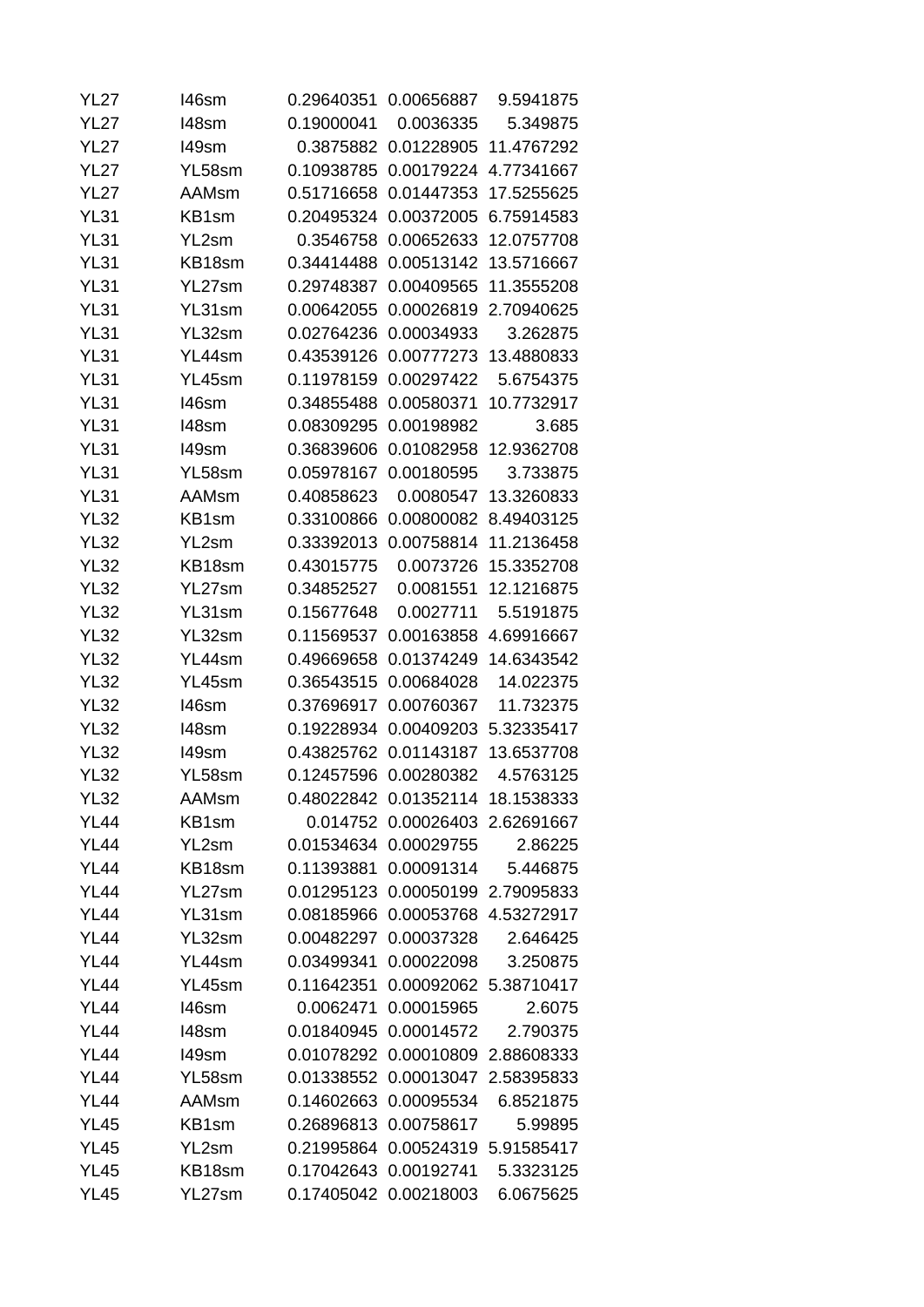| <b>YL27</b> | 146sm        |            | 0.29640351 0.00656887            | 9.5941875  |
|-------------|--------------|------------|----------------------------------|------------|
| <b>YL27</b> | 148sm        | 0.19000041 | 0.0036335                        | 5.349875   |
| <b>YL27</b> | 149sm        | 0.3875882  | 0.01228905                       | 11.4767292 |
| <b>YL27</b> | YL58sm       | 0.10938785 | 0.00179224                       | 4.77341667 |
| <b>YL27</b> | AAMsm        | 0.51716658 | 0.01447353                       | 17.5255625 |
| <b>YL31</b> | KB1sm        | 0.20495324 | 0.00372005                       | 6.75914583 |
| <b>YL31</b> | YL2sm        | 0.3546758  | 0.00652633                       | 12.0757708 |
| <b>YL31</b> | KB18sm       | 0.34414488 | 0.00513142                       | 13.5716667 |
| <b>YL31</b> | YL27sm       | 0.29748387 | 0.00409565                       | 11.3555208 |
| <b>YL31</b> | YL31sm       | 0.00642055 | 0.00026819                       | 2.70940625 |
| <b>YL31</b> | YL32sm       | 0.02764236 | 0.00034933                       | 3.262875   |
| <b>YL31</b> | YL44sm       | 0.43539126 | 0.00777273                       | 13.4880833 |
| YL31        | YL45sm       | 0.11978159 | 0.00297422                       | 5.6754375  |
| <b>YL31</b> | 146sm        | 0.34855488 | 0.00580371                       | 10.7732917 |
| <b>YL31</b> | 148sm        | 0.08309295 | 0.00198982                       | 3.685      |
| <b>YL31</b> | 149sm        | 0.36839606 | 0.01082958                       | 12.9362708 |
| <b>YL31</b> | YL58sm       | 0.05978167 | 0.00180595                       | 3.733875   |
| <b>YL31</b> | <b>AAMsm</b> | 0.40858623 | 0.0080547                        | 13.3260833 |
| YL32        | KB1sm        | 0.33100866 | 0.00800082                       | 8.49403125 |
| <b>YL32</b> | YL2sm        | 0.33392013 | 0.00758814                       | 11.2136458 |
| YL32        | KB18sm       | 0.43015775 | 0.0073726                        | 15.3352708 |
| <b>YL32</b> | YL27sm       | 0.34852527 | 0.0081551                        | 12.1216875 |
| YL32        | YL31sm       | 0.15677648 | 0.0027711                        | 5.5191875  |
| <b>YL32</b> | YL32sm       | 0.11569537 | 0.00163858                       | 4.69916667 |
| <b>YL32</b> | YL44sm       | 0.49669658 | 0.01374249                       | 14.6343542 |
| <b>YL32</b> | YL45sm       | 0.36543515 | 0.00684028                       | 14.022375  |
| <b>YL32</b> | 146sm        | 0.37696917 | 0.00760367                       | 11.732375  |
| <b>YL32</b> | 148sm        | 0.19228934 | 0.00409203                       | 5.32335417 |
| YL32        | 149sm        | 0.43825762 | 0.01143187                       | 13.6537708 |
| <b>YL32</b> | YL58sm       | 0.12457596 | 0.00280382                       | 4.5763125  |
| YL32        | <b>AAMsm</b> |            | 0.48022842 0.01352114 18.1538333 |            |
| <b>YL44</b> | KB1sm        |            | 0.014752 0.00026403 2.62691667   |            |
| <b>YL44</b> | YL2sm        |            | 0.01534634 0.00029755            | 2.86225    |
| <b>YL44</b> | KB18sm       | 0.11393881 | 0.00091314                       | 5.446875   |
| <b>YL44</b> | YL27sm       |            | 0.01295123 0.00050199 2.79095833 |            |
| <b>YL44</b> | YL31sm       |            | 0.08185966 0.00053768 4.53272917 |            |
| <b>YL44</b> | YL32sm       | 0.00482297 | 0.00037328                       | 2.646425   |
| <b>YL44</b> | YL44sm       | 0.03499341 | 0.00022098                       | 3.250875   |
| <b>YL44</b> | YL45sm       |            | 0.11642351 0.00092062 5.38710417 |            |
| <b>YL44</b> | 146sm        | 0.0062471  | 0.00015965                       | 2.6075     |
| <b>YL44</b> | 148sm        |            | 0.01840945 0.00014572            | 2.790375   |
| <b>YL44</b> | 149sm        | 0.01078292 | 0.00010809                       | 2.88608333 |
| <b>YL44</b> | YL58sm       |            | 0.01338552 0.00013047            | 2.58395833 |
| <b>YL44</b> | <b>AAMsm</b> | 0.14602663 | 0.00095534                       | 6.8521875  |
| <b>YL45</b> | KB1sm        |            | 0.26896813 0.00758617            | 5.99895    |
| <b>YL45</b> | YL2sm        | 0.21995864 | 0.00524319                       | 5.91585417 |
| <b>YL45</b> | KB18sm       |            | 0.17042643 0.00192741            | 5.3323125  |
| <b>YL45</b> | YL27sm       |            | 0.17405042 0.00218003            | 6.0675625  |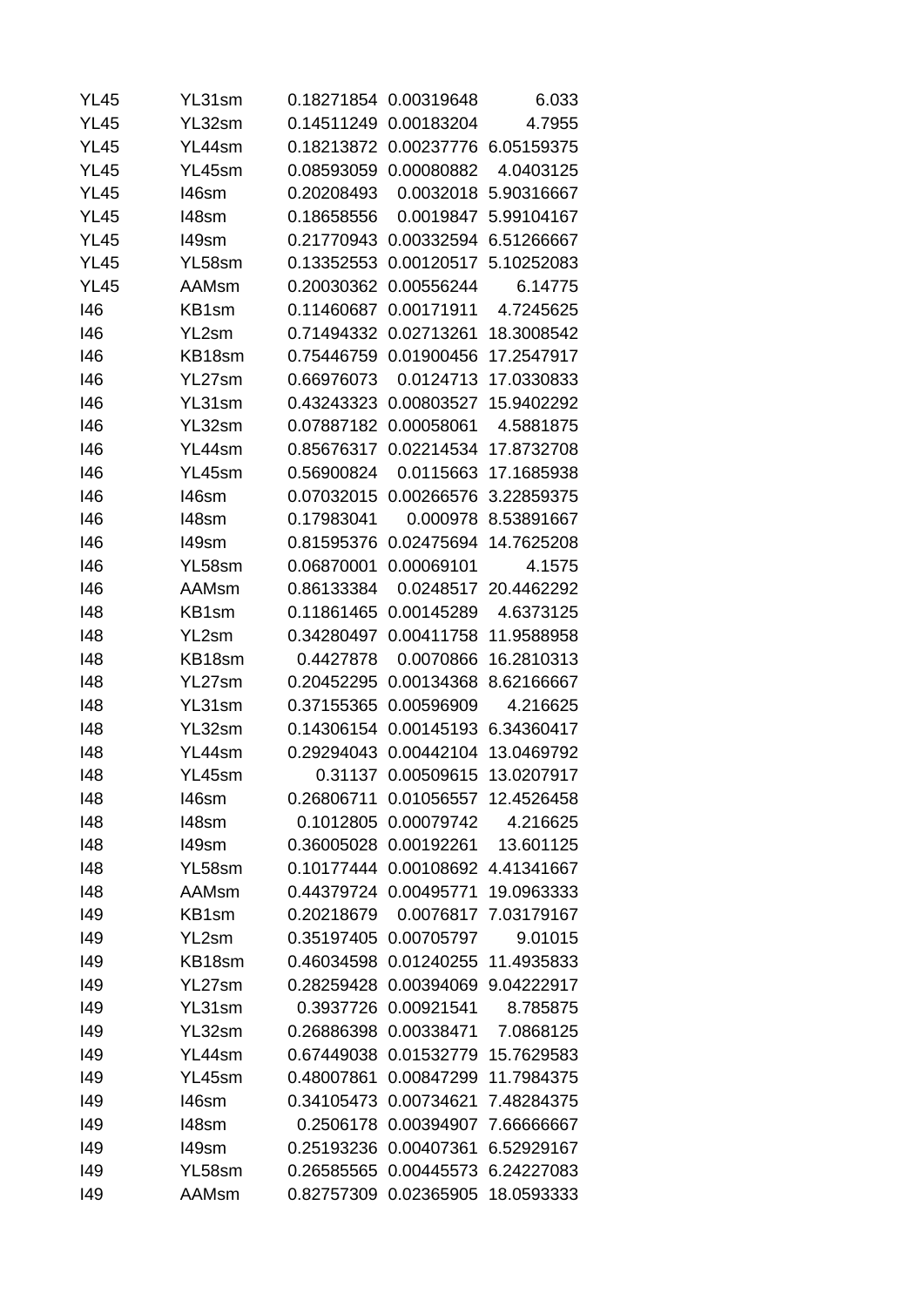| <b>YL45</b> | YL31sm       |            | 0.18271854 0.00319648 | 6.033      |
|-------------|--------------|------------|-----------------------|------------|
| <b>YL45</b> | YL32sm       | 0.14511249 | 0.00183204            | 4.7955     |
| <b>YL45</b> | YL44sm       | 0.18213872 | 0.00237776            | 6.05159375 |
| <b>YL45</b> | YL45sm       | 0.08593059 | 0.00080882            | 4.0403125  |
| <b>YL45</b> | 146sm        | 0.20208493 | 0.0032018             | 5.90316667 |
| <b>YL45</b> | 148sm        | 0.18658556 | 0.0019847             | 5.99104167 |
| <b>YL45</b> | 149sm        | 0.21770943 | 0.00332594            | 6.51266667 |
| <b>YL45</b> | YL58sm       | 0.13352553 | 0.00120517            | 5.10252083 |
| <b>YL45</b> | AAMsm        | 0.20030362 | 0.00556244            | 6.14775    |
| 146         | KB1sm        | 0.11460687 | 0.00171911            | 4.7245625  |
| 146         | YL2sm        | 0.71494332 | 0.02713261            | 18.3008542 |
| 146         | KB18sm       | 0.75446759 | 0.01900456            | 17.2547917 |
| 146         | YL27sm       | 0.66976073 | 0.0124713             | 17.0330833 |
| 146         | YL31sm       | 0.43243323 | 0.00803527            | 15.9402292 |
| 146         | YL32sm       | 0.07887182 | 0.00058061            | 4.5881875  |
| 146         | YL44sm       | 0.85676317 | 0.02214534            | 17.8732708 |
| 146         | YL45sm       | 0.56900824 | 0.0115663             | 17.1685938 |
| 146         | 146sm        | 0.07032015 | 0.00266576            | 3.22859375 |
| 146         | 148sm        | 0.17983041 | 0.000978              | 8.53891667 |
| 146         | 149sm        | 0.81595376 | 0.02475694            | 14.7625208 |
| 146         | YL58sm       | 0.06870001 | 0.00069101            | 4.1575     |
| 146         | <b>AAMsm</b> | 0.86133384 | 0.0248517             | 20.4462292 |
| 148         | KB1sm        | 0.11861465 | 0.00145289            | 4.6373125  |
| 148         | YL2sm        | 0.34280497 | 0.00411758            | 11.9588958 |
| 148         | KB18sm       | 0.4427878  | 0.0070866             | 16.2810313 |
| 148         | YL27sm       | 0.20452295 | 0.00134368            | 8.62166667 |
| 148         | YL31sm       | 0.37155365 | 0.00596909            | 4.216625   |
| 148         | YL32sm       | 0.14306154 | 0.00145193            | 6.34360417 |
| 148         | YL44sm       | 0.29294043 | 0.00442104            | 13.0469792 |
| 148         | YL45sm       | 0.31137    | 0.00509615            | 13.0207917 |
| 148         | 146sm        |            | 0.26806711 0.01056557 | 12.4526458 |
| 148         | 148sm        | 0.1012805  | 0.00079742            | 4.216625   |
|             |              | 0.36005028 | 0.00192261            | 13.601125  |
| 148         | 149sm        | 0.10177444 | 0.00108692            |            |
| 148         | YL58sm       |            |                       | 4.41341667 |
| 148         | <b>AAMsm</b> |            | 0.44379724 0.00495771 | 19.0963333 |
| 149         | KB1sm        | 0.20218679 | 0.0076817             | 7.03179167 |
| 149         | YL2sm        | 0.35197405 | 0.00705797            | 9.01015    |
| 149         | KB18sm       | 0.46034598 | 0.01240255            | 11.4935833 |
| 149         | YL27sm       | 0.28259428 | 0.00394069            | 9.04222917 |
| 149         | YL31sm       | 0.3937726  | 0.00921541            | 8.785875   |
| 149         | YL32sm       | 0.26886398 | 0.00338471            | 7.0868125  |
| 149         | YL44sm       | 0.67449038 | 0.01532779            | 15.7629583 |
| 149         | YL45sm       | 0.48007861 | 0.00847299            | 11.7984375 |
| 149         | 146sm        | 0.34105473 | 0.00734621            | 7.48284375 |
| 149         | 148sm        | 0.2506178  | 0.00394907            | 7.66666667 |
| 149         | 149sm        | 0.25193236 | 0.00407361            | 6.52929167 |
| 149         | YL58sm       | 0.26585565 | 0.00445573            | 6.24227083 |
| 149         | <b>AAMsm</b> | 0.82757309 | 0.02365905            | 18.0593333 |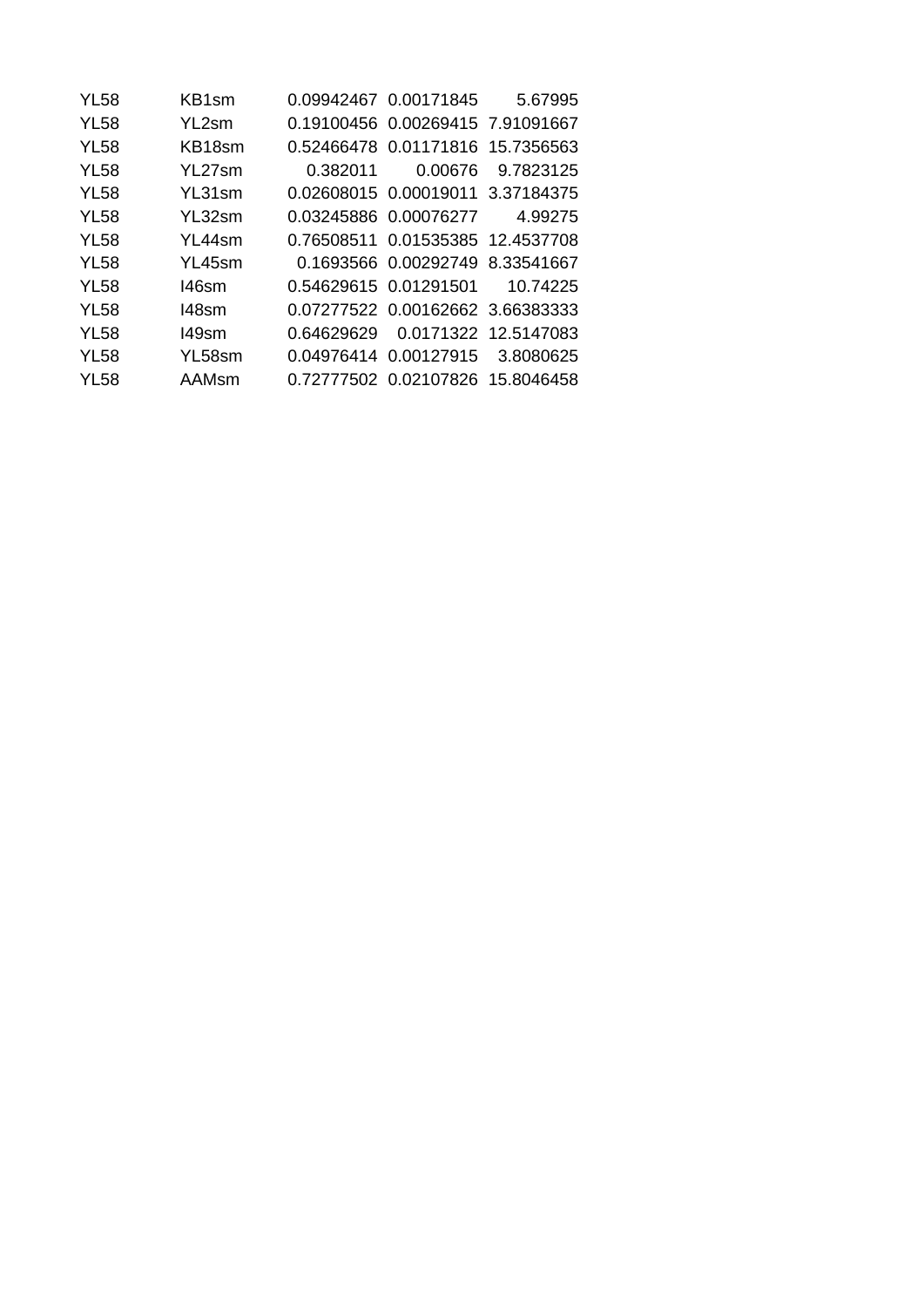| <b>YL58</b> | KB1sm  |            | 0.09942467 0.00171845              | 5.67995              |
|-------------|--------|------------|------------------------------------|----------------------|
| <b>YL58</b> | YL2sm  |            | 0.19100456 0.00269415 7.91091667   |                      |
| <b>YL58</b> | KB18sm |            | 0.52466478 0.01171816 15.7356563   |                      |
| <b>YL58</b> | YL27sm | 0.382011   | 0.00676                            | 9.7823125            |
| <b>YL58</b> | YL31sm |            | 0.02608015  0.00019011  3.37184375 |                      |
| <b>YL58</b> | YL32sm |            | 0.03245886 0.00076277              | 4.99275              |
| <b>YL58</b> | YL44sm |            | 0.76508511 0.01535385 12.4537708   |                      |
| <b>YL58</b> | YL45sm |            | 0.1693566 0.00292749               | 8.33541667           |
| <b>YL58</b> | 146sm  |            | 0.54629615  0.01291501             | 10.74225             |
| <b>YL58</b> | 148sm  |            | 0.07277522 0.00162662 3.66383333   |                      |
| <b>YL58</b> | 149sm  | 0.64629629 |                                    | 0.0171322 12.5147083 |
| <b>YL58</b> | YL58sm |            | 0.04976414  0.00127915             | 3.8080625            |
| YL58        | AAMsm  |            | 0.72777502 0.02107826 15.8046458   |                      |
|             |        |            |                                    |                      |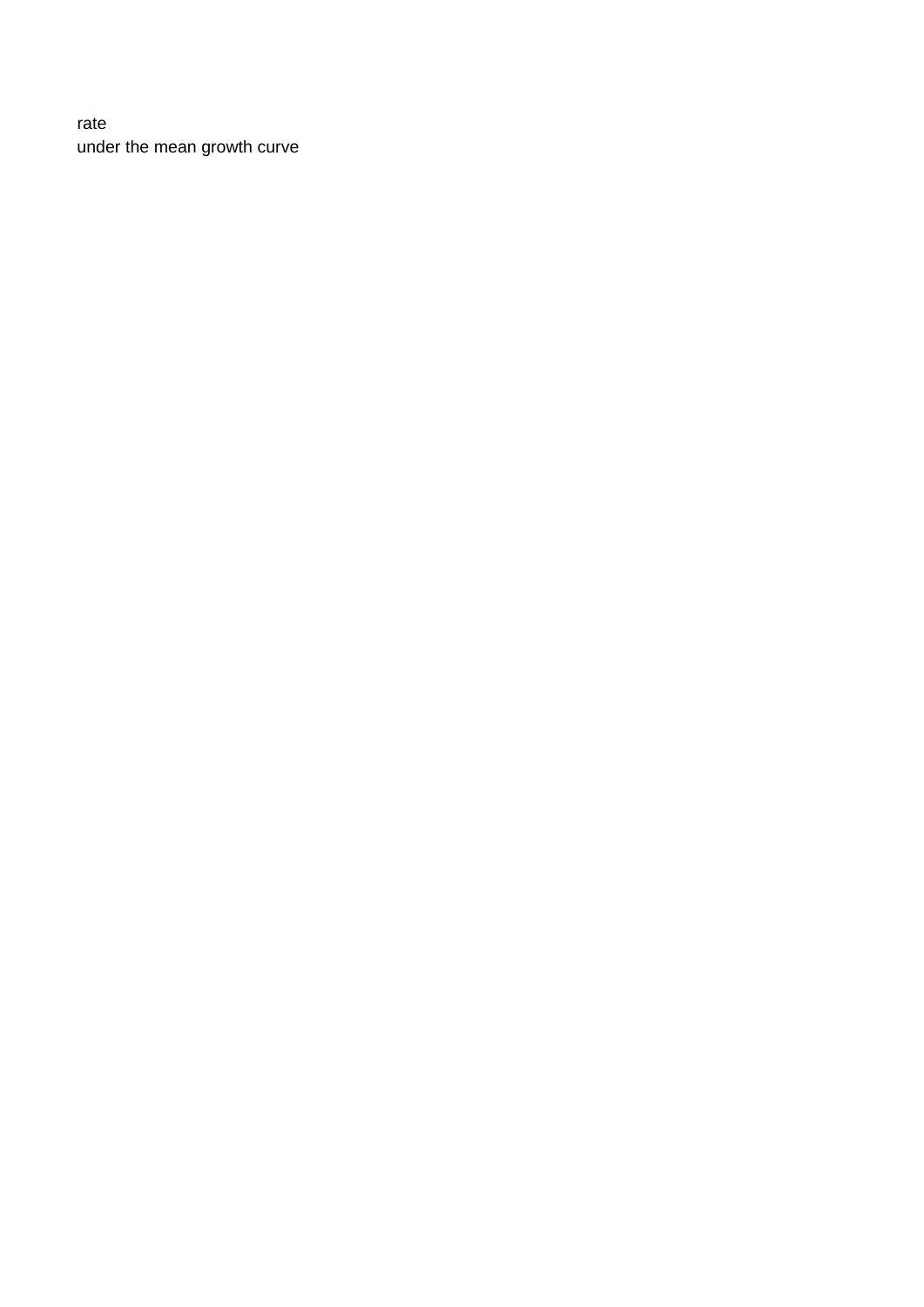## rate under the mean growth curve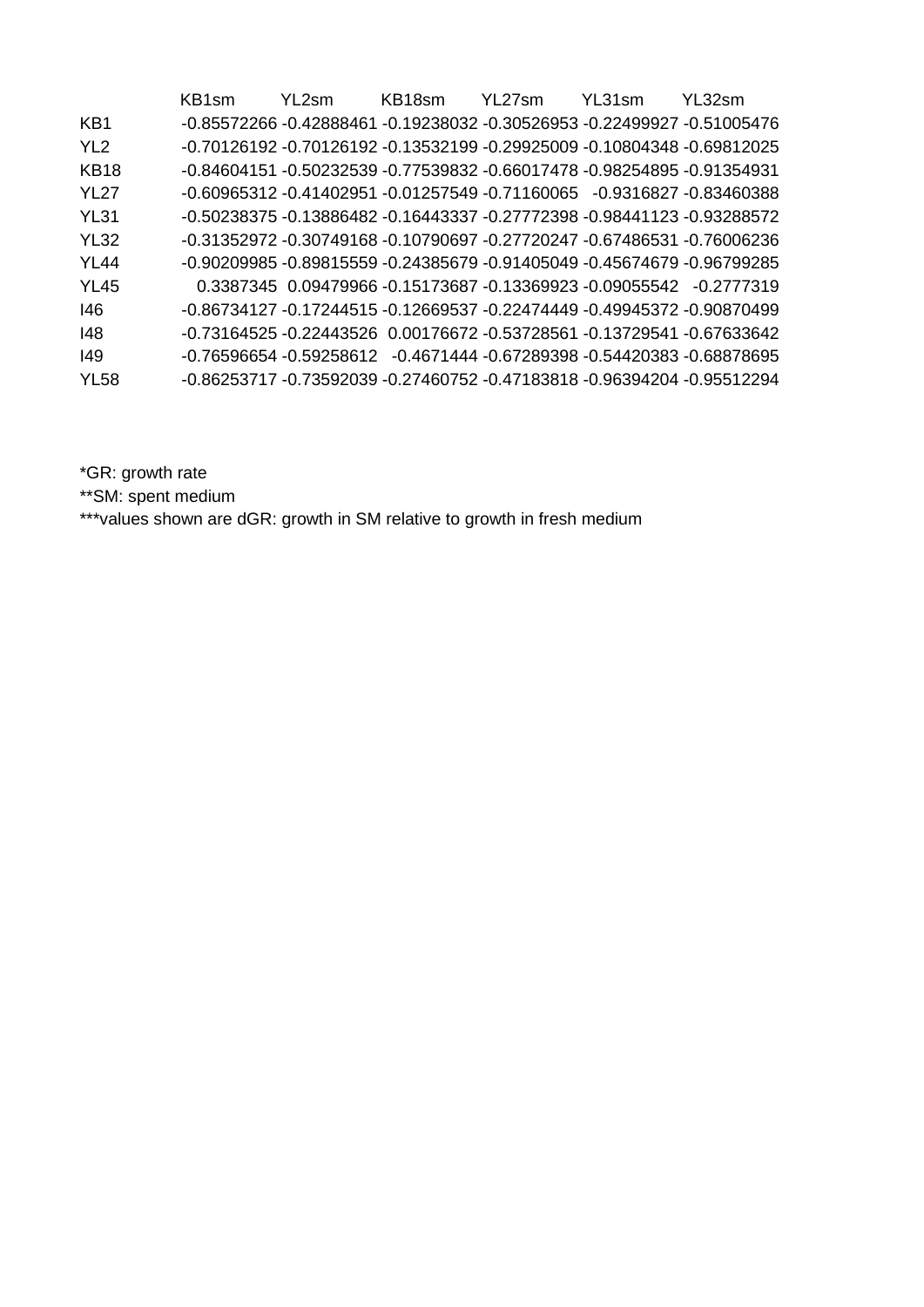|                 | KB1sm | YL <sub>2</sub> sm | KB18sm | YL27sm                                                                            | YL31sm | YI 32sm                                                                 |
|-----------------|-------|--------------------|--------|-----------------------------------------------------------------------------------|--------|-------------------------------------------------------------------------|
| KB1             |       |                    |        | -0.85572266   -0.42888461   -0.19238032   -0.30526953   -0.22499927   -0.51005476 |        |                                                                         |
| YL <sub>2</sub> |       |                    |        | -0.70126192  -0.70126192  -0.13532199  -0.29925009  -0.10804348  -0.69812025      |        |                                                                         |
| KB18            |       |                    |        |                                                                                   |        | -0.84604151 -0.50232539 -0.77539832 -0.66017478 -0.98254895 -0.91354931 |
| <b>YL27</b>     |       |                    |        | -0.60965312 -0.41402951 -0.01257549 -0.71160065 -0.9316827 -0.83460388            |        |                                                                         |
| <b>YL31</b>     |       |                    |        | -0.50238375 -0.13886482 -0.16443337 -0.27772398 -0.98441123 -0.93288572           |        |                                                                         |
| <b>YL32</b>     |       |                    |        | -0.31352972 -0.30749168 -0.10790697 -0.27720247 -0.67486531 -0.76006236           |        |                                                                         |
| <b>YL44</b>     |       |                    |        | -0.90209985 -0.89815559 -0.24385679 -0.91405049 -0.45674679 -0.96799285           |        |                                                                         |
| <b>YL45</b>     |       |                    |        | $0.3387345$ $0.09479966$ $-0.15173687$ $-0.13369923$ $-0.09055542$ $-0.2777319$   |        |                                                                         |
| 146             |       |                    |        | -0.86734127 -0.17244515 -0.12669537 -0.22474449 -0.49945372 -0.90870499           |        |                                                                         |
| 148             |       |                    |        | -0.73164525 -0.22443526    0.00176672 -0.53728561 -0.13729541 -0.67633642         |        |                                                                         |
| 149             |       |                    |        | -0.76596654 -0.59258612 -0.4671444 -0.67289398 -0.54420383 -0.68878695            |        |                                                                         |
| <b>YL58</b>     |       |                    |        | -0.86253717 -0.73592039 -0.27460752 -0.47183818 -0.96394204 -0.95512294           |        |                                                                         |
|                 |       |                    |        |                                                                                   |        |                                                                         |

\*GR: growth rate

\*\*SM: spent medium

\*\*\*values shown are dGR: growth in SM relative to growth in fresh medium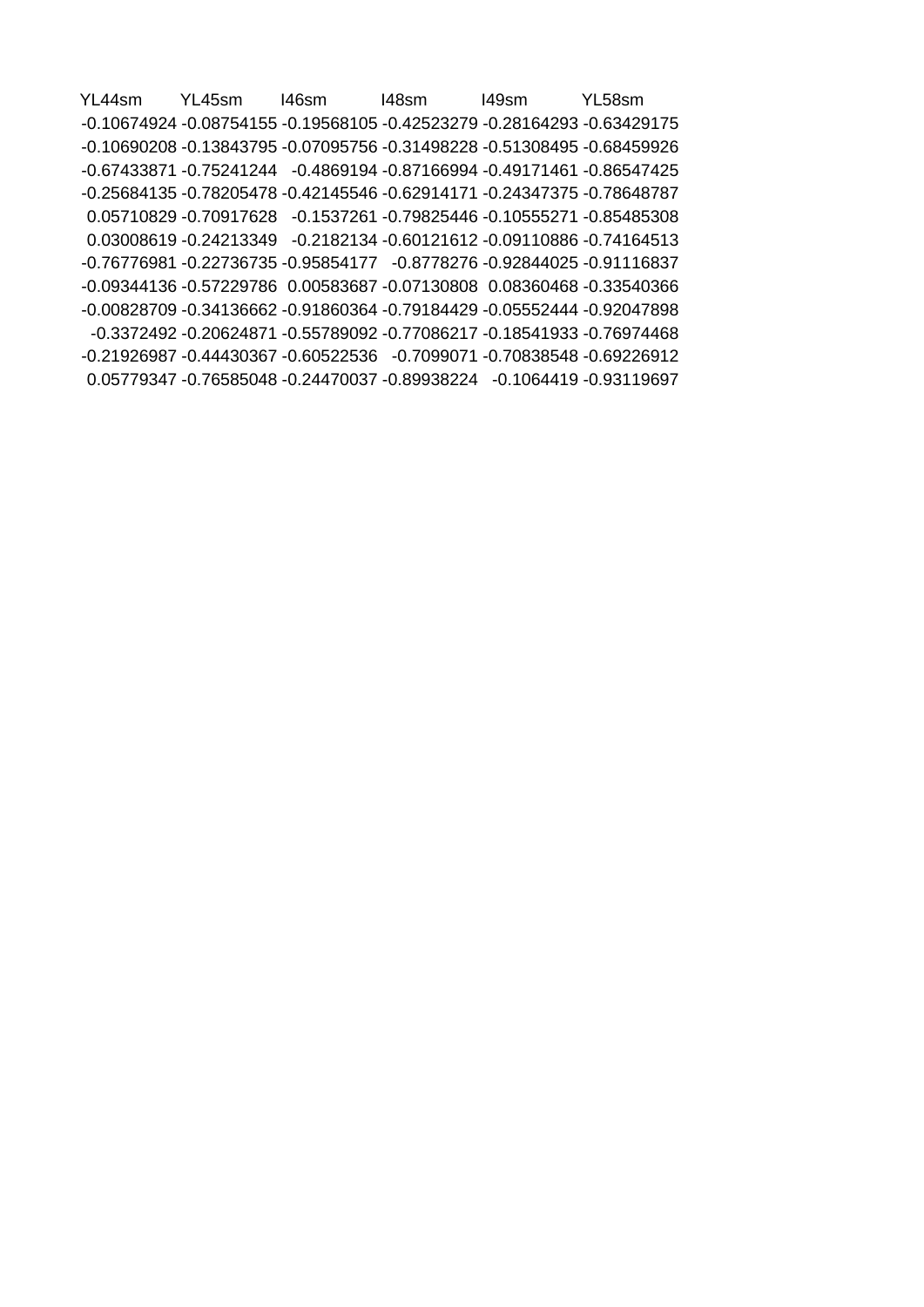YL44sm YL45sm I46sm I48sm I49sm YL58sm -0.10674924 -0.08754155 -0.19568105 -0.42523279 -0.28164293 -0.63429175 -0.10690208 -0.13843795 -0.07095756 -0.31498228 -0.51308495 -0.68459926 -0.67433871 -0.75241244 -0.4869194 -0.87166994 -0.49171461 -0.86547425 -0.25684135 -0.78205478 -0.42145546 -0.62914171 -0.24347375 -0.78648787 0.05710829 -0.70917628 -0.1537261 -0.79825446 -0.10555271 -0.85485308 0.03008619 -0.24213349 -0.2182134 -0.60121612 -0.09110886 -0.74164513 -0.76776981 -0.22736735 -0.95854177 -0.8778276 -0.92844025 -0.91116837 -0.09344136 -0.57229786 0.00583687 -0.07130808 0.08360468 -0.33540366 -0.00828709 -0.34136662 -0.91860364 -0.79184429 -0.05552444 -0.92047898 -0.3372492 -0.20624871 -0.55789092 -0.77086217 -0.18541933 -0.76974468 -0.21926987 -0.44430367 -0.60522536 -0.7099071 -0.70838548 -0.69226912 0.05779347 -0.76585048 -0.24470037 -0.89938224 -0.1064419 -0.93119697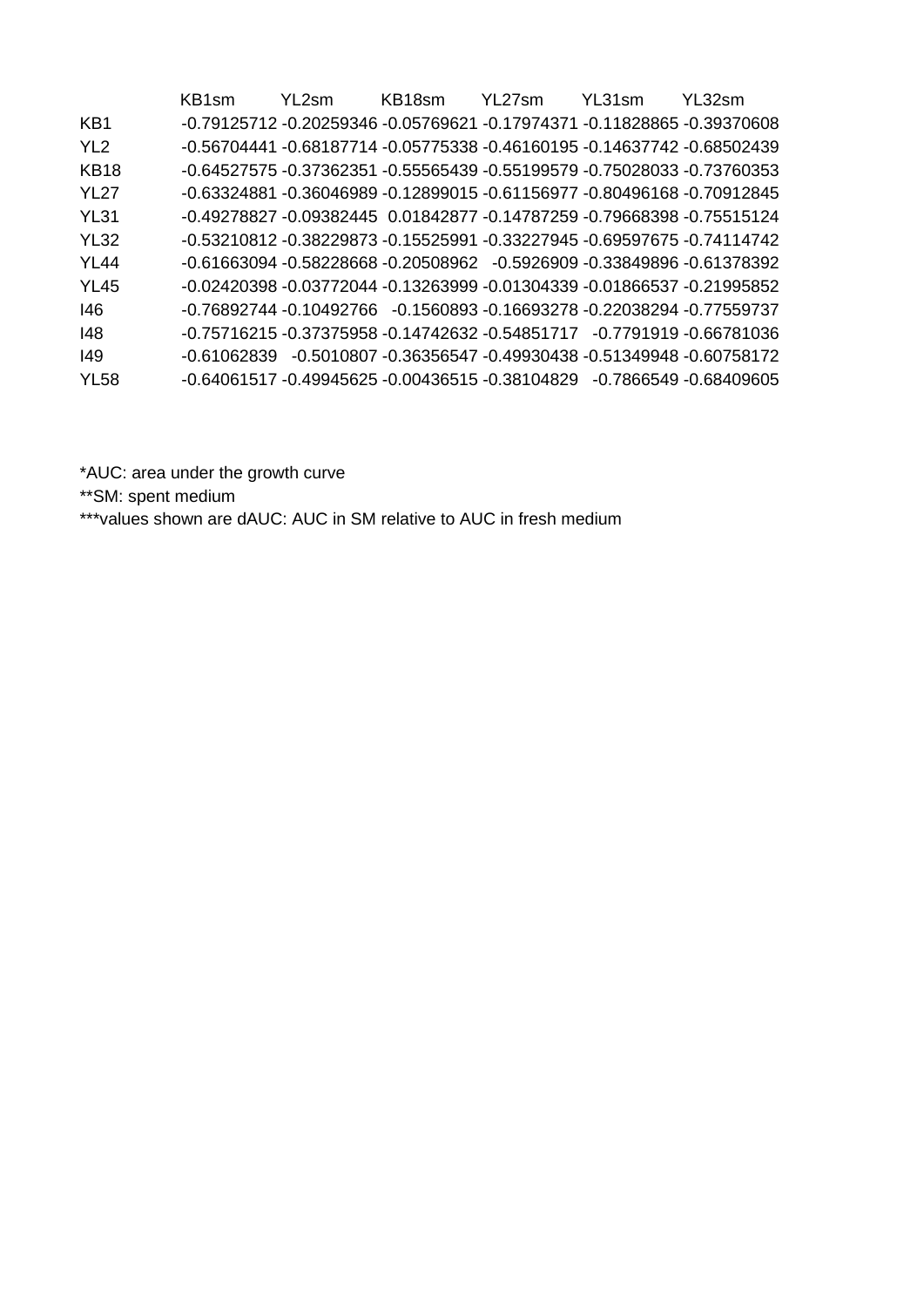|                 | KB1sm       | YL <sub>2</sub> sm                                                                | KB18sm | YL27sm | YL31sm | YI 32sm                                                    |
|-----------------|-------------|-----------------------------------------------------------------------------------|--------|--------|--------|------------------------------------------------------------|
| KB1             |             | -0.79125712   -0.20259346   -0.05769621   -0.17974371   -0.11828865   -0.39370608 |        |        |        |                                                            |
| YL <sub>2</sub> |             | -0.56704441   -0.68187714   -0.05775338   -0.46160195   -0.14637742   -0.68502439 |        |        |        |                                                            |
| KB18            |             | -0.64527575 -0.37362351 -0.55565439 -0.55199579 -0.75028033 -0.73760353           |        |        |        |                                                            |
| <b>YL27</b>     |             | -0.63324881   -0.36046989   -0.12899015   -0.61156977   -0.80496168   -0.70912845 |        |        |        |                                                            |
| <b>YL31</b>     |             | -0.49278827 -0.09382445   0.01842877   -0.14787259   -0.79668398   -0.75515124    |        |        |        |                                                            |
| <b>YL32</b>     |             | -0.53210812 -0.38229873 -0.15525991 -0.33227945 -0.69597675 -0.74114742           |        |        |        |                                                            |
| <b>YL44</b>     |             | -0.61663094 -0.58228668 -0.20508962 -0.5926909 -0.33849896 -0.61378392            |        |        |        |                                                            |
| <b>YL45</b>     |             | -0.02420398 -0.03772044 -0.13263999 -0.01304339 -0.01866537 -0.21995852           |        |        |        |                                                            |
| 146             |             | -0.76892744 -0.10492766 -0.1560893 -0.16693278 -0.22038294 -0.77559737            |        |        |        |                                                            |
| 148             |             | -0.75716215 -0.37375958 -0.14742632 -0.54851717 -0.7791919 -0.66781036            |        |        |        |                                                            |
| 149             | -0.61062839 |                                                                                   |        |        |        | -0.5010807 -0.36356547 -0.49930438 -0.51349948 -0.60758172 |
| <b>YL58</b>     |             | -0.64061517 -0.49945625 -0.00436515 -0.38104829 -0.7866549 -0.68409605            |        |        |        |                                                            |
|                 |             |                                                                                   |        |        |        |                                                            |

\*AUC: area under the growth curve

\*\*SM: spent medium

\*\*\*values shown are dAUC: AUC in SM relative to AUC in fresh medium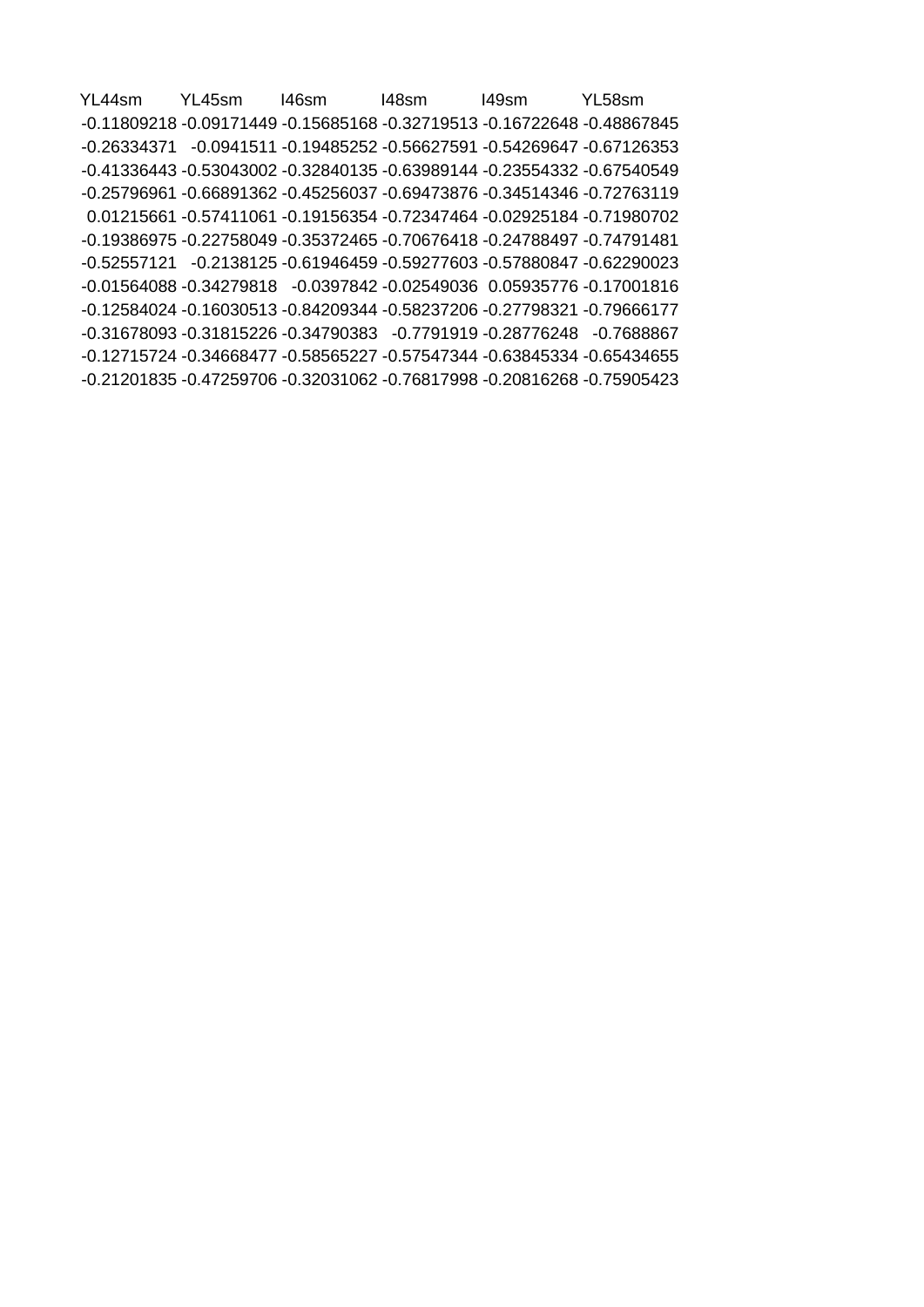YL44sm YL45sm I46sm I48sm I49sm YL58sm -0.11809218 -0.09171449 -0.15685168 -0.32719513 -0.16722648 -0.48867845 -0.26334371 -0.0941511 -0.19485252 -0.56627591 -0.54269647 -0.67126353 -0.41336443 -0.53043002 -0.32840135 -0.63989144 -0.23554332 -0.67540549 -0.25796961 -0.66891362 -0.45256037 -0.69473876 -0.34514346 -0.72763119 0.01215661 -0.57411061 -0.19156354 -0.72347464 -0.02925184 -0.71980702 -0.19386975 -0.22758049 -0.35372465 -0.70676418 -0.24788497 -0.74791481 -0.52557121 -0.2138125 -0.61946459 -0.59277603 -0.57880847 -0.62290023 -0.01564088 -0.34279818 -0.0397842 -0.02549036 0.05935776 -0.17001816 -0.12584024 -0.16030513 -0.84209344 -0.58237206 -0.27798321 -0.79666177 -0.31678093 -0.31815226 -0.34790383 -0.7791919 -0.28776248 -0.7688867 -0.12715724 -0.34668477 -0.58565227 -0.57547344 -0.63845334 -0.65434655 -0.21201835 -0.47259706 -0.32031062 -0.76817998 -0.20816268 -0.75905423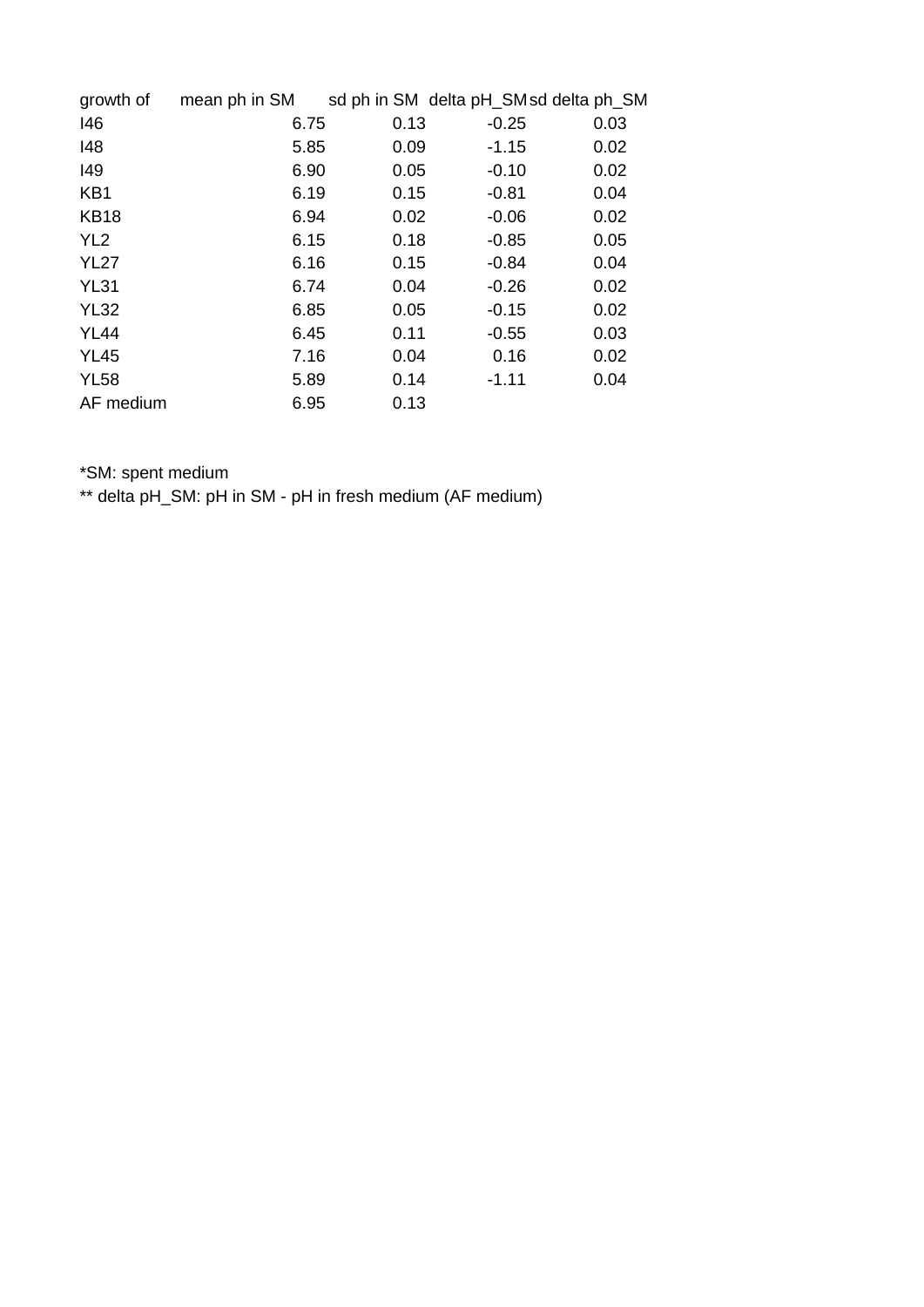| growth of       | mean ph in SM |      |         | sd ph in SM delta pH_SMsd delta ph_SM |
|-----------------|---------------|------|---------|---------------------------------------|
| 146             | 6.75          | 0.13 | $-0.25$ | 0.03                                  |
| 148             | 5.85          | 0.09 | $-1.15$ | 0.02                                  |
| 149             | 6.90          | 0.05 | $-0.10$ | 0.02                                  |
| KB1             | 6.19          | 0.15 | $-0.81$ | 0.04                                  |
| <b>KB18</b>     | 6.94          | 0.02 | $-0.06$ | 0.02                                  |
| YL <sub>2</sub> | 6.15          | 0.18 | $-0.85$ | 0.05                                  |
| <b>YL27</b>     | 6.16          | 0.15 | $-0.84$ | 0.04                                  |
| <b>YL31</b>     | 6.74          | 0.04 | $-0.26$ | 0.02                                  |
| <b>YL32</b>     | 6.85          | 0.05 | $-0.15$ | 0.02                                  |
| <b>YL44</b>     | 6.45          | 0.11 | $-0.55$ | 0.03                                  |
| <b>YL45</b>     | 7.16          | 0.04 | 0.16    | 0.02                                  |
| <b>YL58</b>     | 5.89          | 0.14 | $-1.11$ | 0.04                                  |
| AF medium       | 6.95          | 0.13 |         |                                       |

\*SM: spent medium

\*\* delta pH\_SM: pH in SM - pH in fresh medium (AF medium)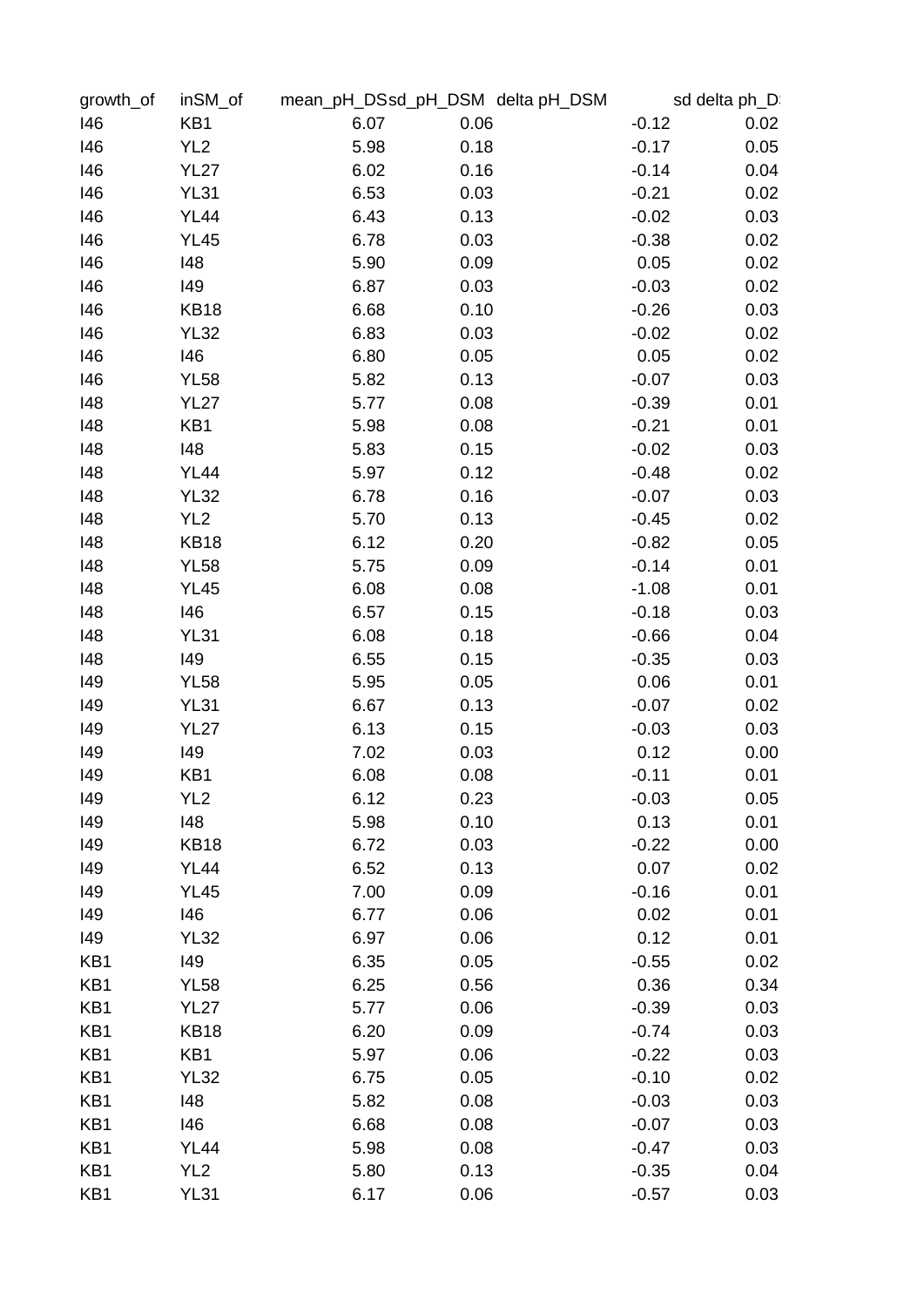| growth of | inSM_of         |      | mean_pH_DSsd_pH_DSM_delta pH_DSM | sd delta ph D: |      |
|-----------|-----------------|------|----------------------------------|----------------|------|
| 146       | KB1             | 6.07 | 0.06                             | $-0.12$        | 0.02 |
| 146       | YL <sub>2</sub> | 5.98 | 0.18                             | $-0.17$        | 0.05 |
| 146       | <b>YL27</b>     | 6.02 | 0.16                             | $-0.14$        | 0.04 |
| 146       | <b>YL31</b>     | 6.53 | 0.03                             | $-0.21$        | 0.02 |
| 146       | <b>YL44</b>     | 6.43 | 0.13                             | $-0.02$        | 0.03 |
| 146       | <b>YL45</b>     | 6.78 | 0.03                             | $-0.38$        | 0.02 |
| 146       | 148             | 5.90 | 0.09                             | 0.05           | 0.02 |
| 146       | 149             | 6.87 | 0.03                             | $-0.03$        | 0.02 |
| 146       | <b>KB18</b>     | 6.68 | 0.10                             | $-0.26$        | 0.03 |
| 146       | <b>YL32</b>     | 6.83 | 0.03                             | $-0.02$        | 0.02 |
| 146       | 146             | 6.80 | 0.05                             | 0.05           | 0.02 |
| 146       | <b>YL58</b>     | 5.82 | 0.13                             | $-0.07$        | 0.03 |
| 148       | <b>YL27</b>     | 5.77 | 0.08                             | $-0.39$        | 0.01 |
| 148       | KB1             | 5.98 | 0.08                             | $-0.21$        | 0.01 |
| 148       | 148             | 5.83 | 0.15                             | $-0.02$        | 0.03 |
| 148       | <b>YL44</b>     | 5.97 | 0.12                             | $-0.48$        | 0.02 |
| 148       | <b>YL32</b>     | 6.78 | 0.16                             | $-0.07$        | 0.03 |
| 148       | YL <sub>2</sub> | 5.70 | 0.13                             | $-0.45$        | 0.02 |
| 148       | <b>KB18</b>     | 6.12 | 0.20                             | $-0.82$        | 0.05 |
| 148       | <b>YL58</b>     | 5.75 | 0.09                             |                | 0.01 |
|           |                 |      |                                  | $-0.14$        |      |
| 148       | <b>YL45</b>     | 6.08 | 0.08                             | $-1.08$        | 0.01 |
| 148       | 146             | 6.57 | 0.15                             | $-0.18$        | 0.03 |
| 148       | <b>YL31</b>     | 6.08 | 0.18                             | $-0.66$        | 0.04 |
| 148       | 149             | 6.55 | 0.15                             | $-0.35$        | 0.03 |
| 149       | <b>YL58</b>     | 5.95 | 0.05                             | 0.06           | 0.01 |
| 149       | <b>YL31</b>     | 6.67 | 0.13                             | $-0.07$        | 0.02 |
| 149       | <b>YL27</b>     | 6.13 | 0.15                             | $-0.03$        | 0.03 |
| 149       | 149             | 7.02 | 0.03                             | 0.12           | 0.00 |
| 149       | KB1             | 6.08 | 0.08                             | $-0.11$        | 0.01 |
| 149       | YL <sub>2</sub> | 6.12 | 0.23                             | $-0.03$        | 0.05 |
| 149       | 148             | 5.98 | 0.10                             | 0.13           | 0.01 |
| 149       | <b>KB18</b>     | 6.72 | 0.03                             | $-0.22$        | 0.00 |
| 149       | <b>YL44</b>     | 6.52 | 0.13                             | 0.07           | 0.02 |
| 149       | <b>YL45</b>     | 7.00 | 0.09                             | $-0.16$        | 0.01 |
| 149       | 146             | 6.77 | 0.06                             | 0.02           | 0.01 |
| 149       | <b>YL32</b>     | 6.97 | 0.06                             | 0.12           | 0.01 |
| KB1       | 149             | 6.35 | 0.05                             | $-0.55$        | 0.02 |
| KB1       | <b>YL58</b>     | 6.25 | 0.56                             | 0.36           | 0.34 |
| KB1       | <b>YL27</b>     | 5.77 | 0.06                             | $-0.39$        | 0.03 |
| KB1       | <b>KB18</b>     | 6.20 | 0.09                             | $-0.74$        | 0.03 |
| KB1       | KB1             | 5.97 | 0.06                             | $-0.22$        | 0.03 |
| KB1       | <b>YL32</b>     | 6.75 | 0.05                             | $-0.10$        | 0.02 |
| KB1       | 148             | 5.82 | 0.08                             | $-0.03$        | 0.03 |
| KB1       | 146             | 6.68 | 0.08                             | $-0.07$        | 0.03 |
| KB1       | <b>YL44</b>     | 5.98 | 0.08                             | $-0.47$        | 0.03 |
| KB1       | YL <sub>2</sub> | 5.80 | 0.13                             | $-0.35$        | 0.04 |
| KB1       | <b>YL31</b>     | 6.17 | 0.06                             | $-0.57$        | 0.03 |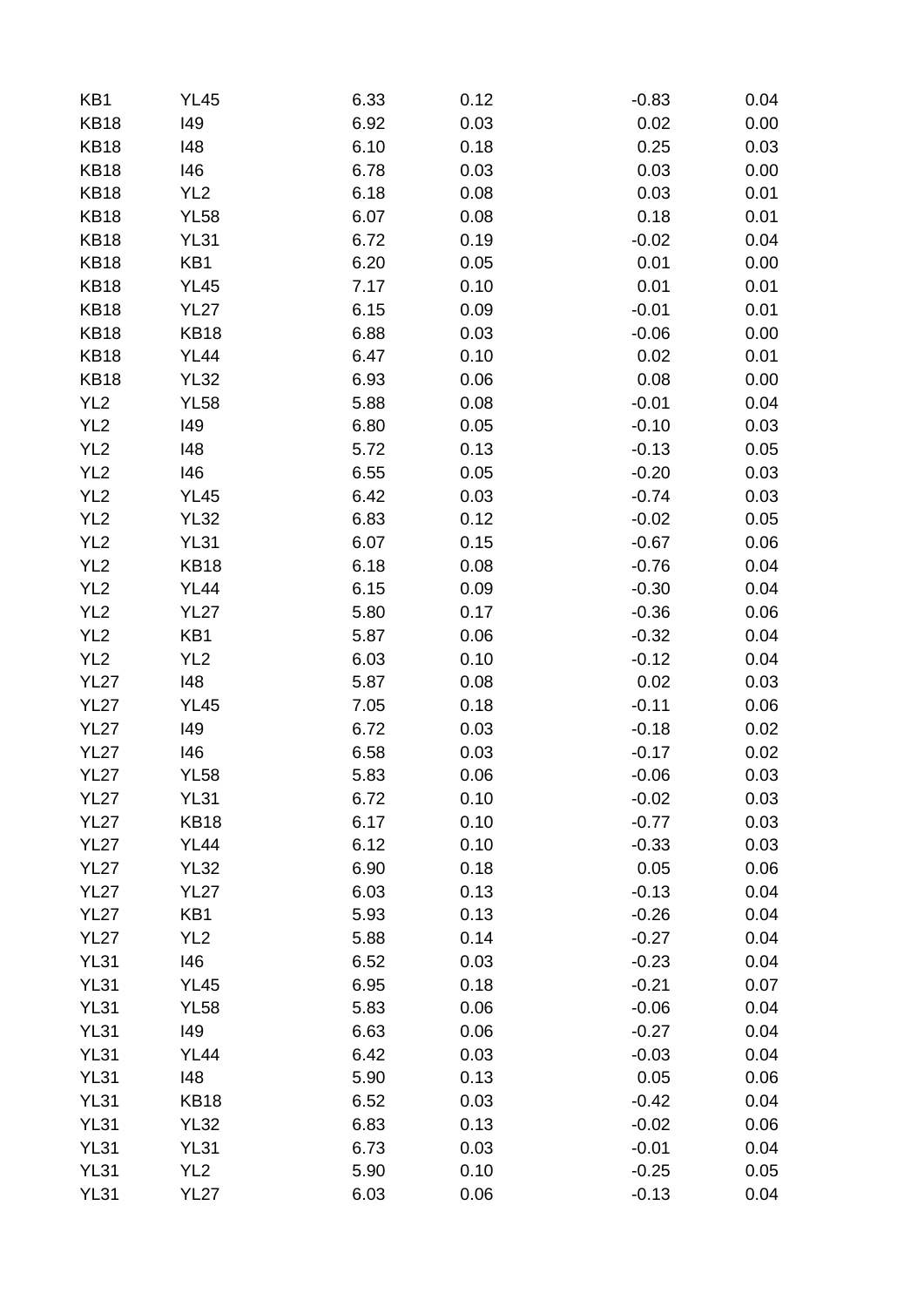| KB1             | <b>YL45</b>     | 6.33 | 0.12 | $-0.83$ | 0.04 |
|-----------------|-----------------|------|------|---------|------|
| <b>KB18</b>     | 149             | 6.92 | 0.03 | 0.02    | 0.00 |
| <b>KB18</b>     | 148             | 6.10 | 0.18 | 0.25    | 0.03 |
| <b>KB18</b>     | 146             | 6.78 | 0.03 | 0.03    | 0.00 |
| <b>KB18</b>     | YL <sub>2</sub> | 6.18 | 0.08 | 0.03    | 0.01 |
| <b>KB18</b>     | <b>YL58</b>     | 6.07 | 0.08 | 0.18    | 0.01 |
| <b>KB18</b>     | <b>YL31</b>     | 6.72 | 0.19 | $-0.02$ | 0.04 |
| <b>KB18</b>     | KB1             | 6.20 | 0.05 | 0.01    | 0.00 |
| <b>KB18</b>     | <b>YL45</b>     | 7.17 | 0.10 | 0.01    | 0.01 |
| <b>KB18</b>     | <b>YL27</b>     | 6.15 | 0.09 | $-0.01$ | 0.01 |
| <b>KB18</b>     | <b>KB18</b>     | 6.88 | 0.03 | $-0.06$ | 0.00 |
| <b>KB18</b>     | <b>YL44</b>     | 6.47 | 0.10 | 0.02    | 0.01 |
| <b>KB18</b>     | <b>YL32</b>     | 6.93 | 0.06 | 0.08    | 0.00 |
| YL <sub>2</sub> | <b>YL58</b>     | 5.88 | 0.08 | $-0.01$ | 0.04 |
| YL <sub>2</sub> | 149             | 6.80 | 0.05 | $-0.10$ | 0.03 |
| YL <sub>2</sub> | 148             | 5.72 | 0.13 | $-0.13$ | 0.05 |
| YL <sub>2</sub> | 146             | 6.55 | 0.05 | $-0.20$ | 0.03 |
| YL <sub>2</sub> | <b>YL45</b>     | 6.42 | 0.03 | $-0.74$ | 0.03 |
| YL <sub>2</sub> | <b>YL32</b>     | 6.83 | 0.12 | $-0.02$ | 0.05 |
| YL <sub>2</sub> | <b>YL31</b>     | 6.07 | 0.15 | $-0.67$ | 0.06 |
| YL <sub>2</sub> | <b>KB18</b>     | 6.18 | 0.08 | $-0.76$ | 0.04 |
| YL <sub>2</sub> | <b>YL44</b>     | 6.15 | 0.09 | $-0.30$ | 0.04 |
| YL <sub>2</sub> | <b>YL27</b>     | 5.80 | 0.17 | $-0.36$ | 0.06 |
| YL <sub>2</sub> | KB1             | 5.87 | 0.06 |         |      |
|                 |                 |      |      | $-0.32$ | 0.04 |
| YL <sub>2</sub> | YL <sub>2</sub> | 6.03 | 0.10 | $-0.12$ | 0.04 |
| <b>YL27</b>     | 148             | 5.87 | 0.08 | 0.02    | 0.03 |
| <b>YL27</b>     | <b>YL45</b>     | 7.05 | 0.18 | $-0.11$ | 0.06 |
| <b>YL27</b>     | 149             | 6.72 | 0.03 | $-0.18$ | 0.02 |
| <b>YL27</b>     | 146             | 6.58 | 0.03 | $-0.17$ | 0.02 |
| <b>YL27</b>     | <b>YL58</b>     | 5.83 | 0.06 | $-0.06$ | 0.03 |
| <b>YL27</b>     | <b>YL31</b>     | 6.72 | 0.10 | $-0.02$ | 0.03 |
| <b>YL27</b>     | <b>KB18</b>     | 6.17 | 0.10 | $-0.77$ | 0.03 |
| <b>YL27</b>     | <b>YL44</b>     | 6.12 | 0.10 | $-0.33$ | 0.03 |
| <b>YL27</b>     | <b>YL32</b>     | 6.90 | 0.18 | 0.05    | 0.06 |
| <b>YL27</b>     | <b>YL27</b>     | 6.03 | 0.13 | $-0.13$ | 0.04 |
| <b>YL27</b>     | KB1             | 5.93 | 0.13 | $-0.26$ | 0.04 |
| <b>YL27</b>     | YL <sub>2</sub> | 5.88 | 0.14 | $-0.27$ | 0.04 |
| <b>YL31</b>     | 146             | 6.52 | 0.03 | $-0.23$ | 0.04 |
| <b>YL31</b>     | <b>YL45</b>     | 6.95 | 0.18 | $-0.21$ | 0.07 |
| <b>YL31</b>     | <b>YL58</b>     | 5.83 | 0.06 | $-0.06$ | 0.04 |
| <b>YL31</b>     | 149             | 6.63 | 0.06 | $-0.27$ | 0.04 |
| <b>YL31</b>     | <b>YL44</b>     | 6.42 | 0.03 | $-0.03$ | 0.04 |
| <b>YL31</b>     | 148             | 5.90 | 0.13 | 0.05    | 0.06 |
| <b>YL31</b>     | <b>KB18</b>     | 6.52 | 0.03 | $-0.42$ | 0.04 |
| <b>YL31</b>     | <b>YL32</b>     | 6.83 | 0.13 | $-0.02$ | 0.06 |
| <b>YL31</b>     | <b>YL31</b>     | 6.73 | 0.03 | $-0.01$ | 0.04 |
| <b>YL31</b>     | YL <sub>2</sub> | 5.90 | 0.10 | $-0.25$ | 0.05 |
| <b>YL31</b>     | <b>YL27</b>     | 6.03 | 0.06 | $-0.13$ | 0.04 |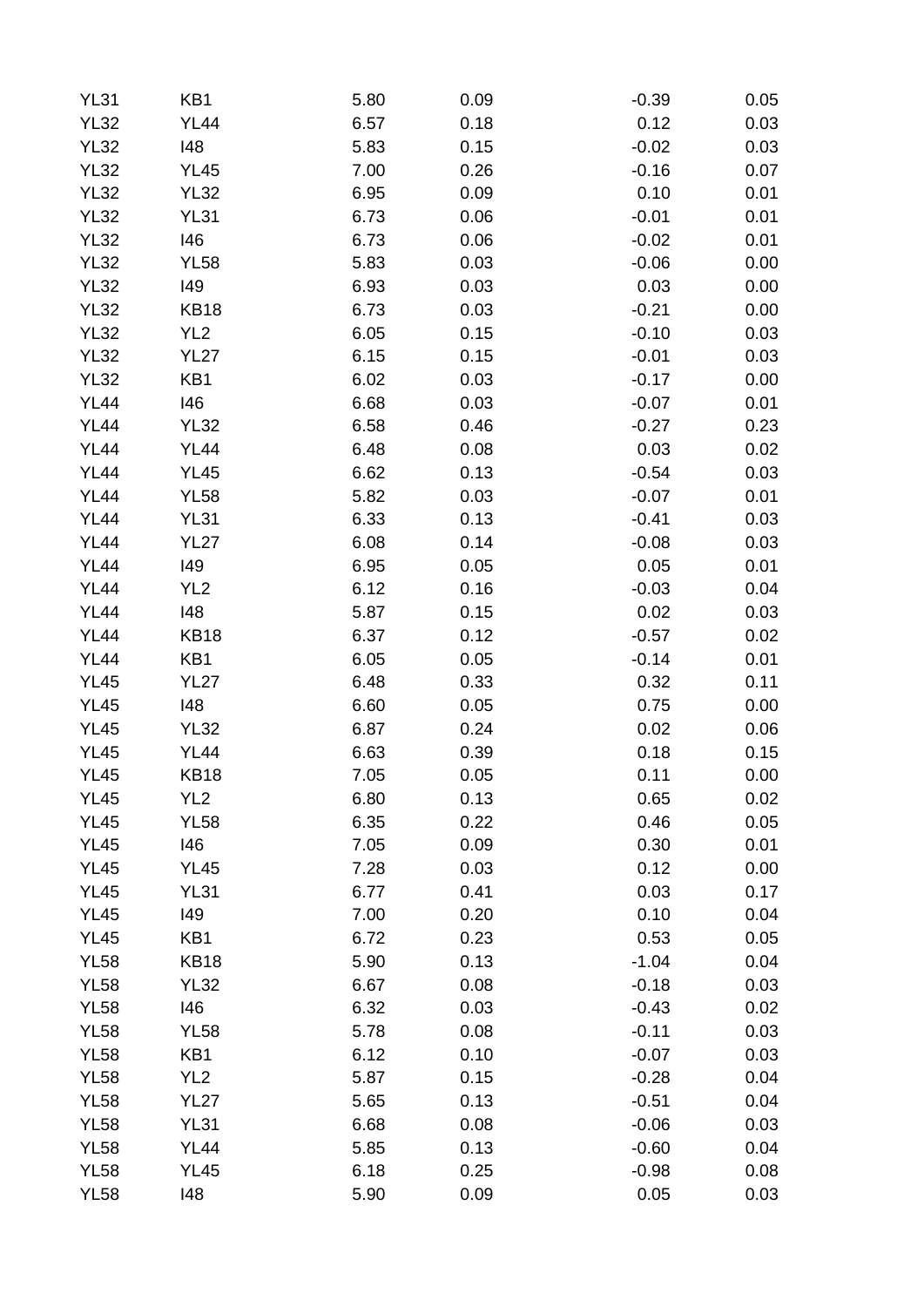| <b>YL31</b> | KB1             | 5.80 | 0.09 | $-0.39$ | 0.05 |
|-------------|-----------------|------|------|---------|------|
| <b>YL32</b> | <b>YL44</b>     | 6.57 | 0.18 | 0.12    | 0.03 |
| <b>YL32</b> | 148             | 5.83 | 0.15 | $-0.02$ | 0.03 |
| <b>YL32</b> | <b>YL45</b>     | 7.00 | 0.26 | $-0.16$ | 0.07 |
| <b>YL32</b> | <b>YL32</b>     | 6.95 | 0.09 | 0.10    | 0.01 |
| <b>YL32</b> | <b>YL31</b>     | 6.73 | 0.06 | $-0.01$ | 0.01 |
| <b>YL32</b> | 146             | 6.73 | 0.06 | $-0.02$ | 0.01 |
| <b>YL32</b> | <b>YL58</b>     | 5.83 | 0.03 | $-0.06$ | 0.00 |
| <b>YL32</b> | 149             | 6.93 | 0.03 | 0.03    | 0.00 |
| <b>YL32</b> | <b>KB18</b>     | 6.73 | 0.03 | $-0.21$ | 0.00 |
| <b>YL32</b> | YL <sub>2</sub> | 6.05 | 0.15 | $-0.10$ | 0.03 |
| <b>YL32</b> | <b>YL27</b>     | 6.15 | 0.15 | $-0.01$ | 0.03 |
| <b>YL32</b> | KB1             | 6.02 | 0.03 | $-0.17$ | 0.00 |
| <b>YL44</b> | 146             | 6.68 | 0.03 | $-0.07$ | 0.01 |
| <b>YL44</b> | <b>YL32</b>     | 6.58 | 0.46 | $-0.27$ | 0.23 |
| <b>YL44</b> | <b>YL44</b>     | 6.48 | 0.08 | 0.03    | 0.02 |
| <b>YL44</b> | <b>YL45</b>     | 6.62 | 0.13 | $-0.54$ | 0.03 |
| <b>YL44</b> | <b>YL58</b>     | 5.82 | 0.03 | $-0.07$ | 0.01 |
| <b>YL44</b> | <b>YL31</b>     | 6.33 | 0.13 | $-0.41$ | 0.03 |
| <b>YL44</b> | <b>YL27</b>     | 6.08 | 0.14 | $-0.08$ | 0.03 |
| <b>YL44</b> | 149             | 6.95 | 0.05 | 0.05    | 0.01 |
| <b>YL44</b> | YL <sub>2</sub> | 6.12 | 0.16 | $-0.03$ | 0.04 |
| <b>YL44</b> | 148             | 5.87 | 0.15 | 0.02    | 0.03 |
| <b>YL44</b> | <b>KB18</b>     | 6.37 | 0.12 | $-0.57$ | 0.02 |
| <b>YL44</b> | KB1             | 6.05 | 0.05 | $-0.14$ | 0.01 |
| <b>YL45</b> | <b>YL27</b>     | 6.48 | 0.33 | 0.32    | 0.11 |
| <b>YL45</b> | 148             | 6.60 | 0.05 | 0.75    | 0.00 |
| <b>YL45</b> | <b>YL32</b>     | 6.87 | 0.24 | 0.02    | 0.06 |
| <b>YL45</b> | <b>YL44</b>     | 6.63 | 0.39 | 0.18    | 0.15 |
| <b>YL45</b> | <b>KB18</b>     | 7.05 | 0.05 | 0.11    | 0.00 |
| <b>YL45</b> | YL <sub>2</sub> | 6.80 | 0.13 | 0.65    | 0.02 |
| <b>YL45</b> | <b>YL58</b>     | 6.35 | 0.22 | 0.46    | 0.05 |
| <b>YL45</b> | 146             | 7.05 | 0.09 | 0.30    | 0.01 |
| <b>YL45</b> | <b>YL45</b>     | 7.28 | 0.03 | 0.12    | 0.00 |
|             |                 |      |      | 0.03    |      |
| <b>YL45</b> | <b>YL31</b>     | 6.77 | 0.41 |         | 0.17 |
| <b>YL45</b> | 149             | 7.00 | 0.20 | 0.10    | 0.04 |
| <b>YL45</b> | KB1             | 6.72 | 0.23 | 0.53    | 0.05 |
| <b>YL58</b> | <b>KB18</b>     | 5.90 | 0.13 | $-1.04$ | 0.04 |
| <b>YL58</b> | <b>YL32</b>     | 6.67 | 0.08 | $-0.18$ | 0.03 |
| <b>YL58</b> | 146             | 6.32 | 0.03 | $-0.43$ | 0.02 |
| <b>YL58</b> | <b>YL58</b>     | 5.78 | 0.08 | $-0.11$ | 0.03 |
| <b>YL58</b> | KB1             | 6.12 | 0.10 | $-0.07$ | 0.03 |
| <b>YL58</b> | YL <sub>2</sub> | 5.87 | 0.15 | $-0.28$ | 0.04 |
| <b>YL58</b> | <b>YL27</b>     | 5.65 | 0.13 | $-0.51$ | 0.04 |
| <b>YL58</b> | <b>YL31</b>     | 6.68 | 0.08 | $-0.06$ | 0.03 |
| <b>YL58</b> | <b>YL44</b>     | 5.85 | 0.13 | $-0.60$ | 0.04 |
| <b>YL58</b> | <b>YL45</b>     | 6.18 | 0.25 | $-0.98$ | 0.08 |
| <b>YL58</b> | 148             | 5.90 | 0.09 | 0.05    | 0.03 |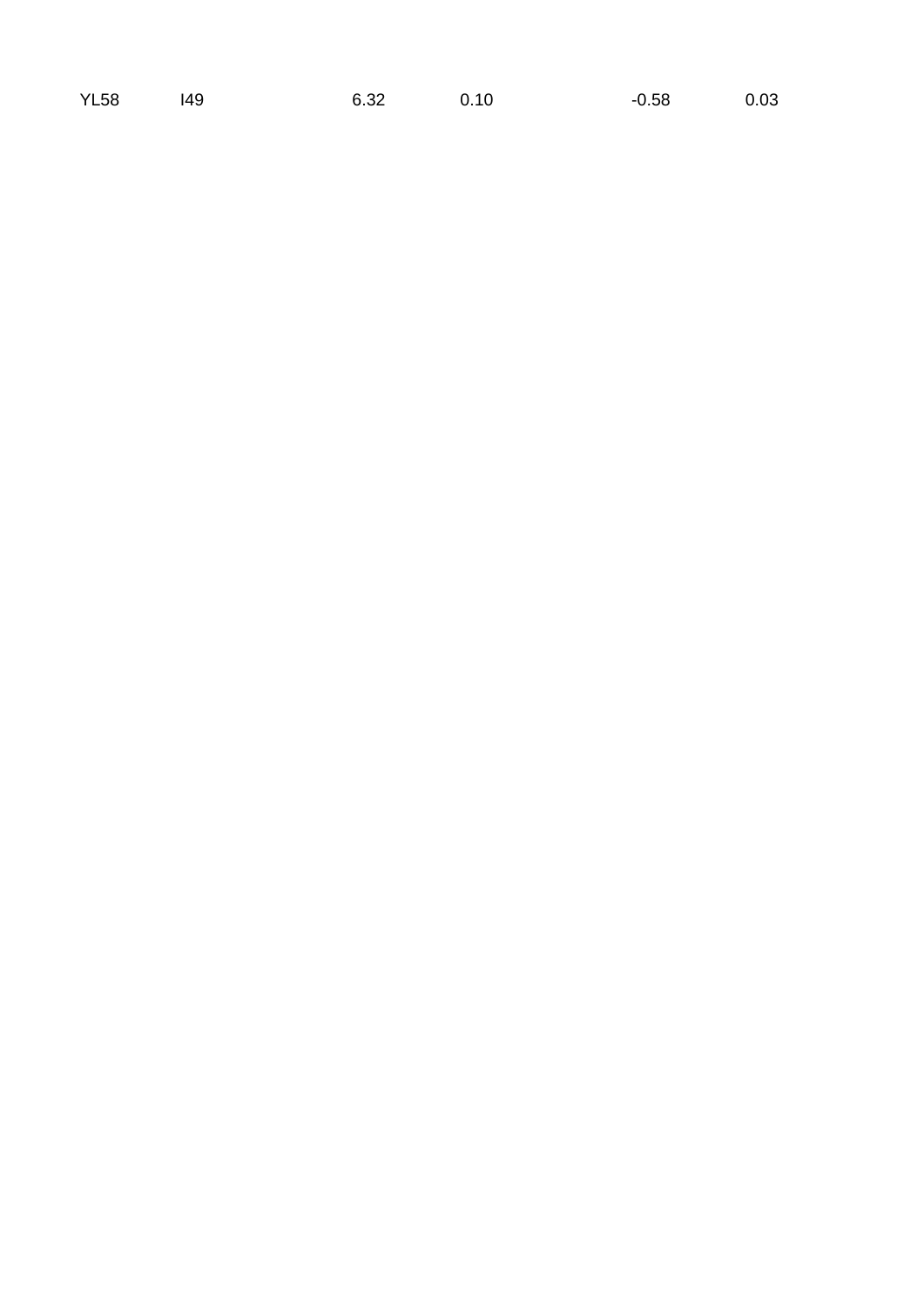|  | YL58 |  |
|--|------|--|
|--|------|--|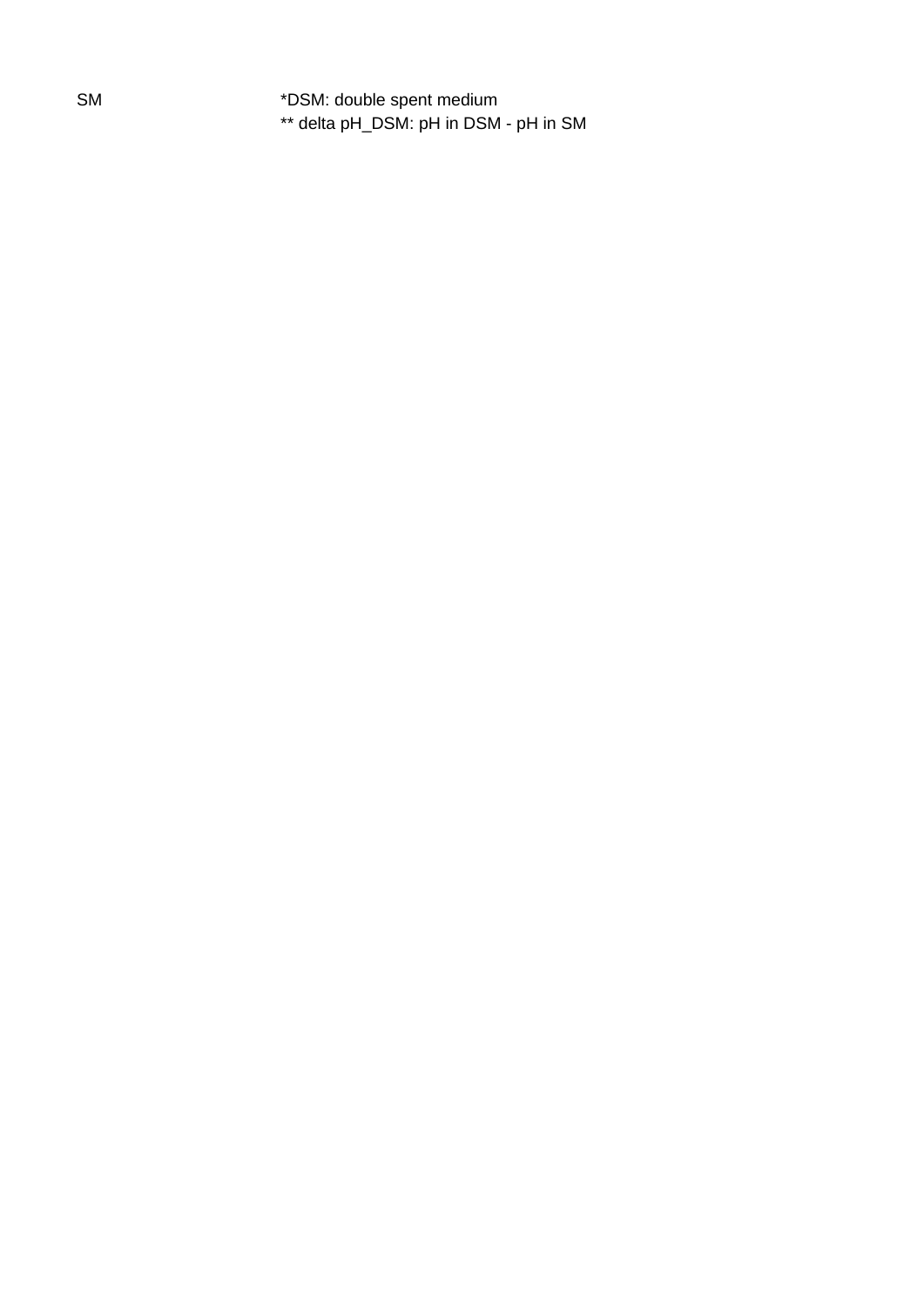SM \*DSM: double spent medium \*\* delta pH\_DSM: pH in DSM - pH in SM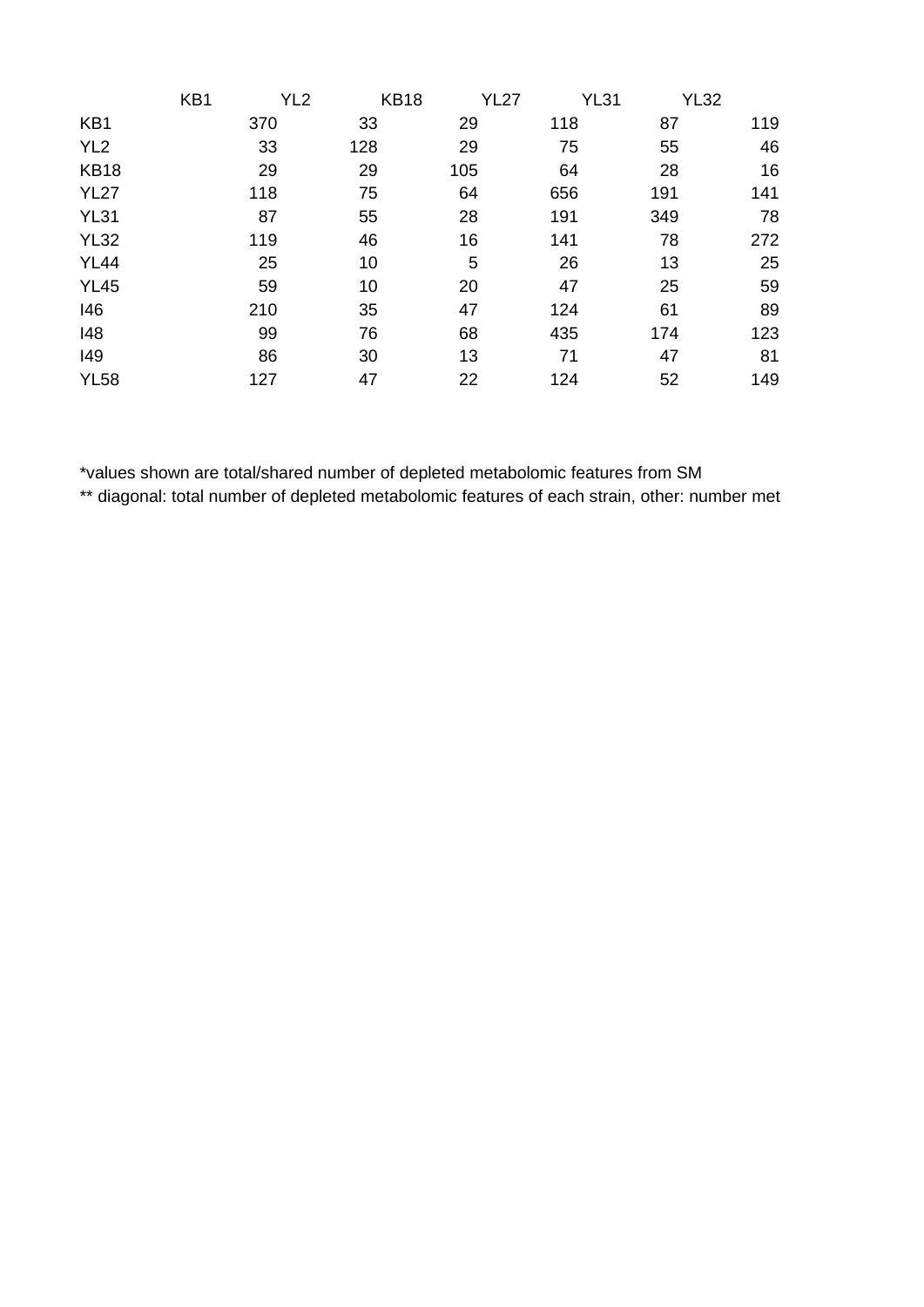|                 | KB1 | YL <sub>2</sub> | <b>KB18</b> | <b>YL27</b> | <b>YL31</b> | <b>YL32</b> |     |
|-----------------|-----|-----------------|-------------|-------------|-------------|-------------|-----|
| KB1             |     | 370             | 33          | 29          | 118         | 87          | 119 |
| YL <sub>2</sub> |     | 33              | 128         | 29          | 75          | 55          | 46  |
| <b>KB18</b>     |     | 29              | 29          | 105         | 64          | 28          | 16  |
| <b>YL27</b>     |     | 118             | 75          | 64          | 656         | 191         | 141 |
| <b>YL31</b>     |     | 87              | 55          | 28          | 191         | 349         | 78  |
| <b>YL32</b>     |     | 119             | 46          | 16          | 141         | 78          | 272 |
| <b>YL44</b>     |     | 25              | 10          | 5           | 26          | 13          | 25  |
| <b>YL45</b>     |     | 59              | 10          | 20          | 47          | 25          | 59  |
| 146             |     | 210             | 35          | 47          | 124         | 61          | 89  |
| 148             |     | 99              | 76          | 68          | 435         | 174         | 123 |
| 149             |     | 86              | 30          | 13          | 71          | 47          | 81  |
| <b>YL58</b>     |     | 127             | 47          | 22          | 124         | 52          | 149 |

\*values shown are total/shared number of depleted metabolomic features from SM

\*\* diagonal: total number of depleted metabolomic features of each strain, other: number met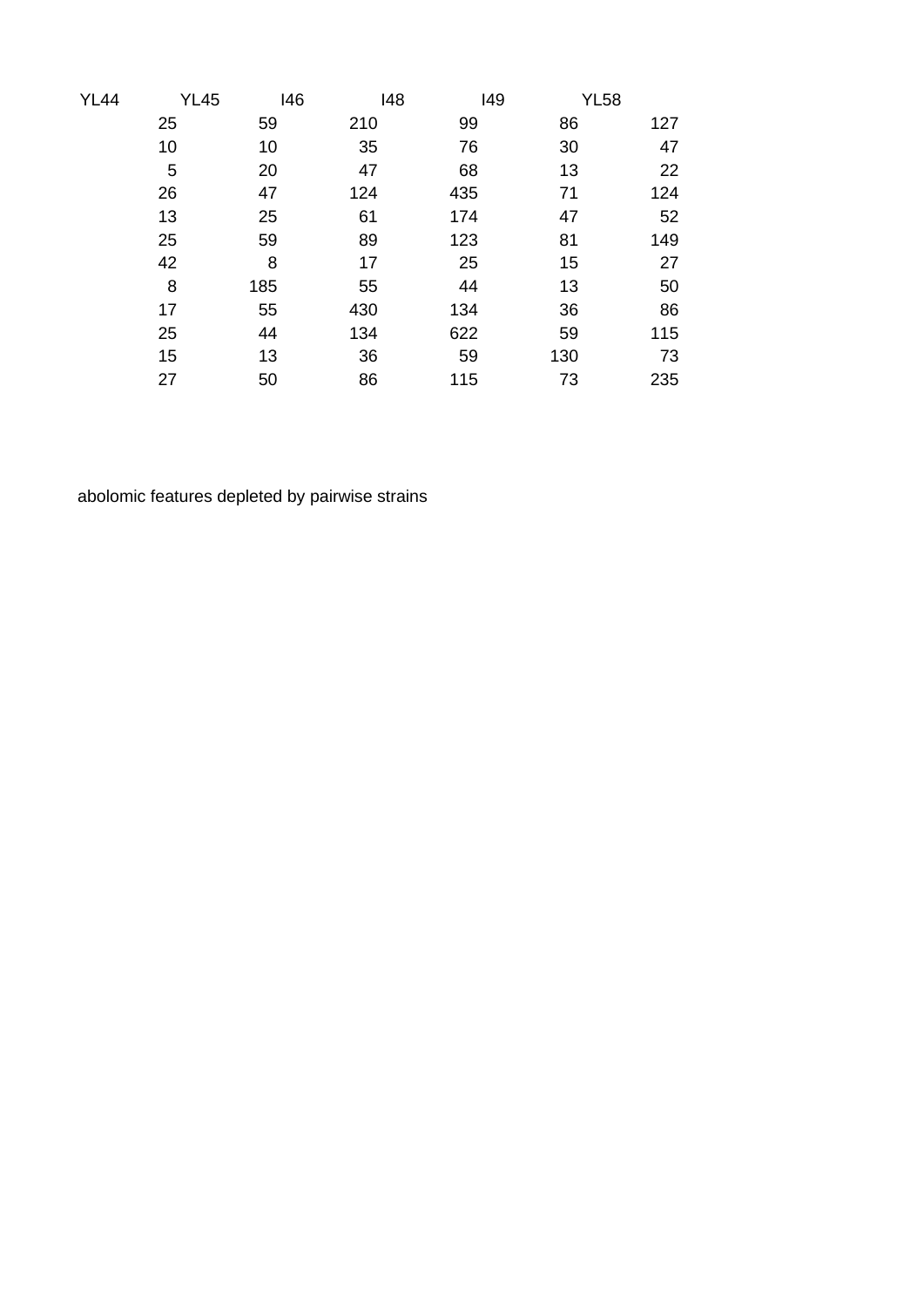| <b>YL44</b> | <b>YL45</b> | 146 | 148 | 149 | <b>YL58</b> |     |
|-------------|-------------|-----|-----|-----|-------------|-----|
|             | 25          | 59  | 210 | 99  | 86          | 127 |
|             | 10          | 10  | 35  | 76  | 30          | 47  |
|             | 5           | 20  | 47  | 68  | 13          | 22  |
|             | 26          | 47  | 124 | 435 | 71          | 124 |
|             | 13          | 25  | 61  | 174 | 47          | 52  |
|             | 25          | 59  | 89  | 123 | 81          | 149 |
|             | 42          | 8   | 17  | 25  | 15          | 27  |
|             | 8           | 185 | 55  | 44  | 13          | 50  |
|             | 17          | 55  | 430 | 134 | 36          | 86  |
|             | 25          | 44  | 134 | 622 | 59          | 115 |
|             | 15          | 13  | 36  | 59  | 130         | 73  |
|             | 27          | 50  | 86  | 115 | 73          | 235 |

abolomic features depleted by pairwise strains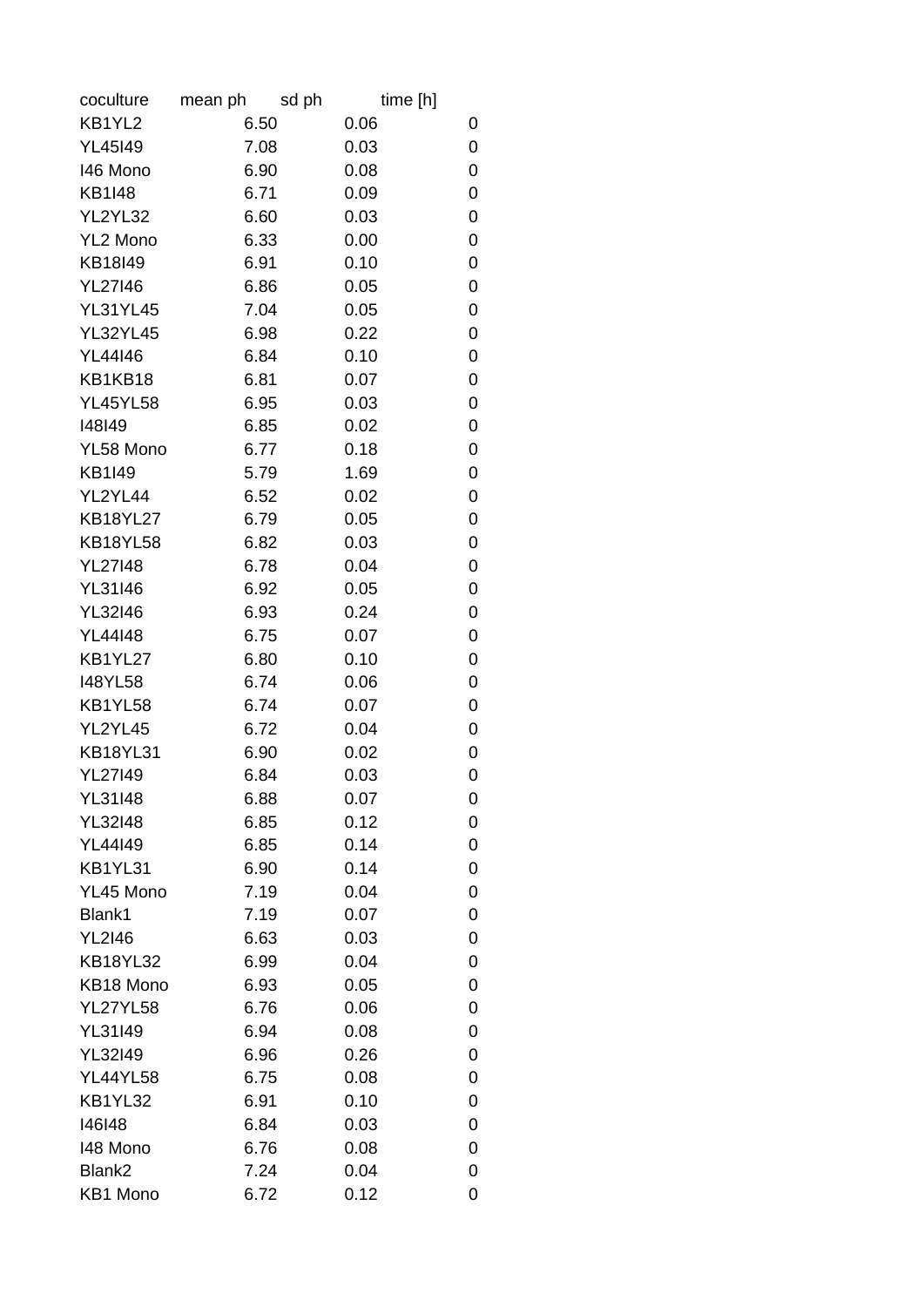| coculture       | mean ph | sd ph | time [h] |   |
|-----------------|---------|-------|----------|---|
| KB1YL2          |         | 6.50  | 0.06     | 0 |
| <b>YL45I49</b>  |         | 7.08  | 0.03     | 0 |
| 146 Mono        |         | 6.90  | 0.08     | 0 |
| <b>KB1I48</b>   |         | 6.71  | 0.09     | 0 |
| YL2YL32         |         | 6.60  | 0.03     | 0 |
| YL2 Mono        |         | 6.33  | 0.00     | 0 |
| KB18I49         |         | 6.91  | 0.10     | 0 |
| <b>YL27146</b>  |         | 6.86  | 0.05     | 0 |
| <b>YL31YL45</b> |         | 7.04  | 0.05     | 0 |
| <b>YL32YL45</b> |         | 6.98  | 0.22     | 0 |
| YL44146         |         | 6.84  | 0.10     | 0 |
| KB1KB18         |         | 6.81  | 0.07     | 0 |
| <b>YL45YL58</b> |         | 6.95  | 0.03     | 0 |
| 148149          |         | 6.85  | 0.02     | 0 |
| YL58 Mono       |         | 6.77  | 0.18     | 0 |
| <b>KB1I49</b>   |         | 5.79  | 1.69     | 0 |
| YL2YL44         |         | 6.52  | 0.02     | 0 |
| <b>KB18YL27</b> |         | 6.79  | 0.05     | 0 |
| <b>KB18YL58</b> |         | 6.82  | 0.03     | 0 |
| <b>YL27I48</b>  |         | 6.78  | 0.04     | 0 |
| YL31I46         |         | 6.92  | 0.05     | 0 |
| <b>YL32I46</b>  |         | 6.93  | 0.24     | 0 |
| <b>YL44I48</b>  |         | 6.75  | 0.07     | 0 |
| KB1YL27         |         | 6.80  | 0.10     | 0 |
| <b>I48YL58</b>  |         | 6.74  | 0.06     | 0 |
| KB1YL58         |         | 6.74  | 0.07     | 0 |
| YL2YL45         |         | 6.72  | 0.04     | 0 |
| <b>KB18YL31</b> |         | 6.90  | 0.02     | 0 |
| <b>YL27I49</b>  |         | 6.84  | 0.03     | 0 |
| <b>YL31I48</b>  |         | 6.88  | 0.07     | 0 |
| <b>YL32I48</b>  |         | 6.85  | 0.12     | 0 |
| <b>YL44I49</b>  |         | 6.85  | 0.14     | 0 |
| KB1YL31         |         | 6.90  | 0.14     | 0 |
| YL45 Mono       |         | 7.19  | 0.04     | 0 |
| Blank1          |         | 7.19  | 0.07     | 0 |
| <b>YL2I46</b>   |         | 6.63  | 0.03     | 0 |
| <b>KB18YL32</b> |         | 6.99  | 0.04     | 0 |
| KB18 Mono       |         | 6.93  | 0.05     | 0 |
| <b>YL27YL58</b> |         | 6.76  | 0.06     | 0 |
| YL31I49         |         | 6.94  | 0.08     | 0 |
| YL32149         |         | 6.96  | 0.26     | 0 |
| <b>YL44YL58</b> |         | 6.75  | 0.08     | 0 |
| KB1YL32         |         | 6.91  | 0.10     | 0 |
| 146148          |         | 6.84  | 0.03     | 0 |
| 148 Mono        |         | 6.76  | 0.08     | 0 |
| Blank2          |         | 7.24  | 0.04     | 0 |
| KB1 Mono        |         | 6.72  | 0.12     | 0 |
|                 |         |       |          |   |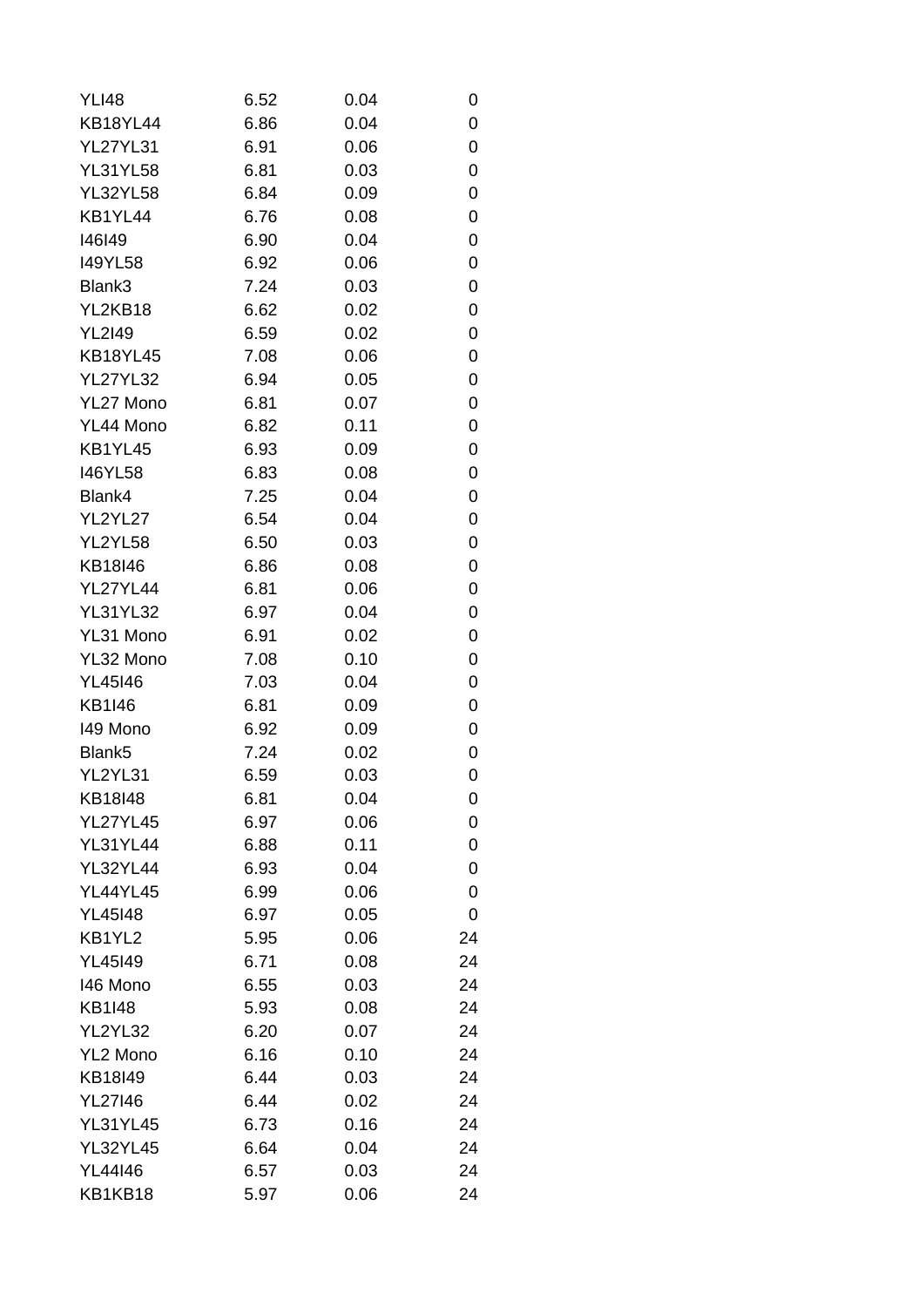| <b>YLI48</b>       | 6.52 | 0.04 | 0  |
|--------------------|------|------|----|
| <b>KB18YL44</b>    | 6.86 | 0.04 | 0  |
| <b>YL27YL31</b>    | 6.91 | 0.06 | 0  |
| <b>YL31YL58</b>    | 6.81 | 0.03 | 0  |
| <b>YL32YL58</b>    | 6.84 | 0.09 | 0  |
| KB1YL44            | 6.76 | 0.08 | 0  |
| 146149             | 6.90 | 0.04 | 0  |
| <b>I49YL58</b>     | 6.92 | 0.06 | 0  |
| Blank3             | 7.24 | 0.03 | 0  |
| YL2KB18            | 6.62 | 0.02 | 0  |
| <b>YL2I49</b>      | 6.59 | 0.02 | 0  |
| <b>KB18YL45</b>    | 7.08 | 0.06 | 0  |
| <b>YL27YL32</b>    | 6.94 | 0.05 | 0  |
| YL27 Mono          | 6.81 | 0.07 | 0  |
| YL44 Mono          | 6.82 | 0.11 | 0  |
| KB1YL45            | 6.93 | 0.09 | 0  |
| <b>I46YL58</b>     | 6.83 | 0.08 | 0  |
| Blank4             | 7.25 | 0.04 | 0  |
| YL2YL27            | 6.54 | 0.04 | 0  |
| YL2YL58            | 6.50 | 0.03 | 0  |
| KB18I46            | 6.86 | 0.08 | 0  |
| <b>YL27YL44</b>    | 6.81 | 0.06 | 0  |
| <b>YL31YL32</b>    | 6.97 | 0.04 | 0  |
| YL31 Mono          | 6.91 | 0.02 | 0  |
| YL32 Mono          | 7.08 | 0.10 | 0  |
| <b>YL45146</b>     | 7.03 | 0.04 | 0  |
| <b>KB1I46</b>      | 6.81 | 0.09 | 0  |
| 149 Mono           | 6.92 | 0.09 | 0  |
| Blank <sub>5</sub> | 7.24 | 0.02 | 0  |
| YL2YL31            | 6.59 | 0.03 | 0  |
| KB18I48            | 6.81 | 0.04 | 0  |
| <b>YL27YL45</b>    | 6.97 | 0.06 | 0  |
| <b>YL31YL44</b>    | 6.88 | 0.11 | 0  |
| <b>YL32YL44</b>    | 6.93 | 0.04 | 0  |
| <b>YL44YL45</b>    | 6.99 | 0.06 | 0  |
| <b>YL45I48</b>     | 6.97 | 0.05 | 0  |
| KB1YL2             | 5.95 | 0.06 | 24 |
| <b>YL45I49</b>     | 6.71 | 0.08 | 24 |
| 146 Mono           | 6.55 | 0.03 | 24 |
| <b>KB1I48</b>      | 5.93 | 0.08 | 24 |
| YL2YL32            | 6.20 | 0.07 | 24 |
| YL2 Mono           | 6.16 | 0.10 | 24 |
| KB18I49            | 6.44 | 0.03 | 24 |
| <b>YL27I46</b>     | 6.44 | 0.02 | 24 |
| <b>YL31YL45</b>    | 6.73 | 0.16 | 24 |
| <b>YL32YL45</b>    | 6.64 | 0.04 | 24 |
| <b>YL44I46</b>     | 6.57 | 0.03 | 24 |
| KB1KB18            | 5.97 | 0.06 | 24 |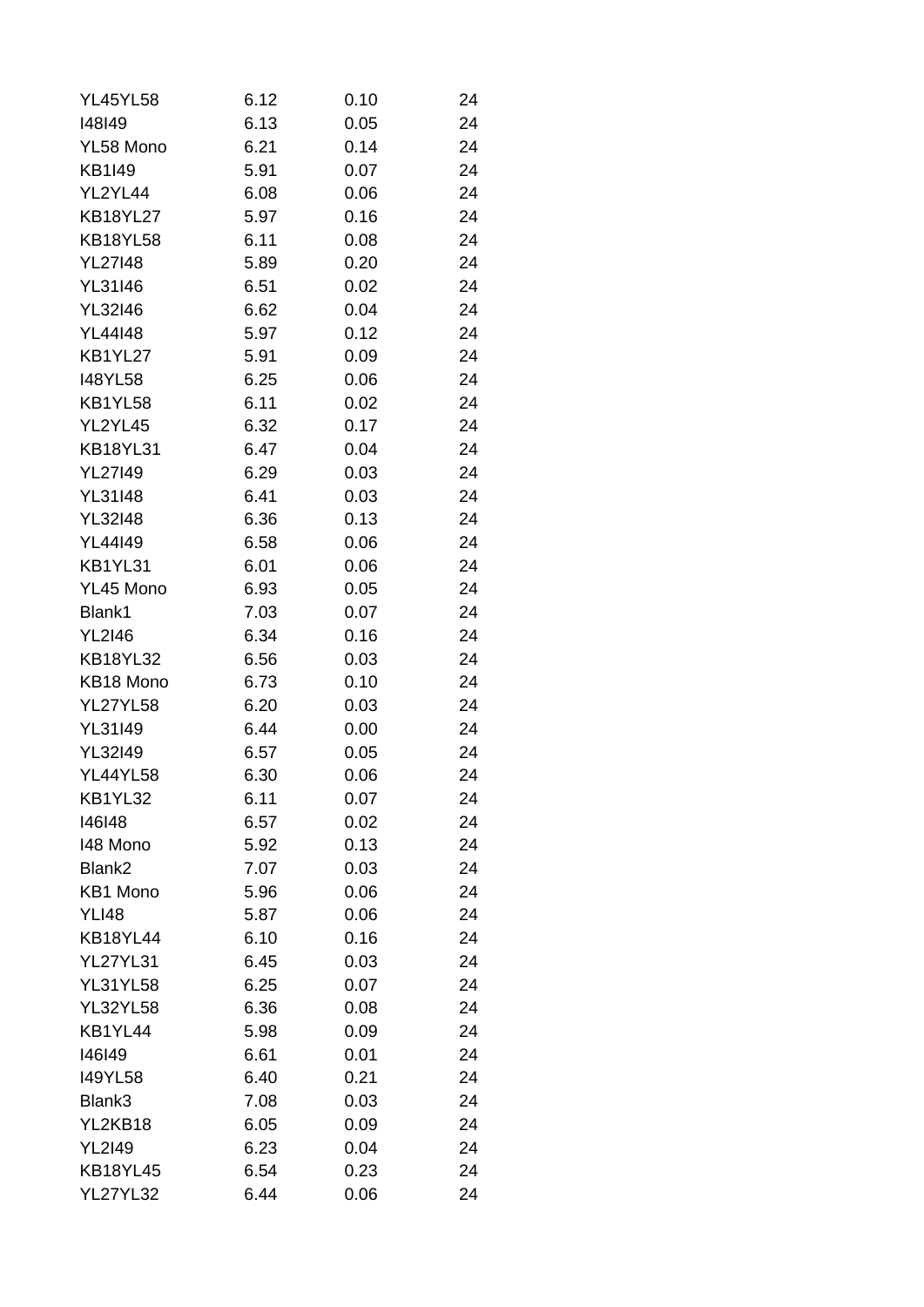| <b>YL45YL58</b> | 6.12 | 0.10 | 24 |
|-----------------|------|------|----|
| 148149          | 6.13 | 0.05 | 24 |
| YL58 Mono       | 6.21 | 0.14 | 24 |
| <b>KB1I49</b>   | 5.91 | 0.07 | 24 |
| YL2YL44         | 6.08 | 0.06 | 24 |
| <b>KB18YL27</b> | 5.97 | 0.16 | 24 |
| <b>KB18YL58</b> | 6.11 | 0.08 | 24 |
| <b>YL27148</b>  | 5.89 | 0.20 | 24 |
| <b>YL31I46</b>  | 6.51 | 0.02 | 24 |
| <b>YL32I46</b>  | 6.62 | 0.04 | 24 |
| <b>YL44I48</b>  | 5.97 | 0.12 | 24 |
| KB1YL27         | 5.91 | 0.09 | 24 |
| <b>I48YL58</b>  | 6.25 | 0.06 | 24 |
| KB1YL58         | 6.11 | 0.02 | 24 |
| YL2YL45         | 6.32 | 0.17 | 24 |
| <b>KB18YL31</b> | 6.47 | 0.04 | 24 |
| <b>YL27I49</b>  | 6.29 | 0.03 | 24 |
| <b>YL31I48</b>  | 6.41 | 0.03 | 24 |
| <b>YL32I48</b>  | 6.36 | 0.13 | 24 |
| <b>YL44I49</b>  | 6.58 | 0.06 | 24 |
| KB1YL31         | 6.01 | 0.06 | 24 |
| YL45 Mono       | 6.93 | 0.05 | 24 |
| Blank1          | 7.03 | 0.07 | 24 |
| <b>YL2I46</b>   | 6.34 | 0.16 | 24 |
| <b>KB18YL32</b> | 6.56 | 0.03 | 24 |
| KB18 Mono       | 6.73 | 0.10 | 24 |
| <b>YL27YL58</b> | 6.20 | 0.03 | 24 |
| <b>YL31I49</b>  | 6.44 | 0.00 | 24 |
| <b>YL32I49</b>  | 6.57 | 0.05 | 24 |
| <b>YL44YL58</b> | 6.30 | 0.06 | 24 |
| KB1YL32         | 6.11 | 0.07 | 24 |
| 146148          | 6.57 | 0.02 | 24 |
| 148 Mono        | 5.92 | 0.13 | 24 |
| Blank2          | 7.07 | 0.03 | 24 |
| KB1 Mono        | 5.96 | 0.06 | 24 |
| <b>YLI48</b>    | 5.87 | 0.06 | 24 |
| <b>KB18YL44</b> | 6.10 | 0.16 | 24 |
| <b>YL27YL31</b> | 6.45 | 0.03 | 24 |
| <b>YL31YL58</b> | 6.25 | 0.07 | 24 |
| <b>YL32YL58</b> | 6.36 | 0.08 | 24 |
| KB1YL44         | 5.98 | 0.09 | 24 |
| 146149          | 6.61 | 0.01 | 24 |
| 149YL58         | 6.40 | 0.21 | 24 |
| Blank3          | 7.08 | 0.03 | 24 |
| YL2KB18         | 6.05 | 0.09 | 24 |
| <b>YL2I49</b>   | 6.23 | 0.04 | 24 |
| <b>KB18YL45</b> | 6.54 | 0.23 | 24 |
| <b>YL27YL32</b> | 6.44 | 0.06 | 24 |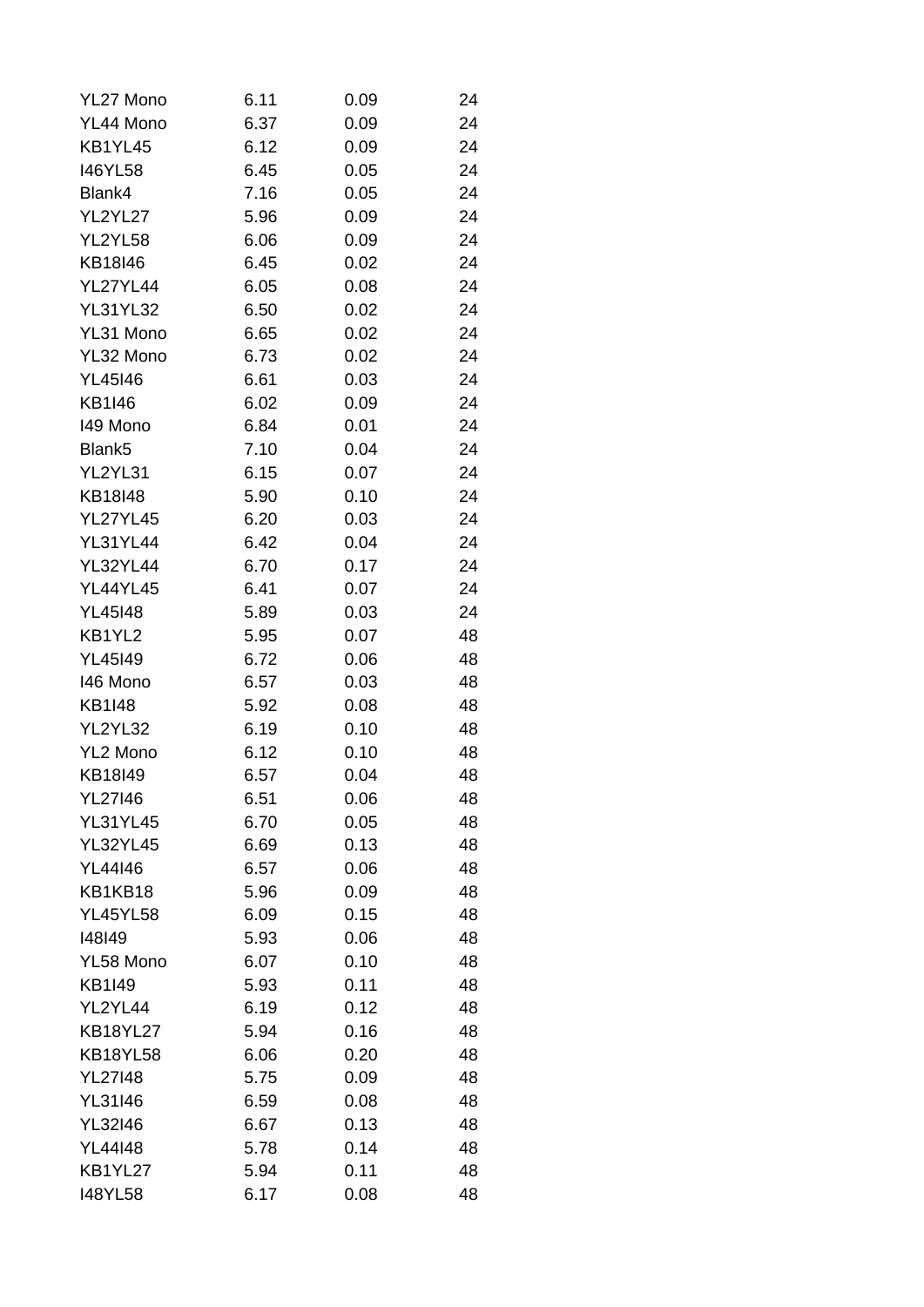| YL27 Mono          | 6.11 | 0.09 | 24 |
|--------------------|------|------|----|
| YL44 Mono          | 6.37 | 0.09 | 24 |
| KB1YL45            | 6.12 | 0.09 | 24 |
| <b>I46YL58</b>     | 6.45 | 0.05 | 24 |
| Blank4             | 7.16 | 0.05 | 24 |
| YL2YL27            | 5.96 | 0.09 | 24 |
| YL2YL58            | 6.06 | 0.09 | 24 |
| KB18I46            | 6.45 | 0.02 | 24 |
| <b>YL27YL44</b>    | 6.05 | 0.08 | 24 |
| <b>YL31YL32</b>    | 6.50 | 0.02 | 24 |
| YL31 Mono          | 6.65 | 0.02 | 24 |
| YL32 Mono          | 6.73 | 0.02 | 24 |
| YL45146            | 6.61 | 0.03 | 24 |
| <b>KB1I46</b>      | 6.02 | 0.09 | 24 |
| 149 Mono           | 6.84 | 0.01 | 24 |
| Blank <sub>5</sub> | 7.10 | 0.04 | 24 |
| YL2YL31            | 6.15 | 0.07 | 24 |
| KB18I48            | 5.90 | 0.10 | 24 |
| <b>YL27YL45</b>    | 6.20 | 0.03 | 24 |
| <b>YL31YL44</b>    | 6.42 | 0.04 | 24 |
| <b>YL32YL44</b>    | 6.70 | 0.17 | 24 |
| <b>YL44YL45</b>    | 6.41 | 0.07 | 24 |
| <b>YL45I48</b>     | 5.89 | 0.03 | 24 |
| KB1YL2             | 5.95 | 0.07 | 48 |
| <b>YL45I49</b>     | 6.72 | 0.06 | 48 |
| 146 Mono           | 6.57 | 0.03 | 48 |
| <b>KB1I48</b>      | 5.92 | 0.08 | 48 |
| YL2YL32            | 6.19 | 0.10 | 48 |
| YL2 Mono           | 6.12 | 0.10 | 48 |
| KB18I49            | 6.57 | 0.04 | 48 |
| <b>YL27I46</b>     | 6.51 | 0.06 | 48 |
| <b>YL31YL45</b>    | 6.70 | 0.05 | 48 |
| <b>YL32YL45</b>    | 6.69 | 0.13 | 48 |
| YL44146            | 6.57 | 0.06 | 48 |
| KB1KB18            | 5.96 | 0.09 | 48 |
| <b>YL45YL58</b>    | 6.09 | 0.15 | 48 |
| 148149             | 5.93 | 0.06 | 48 |
| YL58 Mono          | 6.07 | 0.10 | 48 |
| <b>KB1I49</b>      | 5.93 | 0.11 | 48 |
| YL2YL44            | 6.19 | 0.12 | 48 |
| <b>KB18YL27</b>    | 5.94 | 0.16 | 48 |
| <b>KB18YL58</b>    | 6.06 | 0.20 | 48 |
| <b>YL27I48</b>     | 5.75 | 0.09 | 48 |
| YL31I46            | 6.59 | 0.08 | 48 |
| <b>YL32I46</b>     | 6.67 | 0.13 | 48 |
| YL44148            | 5.78 | 0.14 | 48 |
| KB1YL27            | 5.94 | 0.11 | 48 |
| <b>I48YL58</b>     | 6.17 | 0.08 | 48 |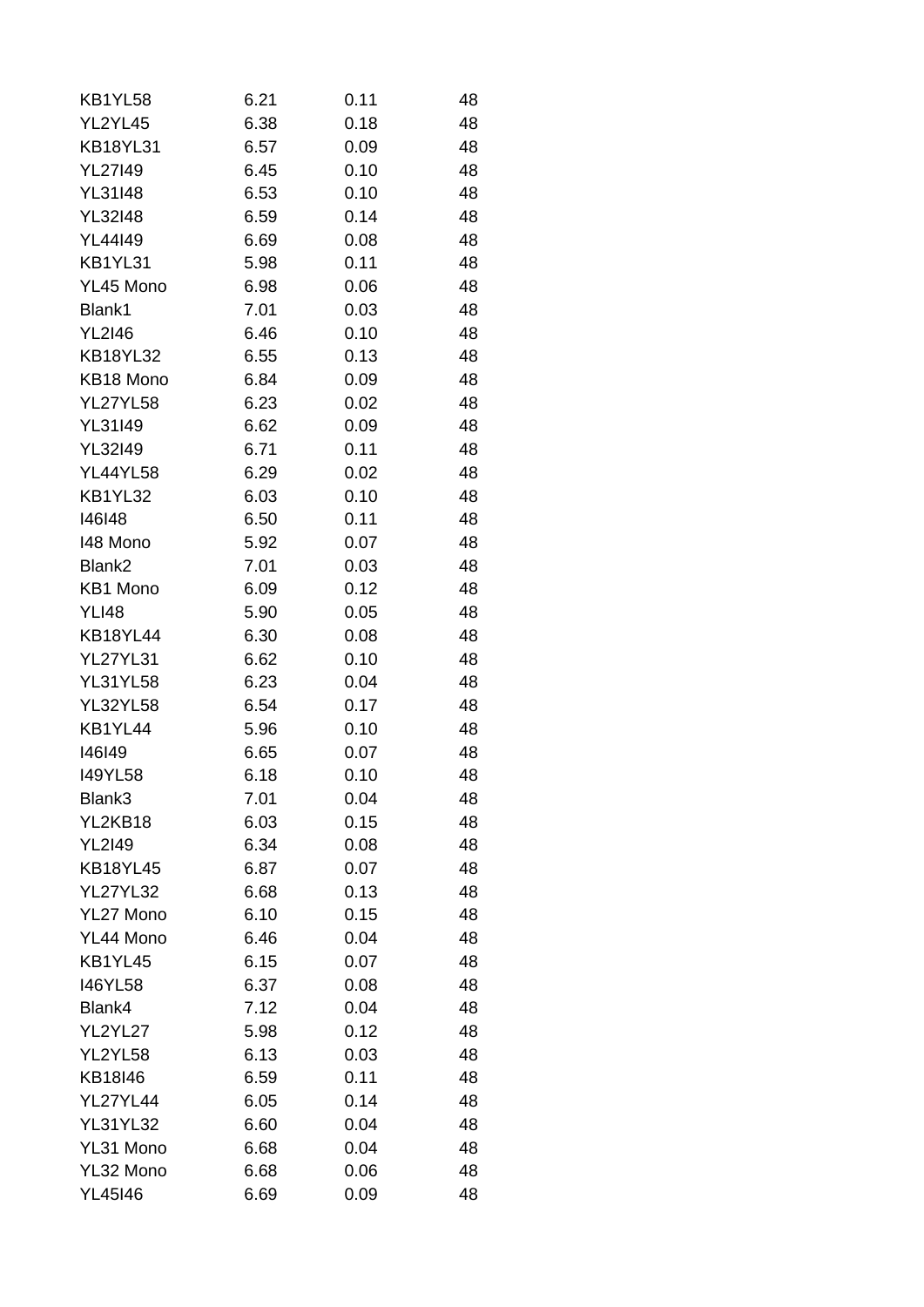| KB1YL58         | 6.21 | 0.11 | 48 |
|-----------------|------|------|----|
| YL2YL45         | 6.38 | 0.18 | 48 |
| <b>KB18YL31</b> | 6.57 | 0.09 | 48 |
| <b>YL27I49</b>  | 6.45 | 0.10 | 48 |
| <b>YL31I48</b>  | 6.53 | 0.10 | 48 |
| <b>YL32I48</b>  | 6.59 | 0.14 | 48 |
| YL44149         | 6.69 | 0.08 | 48 |
| KB1YL31         | 5.98 | 0.11 | 48 |
| YL45 Mono       | 6.98 | 0.06 | 48 |
| Blank1          | 7.01 | 0.03 | 48 |
| <b>YL2I46</b>   | 6.46 | 0.10 | 48 |
| <b>KB18YL32</b> | 6.55 | 0.13 | 48 |
| KB18 Mono       | 6.84 | 0.09 | 48 |
| <b>YL27YL58</b> | 6.23 | 0.02 | 48 |
| YL31I49         | 6.62 | 0.09 | 48 |
| YL32149         | 6.71 | 0.11 | 48 |
| <b>YL44YL58</b> | 6.29 | 0.02 | 48 |
| KB1YL32         | 6.03 | 0.10 | 48 |
| 146148          | 6.50 | 0.11 | 48 |
| 148 Mono        | 5.92 | 0.07 | 48 |
| Blank2          | 7.01 | 0.03 | 48 |
| KB1 Mono        | 6.09 | 0.12 | 48 |
| <b>YLI48</b>    | 5.90 | 0.05 | 48 |
| KB18YL44        | 6.30 | 0.08 | 48 |
| <b>YL27YL31</b> | 6.62 | 0.10 | 48 |
| <b>YL31YL58</b> | 6.23 | 0.04 | 48 |
| <b>YL32YL58</b> | 6.54 | 0.17 | 48 |
| KB1YL44         | 5.96 | 0.10 | 48 |
| 146149          | 6.65 | 0.07 | 48 |
| <b>I49YL58</b>  | 6.18 | 0.10 | 48 |
| Blank3          | 7.01 | 0.04 | 48 |
| YL2KB18         | 6.03 | 0.15 | 48 |
| <b>YL2I49</b>   | 6.34 | 0.08 | 48 |
| <b>KB18YL45</b> | 6.87 | 0.07 | 48 |
| <b>YL27YL32</b> | 6.68 | 0.13 | 48 |
| YL27 Mono       | 6.10 | 0.15 | 48 |
| YL44 Mono       | 6.46 | 0.04 | 48 |
| KB1YL45         | 6.15 | 0.07 | 48 |
| 146YL58         | 6.37 | 0.08 | 48 |
| Blank4          | 7.12 | 0.04 | 48 |
| YL2YL27         | 5.98 | 0.12 | 48 |
| YL2YL58         | 6.13 | 0.03 | 48 |
| KB18I46         | 6.59 | 0.11 | 48 |
| YL27YL44        | 6.05 | 0.14 | 48 |
| <b>YL31YL32</b> | 6.60 | 0.04 | 48 |
| YL31 Mono       | 6.68 | 0.04 | 48 |
| YL32 Mono       | 6.68 | 0.06 | 48 |
| YL45146         | 6.69 | 0.09 | 48 |
|                 |      |      |    |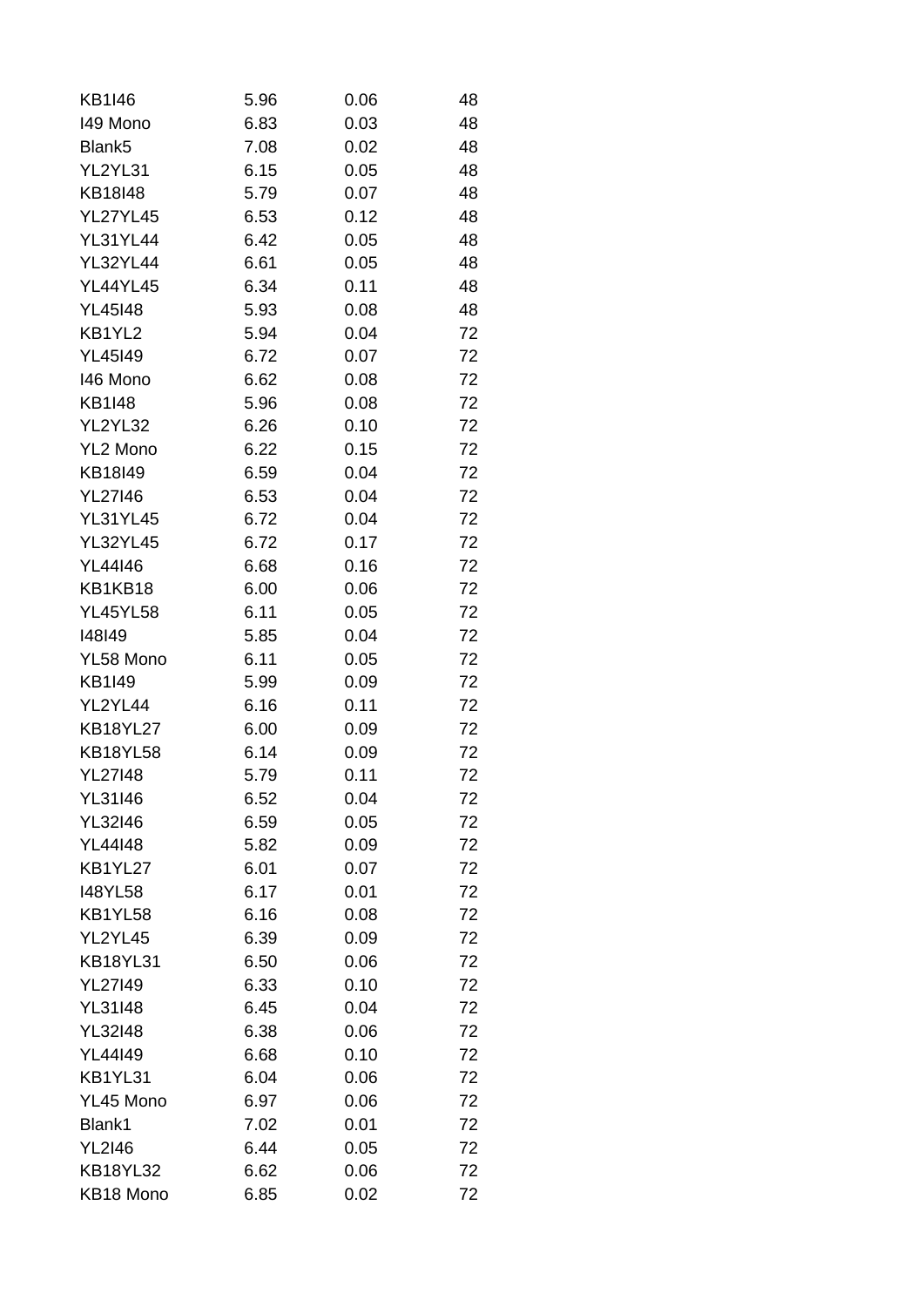| <b>KB1I46</b>                    | 5.96 | 0.06         | 48 |
|----------------------------------|------|--------------|----|
| 149 Mono                         | 6.83 | 0.03         | 48 |
| Blank5                           | 7.08 | 0.02         | 48 |
| YL2YL31                          | 6.15 | 0.05         | 48 |
| KB18I48                          | 5.79 | 0.07         | 48 |
| <b>YL27YL45</b>                  | 6.53 | 0.12         | 48 |
| <b>YL31YL44</b>                  | 6.42 | 0.05         | 48 |
| <b>YL32YL44</b>                  | 6.61 | 0.05         | 48 |
| <b>YL44YL45</b>                  | 6.34 | 0.11         | 48 |
| <b>YL45I48</b>                   | 5.93 | 0.08         | 48 |
| KB1YL2                           | 5.94 | 0.04         | 72 |
| YL45149                          | 6.72 | 0.07         | 72 |
| 146 Mono                         | 6.62 | 0.08         | 72 |
| <b>KB1I48</b>                    | 5.96 | 0.08         | 72 |
| YL2YL32                          | 6.26 | 0.10         | 72 |
| YL2 Mono                         | 6.22 | 0.15         | 72 |
| KB18I49                          | 6.59 | 0.04         | 72 |
| <b>YL27146</b>                   | 6.53 | 0.04         | 72 |
| <b>YL31YL45</b>                  | 6.72 | 0.04         | 72 |
| <b>YL32YL45</b>                  | 6.72 | 0.17         | 72 |
| <b>YL44I46</b>                   | 6.68 | 0.16         | 72 |
| KB1KB18                          | 6.00 | 0.06         | 72 |
| <b>YL45YL58</b>                  | 6.11 | 0.05         | 72 |
| 148149                           | 5.85 | 0.04         | 72 |
| YL58 Mono                        | 6.11 | 0.05         | 72 |
| KB1I49                           | 5.99 | 0.09         | 72 |
| YL2YL44                          | 6.16 | 0.11         | 72 |
| <b>KB18YL27</b>                  | 6.00 | 0.09         | 72 |
| <b>KB18YL58</b>                  | 6.14 |              | 72 |
| <b>YL27I48</b>                   |      | 0.09<br>0.11 | 72 |
|                                  | 5.79 |              |    |
| <b>YL31I46</b>                   | 6.52 | 0.04         | 72 |
| <b>YL32I46</b><br><b>YL44I48</b> | 6.59 | 0.05         | 72 |
|                                  | 5.82 | 0.09         | 72 |
| KB1YL27                          | 6.01 | 0.07         | 72 |
| <b>I48YL58</b>                   | 6.17 | 0.01         | 72 |
| KB1YL58                          | 6.16 | 0.08         | 72 |
| YL2YL45                          | 6.39 | 0.09         | 72 |
| <b>KB18YL31</b>                  | 6.50 | 0.06         | 72 |
| <b>YL27149</b>                   | 6.33 | 0.10         | 72 |
| <b>YL31I48</b>                   | 6.45 | 0.04         | 72 |
| <b>YL32I48</b>                   | 6.38 | 0.06         | 72 |
| YL44149                          | 6.68 | 0.10         | 72 |
| KB1YL31                          | 6.04 | 0.06         | 72 |
| YL45 Mono                        | 6.97 | 0.06         | 72 |
| Blank1                           | 7.02 | 0.01         | 72 |
| <b>YL2I46</b>                    | 6.44 | 0.05         | 72 |
| <b>KB18YL32</b>                  | 6.62 | 0.06         | 72 |
| KB18 Mono                        | 6.85 | 0.02         | 72 |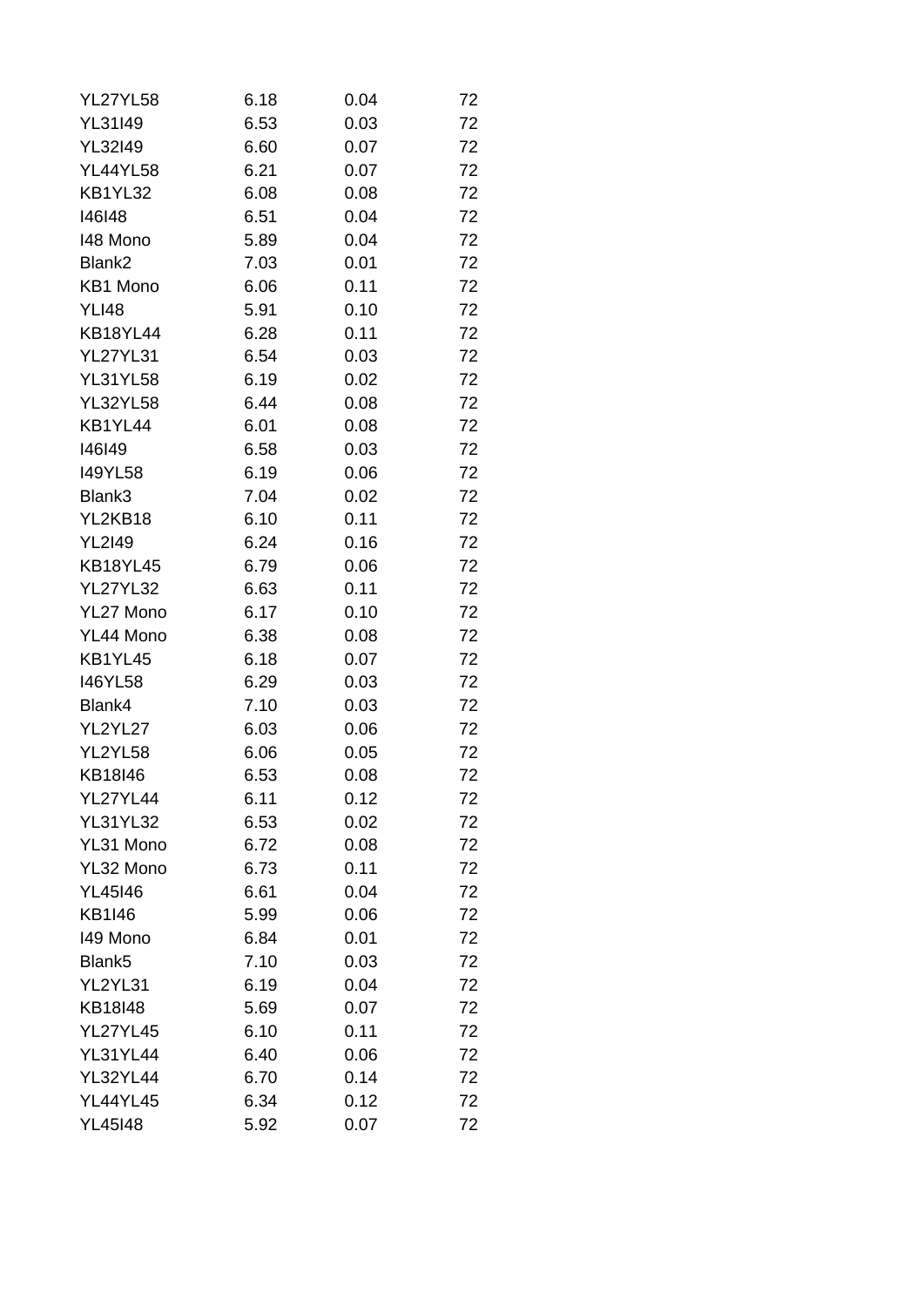| <b>YL27YL58</b>    | 6.18 | 0.04 | 72 |
|--------------------|------|------|----|
| YL31I49            | 6.53 | 0.03 | 72 |
| <b>YL32I49</b>     | 6.60 | 0.07 | 72 |
| <b>YL44YL58</b>    | 6.21 | 0.07 | 72 |
| KB1YL32            | 6.08 | 0.08 | 72 |
| 146148             | 6.51 | 0.04 | 72 |
| 148 Mono           | 5.89 | 0.04 | 72 |
| Blank2             | 7.03 | 0.01 | 72 |
| KB1 Mono           | 6.06 | 0.11 | 72 |
| <b>YLI48</b>       | 5.91 | 0.10 | 72 |
| <b>KB18YL44</b>    | 6.28 | 0.11 | 72 |
| <b>YL27YL31</b>    | 6.54 | 0.03 | 72 |
| <b>YL31YL58</b>    | 6.19 | 0.02 | 72 |
| <b>YL32YL58</b>    | 6.44 | 0.08 | 72 |
| KB1YL44            | 6.01 | 0.08 | 72 |
| 146149             | 6.58 | 0.03 | 72 |
| <b>I49YL58</b>     | 6.19 | 0.06 | 72 |
| Blank3             | 7.04 | 0.02 | 72 |
| YL2KB18            | 6.10 | 0.11 | 72 |
| <b>YL2I49</b>      | 6.24 | 0.16 | 72 |
| <b>KB18YL45</b>    | 6.79 | 0.06 | 72 |
| <b>YL27YL32</b>    | 6.63 | 0.11 | 72 |
| YL27 Mono          | 6.17 | 0.10 | 72 |
| YL44 Mono          | 6.38 | 0.08 | 72 |
| KB1YL45            | 6.18 | 0.07 | 72 |
| <b>I46YL58</b>     | 6.29 | 0.03 | 72 |
| Blank4             | 7.10 | 0.03 | 72 |
| YL2YL27            | 6.03 | 0.06 | 72 |
| YL2YL58            | 6.06 | 0.05 | 72 |
| KB18I46            | 6.53 | 0.08 | 72 |
| YL27YL44           | 6.11 | 0.12 | 72 |
| <b>YL31YL32</b>    | 6.53 | 0.02 | 72 |
| YL31 Mono          | 6.72 | 0.08 | 72 |
| YL32 Mono          | 6.73 | 0.11 | 72 |
| <b>YL45I46</b>     | 6.61 | 0.04 | 72 |
| <b>KB1I46</b>      | 5.99 | 0.06 | 72 |
| 149 Mono           | 6.84 | 0.01 | 72 |
| Blank <sub>5</sub> | 7.10 | 0.03 | 72 |
| YL2YL31            | 6.19 | 0.04 | 72 |
| KB18I48            | 5.69 | 0.07 | 72 |
| <b>YL27YL45</b>    | 6.10 | 0.11 | 72 |
| <b>YL31YL44</b>    | 6.40 | 0.06 | 72 |
| <b>YL32YL44</b>    | 6.70 | 0.14 | 72 |
| <b>YL44YL45</b>    | 6.34 | 0.12 | 72 |
| <b>YL45I48</b>     | 5.92 | 0.07 | 72 |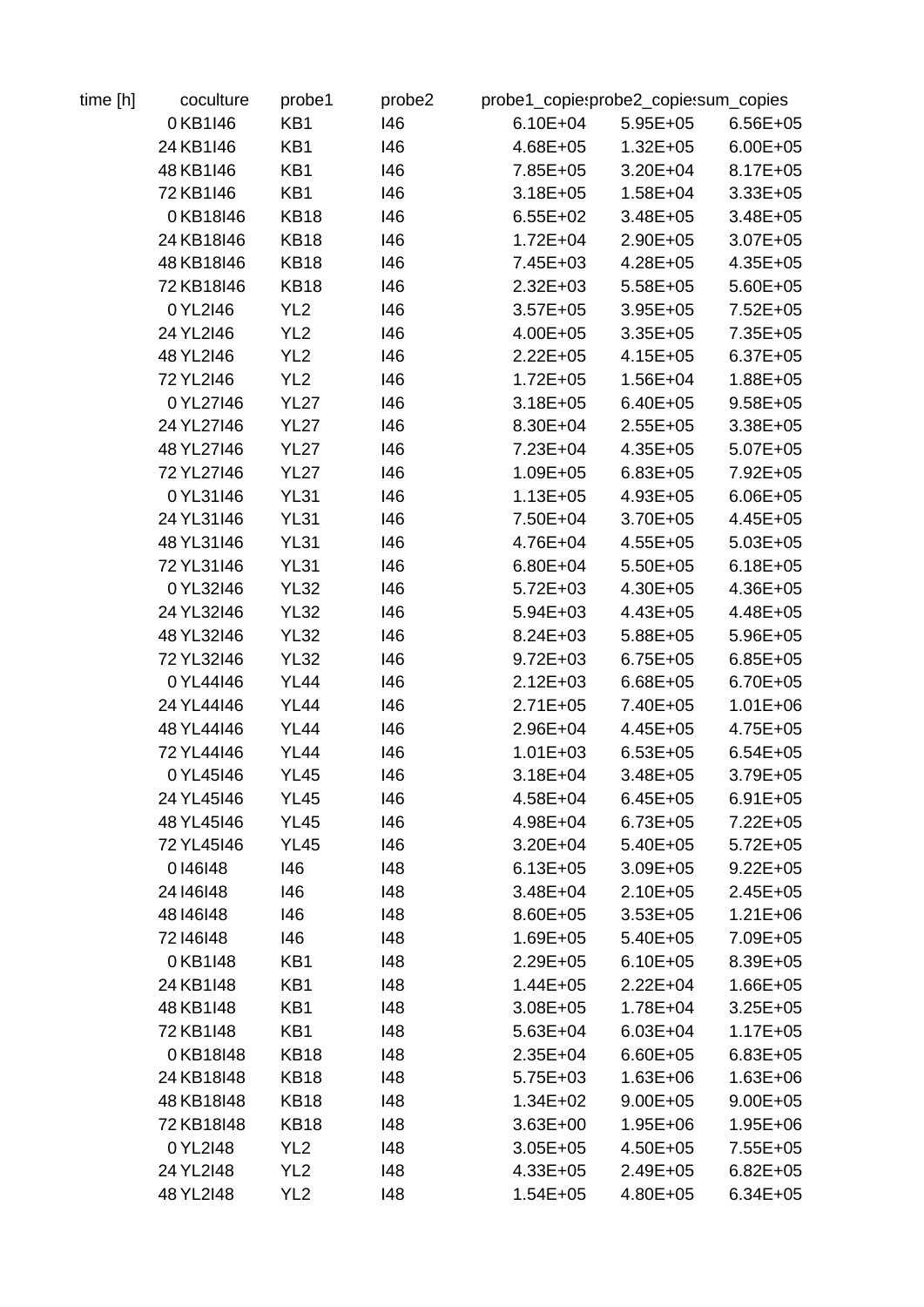| 0KB1I46<br>24 KB1 146 | KB1             | 146 | $6.10E + 04$ | $5.95E+05$   |              |
|-----------------------|-----------------|-----|--------------|--------------|--------------|
|                       |                 |     |              |              | $6.56E + 05$ |
|                       | KB1             | 146 | 4.68E+05     | $1.32E + 05$ | $6.00E + 05$ |
| 48 KB1 146            | KB1             | 146 | 7.85E+05     | $3.20E + 04$ | $8.17E + 05$ |
| 72 KB1 146            | KB1             | 146 | $3.18E + 05$ | $1.58E + 04$ | $3.33E + 05$ |
| 0KB18I46              | <b>KB18</b>     | 146 | $6.55E+02$   | $3.48E + 05$ | $3.48E + 05$ |
| 24 KB18146            | <b>KB18</b>     | 146 | $1.72E + 04$ | $2.90E + 05$ | $3.07E + 05$ |
| 48 KB18I46            | <b>KB18</b>     | 146 | 7.45E+03     | $4.28E + 05$ | $4.35E + 05$ |
| 72 KB18146            | <b>KB18</b>     | 146 | $2.32E + 03$ | $5.58E + 05$ | $5.60E + 05$ |
| 0YL2I46               | YL <sub>2</sub> | 146 | $3.57E + 05$ | $3.95E + 05$ | $7.52E + 05$ |
| 24 YL2I46             | YL <sub>2</sub> | 146 | $4.00E + 05$ | $3.35E + 05$ | $7.35E + 05$ |
| 48 YL2146             | YL <sub>2</sub> | 146 | $2.22E + 05$ | $4.15E + 05$ | $6.37E + 05$ |
| 72 YL2I46             | YL <sub>2</sub> | 146 | $1.72E + 05$ | $1.56E + 04$ | $1.88E + 05$ |
| 0 YL27146             | <b>YL27</b>     | 146 | $3.18E + 05$ | $6.40E + 05$ | $9.58E + 05$ |
| 24 YL27146            | <b>YL27</b>     | 146 | 8.30E+04     | $2.55E+05$   | $3.38E + 05$ |
| 48 YL27146            | <b>YL27</b>     | 146 | $7.23E + 04$ | $4.35E + 05$ | $5.07E + 05$ |
| 72 YL27146            | <b>YL27</b>     | 146 | $1.09E + 05$ | $6.83E + 05$ | 7.92E+05     |
| 0YL31I46              | <b>YL31</b>     | 146 | $1.13E + 05$ | $4.93E + 05$ | $6.06E + 05$ |
| 24 YL31I46            | <b>YL31</b>     | 146 | 7.50E+04     | $3.70E + 05$ | $4.45E + 05$ |
|                       |                 |     |              |              |              |
| 48 YL31146            | <b>YL31</b>     | 146 | 4.76E+04     | $4.55E + 05$ | $5.03E + 05$ |
| 72 YL31146            | <b>YL31</b>     | 146 | $6.80E + 04$ | $5.50E + 05$ | $6.18E + 05$ |
| 0 YL32I46             | <b>YL32</b>     | 146 | $5.72E + 03$ | 4.30E+05     | 4.36E+05     |
| 24 YL32146            | <b>YL32</b>     | 146 | $5.94E + 03$ | $4.43E + 05$ | 4.48E+05     |
| 48 YL32146            | <b>YL32</b>     | 146 | $8.24E + 03$ | 5.88E+05     | $5.96E + 05$ |
| 72 YL32146            | <b>YL32</b>     | 146 | $9.72E + 03$ | $6.75E + 05$ | $6.85E + 05$ |
| 0YL44I46              | <b>YL44</b>     | 146 | $2.12E + 03$ | $6.68E + 05$ | $6.70E + 05$ |
| 24 YL44146            | <b>YL44</b>     | 146 | $2.71E + 05$ | 7.40E+05     | $1.01E + 06$ |
| 48 YL44146            | <b>YL44</b>     | 146 | 2.96E+04     | $4.45E + 05$ | $4.75E + 05$ |
| 72 YL44146            | <b>YL44</b>     | 146 | $1.01E + 03$ | $6.53E + 05$ | $6.54E + 05$ |
| 0 YL45146             | <b>YL45</b>     | 146 | $3.18E + 04$ | $3.48E + 05$ | $3.79E + 05$ |
| 24 YL45146            | <b>YL45</b>     | 146 | $4.58E + 04$ | $6.45E + 05$ | $6.91E + 05$ |
| 48 YL45146            | <b>YL45</b>     | 146 | 4.98E+04     | $6.73E + 05$ | $7.22E + 05$ |
| 72 YL45146            | <b>YL45</b>     | 146 | $3.20E + 04$ | 5.40E+05     | $5.72E + 05$ |
| 0146148               | 146             | 148 | $6.13E + 05$ | $3.09E + 05$ | $9.22E + 05$ |
| 24 14 6 14 8          | 146             | 148 | $3.48E + 04$ | 2.10E+05     | $2.45E + 05$ |
| 48 146 148            | 146             | 148 | 8.60E+05     | $3.53E + 05$ | $1.21E + 06$ |
| 72 146 148            | 146             | 148 | $1.69E + 05$ | 5.40E+05     | 7.09E+05     |
| 0KB1148               | KB1             | 148 | $2.29E + 05$ | $6.10E + 05$ | 8.39E+05     |
| 24 KB1 148            | KB1             | 148 | $1.44E + 05$ | $2.22E + 04$ | $1.66E + 05$ |
| 48 KB1 148            | KB1             | 148 | $3.08E + 05$ | 1.78E+04     | $3.25E + 05$ |
| 72 KB1 148            | KB1             | 148 | $5.63E + 04$ | $6.03E + 04$ | $1.17E + 05$ |
| 0KB18I48              | <b>KB18</b>     | 148 | $2.35E + 04$ | 6.60E+05     | $6.83E + 05$ |
| 24 KB18148            | KB18            | 148 | $5.75E+03$   | $1.63E + 06$ | $1.63E + 06$ |
| 48 KB18148            | KB18            | 148 | $1.34E + 02$ | $9.00E + 05$ | $9.00E + 05$ |
| 72 KB18148            | <b>KB18</b>     | 148 | $3.63E + 00$ | 1.95E+06     | $1.95E + 06$ |
| 0 YL2I48              | YL <sub>2</sub> | 148 | $3.05E + 05$ | 4.50E+05     | $7.55E + 05$ |
| 24 YL2I48             | YL <sub>2</sub> | 148 | $4.33E + 05$ | $2.49E + 05$ | $6.82E + 05$ |
| 48 YL2I48             | YL <sub>2</sub> | 148 | $1.54E + 05$ | 4.80E+05     | $6.34E + 05$ |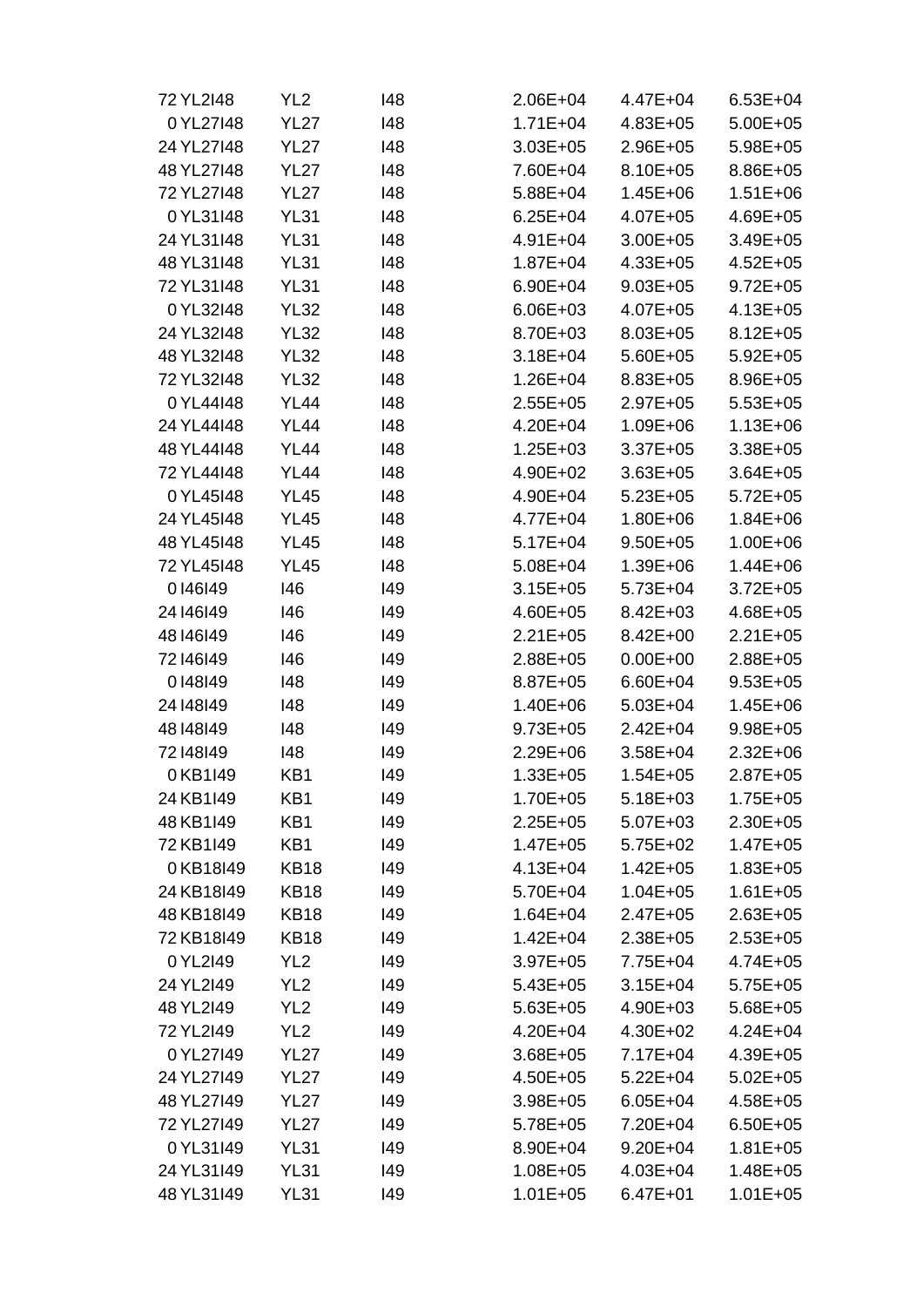| 72 YL2I48    | YL <sub>2</sub> | 148 | $2.06E + 04$ | 4.47E+04     | $6.53E + 04$ |
|--------------|-----------------|-----|--------------|--------------|--------------|
| 0 YL27148    | <b>YL27</b>     | 148 | $1.71E + 04$ | $4.83E + 05$ | $5.00E + 05$ |
| 24 YL27148   | <b>YL27</b>     | 148 | $3.03E + 05$ | 2.96E+05     | $5.98E + 05$ |
| 48 YL27148   | <b>YL27</b>     | 148 | 7.60E+04     | $8.10E + 05$ | 8.86E+05     |
| 72 YL27148   | <b>YL27</b>     | 148 | 5.88E+04     | $1.45E + 06$ | $1.51E + 06$ |
| 0 YL31I48    | <b>YL31</b>     | 148 | $6.25E + 04$ | $4.07E + 05$ | 4.69E+05     |
| 24 YL31I48   | <b>YL31</b>     | 148 | $4.91E + 04$ | $3.00E + 05$ | $3.49E + 05$ |
| 48 YL31148   | <b>YL31</b>     | 148 | $1.87E + 04$ | $4.33E + 05$ | $4.52E + 05$ |
| 72 YL31148   | <b>YL31</b>     | 148 | $6.90E + 04$ | $9.03E + 05$ | $9.72E + 05$ |
| 0 YL32I48    | <b>YL32</b>     | 148 | $6.06E + 03$ | $4.07E + 05$ | $4.13E + 05$ |
| 24 YL32148   | <b>YL32</b>     | 148 | 8.70E+03     | $8.03E + 05$ | $8.12E + 05$ |
| 48 YL32148   | <b>YL32</b>     | 148 | $3.18E + 04$ | $5.60E + 05$ | $5.92E + 05$ |
| 72 YL32148   | <b>YL32</b>     | 148 | $1.26E + 04$ | $8.83E + 05$ | 8.96E+05     |
| 0YL44I48     | <b>YL44</b>     | 148 | $2.55E + 05$ | $2.97E + 05$ | $5.53E + 05$ |
| 24 YL44148   | <b>YL44</b>     | 148 | 4.20E+04     | 1.09E+06     | $1.13E + 06$ |
| 48 YL44148   | <b>YL44</b>     | 148 | $1.25E + 03$ | $3.37E + 05$ | $3.38E + 05$ |
| 72 YL44148   | <b>YL44</b>     | 148 | $4.90E + 02$ | $3.63E + 05$ | $3.64E + 05$ |
| 0 YL45148    | <b>YL45</b>     | 148 | 4.90E+04     | $5.23E + 05$ | $5.72E + 05$ |
| 24 YL45148   | <b>YL45</b>     | 148 | 4.77E+04     | 1.80E+06     | $1.84E + 06$ |
| 48 YL45148   | <b>YL45</b>     | 148 | $5.17E + 04$ | $9.50E + 05$ | $1.00E + 06$ |
| 72 YL45148   | <b>YL45</b>     | 148 | $5.08E + 04$ | 1.39E+06     | $1.44E + 06$ |
| 0146149      | 146             | 149 | $3.15E + 05$ | $5.73E + 04$ | $3.72E + 05$ |
| 24 14 6 14 9 | 146             | 149 | $4.60E + 05$ | $8.42E + 03$ | 4.68E+05     |
| 48 146 149   | 146             | 149 | $2.21E + 05$ | $8.42E + 00$ | $2.21E + 05$ |
| 72 146 149   | 146             | 149 | 2.88E+05     | $0.00E + 00$ | $2.88E + 05$ |
| 0148149      | 148             | 149 | 8.87E+05     | $6.60E + 04$ | $9.53E + 05$ |
| 24 148 149   | 148             | 149 | $1.40E + 06$ | $5.03E + 04$ | $1.45E + 06$ |
| 48 148 149   | 148             | 149 | $9.73E + 05$ | $2.42E + 04$ | 9.98E+05     |
| 72 148 149   | 148             | 149 | $2.29E + 06$ | $3.58E + 04$ | $2.32E + 06$ |
| 0KB1I49      | KB1             | 149 | $1.33E + 05$ | $1.54E + 05$ | $2.87E + 05$ |
| 24 KB1 149   | KB1             | 149 | 1.70E+05     | $5.18E + 03$ | $1.75E + 05$ |
| 48 KB1 149   | KB1             | 149 | $2.25E + 05$ | $5.07E + 03$ | $2.30E + 05$ |
| 72 KB1149    | KB1             | 149 | $1.47E + 05$ | $5.75E + 02$ | $1.47E + 05$ |
| 0KB18I49     | <b>KB18</b>     | 149 | $4.13E + 04$ | $1.42E + 05$ | $1.83E + 05$ |
| 24 KB18I49   | <b>KB18</b>     | 149 | 5.70E+04     | $1.04E + 05$ | $1.61E + 05$ |
| 48 KB18I49   | <b>KB18</b>     | 149 | $1.64E + 04$ | $2.47E + 05$ | $2.63E + 05$ |
| 72 KB18I49   | <b>KB18</b>     | 149 | $1.42E + 04$ | $2.38E + 05$ | $2.53E + 05$ |
| 0YL2I49      | YL <sub>2</sub> | 149 | $3.97E + 05$ | 7.75E+04     | $4.74E + 05$ |
| 24 YL2I49    | YL <sub>2</sub> | 149 | $5.43E + 05$ | $3.15E + 04$ | $5.75E + 05$ |
| 48 YL2I49    | YL <sub>2</sub> | 149 | $5.63E + 05$ | 4.90E+03     | $5.68E + 05$ |
| 72 YL2I49    | YL <sub>2</sub> | 149 | 4.20E+04     | 4.30E+02     | $4.24E + 04$ |
| 0YL27I49     | <b>YL27</b>     | 149 | $3.68E + 05$ | 7.17E+04     | 4.39E+05     |
| 24 YL27149   | <b>YL27</b>     | 149 | $4.50E + 05$ | $5.22E + 04$ | $5.02E + 05$ |
| 48 YL27149   | <b>YL27</b>     | 149 | $3.98E + 05$ | $6.05E + 04$ | 4.58E+05     |
| 72 YL27149   | <b>YL27</b>     | 149 | $5.78E + 05$ | 7.20E+04     | $6.50E + 05$ |
| 0 YL31I49    | <b>YL31</b>     | 149 | 8.90E+04     | $9.20E + 04$ | $1.81E + 05$ |
| 24 YL31I49   | <b>YL31</b>     | 149 | $1.08E + 05$ | 4.03E+04     | 1.48E+05     |
| 48 YL31I49   | <b>YL31</b>     | 149 | $1.01E + 05$ | $6.47E + 01$ | $1.01E + 05$ |
|              |                 |     |              |              |              |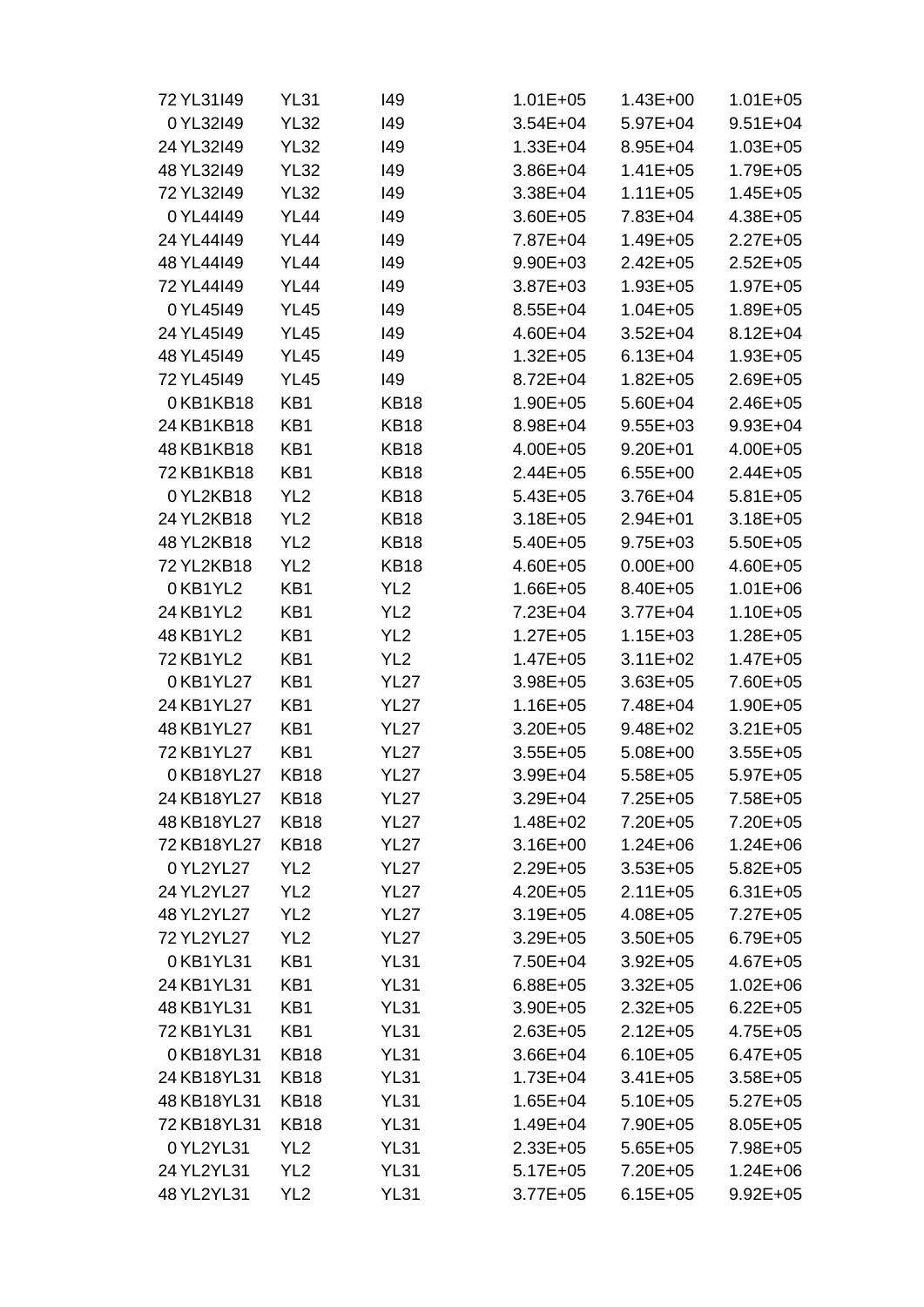| 72 YL31149  | <b>YL31</b>     | 149             | $1.01E + 05$ | $1.43E + 00$ | $1.01E + 05$ |
|-------------|-----------------|-----------------|--------------|--------------|--------------|
| 0 YL32I49   | <b>YL32</b>     | 149             | $3.54E + 04$ | $5.97E + 04$ | $9.51E + 04$ |
| 24 YL32I49  | <b>YL32</b>     | 149             | $1.33E + 04$ | 8.95E+04     | $1.03E + 05$ |
| 48 YL32I49  | <b>YL32</b>     | 149             | $3.86E + 04$ | $1.41E + 05$ | 1.79E+05     |
| 72 YL32I49  | <b>YL32</b>     | 149             | 3.38E+04     | $1.11E + 05$ | $1.45E + 05$ |
| 0YL44I49    | <b>YL44</b>     | 149             | $3.60E + 05$ | 7.83E+04     | 4.38E+05     |
| 24 YL44149  | <b>YL44</b>     | 149             | 7.87E+04     | $1.49E + 05$ | $2.27E + 05$ |
| 48 YL44149  | <b>YL44</b>     | 149             | $9.90E + 03$ | $2.42E + 05$ | $2.52E + 05$ |
| 72 YL44149  | <b>YL44</b>     | 149             | $3.87E + 03$ | $1.93E + 05$ | $1.97E + 05$ |
| 0YL45I49    | <b>YL45</b>     | 149             | $8.55E + 04$ | $1.04E + 05$ | 1.89E+05     |
| 24 YL45I49  | <b>YL45</b>     | 149             | 4.60E+04     | $3.52E + 04$ | $8.12E + 04$ |
| 48 YL45149  | <b>YL45</b>     | 149             | $1.32E + 05$ | $6.13E + 04$ | $1.93E + 05$ |
| 72 YL45149  | <b>YL45</b>     | 149             | $8.72E + 04$ | $1.82E + 05$ | 2.69E+05     |
| 0KB1KB18    | KB1             | <b>KB18</b>     | $1.90E + 05$ | $5.60E + 04$ | 2.46E+05     |
| 24 KB1KB18  | KB1             | <b>KB18</b>     | 8.98E+04     | $9.55E + 03$ | $9.93E + 04$ |
| 48 KB1KB18  | KB1             | <b>KB18</b>     | $4.00E + 05$ | $9.20E + 01$ | 4.00E+05     |
| 72 KB1KB18  | KB1             | <b>KB18</b>     | $2.44E + 05$ | $6.55E+00$   | $2.44E + 05$ |
| 0YL2KB18    | YL <sub>2</sub> | <b>KB18</b>     | $5.43E + 05$ | $3.76E + 04$ | $5.81E + 05$ |
| 24 YL2KB18  | YL <sub>2</sub> | <b>KB18</b>     | $3.18E + 05$ | $2.94E + 01$ | $3.18E + 05$ |
| 48 YL2KB18  | YL <sub>2</sub> | <b>KB18</b>     | $5.40E + 05$ | $9.75E + 03$ | $5.50E + 05$ |
| 72 YL2KB18  | YL <sub>2</sub> | <b>KB18</b>     | $4.60E + 05$ | $0.00E + 00$ | 4.60E+05     |
| 0KB1YL2     | KB1             | YL <sub>2</sub> | $1.66E + 05$ | 8.40E+05     | $1.01E + 06$ |
| 24 KB1YL2   | KB1             | YL <sub>2</sub> | 7.23E+04     | $3.77E + 04$ | $1.10E + 05$ |
| 48 KB1YL2   | KB1             | YL <sub>2</sub> | $1.27E + 05$ | $1.15E + 03$ | 1.28E+05     |
| 72 KB1YL2   | KB1             | YL <sub>2</sub> | $1.47E + 05$ | $3.11E + 02$ | $1.47E + 05$ |
| 0KB1YL27    | KB1             | <b>YL27</b>     | $3.98E + 05$ | $3.63E + 05$ | 7.60E+05     |
| 24 KB1YL27  | KB1             | <b>YL27</b>     | $1.16E + 05$ | 7.48E+04     | 1.90E+05     |
| 48 KB1YL27  | KB1             | <b>YL27</b>     | 3.20E+05     | $9.48E + 02$ | $3.21E + 05$ |
| 72 KB1YL27  | KB1             | <b>YL27</b>     | $3.55E + 05$ | $5.08E + 00$ | $3.55E + 05$ |
| 0KB18YL27   | <b>KB18</b>     | <b>YL27</b>     | 3.99E+04     | $5.58E + 05$ | $5.97E + 05$ |
| 24 KB18YL27 | <b>KB18</b>     | <b>YL27</b>     | $3.29E + 04$ | $7.25E + 05$ | 7.58E+05     |
| 48 KB18YL27 | <b>KB18</b>     | <b>YL27</b>     | $1.48E + 02$ | 7.20E+05     | 7.20E+05     |
| 72 KB18YL27 | <b>KB18</b>     | <b>YL27</b>     | $3.16E + 00$ | $1.24E + 06$ | $1.24E + 06$ |
| 0YL2YL27    | YL <sub>2</sub> | <b>YL27</b>     | $2.29E + 05$ | $3.53E + 05$ | $5.82E + 05$ |
| 24 YL2YL27  | YL <sub>2</sub> | <b>YL27</b>     | $4.20E + 05$ | $2.11E + 05$ | $6.31E + 05$ |
| 48 YL2YL27  | YL <sub>2</sub> | <b>YL27</b>     | $3.19E + 05$ | $4.08E + 05$ | $7.27E + 05$ |
| 72 YL2YL27  | YL <sub>2</sub> | <b>YL27</b>     | $3.29E + 05$ | $3.50E + 05$ | $6.79E + 05$ |
| 0KB1YL31    | KB1             | <b>YL31</b>     | 7.50E+04     | $3.92E + 05$ | $4.67E + 05$ |
| 24 KB1YL31  | KB1             | <b>YL31</b>     | $6.88E + 05$ | $3.32E + 05$ | $1.02E + 06$ |
| 48 KB1YL31  | KB1             | <b>YL31</b>     | $3.90E + 05$ | $2.32E + 05$ | $6.22E + 05$ |
| 72 KB1YL31  | KB1             | <b>YL31</b>     | $2.63E + 05$ | $2.12E + 05$ | $4.75E + 05$ |
| 0KB18YL31   | <b>KB18</b>     | <b>YL31</b>     | $3.66E + 04$ | $6.10E + 05$ | $6.47E + 05$ |
| 24 KB18YL31 | <b>KB18</b>     | <b>YL31</b>     | $1.73E + 04$ | $3.41E + 05$ | $3.58E + 05$ |
| 48 KB18YL31 | <b>KB18</b>     | <b>YL31</b>     | $1.65E + 04$ | $5.10E + 05$ | $5.27E + 05$ |
| 72 KB18YL31 | <b>KB18</b>     | <b>YL31</b>     | 1.49E+04     | 7.90E+05     | $8.05E + 05$ |
| 0YL2YL31    | YL <sub>2</sub> | <b>YL31</b>     | $2.33E + 05$ | $5.65E + 05$ | 7.98E+05     |
| 24 YL2YL31  | YL <sub>2</sub> | <b>YL31</b>     | $5.17E + 05$ | 7.20E+05     | $1.24E + 06$ |
| 48 YL2YL31  | YL <sub>2</sub> | <b>YL31</b>     | $3.77E + 05$ | $6.15E + 05$ | $9.92E + 05$ |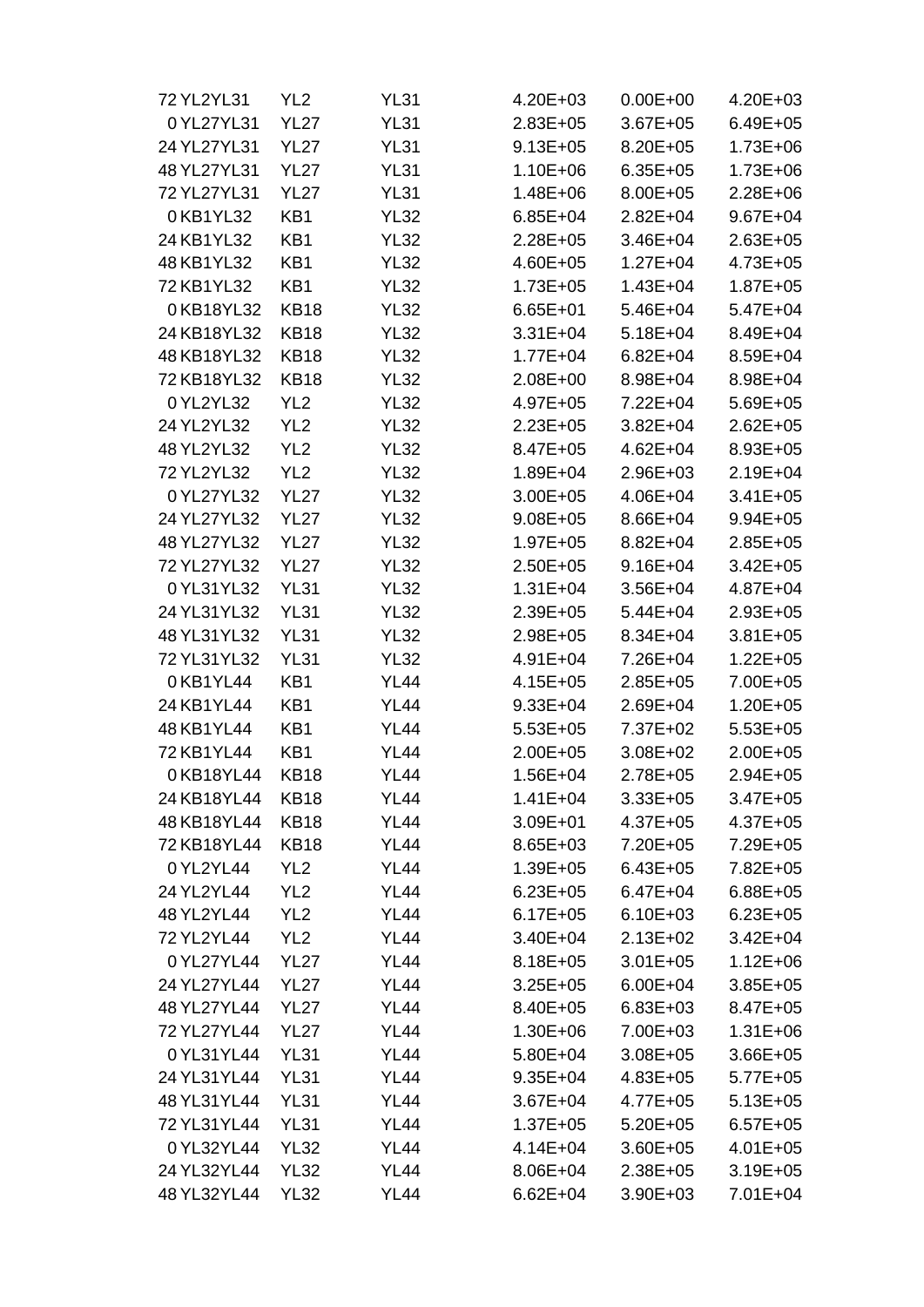| 72 YL2YL31  | YL <sub>2</sub> | <b>YL31</b> | $4.20E + 03$ | $0.00E + 00$ | $4.20E + 03$ |
|-------------|-----------------|-------------|--------------|--------------|--------------|
| 0 YL27YL31  | <b>YL27</b>     | <b>YL31</b> | $2.83E + 05$ | $3.67E + 05$ | $6.49E + 05$ |
| 24 YL27YL31 | <b>YL27</b>     | <b>YL31</b> | $9.13E + 05$ | 8.20E+05     | $1.73E + 06$ |
| 48 YL27YL31 | <b>YL27</b>     | <b>YL31</b> | $1.10E + 06$ | $6.35E + 05$ | $1.73E + 06$ |
| 72 YL27YL31 | <b>YL27</b>     | <b>YL31</b> | $1.48E + 06$ | $8.00E + 05$ | $2.28E + 06$ |
| 0KB1YL32    | KB1             | <b>YL32</b> | $6.85E + 04$ | $2.82E + 04$ | $9.67E + 04$ |
| 24 KB1YL32  | KB1             | <b>YL32</b> | $2.28E + 05$ | $3.46E + 04$ | $2.63E + 05$ |
| 48 KB1YL32  | KB1             | <b>YL32</b> | 4.60E+05     | $1.27E + 04$ | $4.73E + 05$ |
| 72 KB1YL32  | KB1             | <b>YL32</b> | $1.73E + 05$ | $1.43E + 04$ | $1.87E + 05$ |
| 0KB18YL32   | <b>KB18</b>     | <b>YL32</b> | $6.65E + 01$ | $5.46E + 04$ | $5.47E + 04$ |
| 24 KB18YL32 | <b>KB18</b>     | <b>YL32</b> | $3.31E + 04$ | $5.18E + 04$ | 8.49E+04     |
| 48 KB18YL32 | <b>KB18</b>     | <b>YL32</b> | $1.77E + 04$ | $6.82E + 04$ | 8.59E+04     |
| 72 KB18YL32 | <b>KB18</b>     | <b>YL32</b> | $2.08E + 00$ | 8.98E+04     | 8.98E+04     |
| 0YL2YL32    | YL <sub>2</sub> | <b>YL32</b> | 4.97E+05     | 7.22E+04     | $5.69E + 05$ |
| 24 YL2YL32  | YL <sub>2</sub> | <b>YL32</b> | $2.23E + 05$ | $3.82E + 04$ | $2.62E + 05$ |
| 48 YL2YL32  | YL <sub>2</sub> | <b>YL32</b> | 8.47E+05     | $4.62E + 04$ | $8.93E + 05$ |
| 72 YL2YL32  | YL <sub>2</sub> | <b>YL32</b> | 1.89E+04     | 2.96E+03     | $2.19E + 04$ |
| 0 YL27YL32  | <b>YL27</b>     | <b>YL32</b> | $3.00E + 05$ | 4.06E+04     | $3.41E + 05$ |
| 24 YL27YL32 | <b>YL27</b>     | <b>YL32</b> | $9.08E + 05$ | 8.66E+04     | $9.94E + 05$ |
| 48 YL27YL32 | <b>YL27</b>     | <b>YL32</b> | $1.97E + 05$ | 8.82E+04     | $2.85E + 05$ |
| 72 YL27YL32 | <b>YL27</b>     | <b>YL32</b> | $2.50E + 05$ | $9.16E + 04$ | $3.42E + 05$ |
| 0 YL31YL32  | <b>YL31</b>     | <b>YL32</b> | $1.31E + 04$ | $3.56E + 04$ | 4.87E+04     |
| 24 YL31YL32 | <b>YL31</b>     | <b>YL32</b> | $2.39E + 05$ | $5.44E + 04$ | $2.93E + 05$ |
| 48 YL31YL32 | <b>YL31</b>     | <b>YL32</b> | $2.98E + 05$ | 8.34E+04     | $3.81E + 05$ |
| 72 YL31YL32 | <b>YL31</b>     | <b>YL32</b> | $4.91E + 04$ | 7.26E+04     | $1.22E + 05$ |
| 0KB1YL44    | KB1             | <b>YL44</b> | $4.15E + 05$ | $2.85E + 05$ | 7.00E+05     |
| 24 KB1YL44  | KB1             | <b>YL44</b> | $9.33E + 04$ | $2.69E + 04$ | $1.20E + 05$ |
| 48 KB1YL44  | KB1             | <b>YL44</b> | $5.53E + 05$ | 7.37E+02     | $5.53E + 05$ |
| 72 KB1YL44  | KB1             | <b>YL44</b> | $2.00E + 05$ | $3.08E + 02$ | $2.00E + 05$ |
| 0KB18YL44   | <b>KB18</b>     | <b>YL44</b> | $1.56E + 04$ | $2.78E + 05$ | $2.94E + 05$ |
| 24 KB18YL44 | <b>KB18</b>     | <b>YL44</b> | $1.41E + 04$ | $3.33E + 05$ | $3.47E + 05$ |
| 48 KB18YL44 | <b>KB18</b>     | <b>YL44</b> | $3.09E + 01$ | $4.37E + 05$ | $4.37E + 05$ |
| 72 KB18YL44 | <b>KB18</b>     | <b>YL44</b> | 8.65E+03     | 7.20E+05     | 7.29E+05     |
| 0YL2YL44    | YL <sub>2</sub> | <b>YL44</b> | $1.39E + 05$ | $6.43E + 05$ | 7.82E+05     |
| 24 YL2YL44  | YL <sub>2</sub> | <b>YL44</b> | $6.23E + 05$ | $6.47E + 04$ | $6.88E + 05$ |
| 48 YL2YL44  | YL <sub>2</sub> | <b>YL44</b> | $6.17E + 05$ | $6.10E + 03$ | $6.23E + 05$ |
| 72 YL2YL44  | YL <sub>2</sub> | <b>YL44</b> | $3.40E + 04$ | $2.13E+02$   | $3.42E + 04$ |
| 0 YL27YL44  | <b>YL27</b>     | <b>YL44</b> | $8.18E + 05$ | $3.01E + 05$ | $1.12E + 06$ |
| 24 YL27YL44 | <b>YL27</b>     | <b>YL44</b> | $3.25E + 05$ | $6.00E + 04$ | $3.85E + 05$ |
| 48 YL27YL44 | <b>YL27</b>     | <b>YL44</b> | 8.40E+05     | $6.83E + 03$ | $8.47E + 05$ |
| 72 YL27YL44 | <b>YL27</b>     | <b>YL44</b> | $1.30E + 06$ | 7.00E+03     | $1.31E + 06$ |
| 0YL31YL44   | <b>YL31</b>     | <b>YL44</b> | 5.80E+04     | $3.08E + 05$ | $3.66E + 05$ |
| 24 YL31YL44 | <b>YL31</b>     | <b>YL44</b> | $9.35E + 04$ | $4.83E + 05$ | $5.77E + 05$ |
| 48 YL31YL44 | <b>YL31</b>     | <b>YL44</b> | $3.67E + 04$ | $4.77E + 05$ | $5.13E + 05$ |
| 72 YL31YL44 | <b>YL31</b>     | <b>YL44</b> | $1.37E + 05$ | $5.20E + 05$ | $6.57E + 05$ |
| 0 YL32YL44  | <b>YL32</b>     | <b>YL44</b> | 4.14E+04     | $3.60E + 05$ | $4.01E + 05$ |
| 24 YL32YL44 | <b>YL32</b>     | <b>YL44</b> | $8.06E + 04$ | $2.38E + 05$ | $3.19E + 05$ |
| 48 YL32YL44 | <b>YL32</b>     | <b>YL44</b> | $6.62E + 04$ | $3.90E + 03$ | 7.01E+04     |
|             |                 |             |              |              |              |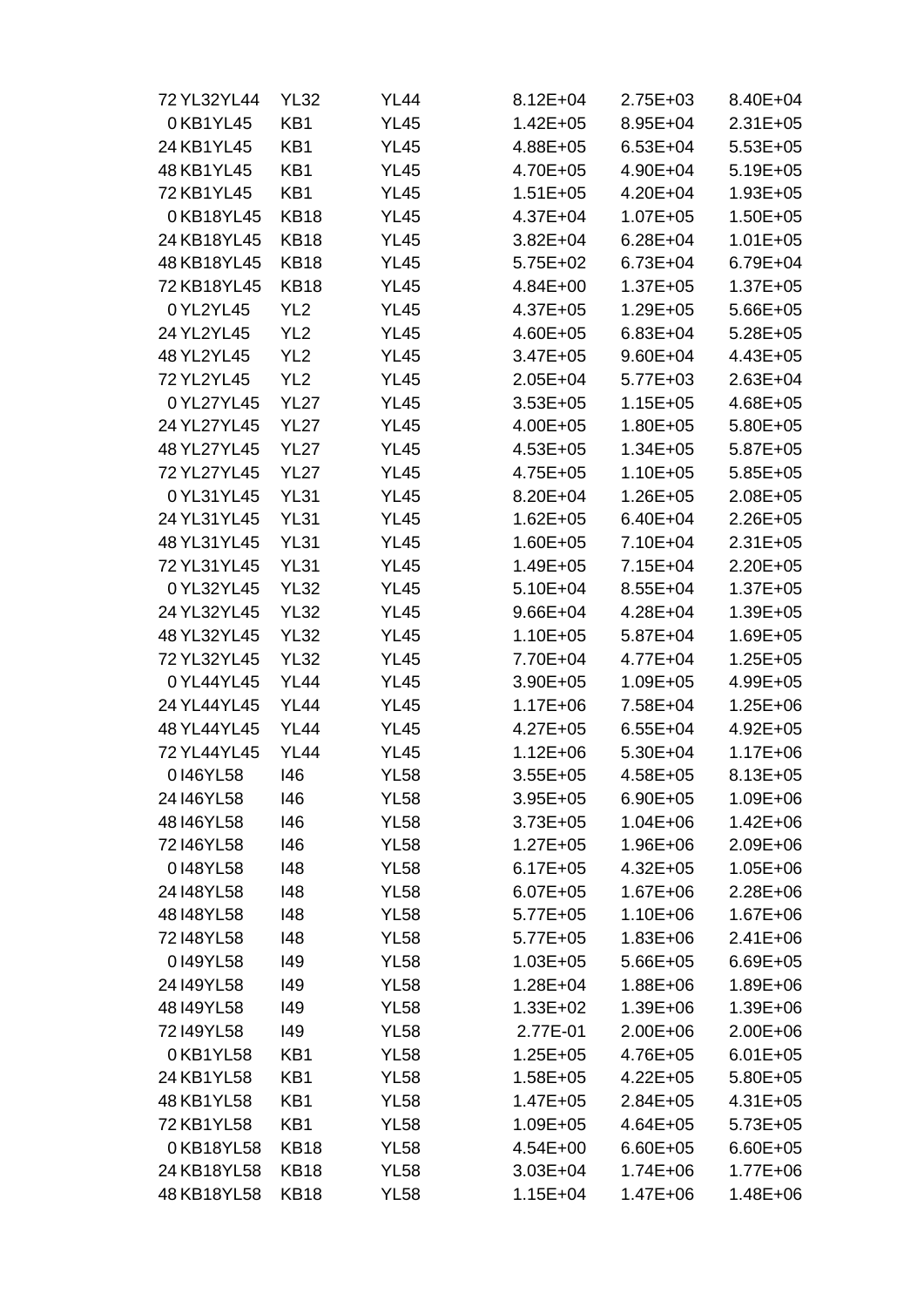| 72 YL32YL44 | <b>YL32</b>     | YL44        | $8.12E + 04$ | $2.75E + 03$ | 8.40E+04     |
|-------------|-----------------|-------------|--------------|--------------|--------------|
| 0KB1YL45    | KB1             | <b>YL45</b> | $1.42E + 05$ | 8.95E+04     | $2.31E + 05$ |
| 24 KB1YL45  | KB1             | <b>YL45</b> | 4.88E+05     | $6.53E + 04$ | $5.53E+05$   |
| 48 KB1YL45  | KB1             | <b>YL45</b> | 4.70E+05     | 4.90E+04     | $5.19E + 05$ |
| 72 KB1YL45  | KB1             | <b>YL45</b> | $1.51E + 05$ | 4.20E+04     | $1.93E + 05$ |
| 0KB18YL45   | <b>KB18</b>     | <b>YL45</b> | $4.37E + 04$ | $1.07E + 05$ | $1.50E + 05$ |
| 24 KB18YL45 | <b>KB18</b>     | <b>YL45</b> | $3.82E + 04$ | $6.28E + 04$ | $1.01E + 05$ |
| 48 KB18YL45 | <b>KB18</b>     | <b>YL45</b> | $5.75E+02$   | $6.73E + 04$ | $6.79E + 04$ |
| 72 KB18YL45 | <b>KB18</b>     | <b>YL45</b> | $4.84E + 00$ | $1.37E + 05$ | $1.37E + 05$ |
| 0YL2YL45    | YL <sub>2</sub> | <b>YL45</b> | $4.37E + 05$ | $1.29E + 05$ | $5.66E + 05$ |
| 24 YL2YL45  | YL <sub>2</sub> | <b>YL45</b> | $4.60E + 05$ | $6.83E + 04$ | $5.28E + 05$ |
| 48 YL2YL45  | YL <sub>2</sub> | <b>YL45</b> | $3.47E + 05$ | $9.60E + 04$ | 4.43E+05     |
| 72 YL2YL45  | YL <sub>2</sub> | <b>YL45</b> | $2.05E + 04$ | $5.77E + 03$ | $2.63E + 04$ |
| 0 YL27YL45  | <b>YL27</b>     | <b>YL45</b> | $3.53E + 05$ | $1.15E + 05$ | $4.68E + 05$ |
| 24 YL27YL45 | <b>YL27</b>     | <b>YL45</b> | $4.00E + 05$ | $1.80E + 05$ | $5.80E + 05$ |
| 48 YL27YL45 | <b>YL27</b>     | <b>YL45</b> | $4.53E + 05$ | $1.34E + 05$ | $5.87E + 05$ |
| 72 YL27YL45 | <b>YL27</b>     | <b>YL45</b> | $4.75E + 05$ | $1.10E + 05$ | $5.85E + 05$ |
| 0 YL31YL45  | <b>YL31</b>     | <b>YL45</b> | 8.20E+04     | $1.26E + 05$ | $2.08E + 05$ |
| 24 YL31YL45 | <b>YL31</b>     | <b>YL45</b> | $1.62E + 05$ | $6.40E + 04$ | $2.26E + 05$ |
| 48 YL31YL45 | <b>YL31</b>     | <b>YL45</b> | $1.60E + 05$ | 7.10E+04     | $2.31E + 05$ |
| 72 YL31YL45 | <b>YL31</b>     | <b>YL45</b> | 1.49E+05     | $7.15E + 04$ | $2.20E + 05$ |
| 0 YL32YL45  | <b>YL32</b>     | <b>YL45</b> | $5.10E + 04$ | $8.55E + 04$ | $1.37E + 05$ |
| 24 YL32YL45 | <b>YL32</b>     | <b>YL45</b> | $9.66E + 04$ | 4.28E+04     | $1.39E + 05$ |
| 48 YL32YL45 | <b>YL32</b>     | <b>YL45</b> | $1.10E + 05$ | $5.87E + 04$ | 1.69E+05     |
| 72 YL32YL45 | <b>YL32</b>     | <b>YL45</b> | 7.70E+04     | $4.77E + 04$ | $1.25E + 05$ |
| 0 YL44YL45  | <b>YL44</b>     | <b>YL45</b> | $3.90E + 05$ | $1.09E + 05$ | 4.99E+05     |
| 24 YL44YL45 | <b>YL44</b>     | <b>YL45</b> | $1.17E + 06$ | 7.58E+04     | $1.25E + 06$ |
| 48 YL44YL45 | <b>YL44</b>     | <b>YL45</b> | $4.27E + 05$ | $6.55E + 04$ | $4.92E + 05$ |
| 72 YL44YL45 | <b>YL44</b>     | <b>YL45</b> | $1.12E + 06$ | 5.30E+04     | $1.17E + 06$ |
| 0146YL58    | 146             | <b>YL58</b> | $3.55E + 05$ | $4.58E + 05$ | $8.13E + 05$ |
| 24 I46 YL58 | 146             | <b>YL58</b> | $3.95E + 05$ | $6.90E + 05$ | 1.09E+06     |
| 48146YL58   | 146             | <b>YL58</b> | $3.73E + 05$ | $1.04E + 06$ | $1.42E + 06$ |
| 72146YL58   | 146             | <b>YL58</b> | $1.27E + 05$ | 1.96E+06     | 2.09E+06     |
| 0148YL58    | 148             | <b>YL58</b> | $6.17E + 05$ | $4.32E + 05$ | $1.05E + 06$ |
| 24 I48 YL58 | 148             | <b>YL58</b> | $6.07E + 05$ | $1.67E + 06$ | $2.28E + 06$ |
| 48148YL58   | 148             | <b>YL58</b> | $5.77E + 05$ | $1.10E + 06$ | $1.67E + 06$ |
| 72148YL58   | 148             | <b>YL58</b> | $5.77E + 05$ | $1.83E + 06$ | $2.41E + 06$ |
| 0149YL58    | 149             | <b>YL58</b> | $1.03E + 05$ | $5.66E + 05$ | $6.69E + 05$ |
| 24 149 YL58 | 149             | <b>YL58</b> | $1.28E + 04$ | $1.88E + 06$ | 1.89E+06     |
| 48149YL58   | 149             | <b>YL58</b> | $1.33E + 02$ | $1.39E + 06$ | $1.39E + 06$ |
| 72149YL58   | 149             | <b>YL58</b> | 2.77E-01     | $2.00E + 06$ | $2.00E + 06$ |
| 0KB1YL58    | KB1             | <b>YL58</b> | $1.25E + 05$ | 4.76E+05     | $6.01E + 05$ |
| 24 KB1YL58  | KB1             | <b>YL58</b> | $1.58E + 05$ | $4.22E + 05$ | $5.80E + 05$ |
| 48 KB1YL58  | KB1             | <b>YL58</b> | $1.47E + 05$ | $2.84E + 05$ | $4.31E + 05$ |
| 72 KB1YL58  | KB1             | <b>YL58</b> | $1.09E + 05$ | $4.64E + 05$ | $5.73E + 05$ |
| 0KB18YL58   | <b>KB18</b>     | <b>YL58</b> | $4.54E + 00$ | $6.60E + 05$ | $6.60E + 05$ |
| 24 KB18YL58 | <b>KB18</b>     | <b>YL58</b> | $3.03E + 04$ | $1.74E + 06$ | $1.77E + 06$ |
| 48 KB18YL58 | <b>KB18</b>     | <b>YL58</b> | $1.15E + 04$ | $1.47E + 06$ | $1.48E + 06$ |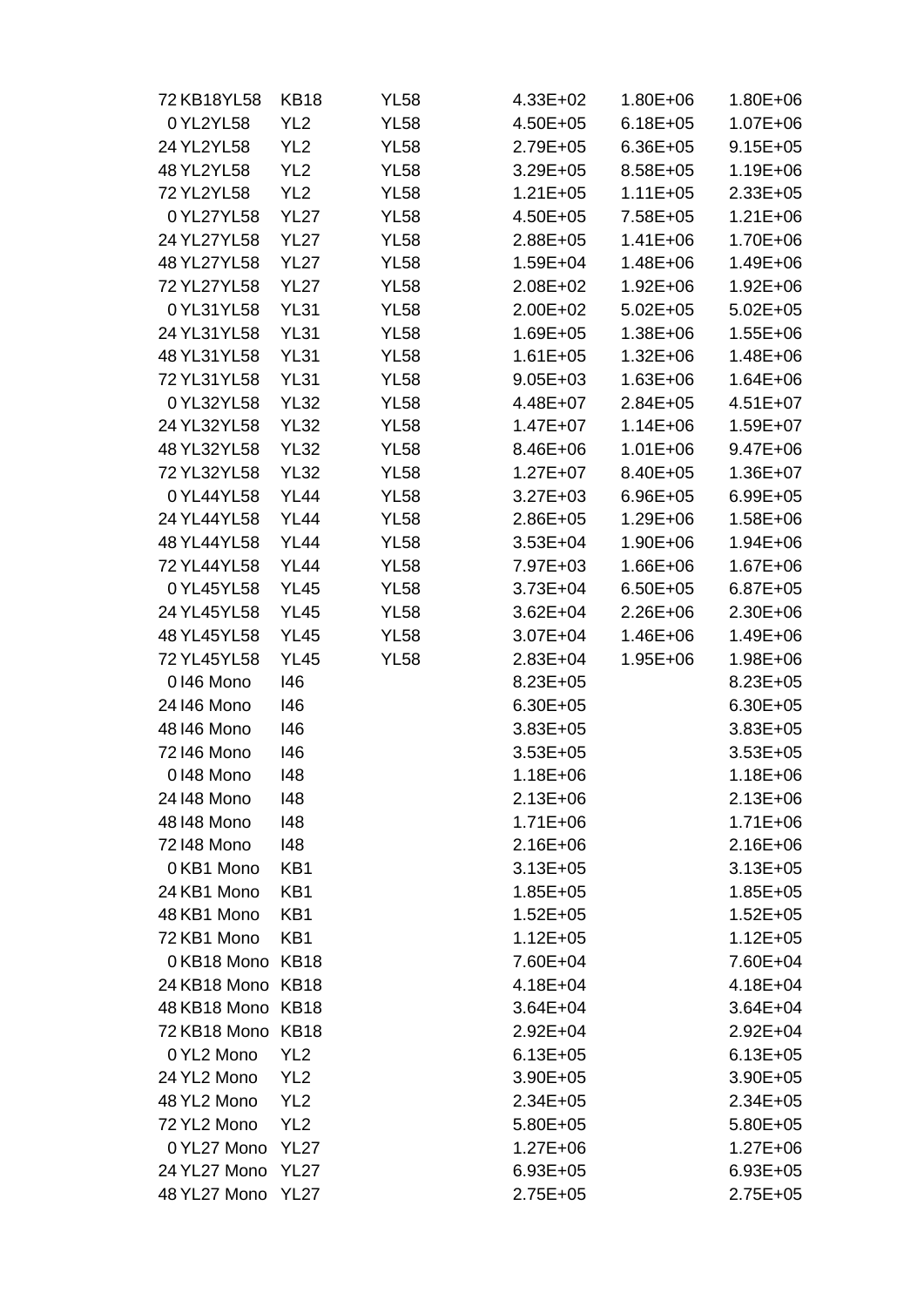| 72 KB18YL58       | KB18             | <b>YL58</b> | 4.33E+02     | $1.80E + 06$ | 1.80E+06     |
|-------------------|------------------|-------------|--------------|--------------|--------------|
| 0 YL2YL58         | YL <sub>2</sub>  | <b>YL58</b> | 4.50E+05     | $6.18E + 05$ | 1.07E+06     |
| 24 YL2YL58        | YL <sub>2</sub>  | <b>YL58</b> | $2.79E + 05$ | $6.36E + 05$ | $9.15E + 05$ |
| 48 YL2YL58        | YL <sub>2</sub>  | <b>YL58</b> | $3.29E + 05$ | 8.58E+05     | 1.19E+06     |
| 72 YL2YL58        | YL <sub>2</sub>  | <b>YL58</b> | $1.21E + 05$ | $1.11E + 05$ | $2.33E+05$   |
| 0 YL27YL58        | <b>YL27</b>      | <b>YL58</b> | 4.50E+05     | 7.58E+05     | $1.21E + 06$ |
| 24 YL27YL58       | <b>YL27</b>      | <b>YL58</b> | 2.88E+05     | $1.41E + 06$ | 1.70E+06     |
| 48 YL27YL58       | <b>YL27</b>      | <b>YL58</b> | $1.59E + 04$ | $1.48E + 06$ | 1.49E+06     |
| 72 YL27YL58       | <b>YL27</b>      | YL58        | 2.08E+02     | $1.92E + 06$ | $1.92E + 06$ |
| 0YL31YL58         | <b>YL31</b>      | <b>YL58</b> | 2.00E+02     | $5.02E + 05$ | $5.02E + 05$ |
| 24 YL31YL58       | <b>YL31</b>      | <b>YL58</b> | $1.69E + 05$ | $1.38E + 06$ | $1.55E + 06$ |
| 48 YL31YL58       | <b>YL31</b>      | <b>YL58</b> | $1.61E + 05$ | $1.32E + 06$ | 1.48E+06     |
| 72 YL31YL58       | <b>YL31</b>      | <b>YL58</b> | $9.05E + 03$ | $1.63E + 06$ | $1.64E + 06$ |
| 0 YL32YL58        | <b>YL32</b>      | <b>YL58</b> | 4.48E+07     | $2.84E + 05$ | $4.51E+07$   |
| 24 YL32YL58       | <b>YL32</b>      | <b>YL58</b> | $1.47E + 07$ | $1.14E + 06$ | $1.59E + 07$ |
| 48 YL32YL58       | <b>YL32</b>      | <b>YL58</b> | 8.46E+06     | $1.01E + 06$ | $9.47E + 06$ |
| 72 YL32YL58       | <b>YL32</b>      | <b>YL58</b> | $1.27E + 07$ | 8.40E+05     | $1.36E + 07$ |
| 0 YL44YL58        | <b>YL44</b>      | <b>YL58</b> | $3.27E + 03$ | $6.96E + 05$ | $6.99E + 05$ |
| 24 YL44YL58       | <b>YL44</b>      | <b>YL58</b> | $2.86E + 05$ | $1.29E + 06$ | $1.58E + 06$ |
| 48 YL44YL58       | <b>YL44</b>      | <b>YL58</b> | $3.53E + 04$ | $1.90E + 06$ | $1.94E + 06$ |
| 72 YL44YL58       | <b>YL44</b>      | YL58        | 7.97E+03     | $1.66E + 06$ | $1.67E + 06$ |
| 0 YL45YL58        | <b>YL45</b>      | <b>YL58</b> | $3.73E + 04$ | $6.50E + 05$ | $6.87E + 05$ |
| 24 YL45YL58       | <b>YL45</b>      | <b>YL58</b> | $3.62E + 04$ | $2.26E + 06$ | $2.30E + 06$ |
| 48 YL45YL58       | <b>YL45</b>      | <b>YL58</b> | 3.07E+04     | 1.46E+06     | 1.49E+06     |
| 72 YL45YL58       | <b>YL45</b>      | YL58        | 2.83E+04     | $1.95E + 06$ | 1.98E+06     |
| 0146 Mono         | 146              |             | $8.23E + 05$ |              | $8.23E + 05$ |
| 24146 Mono        | 146              |             | $6.30E + 05$ |              | $6.30E + 05$ |
| 48146 Mono        | 146              |             | $3.83E + 05$ |              | $3.83E + 05$ |
| 72146 Mono        | 146              |             | $3.53E + 05$ |              | $3.53E + 05$ |
| 0148 Mono         | 148              |             | $1.18E + 06$ |              | 1.18E+06     |
| 24148 Mono        | 148              |             | $2.13E + 06$ |              | $2.13E + 06$ |
| 48 148 Mono       | 148              |             | 1.71E+06     |              | $1.71E + 06$ |
| 72148 Mono        | 148              |             | $2.16E + 06$ |              | $2.16E + 06$ |
| 0 KB1 Mono        | KB1              |             | $3.13E + 05$ |              | $3.13E + 05$ |
| 24 KB1 Mono       | KB1              |             | $1.85E + 05$ |              | $1.85E + 05$ |
| 48 KB1 Mono       | KB1              |             | $1.52E + 05$ |              | $1.52E + 05$ |
| 72 KB1 Mono       | KB1              |             | $1.12E + 05$ |              | $1.12E + 05$ |
| 0KB18 Mono KB18   |                  |             | 7.60E+04     |              | 7.60E+04     |
| 24 KB18 Mono KB18 |                  |             | $4.18E + 04$ |              | $4.18E + 04$ |
| 48 KB18 Mono KB18 |                  |             | $3.64E + 04$ |              | $3.64E + 04$ |
| 72 KB18 Mono      | <b>KB18</b>      |             | $2.92E + 04$ |              | $2.92E + 04$ |
| 0 YL2 Mono        | YL <sub>2</sub>  |             | $6.13E + 05$ |              | $6.13E + 05$ |
| 24 YL2 Mono       | YL <sub>2</sub>  |             | $3.90E + 05$ |              | $3.90E + 05$ |
| 48 YL2 Mono       | YL <sub>2</sub>  |             | $2.34E + 05$ |              | $2.34E + 05$ |
| 72 YL2 Mono       | YL <sub>2</sub>  |             | $5.80E + 05$ |              | $5.80E + 05$ |
| 0 YL27 Mono       | <b>YL27</b>      |             | $1.27E + 06$ |              | $1.27E + 06$ |
| 24 YL27 Mono      | YL <sub>27</sub> |             | $6.93E + 05$ |              | $6.93E + 05$ |
| 48 YL27 Mono      | <b>YL27</b>      |             | 2.75E+05     |              | $2.75E + 05$ |
|                   |                  |             |              |              |              |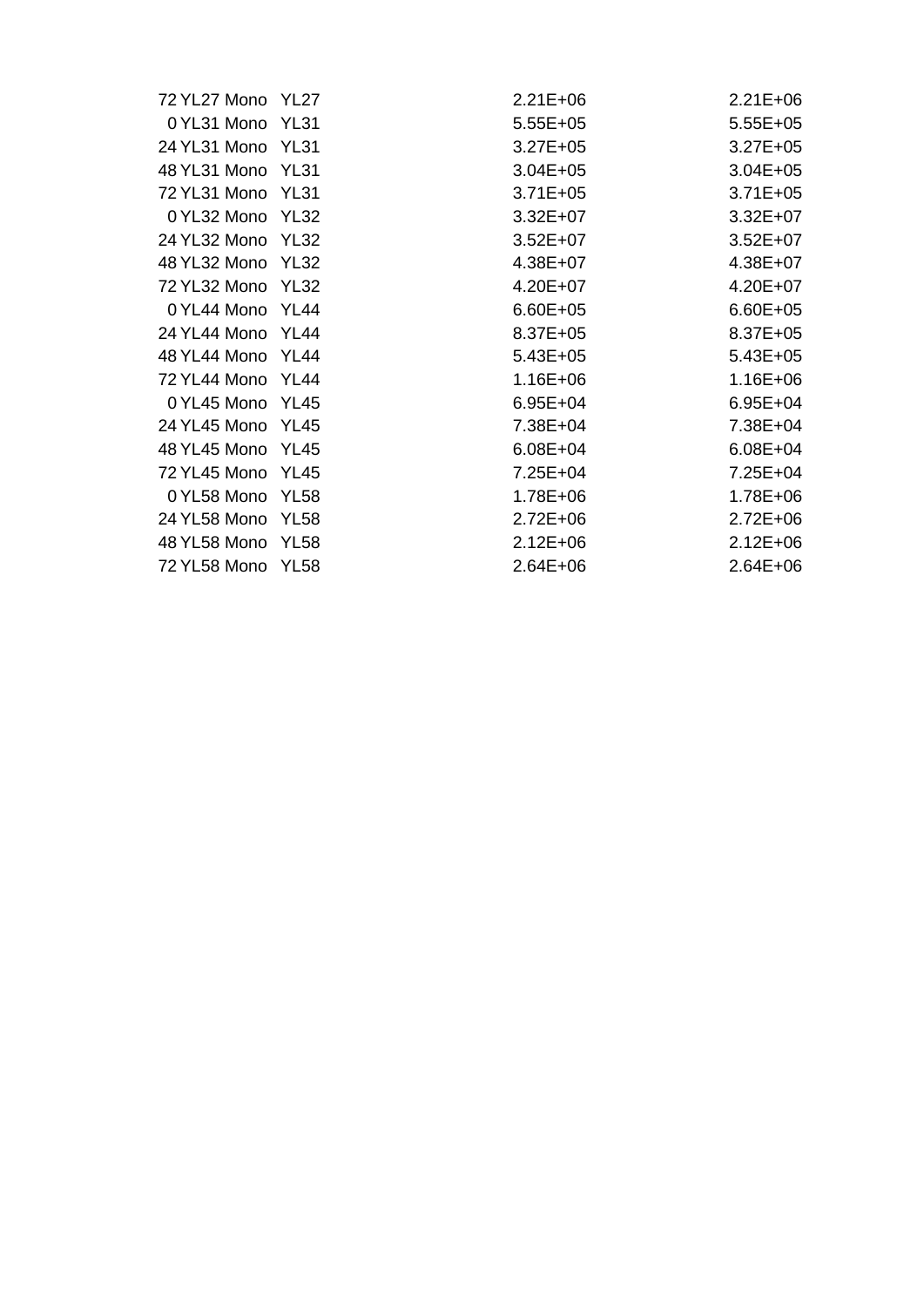| 72 YL27 Mono YL27 |             | $2.21E + 06$ | $2.21E + 06$ |
|-------------------|-------------|--------------|--------------|
| 0 YL31 Mono       | <b>YL31</b> | $5.55E+05$   | $5.55E + 05$ |
| 24 YL31 Mono YL31 |             | $3.27E + 05$ | $3.27E + 05$ |
| 48 YL31 Mono      | <b>YL31</b> | $3.04E + 05$ | $3.04E + 05$ |
| 72 YL31 Mono YL31 |             | $3.71E + 05$ | $3.71E + 05$ |
| 0 YL32 Mono YL32  |             | $3.32E + 07$ | $3.32E + 07$ |
| 24 YL32 Mono      | YL32        | $3.52E+07$   | $3.52E+07$   |
| 48 YL32 Mono      | <b>YL32</b> | $4.38E + 07$ | $4.38E + 07$ |
| 72 YL32 Mono YL32 |             | $4.20E + 07$ | $4.20E + 07$ |
| 0 YL44 Mono YL44  |             | $6.60E + 05$ | $6.60E + 05$ |
| 24 YL44 Mono      | YL44        | $8.37E + 05$ | $8.37E + 05$ |
| 48 YL44 Mono      | YL44        | $5.43E + 05$ | $5.43E + 05$ |
| 72 YL44 Mono      | YL44        | $1.16E + 06$ | $1.16E + 06$ |
| 0 YL45 Mono YL45  |             | $6.95E + 04$ | $6.95E + 04$ |
| 24 YL45 Mono      | YL45        | 7.38E+04     | 7.38E+04     |
| 48 YL45 Mono      | YL45        | $6.08E + 04$ | $6.08E + 04$ |
| 72 YL45 Mono      | YL45        | $7.25E + 04$ | $7.25E + 04$ |
| 0 YL58 Mono       | <b>YL58</b> | 1.78E+06     | $1.78E + 06$ |
| 24 YL58 Mono      | YL58        | $2.72E + 06$ | $2.72E + 06$ |
| 48 YL58 Mono      | YL58        | $2.12E + 06$ | $2.12E + 06$ |
| 72 YL58 Mono      | YL58        | $2.64E + 06$ | $2.64E + 06$ |
|                   |             |              |              |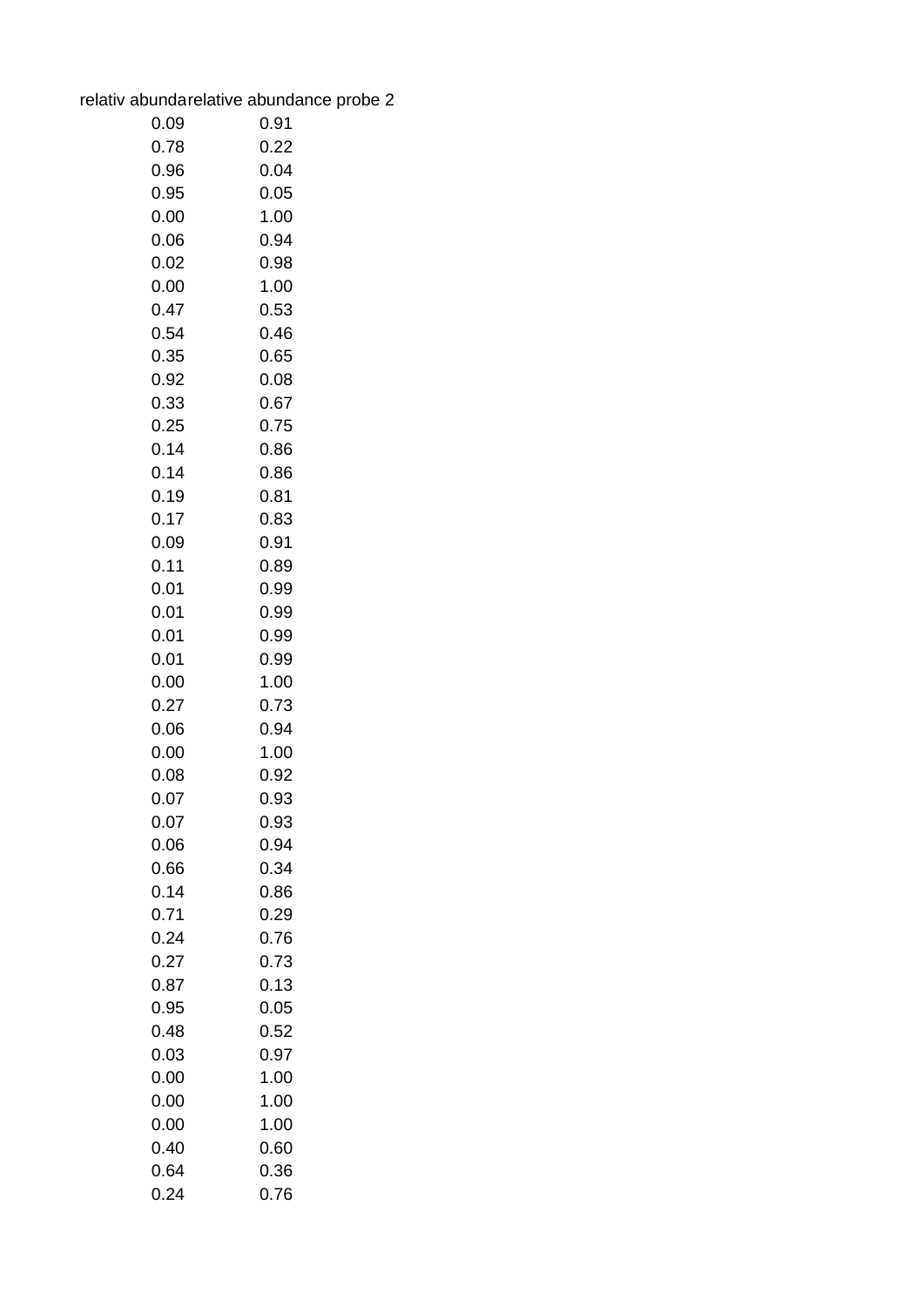| relativ abundarelative abundance probe 2 |  |
|------------------------------------------|--|
|                                          |  |

| 0.09         | 0.91 |
|--------------|------|
| 0.78         | 0.22 |
| 0.96         | 0.04 |
| 0.95         | 0.05 |
| 0.00         | 1.00 |
| 0.06         | 0.94 |
| 0.02         | 0.98 |
| 0.00         | 1.00 |
| 0.47         | 0.53 |
| 0.54         | 0.46 |
| 0.35         | 0.65 |
| 0.92         | 0.08 |
| 0.33         | 0.67 |
| 0.25         | 0.75 |
| 0.14         | 0.86 |
| 0.14         | 0.86 |
| 0.19         | 0.81 |
| 0.17         | 0.83 |
| 0.09         | 0.91 |
| 0.11         | 0.89 |
| 0.01         | 0.99 |
| 0.01         | 0.99 |
| 0.01         | 0.99 |
| 0.01         | 0.99 |
| 0.00         | 1.00 |
| 0.27         | 0.73 |
| 0.06         | 0.94 |
| 0.00         | 1.00 |
| 0.08         | 0.92 |
| 0.07         | 0.93 |
| 0.07         | 0.93 |
| 0.06         | 0.94 |
| 0.66         | 0.34 |
| 0.14         | 0.86 |
| 0.71         | 0.29 |
| 0.24         | 0.76 |
| 0.27         | 0.73 |
| 0.87         | 0.13 |
| 0.95         | 0.05 |
| 0.48         | 0.52 |
| 0.03         | 0.97 |
| 0.00         | 1.00 |
| 0.00         | 1.00 |
| 0.00         | 1.00 |
| 0.40<br>0.64 | 0.60 |
|              | 0.36 |
| 0.24         | 0.76 |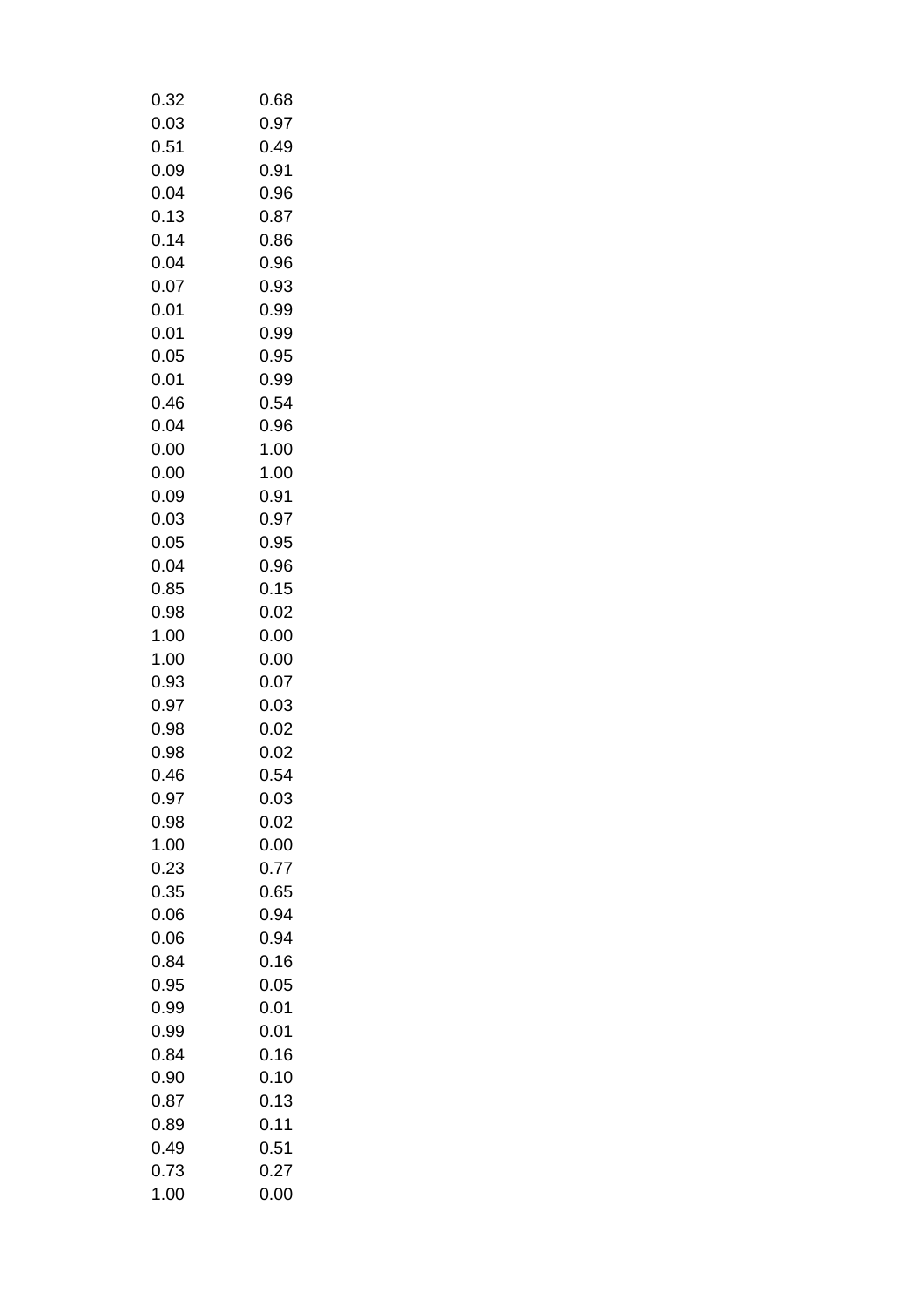| 0.32 | 0.68 |
|------|------|
| 0.03 | 0.97 |
| 0.51 | 0.49 |
| 0.09 | 0.91 |
| 0.04 | 0.96 |
| 0.13 | 0.87 |
| 0.14 | 0.86 |
| 0.04 | 0.96 |
| 0.07 | 0.93 |
| 0.01 | 0.99 |
| 0.01 | 0.99 |
| 0.05 | 0.95 |
| 0.01 | 0.99 |
| 0.46 | 0.54 |
|      | 0.96 |
| 0.04 |      |
| 0.00 | 1.00 |
| 0.00 | 1.00 |
| 0.09 | 0.91 |
| 0.03 | 0.97 |
| 0.05 | 0.95 |
| 0.04 | 0.96 |
| 0.85 | 0.15 |
| 0.98 | 0.02 |
| 1.00 | 0.00 |
| 1.00 | 0.00 |
| 0.93 | 0.07 |
| 0.97 | 0.03 |
| 0.98 | 0.02 |
| 0.98 | 0.02 |
| 0.46 | 0.54 |
| 0.97 | 0.03 |
| 0.98 | 0.02 |
| 1.00 | 0.00 |
| 0.23 | 0.77 |
| 0.35 | 0.65 |
| 0.06 | 0.94 |
| 0.06 | 0.94 |
| 0.84 | 0.16 |
| 0.95 | 0.05 |
| 0.99 | 0.01 |
| 0.99 | 0.01 |
| 0.84 | 0.16 |
| 0.90 | 0.10 |
| 0.87 | 0.13 |
| 0.89 | 0.11 |
| 0.49 | 0.51 |
|      |      |
| 0.73 | 0.27 |
| 1.00 | 0.00 |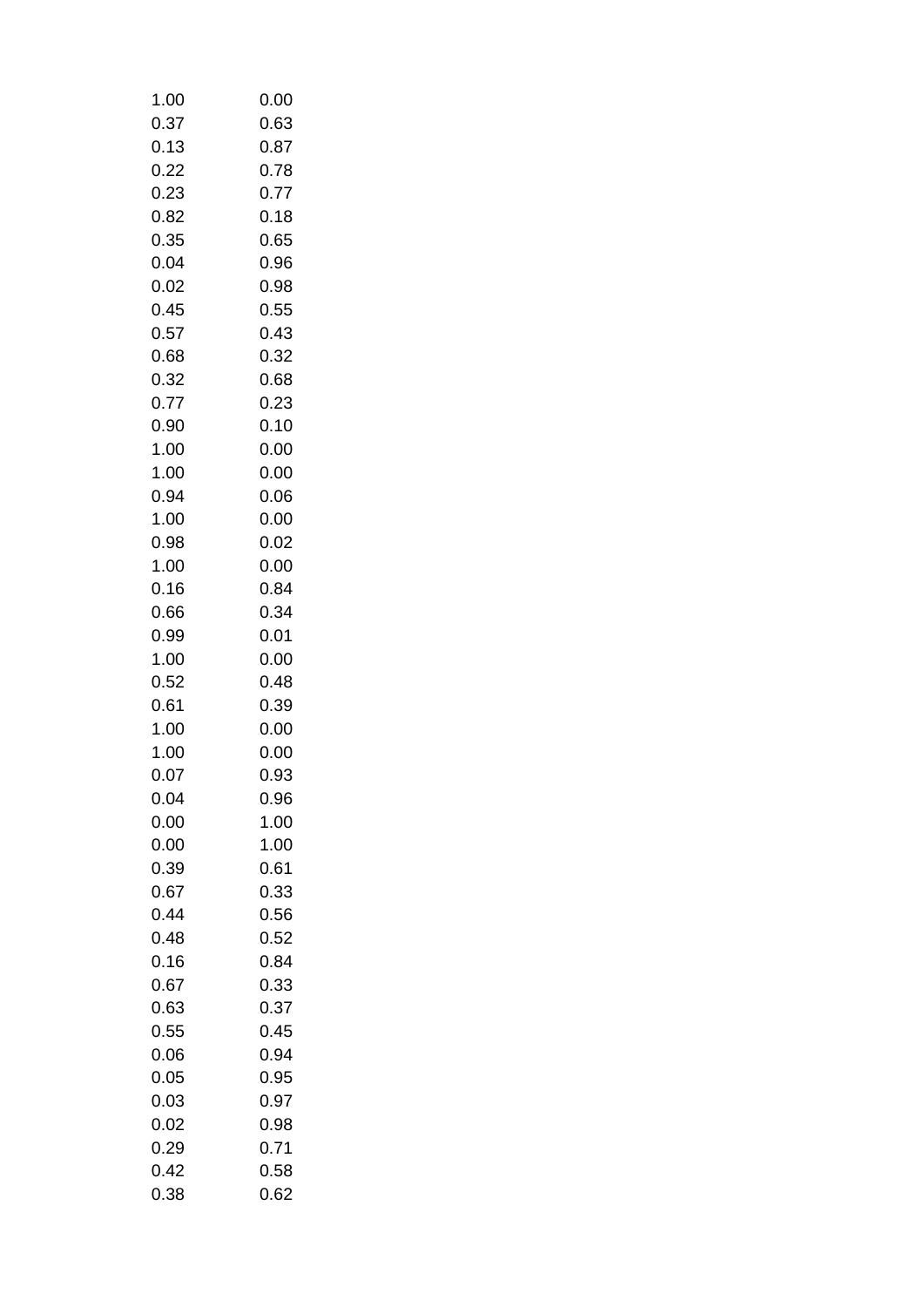| 1.00 | 0.00 |
|------|------|
| 0.37 | 0.63 |
| 0.13 | 0.87 |
| 0.22 | 0.78 |
| 0.23 | 0.77 |
| 0.82 | 0.18 |
| 0.35 | 0.65 |
| 0.04 | 0.96 |
| 0.02 | 0.98 |
| 0.45 | 0.55 |
| 0.57 | 0.43 |
|      |      |
| 0.68 | 0.32 |
| 0.32 | 0.68 |
| 0.77 | 0.23 |
| 0.90 | 0.10 |
| 1.00 | 0.00 |
| 1.00 | 0.00 |
| 0.94 | 0.06 |
| 1.00 | 0.00 |
| 0.98 | 0.02 |
| 1.00 | 0.00 |
| 0.16 | 0.84 |
| 0.66 | 0.34 |
| 0.99 | 0.01 |
| 1.00 | 0.00 |
| 0.52 | 0.48 |
| 0.61 | 0.39 |
| 1.00 | 0.00 |
| 1.00 | 0.00 |
| 0.07 | 0.93 |
| 0.04 | 0.96 |
| 0.00 | 1.00 |
| 0.00 | 1.00 |
| 0.39 | 0.61 |
| 0.67 | 0.33 |
| 0.44 | 0.56 |
| 0.48 | 0.52 |
|      |      |
| 0.16 | 0.84 |
| 0.67 | 0.33 |
| 0.63 | 0.37 |
| 0.55 | 0.45 |
| 0.06 | 0.94 |
| 0.05 | 0.95 |
| 0.03 | 0.97 |
| 0.02 | 0.98 |
| 0.29 | 0.71 |
| 0.42 | 0.58 |
| 0.38 | 0.62 |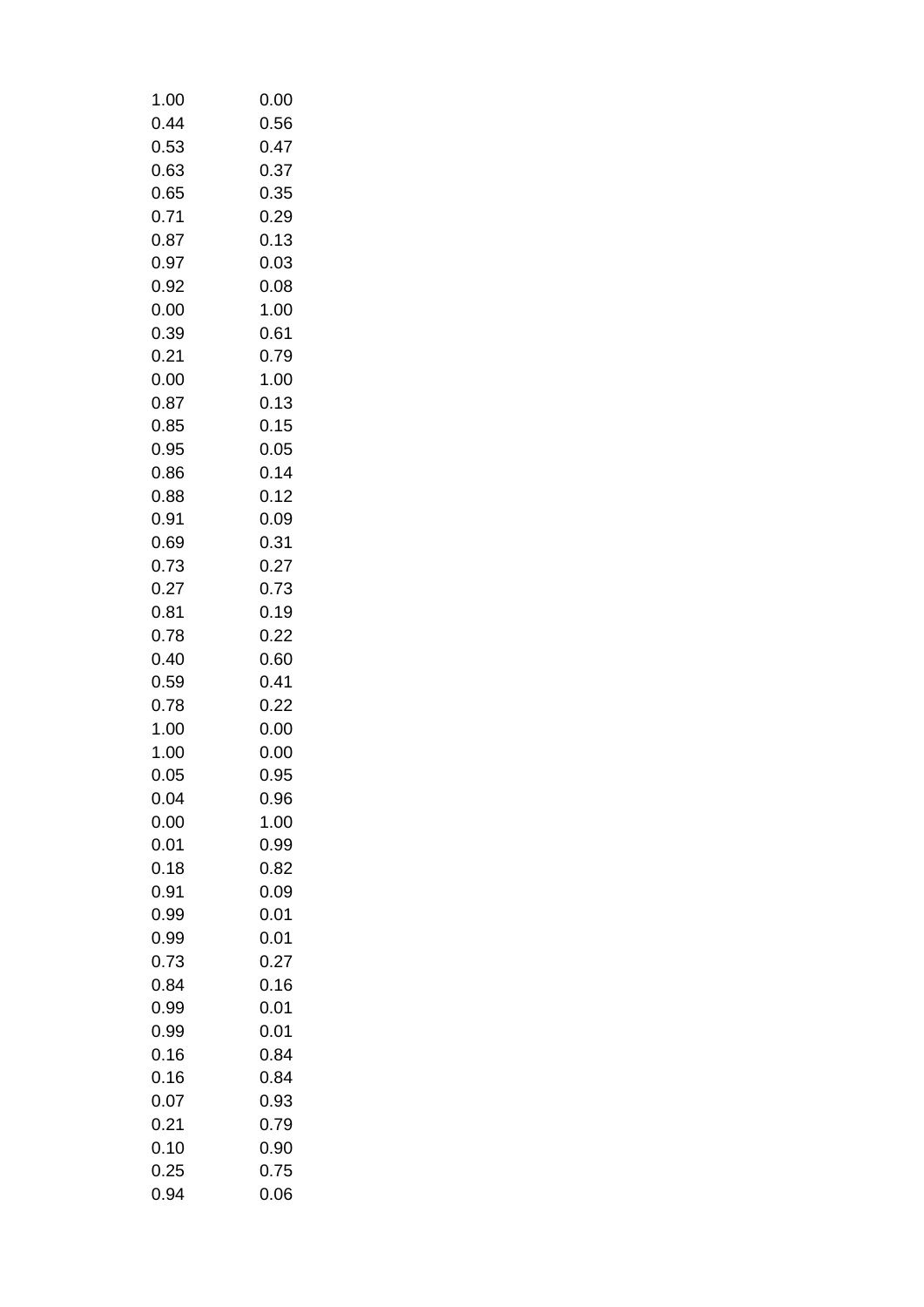| 1.00 | 0.00 |
|------|------|
| 0.44 | 0.56 |
| 0.53 | 0.47 |
| 0.63 | 0.37 |
| 0.65 | 0.35 |
| 0.71 | 0.29 |
| 0.87 | 0.13 |
| 0.97 | 0.03 |
| 0.92 | 0.08 |
| 0.00 | 1.00 |
| 0.39 | 0.61 |
| 0.21 | 0.79 |
| 0.00 | 1.00 |
| 0.87 | 0.13 |
| 0.85 | 0.15 |
| 0.95 | 0.05 |
| 0.86 | 0.14 |
| 0.88 | 0.12 |
|      |      |
| 0.91 | 0.09 |
| 0.69 | 0.31 |
| 0.73 | 0.27 |
| 0.27 | 0.73 |
| 0.81 | 0.19 |
| 0.78 | 0.22 |
| 0.40 | 0.60 |
| 0.59 | 0.41 |
| 0.78 | 0.22 |
| 1.00 | 0.00 |
| 1.00 | 0.00 |
| 0.05 | 0.95 |
| 0.04 | 0.96 |
| 0.00 | 1.00 |
| 0.01 | 0.99 |
| 0.18 | 0.82 |
| 0.91 | 0.09 |
| 0.99 | 0.01 |
| 0.99 | 0.01 |
| 0.73 | 0.27 |
| 0.84 | 0.16 |
| 0.99 | 0.01 |
| 0.99 | 0.01 |
| 0.16 | 0.84 |
| 0.16 | 0.84 |
| 0.07 | 0.93 |
| 0.21 | 0.79 |
| 0.10 | 0.90 |
| 0.25 | 0.75 |
| 0.94 | 0.06 |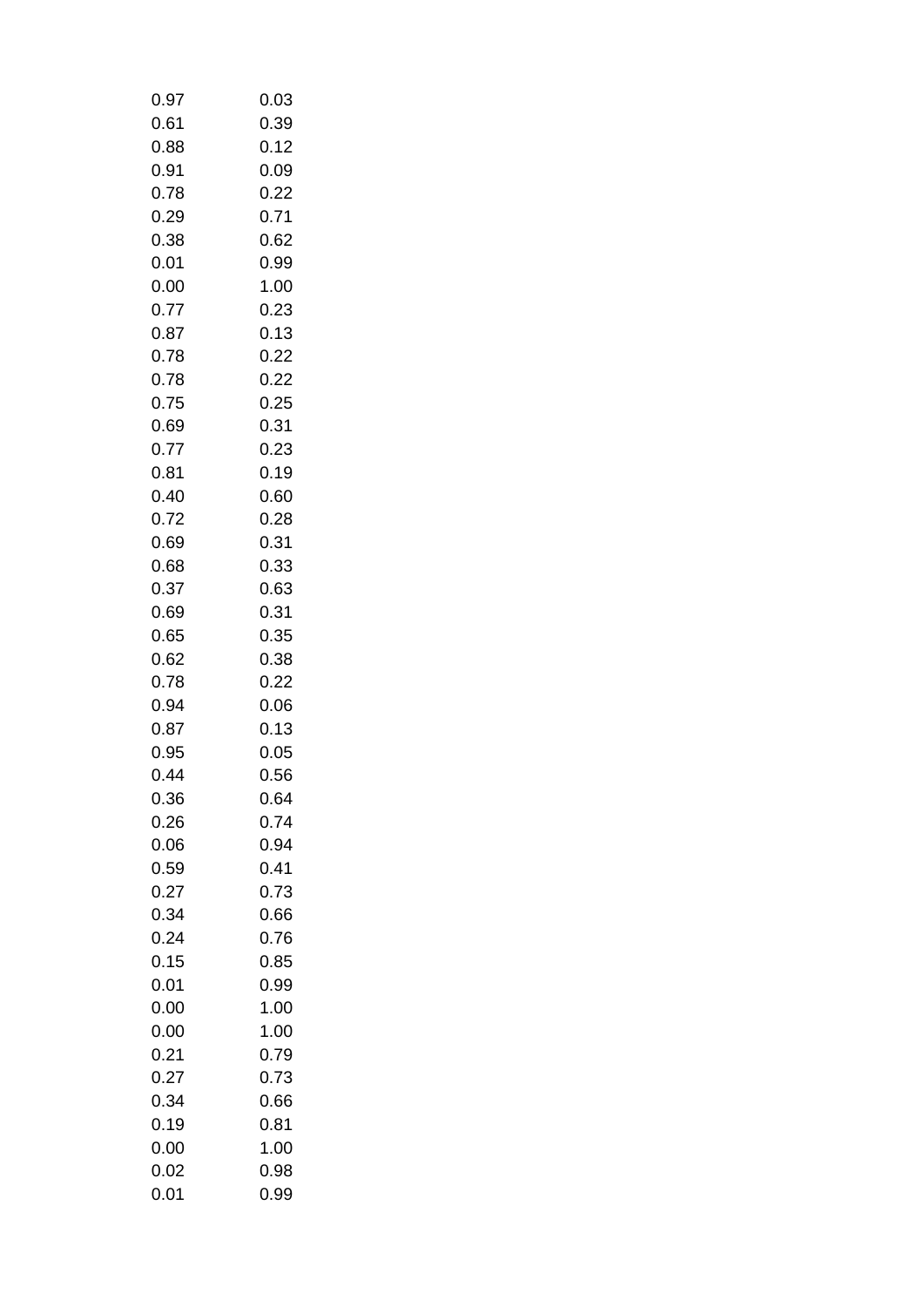| 0.97 | 0.03 |
|------|------|
| 0.61 | 0.39 |
| 0.88 | 0.12 |
| 0.91 | 0.09 |
| 0.78 | 0.22 |
| 0.29 | 0.71 |
| 0.38 | 0.62 |
| 0.01 | 0.99 |
| 0.00 | 1.00 |
| 0.77 | 0.23 |
| 0.87 | 0.13 |
| 0.78 | 0.22 |
| 0.78 | 0.22 |
| 0.75 | 0.25 |
| 0.69 | 0.31 |
| 0.77 | 0.23 |
| 0.81 | 0.19 |
| 0.40 | 0.60 |
| 0.72 | 0.28 |
| 0.69 | 0.31 |
| 0.68 | 0.33 |
| 0.37 | 0.63 |
| 0.69 | 0.31 |
| 0.65 | 0.35 |
| 0.62 | 0.38 |
| 0.78 | 0.22 |
| 0.94 | 0.06 |
| 0.87 | 0.13 |
| 0.95 | 0.05 |
| 0.44 | 0.56 |
| 0.36 | 0.64 |
| 0.26 | 0.74 |
| 0.06 | 0.94 |
| 0.59 | 0.41 |
| 0.27 | 0.73 |
| 0.34 | 0.66 |
| 0.24 | 0.76 |
| 0.15 | 0.85 |
| 0.01 | 0.99 |
| 0.00 | 1.00 |
| 0.00 | 1.00 |
| 0.21 | 0.79 |
| 0.27 | 0.73 |
| 0.34 | 0.66 |
| 0.19 | 0.81 |
| 0.00 |      |
|      | 1.00 |
| 0.02 | 0.98 |
| 0.01 | 0.99 |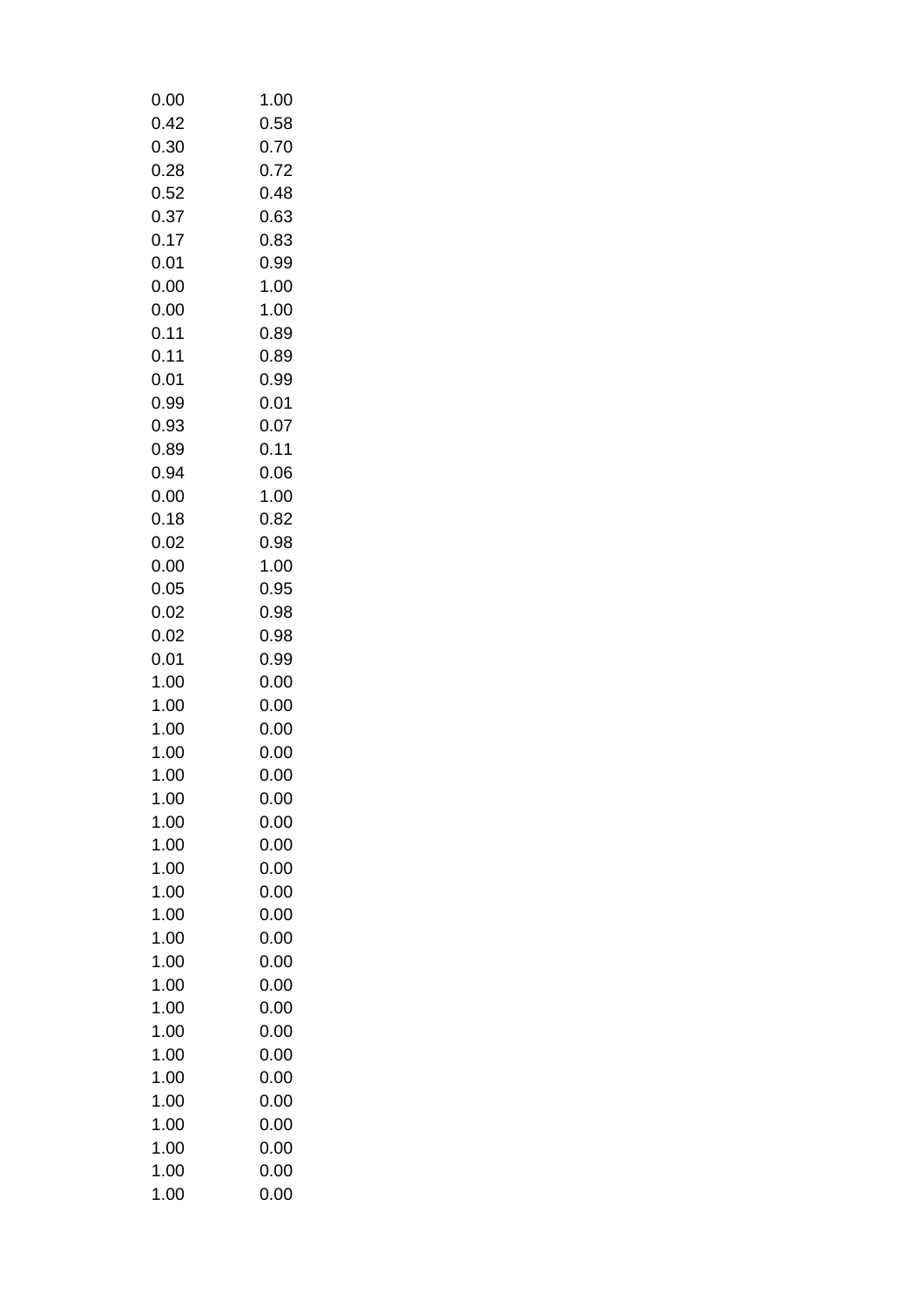| 0.00         | 1.00         |
|--------------|--------------|
| 0.42         | 0.58         |
| 0.30         | 0.70         |
| 0.28         | 0.72         |
| 0.52         | 0.48         |
| 0.37         | 0.63         |
| 0.17         | 0.83         |
| 0.01         | 0.99         |
| 0.00         | 1.00         |
| 0.00         | 1.00         |
| 0.11         | 0.89         |
| 0.11         | 0.89         |
| 0.01         | 0.99         |
| 0.99         | 0.01         |
| 0.93         | 0.07         |
| 0.89         | 0.11         |
| 0.94         | 0.06         |
| 0.00         | 1.00         |
| 0.18         | 0.82         |
| 0.02         | 0.98         |
| 0.00         | 1.00         |
| 0.05         | 0.95         |
| 0.02         | 0.98         |
| 0.02         | 0.98         |
| 0.01         | 0.99         |
| 1.00         | 0.00         |
| 1.00         | 0.00         |
| 1.00         | 0.00         |
| 1.00         | 0.00<br>0.00 |
| 1.00<br>1.00 | 0.00         |
| 1.00         | 0.00         |
| 1.00         | 0.00         |
| 1.00         | 0.00         |
| 1.00         | 0.00         |
| 1.00         | 0.00         |
| 1.00         | 0.00         |
| 1.00         | 0.00         |
| 1.00         | 0.00         |
| 1.00         | 0.00         |
| 1.00         | 0.00         |
| 1.00         | 0.00         |
| 1.00         | 0.00         |
| 1.00         | 0.00         |
| 1.00         | 0.00         |
| 1.00         | 0.00         |
| 1.00         | 0.00         |
| 1.00         | 0.00         |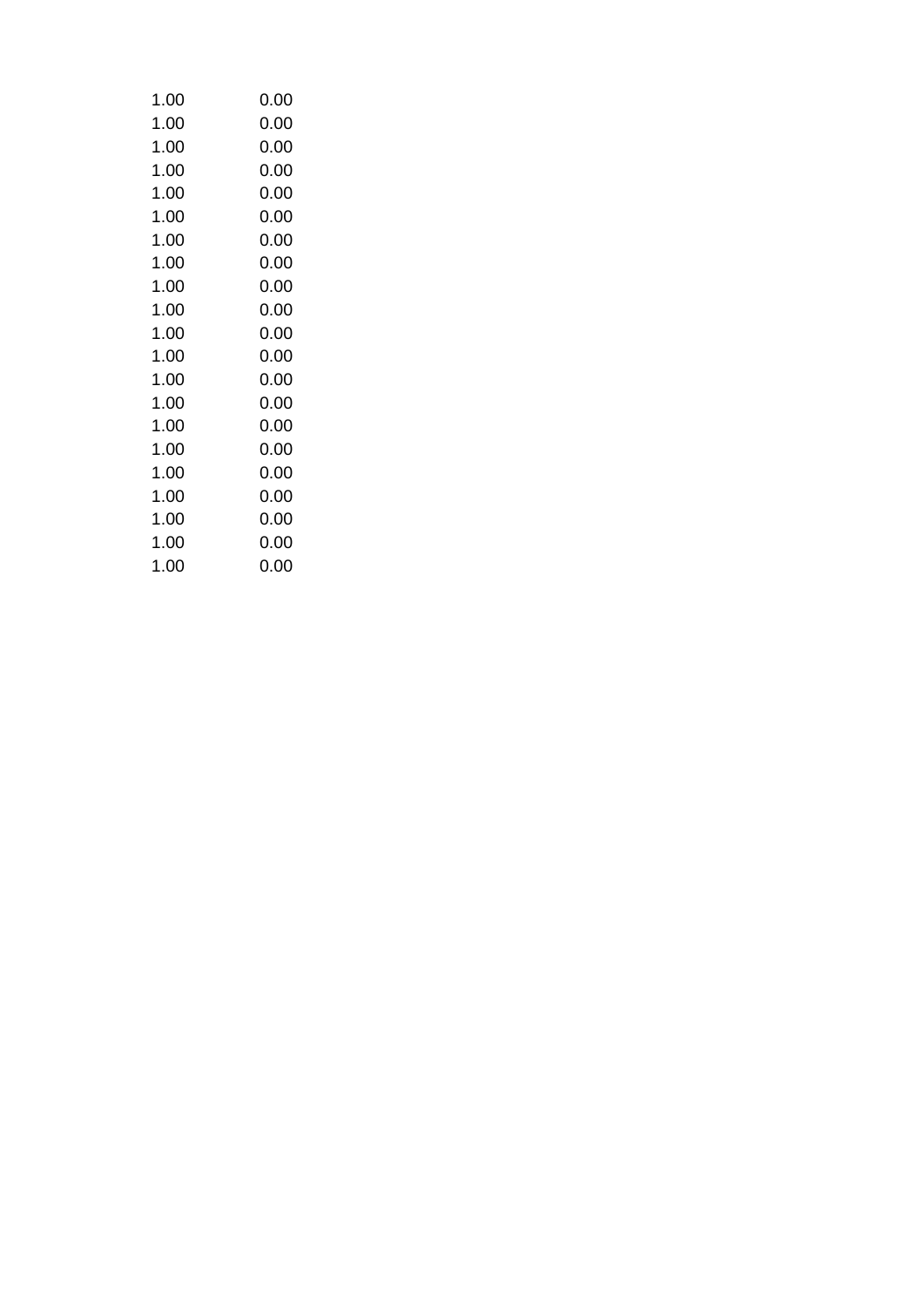| 1.00 | 0.00 |
|------|------|
| 1.00 | 0.00 |
| 1.00 | 0.00 |
| 1.00 | 0.00 |
| 1.00 | 0.00 |
| 1.00 | 0.00 |
| 1.00 | 0.00 |
| 1.00 | 0.00 |
| 1.00 | 0.00 |
| 1.00 | 0.00 |
| 1.00 | 0.00 |
| 1.00 | 0.00 |
| 1.00 | 0.00 |
| 1.00 | 0.00 |
| 1.00 | 0.00 |
| 1.00 | 0.00 |
| 1.00 | 0.00 |
| 1.00 | 0.00 |
| 1.00 | 0.00 |
| 1.00 | 0.00 |
| 1.00 | 0.00 |
|      |      |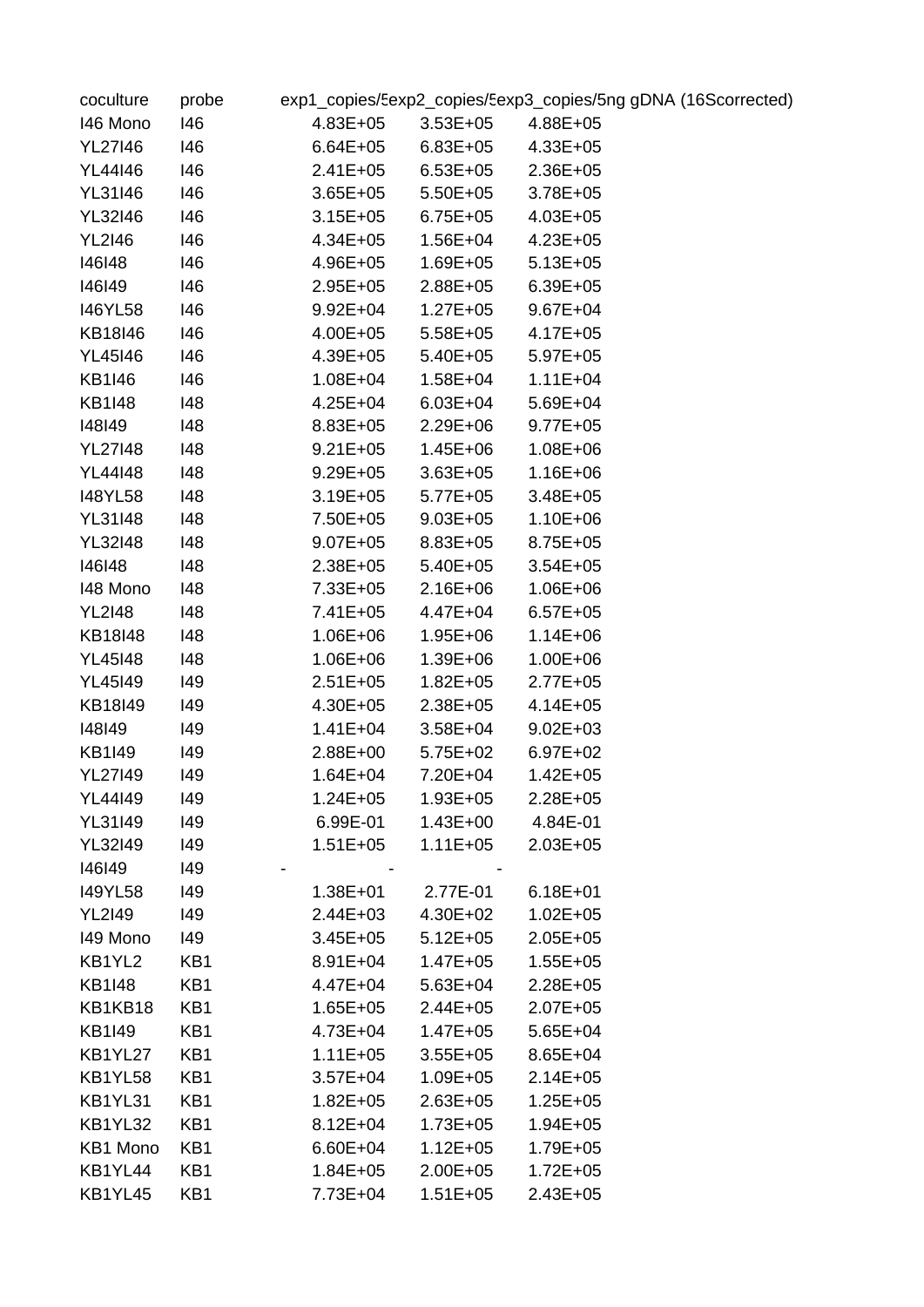| coculture      | probe |              |                       | exp1_copies/Eexp2_copies/Eexp3_copies/5ng gDNA (16Scorrected) |
|----------------|-------|--------------|-----------------------|---------------------------------------------------------------|
| 146 Mono       | 146   | 4.83E+05     | $3.53E+05$ $4.88E+05$ |                                                               |
| YL27146        | 146   | 6.64E+05     | $6.83E+05$ $4.33E+05$ |                                                               |
| YL44146        | 146   | $2.41E + 05$ | $6.53E + 05$          | $2.36E + 05$                                                  |
| YL31146        | 146   | $3.65E + 05$ | $5.50E + 05$          | $3.78E + 05$                                                  |
| YL32146        | 146   | $3.15E + 05$ | $6.75E + 05$          | 4.03E+05                                                      |
| <b>YL2I46</b>  | 146   | 4.34E+05     | $1.56E + 04$          | $4.23E + 05$                                                  |
| 146148         | 146   | 4.96E+05     | $1.69E + 05$          | $5.13E + 05$                                                  |
| 146149         | 146   | $2.95E + 05$ | $2.88E + 05$          | $6.39E + 05$                                                  |
| 146YL58        | 146   | $9.92E + 04$ | $1.27E + 05$          | $9.67E + 04$                                                  |
| KB18I46        | 146   | 4.00E+05     | $5.58E + 05$          | $4.17E + 05$                                                  |
| YL45146        | 146   | 4.39E+05     | $5.40E + 05$          | $5.97E+05$                                                    |
| KB1I46         | 146   | 1.08E+04     | $1.58E + 04$          | $1.11E + 04$                                                  |
| <b>KB1I48</b>  | 148   | 4.25E+04     | $6.03E + 04$          | $5.69E + 04$                                                  |
| 148149         | 148   | $8.83E + 05$ | $2.29E + 06$          | $9.77E + 05$                                                  |
| <b>YL27I48</b> | 148   | $9.21E + 05$ | $1.45E + 06$          | $1.08E + 06$                                                  |
| <b>YL44I48</b> | 148   | $9.29E + 05$ | $3.63E + 05$          | $1.16E + 06$                                                  |
| <b>I48YL58</b> | 148   | $3.19E + 05$ | $5.77E + 05$          | $3.48E + 05$                                                  |
| <b>YL31I48</b> | 148   | 7.50E+05     | $9.03E + 05$          | $1.10E + 06$                                                  |
| <b>YL32I48</b> | 148   | $9.07E + 05$ | $8.83E + 05$          | $8.75E + 05$                                                  |
| 146148         | 148   | $2.38E + 05$ | $5.40E + 05$          | $3.54E + 05$                                                  |
| 148 Mono       | 148   | 7.33E+05     | $2.16E + 06$          | $1.06E + 06$                                                  |
| <b>YL2I48</b>  | 148   | 7.41E+05     | 4.47E+04              | $6.57E + 05$                                                  |
| KB18I48        | 148   | $1.06E + 06$ | $1.95E + 06$          | $1.14E + 06$                                                  |
| <b>YL45I48</b> | 148   | $1.06E + 06$ | $1.39E + 06$          | $1.00E + 06$                                                  |
| <b>YL45I49</b> | 149   | $2.51E + 05$ | $1.82E + 05$          | $2.77E + 05$                                                  |
| KB18I49        | 149   | 4.30E+05     | $2.38E + 05$          | $4.14E + 05$                                                  |
| 148149         | 149   | 1.41E+04     | $3.58E + 04$          | $9.02E + 03$                                                  |
| KB1I49         | 149   | $2.88E + 00$ | $5.75E+02$            | $6.97E + 02$                                                  |
| <b>YL27I49</b> | 149   | $1.64E + 04$ | 7.20E+04              | $1.42E + 05$                                                  |
| YL44149        | 149   | $1.24E + 05$ | $1.93E + 05$          | 2.28E+05                                                      |
| YL31I49        | 149   | 6.99E-01     | $1.43E + 00$          | 4.84E-01                                                      |
| <b>YL32I49</b> | 149   | $1.51E + 05$ | $1.11E + 05$          | $2.03E + 05$                                                  |
| 146149         | 149   |              |                       |                                                               |
| <b>I49YL58</b> | 149   | $1.38E + 01$ | 2.77E-01              | $6.18E + 01$                                                  |
| <b>YL2I49</b>  | 149   | $2.44E + 03$ | $4.30E + 02$          | $1.02E + 05$                                                  |
| 149 Mono       | 149   | $3.45E + 05$ | $5.12E + 05$          | $2.05E + 05$                                                  |
| KB1YL2         | KB1   | $8.91E + 04$ | $1.47E + 05$          | $1.55E + 05$                                                  |
| <b>KB1I48</b>  | KB1   | $4.47E + 04$ | $5.63E + 04$          | $2.28E + 05$                                                  |
| KB1KB18        | KB1   | $1.65E + 05$ | $2.44E + 05$          | $2.07E + 05$                                                  |
| <b>KB1I49</b>  | KB1   | $4.73E + 04$ | $1.47E + 05$          | $5.65E + 04$                                                  |
| KB1YL27        | KB1   | $1.11E + 05$ | $3.55E + 05$          | $8.65E + 04$                                                  |
| KB1YL58        | KB1   | $3.57E + 04$ | $1.09E + 05$          | $2.14E + 05$                                                  |
| KB1YL31        | KB1   | $1.82E + 05$ | $2.63E + 05$          | $1.25E + 05$                                                  |
| KB1YL32        | KB1   | $8.12E + 04$ | $1.73E + 05$          | $1.94E + 05$                                                  |
| KB1 Mono       | KB1   | $6.60E + 04$ | $1.12E + 05$          | $1.79E + 05$                                                  |
| KB1YL44        | KB1   | $1.84E + 05$ | $2.00E + 05$          | $1.72E + 05$                                                  |
| KB1YL45        | KB1   | 7.73E+04     | $1.51E + 05$          | $2.43E + 05$                                                  |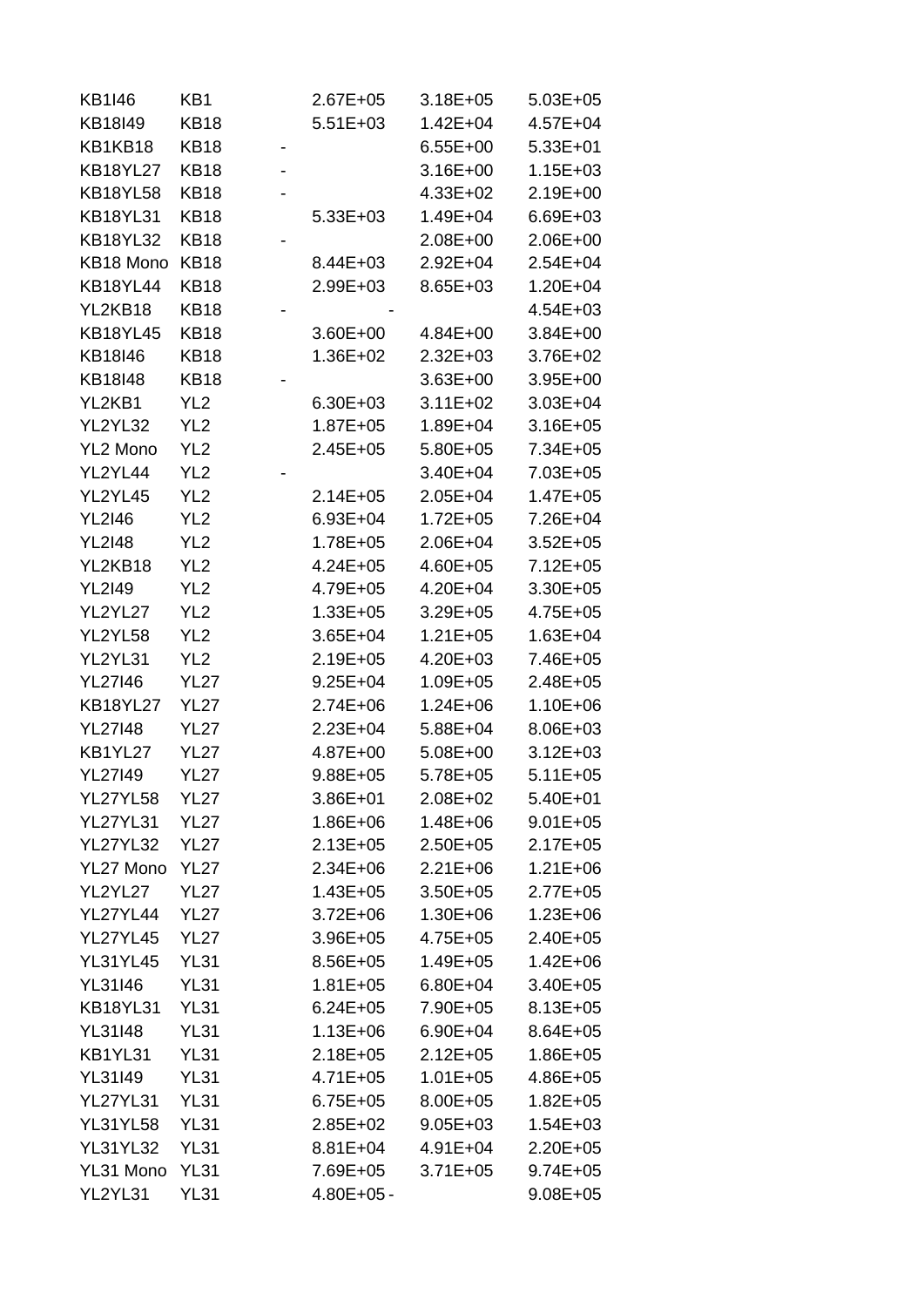| KB1I46          | KB1             | $2.67E + 05$   | 3.18E+05     | $5.03E + 05$ |
|-----------------|-----------------|----------------|--------------|--------------|
| KB18I49         | <b>KB18</b>     | $5.51E+03$     | $1.42E + 04$ | $4.57E + 04$ |
| KB1KB18         | KB18            |                | $6.55E+00$   | $5.33E+01$   |
| <b>KB18YL27</b> | <b>KB18</b>     |                | $3.16E + 00$ | 1.15E+03     |
| <b>KB18YL58</b> | KB18            |                | $4.33E + 02$ | $2.19E+00$   |
| <b>KB18YL31</b> | <b>KB18</b>     | $5.33E+03$     | 1.49E+04     | $6.69E + 03$ |
| <b>KB18YL32</b> | <b>KB18</b>     |                | $2.08E + 00$ | $2.06E + 00$ |
| KB18 Mono       | <b>KB18</b>     | $8.44E + 03$   | 2.92E+04     | $2.54E + 04$ |
| <b>KB18YL44</b> | KB18            | $2.99E + 03$   | $8.65E + 03$ | 1.20E+04     |
| YL2KB18         | <b>KB18</b>     |                |              | $4.54E + 03$ |
| <b>KB18YL45</b> | <b>KB18</b>     | $3.60E + 00$   | $4.84E + 00$ | $3.84E + 00$ |
| KB18I46         | <b>KB18</b>     | 1.36E+02       | 2.32E+03     | $3.76E + 02$ |
| KB18I48         | KB18            |                | $3.63E + 00$ | $3.95E + 00$ |
| YL2KB1          | YL <sub>2</sub> | $6.30E + 03$   | $3.11E + 02$ | $3.03E + 04$ |
| YL2YL32         | YL <sub>2</sub> | $1.87E + 05$   | 1.89E+04     | $3.16E + 05$ |
| YL2 Mono        | YL <sub>2</sub> | $2.45E + 05$   | $5.80E + 05$ | 7.34E+05     |
| YL2YL44         | YL <sub>2</sub> |                | $3.40E + 04$ | 7.03E+05     |
| YL2YL45         | YL <sub>2</sub> | $2.14E + 05$   | $2.05E + 04$ | 1.47E+05     |
| <b>YL2I46</b>   | YL <sub>2</sub> | $6.93E + 04$   | $1.72E + 05$ | 7.26E+04     |
| <b>YL2I48</b>   | YL <sub>2</sub> | 1.78E+05       | $2.06E + 04$ | $3.52E + 05$ |
| YL2KB18         | YL <sub>2</sub> | 4.24E+05       | $4.60E + 05$ | $7.12E + 05$ |
| <b>YL2I49</b>   | YL <sub>2</sub> | 4.79E+05       | $4.20E + 04$ | $3.30E + 05$ |
| YL2YL27         | YL <sub>2</sub> | $1.33E + 05$   | $3.29E + 05$ | $4.75E + 05$ |
| YL2YL58         | YL <sub>2</sub> | $3.65E + 04$   | $1.21E + 05$ | 1.63E+04     |
| YL2YL31         | YL <sub>2</sub> | $2.19E + 05$   | 4.20E+03     | 7.46E+05     |
| <b>YL27I46</b>  | <b>YL27</b>     | $9.25E + 04$   | $1.09E + 05$ | $2.48E + 05$ |
| <b>KB18YL27</b> | <b>YL27</b>     | $2.74E + 06$   | $1.24E + 06$ | $1.10E + 06$ |
| <b>YL27148</b>  | <b>YL27</b>     | $2.23E + 04$   | $5.88E + 04$ | 8.06E+03     |
| KB1YL27         | YL27            | 4.87E+00       | $5.08E + 00$ | $3.12E + 03$ |
| <b>YL27149</b>  | <b>YL27</b>     | $9.88E + 05$   | 5.78E+05     | $5.11E + 05$ |
| <b>YL27YL58</b> | <b>YL27</b>     | $3.86E + 01$   | $2.08E + 02$ | $5.40E + 01$ |
| <b>YL27YL31</b> | <b>YL27</b>     | $1.86E + 06$   | $1.48E + 06$ | $9.01E + 05$ |
| <b>YL27YL32</b> | <b>YL27</b>     | $2.13E + 05$   | $2.50E + 05$ | $2.17E + 05$ |
| YL27 Mono       | <b>YL27</b>     | $2.34E + 06$   | $2.21E + 06$ | $1.21E + 06$ |
| YL2YL27         | <b>YL27</b>     | $1.43E + 05$   | $3.50E + 05$ | $2.77E + 05$ |
| <b>YL27YL44</b> | <b>YL27</b>     | $3.72E + 06$   | 1.30E+06     | $1.23E + 06$ |
| <b>YL27YL45</b> | <b>YL27</b>     | $3.96E + 05$   | $4.75E + 05$ | $2.40E + 05$ |
| <b>YL31YL45</b> | <b>YL31</b>     | 8.56E+05       | 1.49E+05     | $1.42E + 06$ |
| <b>YL31I46</b>  | <b>YL31</b>     | $1.81E + 05$   | $6.80E + 04$ | $3.40E + 05$ |
| <b>KB18YL31</b> | <b>YL31</b>     | $6.24E + 05$   | 7.90E+05     | $8.13E + 05$ |
| <b>YL31I48</b>  | <b>YL31</b>     | $1.13E + 06$   | $6.90E + 04$ | $8.64E + 05$ |
| KB1YL31         | <b>YL31</b>     | $2.18E + 05$   | $2.12E + 05$ | $1.86E + 05$ |
| YL31I49         | YL31            | $4.71E + 05$   | $1.01E + 05$ | $4.86E + 05$ |
| <b>YL27YL31</b> | <b>YL31</b>     | $6.75E + 05$   | 8.00E+05     | $1.82E + 05$ |
| <b>YL31YL58</b> | <b>YL31</b>     | $2.85E+02$     | $9.05E + 03$ | $1.54E + 03$ |
| <b>YL31YL32</b> | <b>YL31</b>     | 8.81E+04       | $4.91E + 04$ | $2.20E + 05$ |
| YL31 Mono       | <b>YL31</b>     | 7.69E+05       | $3.71E + 05$ | $9.74E + 05$ |
| YL2YL31         | <b>YL31</b>     | $4.80E + 05 -$ |              | $9.08E + 05$ |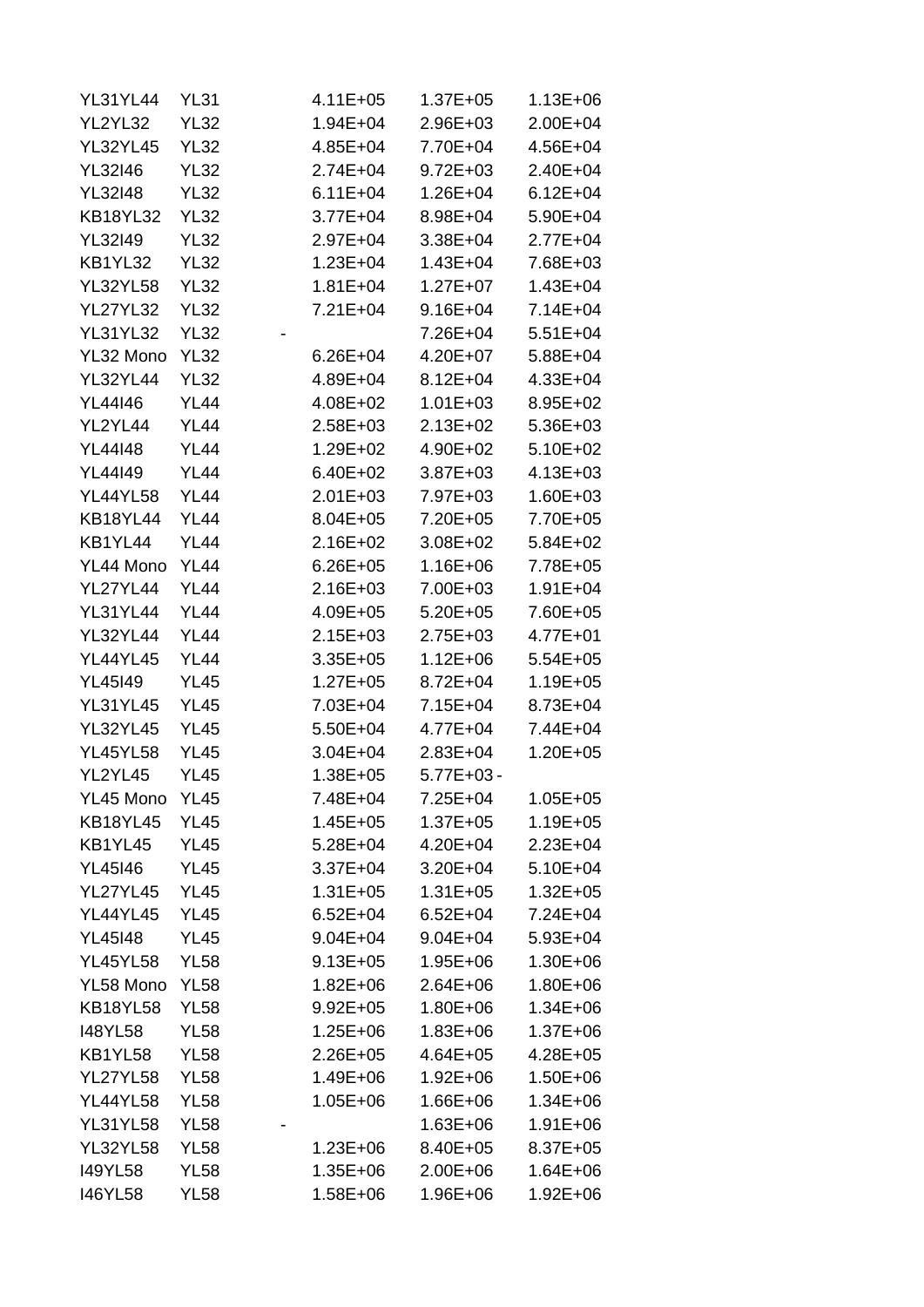| <b>YL31YL44</b> | <b>YL31</b> | $4.11E + 05$ | $1.37E + 05$   | 1.13E+06     |
|-----------------|-------------|--------------|----------------|--------------|
| YL2YL32         | <b>YL32</b> | $1.94E + 04$ | $2.96E + 03$   | $2.00E + 04$ |
| <b>YL32YL45</b> | <b>YL32</b> | $4.85E + 04$ | 7.70E+04       | 4.56E+04     |
| <b>YL32I46</b>  | <b>YL32</b> | $2.74E + 04$ | $9.72E + 03$   | $2.40E + 04$ |
| <b>YL32I48</b>  | <b>YL32</b> | $6.11E + 04$ | $1.26E + 04$   | $6.12E + 04$ |
| <b>KB18YL32</b> | <b>YL32</b> | $3.77E + 04$ | 8.98E+04       | $5.90E + 04$ |
| <b>YL32I49</b>  | <b>YL32</b> | $2.97E + 04$ | $3.38E + 04$   | $2.77E + 04$ |
| KB1YL32         | <b>YL32</b> | $1.23E + 04$ | $1.43E + 04$   | 7.68E+03     |
| <b>YL32YL58</b> | <b>YL32</b> | $1.81E + 04$ | $1.27E + 07$   | $1.43E + 04$ |
| <b>YL27YL32</b> | <b>YL32</b> | $7.21E + 04$ | $9.16E + 04$   | $7.14E + 04$ |
| <b>YL31YL32</b> | <b>YL32</b> |              | 7.26E+04       | $5.51E+04$   |
| YL32 Mono       | <b>YL32</b> | $6.26E + 04$ | 4.20E+07       | $5.88E + 04$ |
| <b>YL32YL44</b> | <b>YL32</b> | 4.89E+04     | $8.12E + 04$   | $4.33E + 04$ |
| <b>YL44I46</b>  | <b>YL44</b> | $4.08E + 02$ | $1.01E + 03$   | $8.95E + 02$ |
| YL2YL44         | <b>YL44</b> | $2.58E + 03$ | $2.13E + 02$   | $5.36E + 03$ |
| <b>YL44148</b>  | <b>YL44</b> | $1.29E + 02$ | 4.90E+02       | $5.10E+02$   |
| <b>YL44I49</b>  | <b>YL44</b> | $6.40E + 02$ | $3.87E + 03$   | $4.13E + 03$ |
| <b>YL44YL58</b> | <b>YL44</b> | $2.01E + 03$ | 7.97E+03       | $1.60E + 03$ |
| <b>KB18YL44</b> | <b>YL44</b> | $8.04E + 05$ | 7.20E+05       | 7.70E+05     |
| KB1YL44         | <b>YL44</b> | $2.16E + 02$ | $3.08E + 02$   | $5.84E + 02$ |
| YL44 Mono       | <b>YL44</b> | $6.26E + 05$ | 1.16E+06       | 7.78E+05     |
| YL27YL44        | <b>YL44</b> | $2.16E + 03$ | 7.00E+03       | $1.91E + 04$ |
| <b>YL31YL44</b> | <b>YL44</b> |              | $5.20E + 05$   |              |
| <b>YL32YL44</b> |             | 4.09E+05     |                | 7.60E+05     |
|                 | <b>YL44</b> | $2.15E + 03$ | $2.75E + 03$   | $4.77E + 01$ |
| YL44YL45        | <b>YL44</b> | $3.35E + 05$ | $1.12E + 06$   | $5.54E + 05$ |
| <b>YL45I49</b>  | <b>YL45</b> | $1.27E + 05$ | $8.72E + 04$   | $1.19E + 05$ |
| <b>YL31YL45</b> | <b>YL45</b> | 7.03E+04     | $7.15E + 04$   | 8.73E+04     |
| <b>YL32YL45</b> | <b>YL45</b> | $5.50E + 04$ | $4.77E + 04$   | 7.44E+04     |
| <b>YL45YL58</b> | <b>YL45</b> | $3.04E + 04$ | $2.83E + 04$   | $1.20E + 05$ |
| YL2YL45         | <b>YL45</b> | $1.38E + 05$ | $5.77E + 03 -$ |              |
| YL45 Mono       | <b>YL45</b> | 7.48E+04     | $7.25E + 04$   | $1.05E + 05$ |
| <b>KB18YL45</b> | <b>YL45</b> | $1.45E + 05$ | $1.37E + 05$   | $1.19E + 05$ |
| KB1YL45         | <b>YL45</b> | $5.28E + 04$ | 4.20E+04       | $2.23E + 04$ |
| <b>YL45146</b>  | <b>YL45</b> | $3.37E + 04$ | $3.20E + 04$   | $5.10E + 04$ |
| <b>YL27YL45</b> | <b>YL45</b> | $1.31E + 05$ | $1.31E + 05$   | $1.32E + 05$ |
| <b>YL44YL45</b> | <b>YL45</b> | $6.52E + 04$ | $6.52E + 04$   | $7.24E + 04$ |
| <b>YL45I48</b>  | <b>YL45</b> | $9.04E + 04$ | $9.04E + 04$   | $5.93E + 04$ |
| <b>YL45YL58</b> | <b>YL58</b> | $9.13E + 05$ | $1.95E + 06$   | $1.30E + 06$ |
| YL58 Mono       | <b>YL58</b> | $1.82E + 06$ | $2.64E + 06$   | $1.80E + 06$ |
| <b>KB18YL58</b> | <b>YL58</b> | $9.92E + 05$ | $1.80E + 06$   | $1.34E + 06$ |
| <b>I48YL58</b>  | <b>YL58</b> | $1.25E + 06$ | $1.83E + 06$   | $1.37E + 06$ |
| KB1YL58         | <b>YL58</b> | $2.26E + 05$ | $4.64E + 05$   | $4.28E + 05$ |
| <b>YL27YL58</b> | <b>YL58</b> | 1.49E+06     | $1.92E + 06$   | $1.50E + 06$ |
| <b>YL44YL58</b> | <b>YL58</b> | $1.05E + 06$ | $1.66E + 06$   | $1.34E + 06$ |
| <b>YL31YL58</b> | <b>YL58</b> |              | $1.63E + 06$   | $1.91E + 06$ |
| <b>YL32YL58</b> | <b>YL58</b> | $1.23E + 06$ | 8.40E+05       | $8.37E + 05$ |
| <b>I49YL58</b>  | <b>YL58</b> | $1.35E + 06$ | $2.00E + 06$   | $1.64E + 06$ |
| <b>I46YL58</b>  | <b>YL58</b> | $1.58E + 06$ | 1.96E+06       | $1.92E + 06$ |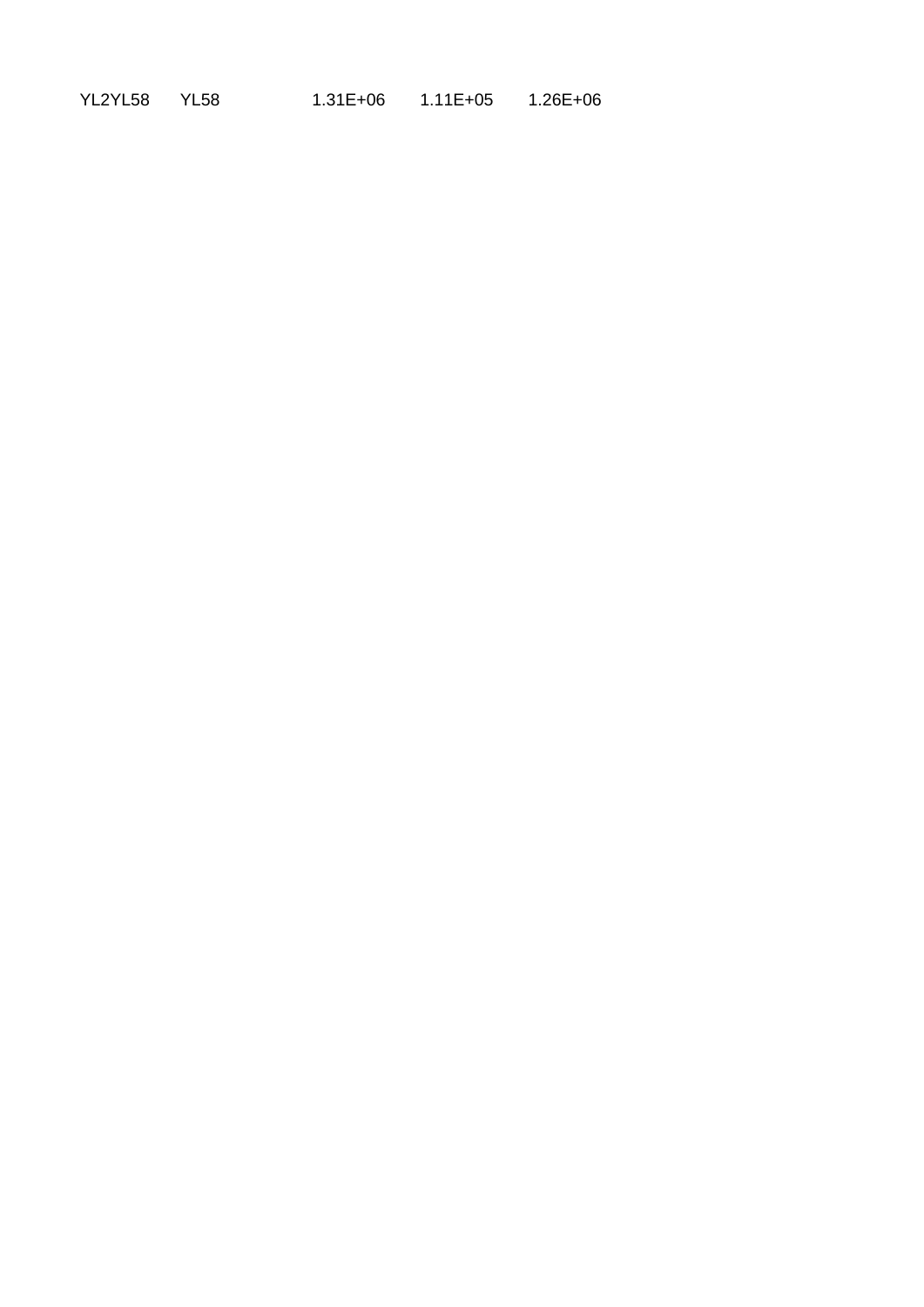| YL2YL58 | YL58 | $1.31E + 06$ | $1.11E + 05$ | $1.26E + 06$ |
|---------|------|--------------|--------------|--------------|
|---------|------|--------------|--------------|--------------|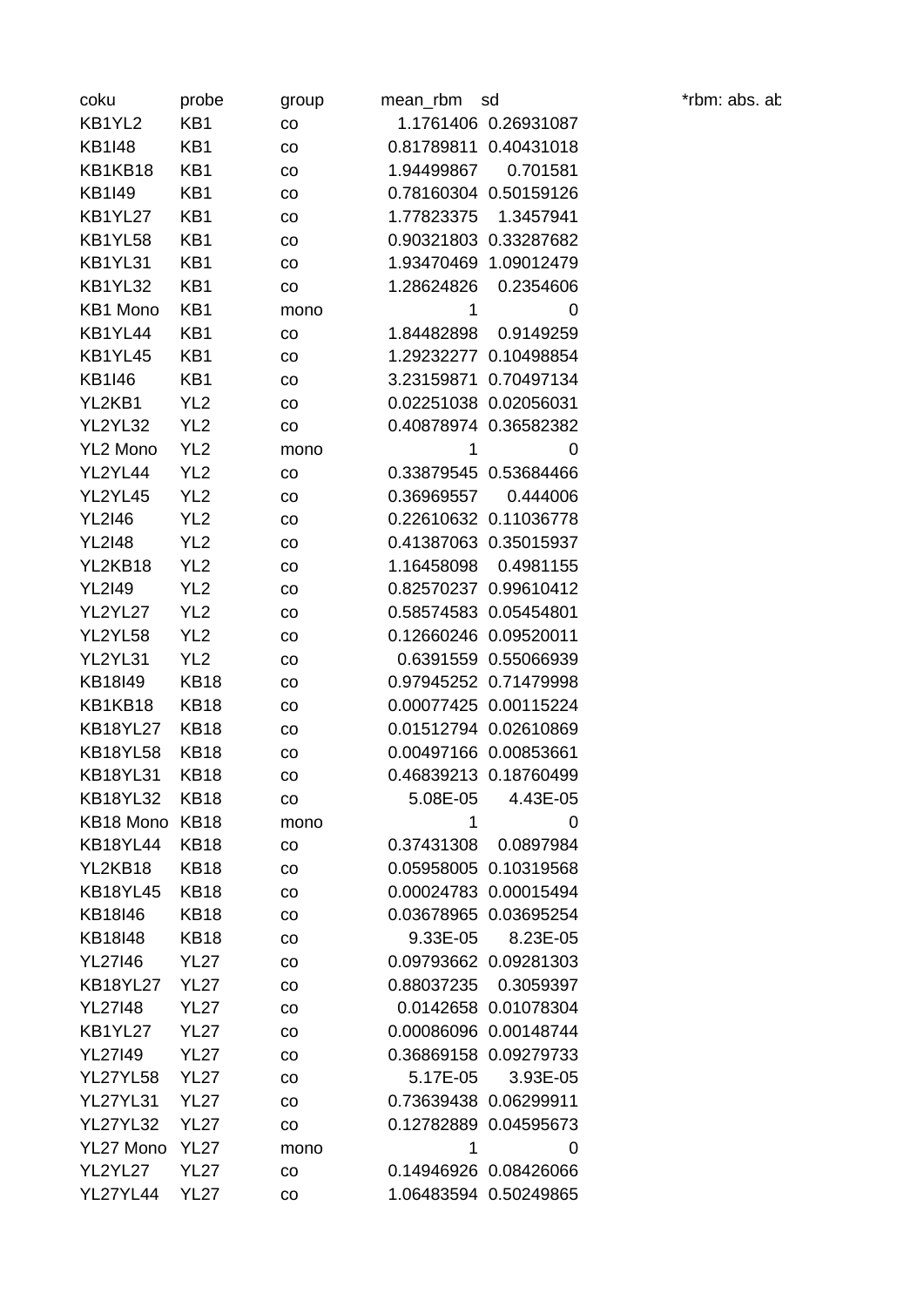| coku            | probe                      | group | mean rbm   | sd                    |
|-----------------|----------------------------|-------|------------|-----------------------|
| KB1YL2          | KB1                        | CO    |            | 1.1761406 0.26931087  |
| <b>KB1I48</b>   | KB1                        | CO    | 0.81789811 | 0.40431018            |
| KB1KB18         | KB1                        | CO    | 1.94499867 | 0.701581              |
| <b>KB1I49</b>   | KB1                        | CO    |            | 0.78160304 0.50159126 |
| KB1YL27         | KB1                        | CO    | 1.77823375 | 1.3457941             |
| KB1YL58         | KB1                        | CO    |            | 0.90321803 0.33287682 |
| KB1YL31         | KB1                        | CO    | 1.93470469 | 1.09012479            |
| KB1YL32         | KB1                        | CO    | 1.28624826 | 0.2354606             |
| KB1 Mono        | KB1                        | mono  | 1          | 0                     |
| KB1YL44         | KB1                        | CO    | 1.84482898 | 0.9149259             |
| KB1YL45         | KB1                        | CO    | 1.29232277 | 0.10498854            |
| KB1I46          | KB1                        | CO    | 3.23159871 | 0.70497134            |
| YL2KB1          | YL <sub>2</sub>            | CO    | 0.02251038 | 0.02056031            |
| YL2YL32         | YL <sub>2</sub>            | CO    |            | 0.40878974 0.36582382 |
| <b>YL2 Mono</b> | YL <sub>2</sub>            | mono  | 1          | 0                     |
| YL2YL44         | YL <sub>2</sub>            | co    | 0.33879545 | 0.53684466            |
| YL2YL45         | YL <sub>2</sub>            | CO    | 0.36969557 | 0.444006              |
| <b>YL2I46</b>   | YL <sub>2</sub>            | CO    |            | 0.22610632 0.11036778 |
| <b>YL2I48</b>   | YL <sub>2</sub>            | CO    | 0.41387063 | 0.35015937            |
| YL2KB18         | YL <sub>2</sub>            | co    | 1.16458098 | 0.4981155             |
| <b>YL2I49</b>   | YL <sub>2</sub>            | CO    | 0.82570237 | 0.99610412            |
| YL2YL27         | YL <sub>2</sub>            |       |            | 0.58574583 0.05454801 |
| YL2YL58         | YL <sub>2</sub>            | CO    | 0.12660246 | 0.09520011            |
| YL2YL31         | YL <sub>2</sub>            | CO    | 0.6391559  | 0.55066939            |
| KB18I49         |                            | co    | 0.97945252 | 0.71479998            |
| KB1KB18         | <b>KB18</b><br><b>KB18</b> | CO    |            | 0.00077425 0.00115224 |
| <b>KB18YL27</b> |                            | CO    | 0.01512794 | 0.02610869            |
|                 | <b>KB18</b>                | CO    |            |                       |
| <b>KB18YL58</b> | <b>KB18</b>                | CO    |            | 0.00497166 0.00853661 |
| <b>KB18YL31</b> | <b>KB18</b>                | CO    |            | 0.46839213 0.18760499 |
| <b>KB18YL32</b> | <b>KB18</b>                | co    | 5.08E-05   | 4.43E-05              |
| KB18 Mono       | <b>KB18</b>                | mono  | 1          | 0                     |
| <b>KB18YL44</b> | <b>KB18</b>                | CO    | 0.37431308 | 0.0897984             |
| YL2KB18         | <b>KB18</b>                | CO    | 0.05958005 | 0.10319568            |
| <b>KB18YL45</b> | <b>KB18</b>                | CO    |            | 0.00024783 0.00015494 |
| KB18I46         | <b>KB18</b>                | CO    | 0.03678965 | 0.03695254            |
| KB18I48         | <b>KB18</b>                | CO    | 9.33E-05   | 8.23E-05              |
| <b>YL27146</b>  | <b>YL27</b>                | CO    | 0.09793662 | 0.09281303            |
| <b>KB18YL27</b> | <b>YL27</b>                | co    | 0.88037235 | 0.3059397             |
| <b>YL27I48</b>  | <b>YL27</b>                | CO    |            | 0.0142658 0.01078304  |
| KB1YL27         | <b>YL27</b>                | CO    |            | 0.00086096 0.00148744 |
| <b>YL27149</b>  | <b>YL27</b>                | CO    | 0.36869158 | 0.09279733            |
| <b>YL27YL58</b> | <b>YL27</b>                | co    | 5.17E-05   | 3.93E-05              |
| <b>YL27YL31</b> | <b>YL27</b>                | CO    |            | 0.73639438 0.06299911 |
| <b>YL27YL32</b> | <b>YL27</b>                | CO    |            | 0.12782889 0.04595673 |
| YL27 Mono       | <b>YL27</b>                | mono  | 1          | 0                     |
| YL2YL27         | <b>YL27</b>                | CO    |            | 0.14946926 0.08426066 |
| YL27YL44        | <b>YL27</b>                | CO    |            | 1.06483594 0.50249865 |

\*rbm: abs. ab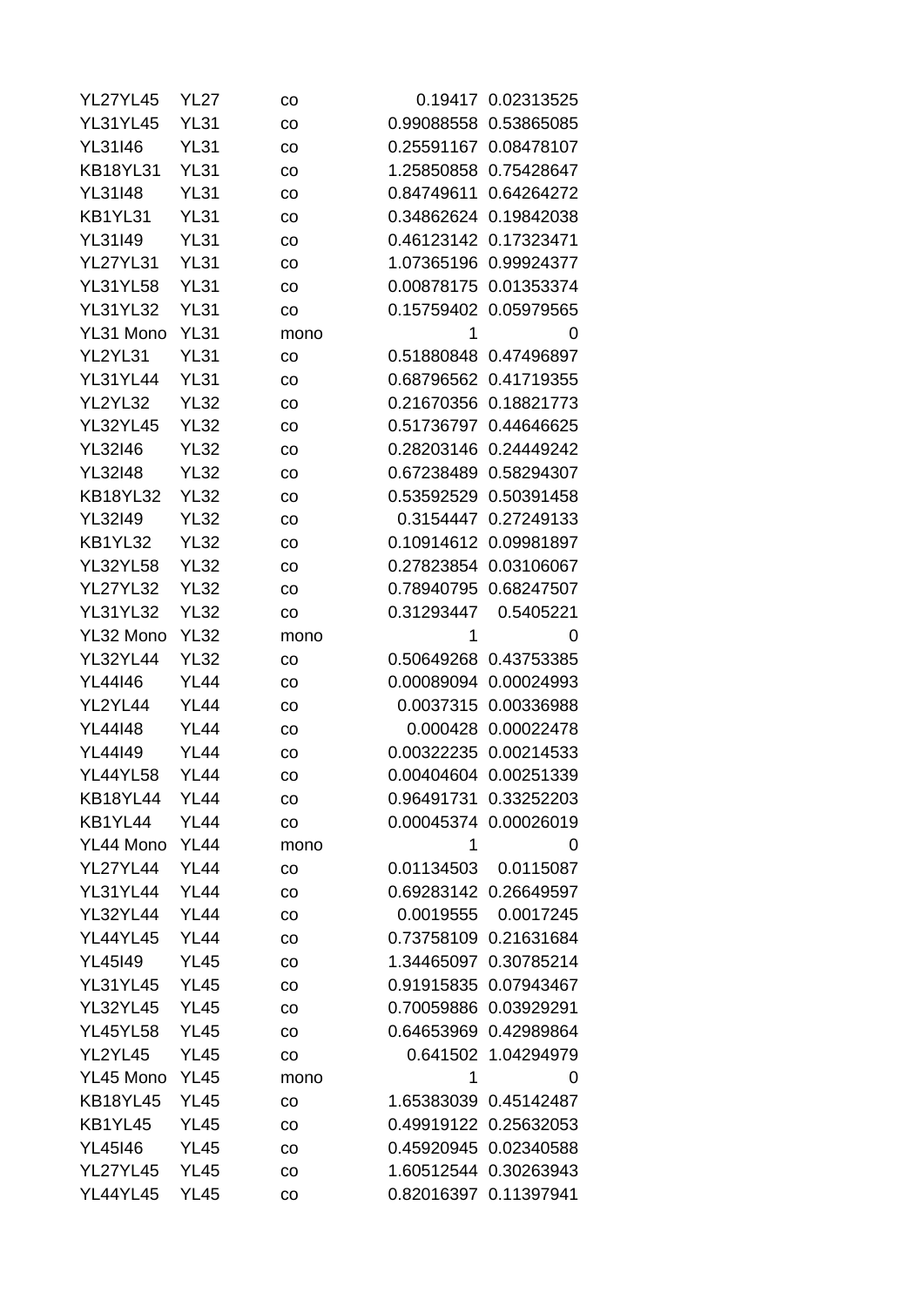| <b>YL27YL45</b> | YL27        | CO          |                       | 0.19417 0.02313525    |
|-----------------|-------------|-------------|-----------------------|-----------------------|
| <b>YL31YL45</b> | <b>YL31</b> | CO          | 0.99088558            | 0.53865085            |
| YL31146         | <b>YL31</b> | $_{\rm CO}$ |                       | 0.25591167 0.08478107 |
| <b>KB18YL31</b> | <b>YL31</b> | co          | 1.25850858            | 0.75428647            |
| <b>YL31I48</b>  | <b>YL31</b> | CO          | 0.84749611            | 0.64264272            |
| KB1YL31         | <b>YL31</b> | co          | 0.34862624            | 0.19842038            |
| YL31I49         | <b>YL31</b> | co          |                       | 0.46123142 0.17323471 |
| <b>YL27YL31</b> | <b>YL31</b> | co          | 1.07365196            | 0.99924377            |
| <b>YL31YL58</b> | <b>YL31</b> | $_{\rm CO}$ | 0.00878175            | 0.01353374            |
| <b>YL31YL32</b> | <b>YL31</b> | co          |                       | 0.15759402 0.05979565 |
| YL31 Mono       | <b>YL31</b> | mono        | 1                     | 0                     |
| YL2YL31         | <b>YL31</b> | CO          | 0.51880848            | 0.47496897            |
| YL31YL44        | <b>YL31</b> | co          |                       | 0.68796562 0.41719355 |
| YL2YL32         | <b>YL32</b> | CO          | 0.21670356            | 0.18821773            |
| <b>YL32YL45</b> | <b>YL32</b> | $_{\rm CO}$ |                       | 0.51736797 0.44646625 |
| <b>YL32I46</b>  | <b>YL32</b> | CO          | 0.28203146            | 0.24449242            |
| <b>YL32I48</b>  | <b>YL32</b> | $_{\rm CO}$ |                       | 0.67238489 0.58294307 |
| <b>KB18YL32</b> | <b>YL32</b> | $_{\rm CO}$ | 0.53592529            | 0.50391458            |
| <b>YL32I49</b>  | <b>YL32</b> | $_{\rm CO}$ | 0.3154447             | 0.27249133            |
| KB1YL32         | <b>YL32</b> | CO          | 0.10914612            | 0.09981897            |
| <b>YL32YL58</b> | <b>YL32</b> | CO          | 0.27823854            | 0.03106067            |
| <b>YL27YL32</b> | <b>YL32</b> | co          | 0.78940795            | 0.68247507            |
| <b>YL31YL32</b> | <b>YL32</b> | co          | 0.31293447            | 0.5405221             |
| YL32 Mono       | <b>YL32</b> | mono        | 1                     | 0                     |
| <b>YL32YL44</b> | <b>YL32</b> | CO          | 0.50649268 0.43753385 |                       |
| <b>YL44I46</b>  | <b>YL44</b> | co          | 0.00089094            | 0.00024993            |
| YL2YL44         | <b>YL44</b> | CO          | 0.0037315             | 0.00336988            |
| <b>YL44148</b>  | <b>YL44</b> | CO          | 0.000428              | 0.00022478            |
| YL44149         | <b>YL44</b> | CO          | 0.00322235            | 0.00214533            |
| <b>YL44YL58</b> | <b>YL44</b> | co          | 0.00404604            | 0.00251339            |
| <b>KB18YL44</b> | <b>YL44</b> | CO          | 0.96491731 0.33252203 |                       |
| KB1YL44         | <b>YL44</b> | co          |                       | 0.00045374 0.00026019 |
| YL44 Mono       | <b>YL44</b> | mono        | 1                     | 0                     |
| <b>YL27YL44</b> | <b>YL44</b> | CO          | 0.01134503            | 0.0115087             |
| <b>YL31YL44</b> | <b>YL44</b> |             | 0.69283142 0.26649597 |                       |
| <b>YL32YL44</b> | <b>YL44</b> | CO          | 0.0019555             | 0.0017245             |
|                 |             | CO          |                       |                       |
| <b>YL44YL45</b> | <b>YL44</b> | CO          |                       | 0.73758109 0.21631684 |
| <b>YL45I49</b>  | <b>YL45</b> | co          | 1.34465097            | 0.30785214            |
| <b>YL31YL45</b> | <b>YL45</b> | CO          |                       | 0.91915835 0.07943467 |
| <b>YL32YL45</b> | <b>YL45</b> | CO          |                       | 0.70059886 0.03929291 |
| <b>YL45YL58</b> | <b>YL45</b> | CO          |                       | 0.64653969 0.42989864 |
| YL2YL45         | <b>YL45</b> | CO          |                       | 0.641502 1.04294979   |
| YL45 Mono       | <b>YL45</b> | mono        | 1                     | 0                     |
| <b>KB18YL45</b> | <b>YL45</b> | CO          |                       | 1.65383039 0.45142487 |
| KB1YL45         | <b>YL45</b> | CO          |                       | 0.49919122 0.25632053 |
| <b>YL45146</b>  | <b>YL45</b> | CO          | 0.45920945            | 0.02340588            |
| <b>YL27YL45</b> | <b>YL45</b> | CO          |                       | 1.60512544 0.30263943 |
| <b>YL44YL45</b> | <b>YL45</b> | CO          | 0.82016397            | 0.11397941            |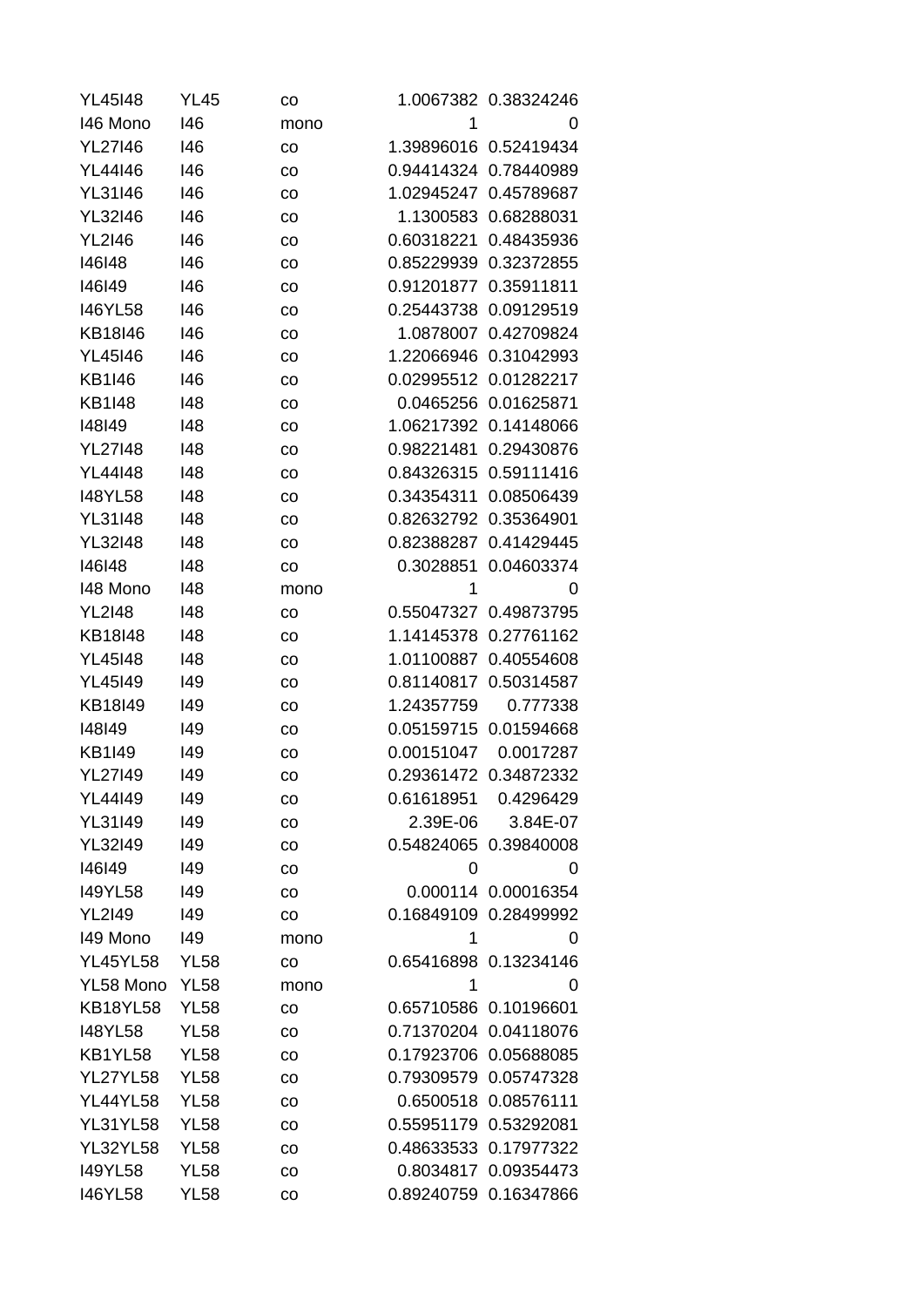| <b>YL45I48</b>  | <b>YL45</b> | CO   |                       | 1.0067382 0.38324246  |
|-----------------|-------------|------|-----------------------|-----------------------|
| 146 Mono        | 146         | mono | $\mathbf 1$           | 0                     |
| <b>YL27I46</b>  | 146         | CO   |                       | 1.39896016 0.52419434 |
| YL44146         | 146         | CO   | 0.94414324            | 0.78440989            |
| <b>YL31I46</b>  | 146         | CO   | 1.02945247            | 0.45789687            |
| <b>YL32I46</b>  | 146         | CO   | 1.1300583             | 0.68288031            |
| <b>YL2I46</b>   | 146         | CO   | 0.60318221            | 0.48435936            |
| 146148          | 146         | CO   | 0.85229939            | 0.32372855            |
| 146149          | 146         | CO   | 0.91201877            | 0.35911811            |
| <b>I46YL58</b>  | 146         | CO   | 0.25443738            | 0.09129519            |
| KB18I46         | 146         | CO   | 1.0878007             | 0.42709824            |
| <b>YL45146</b>  | 146         | CO   | 1.22066946            | 0.31042993            |
| <b>KB1I46</b>   | 146         | CO   | 0.02995512            | 0.01282217            |
| <b>KB1I48</b>   | 148         | CO   | 0.0465256             | 0.01625871            |
| 148149          | 148         | CO   | 1.06217392            | 0.14148066            |
| <b>YL27148</b>  | 148         | CO   | 0.98221481            | 0.29430876            |
| <b>YL44I48</b>  | 148         | CO   | 0.84326315            | 0.59111416            |
| <b>I48YL58</b>  | 148         | CO   | 0.34354311            | 0.08506439            |
| <b>YL31I48</b>  | 148         | CO   | 0.82632792            | 0.35364901            |
| <b>YL32I48</b>  | 148         | CO   | 0.82388287            | 0.41429445            |
| 146148          | 148         | CO   | 0.3028851             | 0.04603374            |
| 148 Mono        | 148         | mono | $\mathbf 1$           | 0                     |
| <b>YL2I48</b>   | 148         | CO   | 0.55047327            | 0.49873795            |
| KB18I48         | 148         | CO   | 1.14145378            | 0.27761162            |
| <b>YL45I48</b>  | 148         | CO   | 1.01100887            | 0.40554608            |
| <b>YL45I49</b>  | 149         | CO   | 0.81140817            | 0.50314587            |
| KB18I49         | 149         | CO   | 1.24357759            | 0.777338              |
| 148149          | 149         | co   | 0.05159715            | 0.01594668            |
| <b>KB1I49</b>   | 149         | CO   | 0.00151047            | 0.0017287             |
| <b>YL27I49</b>  | 149         | CO   |                       | 0.29361472 0.34872332 |
| <b>YL44I49</b>  | 149         | CO   | 0.61618951            | 0.4296429             |
| <b>YL31I49</b>  | 149         | co   | 2.39E-06              | 3.84E-07              |
| <b>YL32I49</b>  | 149         | CO   |                       | 0.54824065 0.39840008 |
| 146149          | 149         | co   | 0                     | 0                     |
| <b>I49YL58</b>  | 149         | CO   |                       | 0.000114 0.00016354   |
| <b>YL2I49</b>   | 149         | CO   |                       | 0.16849109 0.28499992 |
| 149 Mono        | 149         | mono | 1                     | 0                     |
| <b>YL45YL58</b> | <b>YL58</b> | CO   | 0.65416898 0.13234146 |                       |
| YL58 Mono       | <b>YL58</b> | mono | 1                     | 0                     |
| <b>KB18YL58</b> | <b>YL58</b> | co   |                       | 0.65710586 0.10196601 |
| <b>I48YL58</b>  | <b>YL58</b> | CO   | 0.71370204 0.04118076 |                       |
| KB1YL58         | <b>YL58</b> | CO   |                       | 0.17923706 0.05688085 |
| <b>YL27YL58</b> | <b>YL58</b> | CO   | 0.79309579 0.05747328 |                       |
| <b>YL44YL58</b> | <b>YL58</b> | co   |                       | 0.6500518 0.08576111  |
| <b>YL31YL58</b> | <b>YL58</b> | CO   | 0.55951179 0.53292081 |                       |
| <b>YL32YL58</b> | <b>YL58</b> | CO   |                       | 0.48633533 0.17977322 |
| <b>I49YL58</b>  | <b>YL58</b> | CO   | 0.8034817             | 0.09354473            |
| <b>I46YL58</b>  | <b>YL58</b> | co   |                       | 0.89240759 0.16347866 |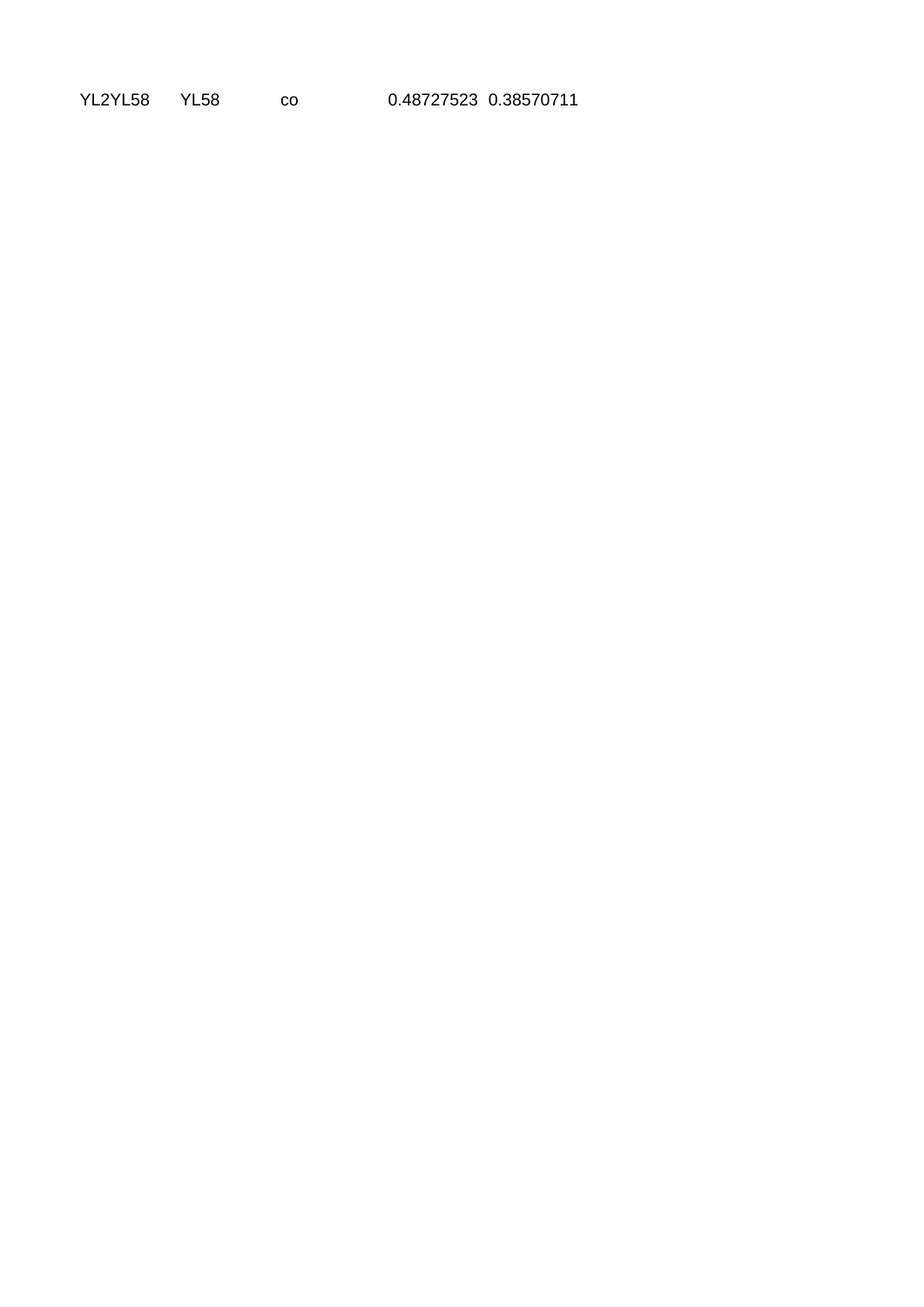YL2YL58 YL58 co 0.48727523 0.38570711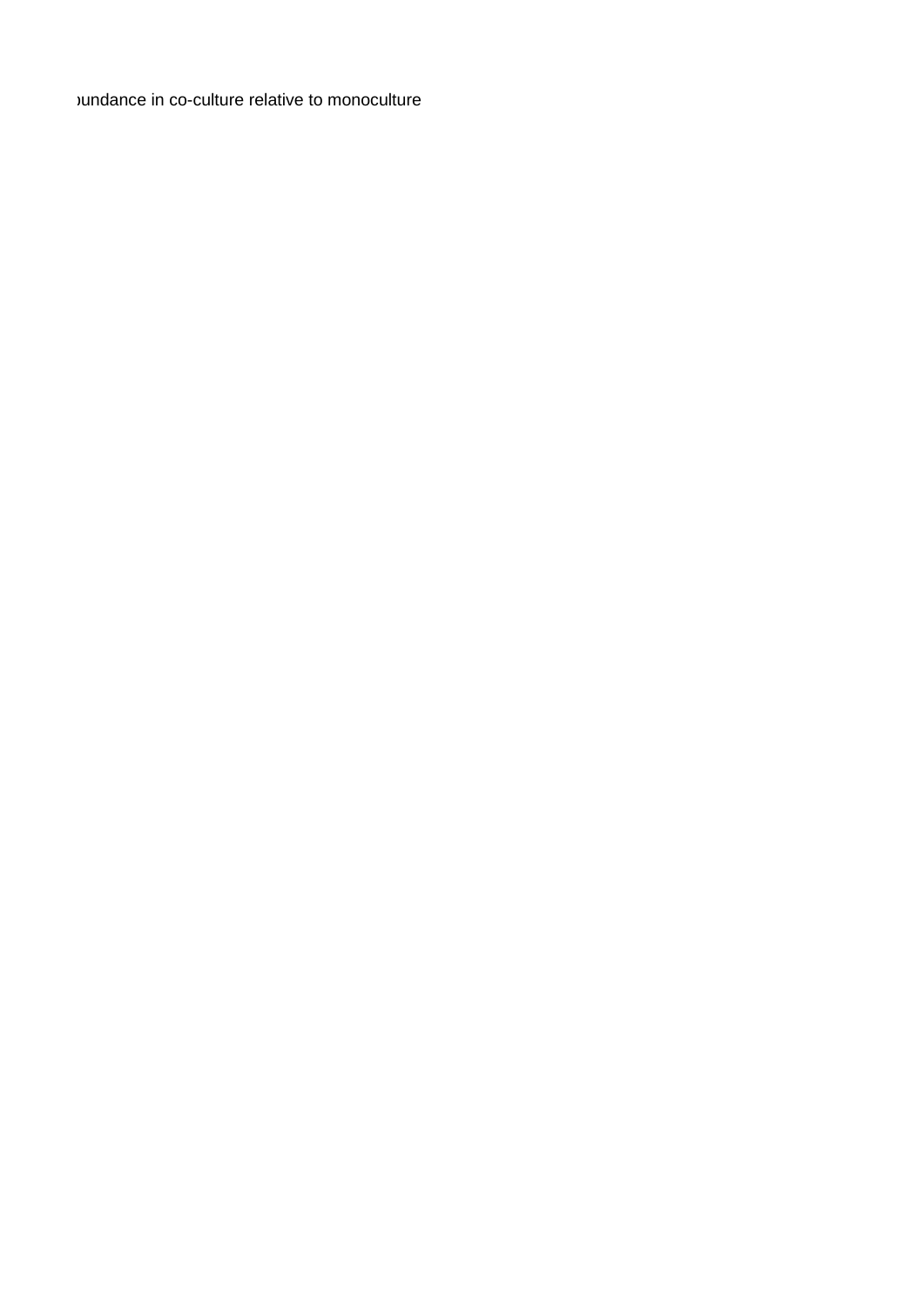vundance in co-culture relative to monoculture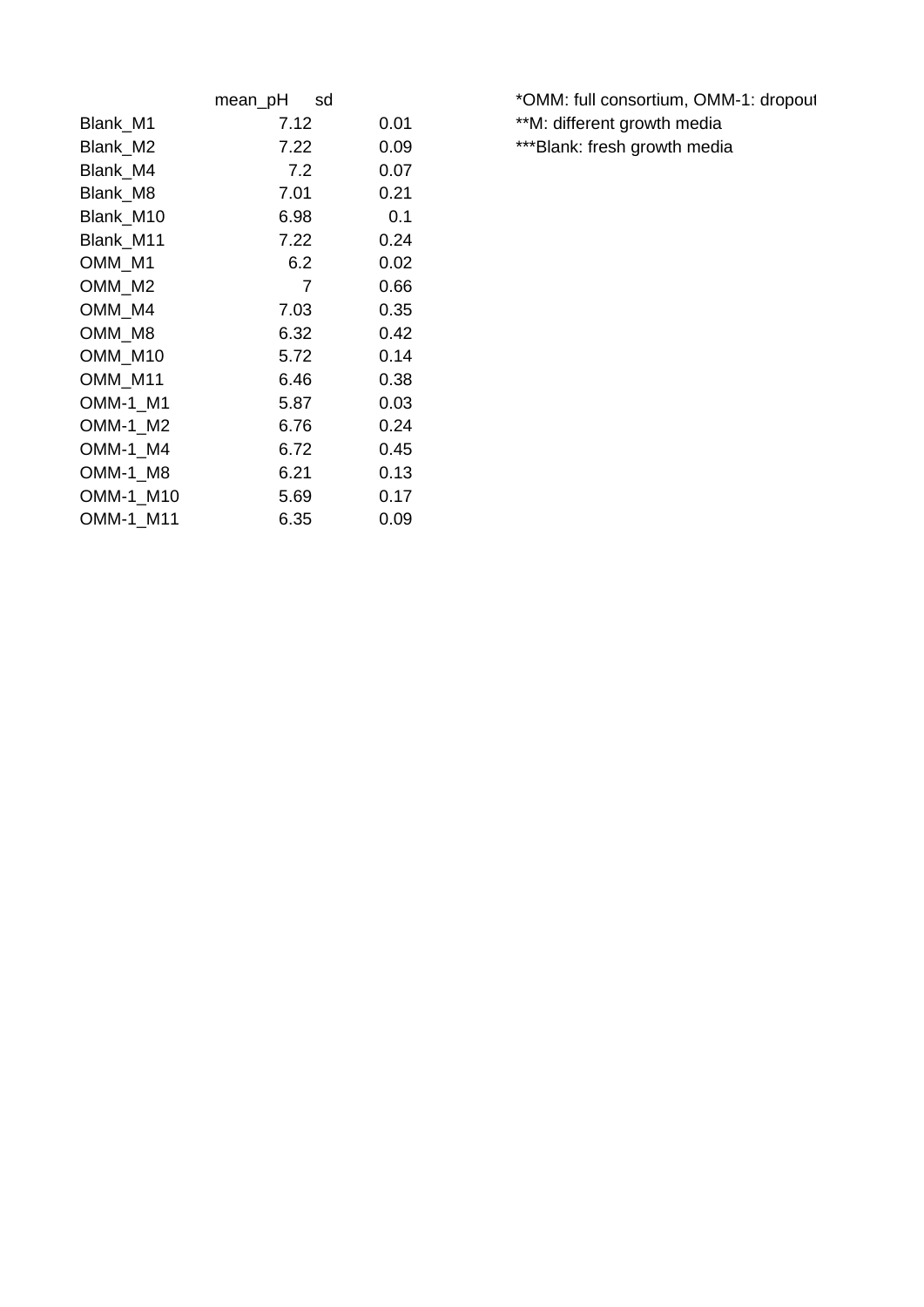|           | mean_pH<br>sd |      |
|-----------|---------------|------|
| Blank M1  | 7.12          | 0.01 |
| Blank M2  | 7.22          | 0.09 |
| Blank M4  | 7.2           | 0.07 |
| Blank M8  | 7.01          | 0.21 |
| Blank M10 | 6.98          | 0.1  |
| Blank M11 | 7.22          | 0.24 |
| OMM M1    | 6.2           | 0.02 |
| OMM M2    | 7             | 0.66 |
| OMM M4    | 7.03          | 0.35 |
| OMM M8    | 6.32          | 0.42 |
| OMM M10   | 5.72          | 0.14 |
| OMM M11   | 6.46          | 0.38 |
| OMM-1 M1  | 5.87          | 0.03 |
| OMM-1 M2  | 6.76          | 0.24 |
| OMM-1 M4  | 6.72          | 0.45 |
| OMM-1 M8  | 6.21          | 0.13 |
| OMM-1 M10 | 5.69          | 0.17 |
| OMM-1 M11 | 6.35          | 0.09 |

\*OMM: full consortium, OMM-1: dropout \*\*M: different growth media \*\*\*Blank: fresh growth media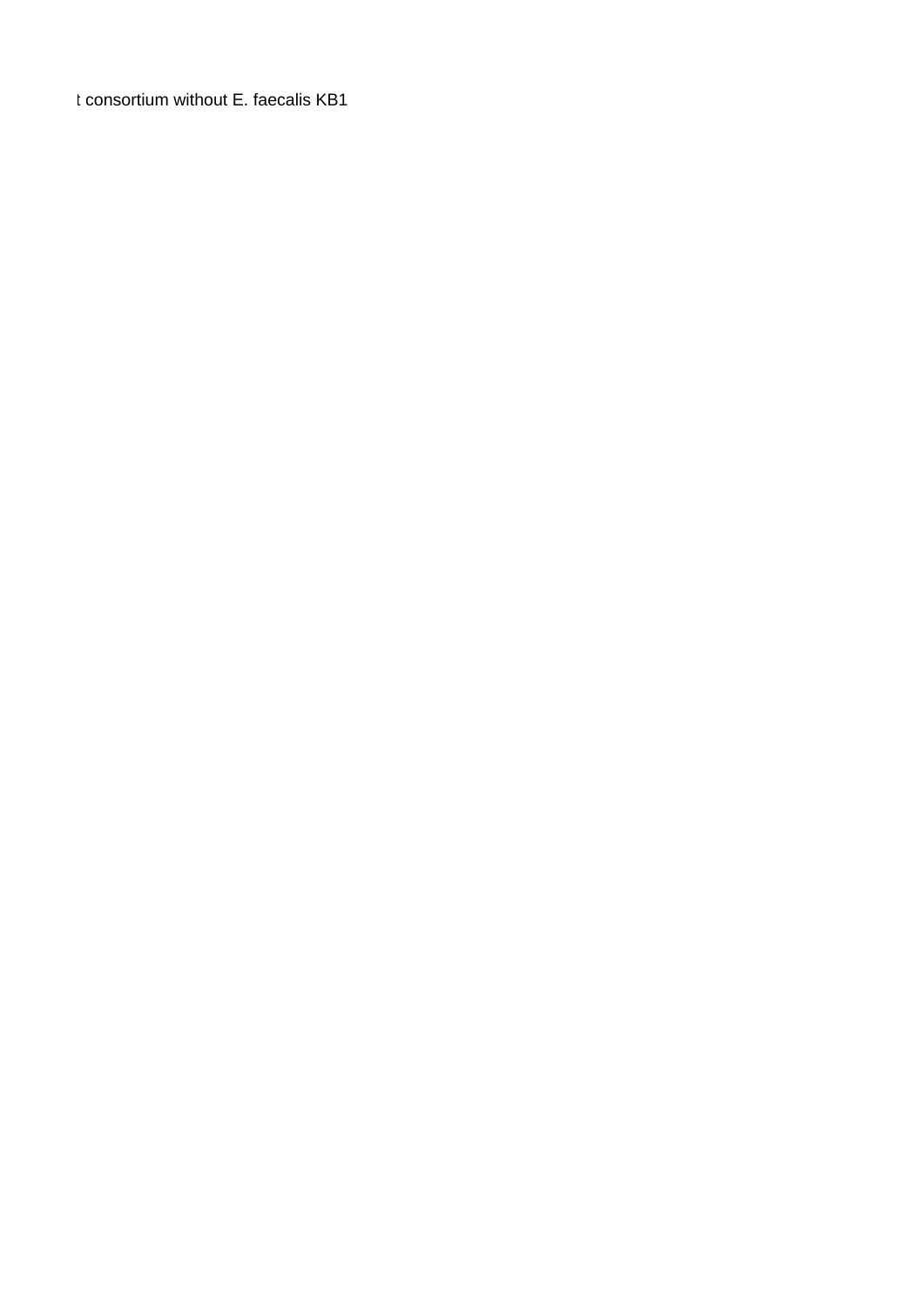t consortium without E. faecalis KB1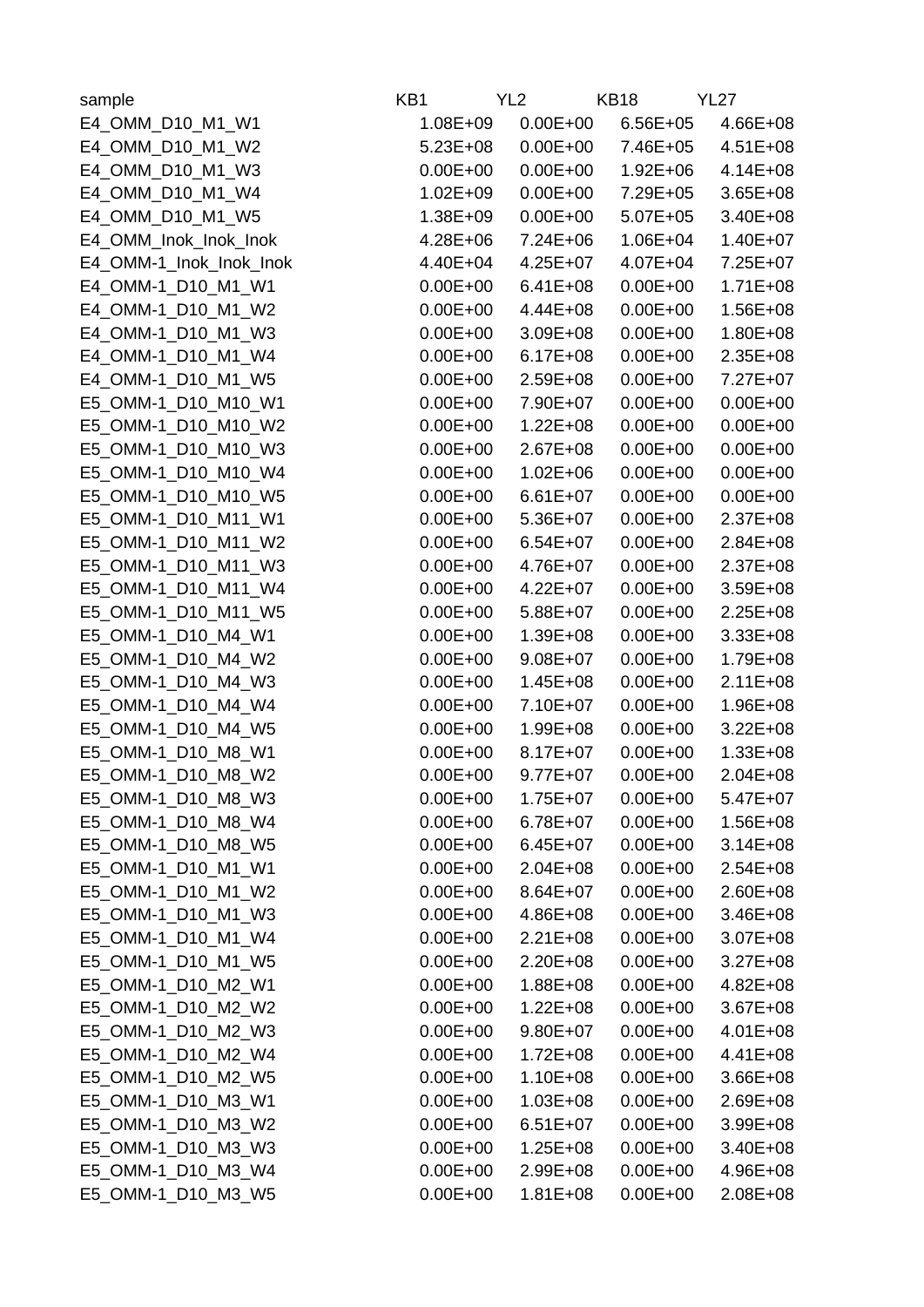| sample                  | KB1          | YL <sub>2</sub> | <b>KB18</b>  | <b>YL27</b>  |
|-------------------------|--------------|-----------------|--------------|--------------|
| E4 OMM D10 M1 W1        | $1.08E + 09$ | $0.00E + 00$    | $6.56E + 05$ | $4.66E + 08$ |
| E4 OMM D10 M1 W2        | $5.23E + 08$ | $0.00E + 00$    | 7.46E+05     | $4.51E + 08$ |
| E4_OMM_D10 M1 W3        | $0.00E + 00$ | $0.00E + 00$    | $1.92E + 06$ | $4.14E + 08$ |
| E4 OMM D10 M1 W4        | $1.02E + 09$ | $0.00E + 00$    | 7.29E+05     | $3.65E + 08$ |
| E4 OMM D10 M1 W5        | $1.38E + 09$ | $0.00E + 00$    | $5.07E + 05$ | 3.40E+08     |
| E4 OMM Inok Inok Inok   | $4.28E + 06$ | $7.24E + 06$    | $1.06E + 04$ | $1.40E + 07$ |
| E4 OMM-1 Inok Inok Inok | 4.40E+04     | $4.25E + 07$    | $4.07E + 04$ | 7.25E+07     |
| E4 OMM-1 D10 M1 W1      | $0.00E + 00$ | $6.41E + 08$    | $0.00E + 00$ | $1.71E + 08$ |
| E4 OMM-1 D10 M1 W2      | $0.00E + 00$ | 4.44E+08        | $0.00E + 00$ | $1.56E + 08$ |
| E4 OMM-1 D10 M1 W3      | $0.00E + 00$ | $3.09E + 08$    | $0.00E + 00$ | $1.80E + 08$ |
| E4 OMM-1 D10 M1 W4      | $0.00E + 00$ | $6.17E + 08$    | $0.00E + 00$ | $2.35E + 08$ |
| E4 OMM-1 D10 M1 W5      | $0.00E + 00$ | $2.59E + 08$    | $0.00E + 00$ | 7.27E+07     |
| E5 OMM-1 D10 M10 W1     | $0.00E + 00$ | 7.90E+07        | $0.00E + 00$ | $0.00E + 00$ |
| E5 OMM-1 D10 M10 W2     | $0.00E + 00$ | $1.22E + 08$    | $0.00E + 00$ | $0.00E + 00$ |
| E5 OMM-1 D10 M10 W3     | $0.00E + 00$ | $2.67E + 08$    | $0.00E + 00$ | $0.00E + 00$ |
| E5 OMM-1 D10 M10 W4     | $0.00E + 00$ | $1.02E + 06$    | $0.00E + 00$ | $0.00E + 00$ |
| E5 OMM-1 D10 M10 W5     | $0.00E + 00$ | $6.61E + 07$    | $0.00E + 00$ | $0.00E + 00$ |
| E5 OMM-1 D10 M11 W1     | $0.00E + 00$ | 5.36E+07        | $0.00E + 00$ | $2.37E + 08$ |
| E5 OMM-1 D10 M11 W2     | $0.00E + 00$ | $6.54E + 07$    | $0.00E + 00$ | $2.84E + 08$ |
| E5 OMM-1 D10 M11 W3     | $0.00E + 00$ | 4.76E+07        | $0.00E + 00$ | $2.37E + 08$ |
| E5 OMM-1 D10 M11 W4     | $0.00E + 00$ | $4.22E + 07$    | $0.00E + 00$ | $3.59E + 08$ |
|                         | $0.00E + 00$ | $5.88E + 07$    | $0.00E + 00$ |              |
| E5 OMM-1 D10 M11 W5     | $0.00E + 00$ |                 | $0.00E + 00$ | $2.25E + 08$ |
| E5 OMM-1 D10 M4 W1      |              | 1.39E+08        |              | $3.33E + 08$ |
| E5 OMM-1 D10 M4 W2      | $0.00E + 00$ | $9.08E + 07$    | $0.00E + 00$ | 1.79E+08     |
| E5 OMM-1 D10 M4 W3      | $0.00E + 00$ | $1.45E + 08$    | $0.00E + 00$ | $2.11E + 08$ |
| E5 OMM-1 D10 M4 W4      | $0.00E + 00$ | 7.10E+07        | $0.00E + 00$ | $1.96E + 08$ |
| E5 OMM-1 D10 M4 W5      | $0.00E + 00$ | 1.99E+08        | $0.00E + 00$ | $3.22E + 08$ |
| E5_OMM-1_D10_M8_W1      | $0.00E + 00$ | $8.17E + 07$    | $0.00E + 00$ | $1.33E + 08$ |
| E5 OMM-1 D10 M8 W2      | $0.00E + 00$ | $9.77E + 07$    | $0.00E + 00$ | $2.04E + 08$ |
| E5_OMM-1_D10_M8_W3      | $0.00E + 00$ | $1.75E + 07$    | $0.00E + 00$ | $5.47E+07$   |
| E5 OMM-1 D10 M8 W4      | $0.00E + 00$ | $6.78E + 07$    | $0.00E + 00$ | $1.56E + 08$ |
| E5 OMM-1 D10 M8 W5      | $0.00E + 00$ | $6.45E+07$      | $0.00E + 00$ | $3.14E + 08$ |
| E5 OMM-1 D10 M1 W1      | $0.00E + 00$ | $2.04E + 08$    | $0.00E + 00$ | $2.54E + 08$ |
| E5 OMM-1 D10 M1 W2      | $0.00E + 00$ | $8.64E + 07$    | $0.00E + 00$ | $2.60E + 08$ |
| E5 OMM-1 D10 M1 W3      | $0.00E + 00$ | 4.86E+08        | $0.00E + 00$ | $3.46E + 08$ |
| E5 OMM-1 D10 M1 W4      | $0.00E + 00$ | $2.21E + 08$    | $0.00E + 00$ | $3.07E + 08$ |
| E5 OMM-1 D10 M1 W5      | $0.00E + 00$ | $2.20E + 08$    | $0.00E + 00$ | $3.27E + 08$ |
| E5 OMM-1 D10 M2 W1      | $0.00E + 00$ | $1.88E + 08$    | $0.00E + 00$ | $4.82E + 08$ |
| E5 OMM-1 D10 M2 W2      | $0.00E + 00$ | $1.22E + 08$    | $0.00E + 00$ | $3.67E + 08$ |
| E5 OMM-1 D10 M2 W3      | $0.00E + 00$ | $9.80E + 07$    | $0.00E + 00$ | $4.01E + 08$ |
| E5 OMM-1 D10 M2 W4      | $0.00E + 00$ | $1.72E + 08$    | $0.00E + 00$ | 4.41E+08     |
| E5 OMM-1 D10 M2 W5      | $0.00E + 00$ | $1.10E + 08$    | $0.00E + 00$ | $3.66E + 08$ |
| E5 OMM-1 D10 M3 W1      | $0.00E + 00$ | $1.03E + 08$    | $0.00E + 00$ | $2.69E + 08$ |
| E5 OMM-1 D10 M3 W2      | $0.00E + 00$ | $6.51E+07$      | $0.00E + 00$ | $3.99E + 08$ |
| E5 OMM-1 D10 M3 W3      | $0.00E + 00$ | $1.25E + 08$    | $0.00E + 00$ | 3.40E+08     |
| E5 OMM-1 D10 M3 W4      | $0.00E + 00$ | $2.99E + 08$    | $0.00E + 00$ | $4.96E + 08$ |
| E5 OMM-1 D10 M3 W5      | $0.00E + 00$ | $1.81E + 08$    | $0.00E + 00$ | $2.08E + 08$ |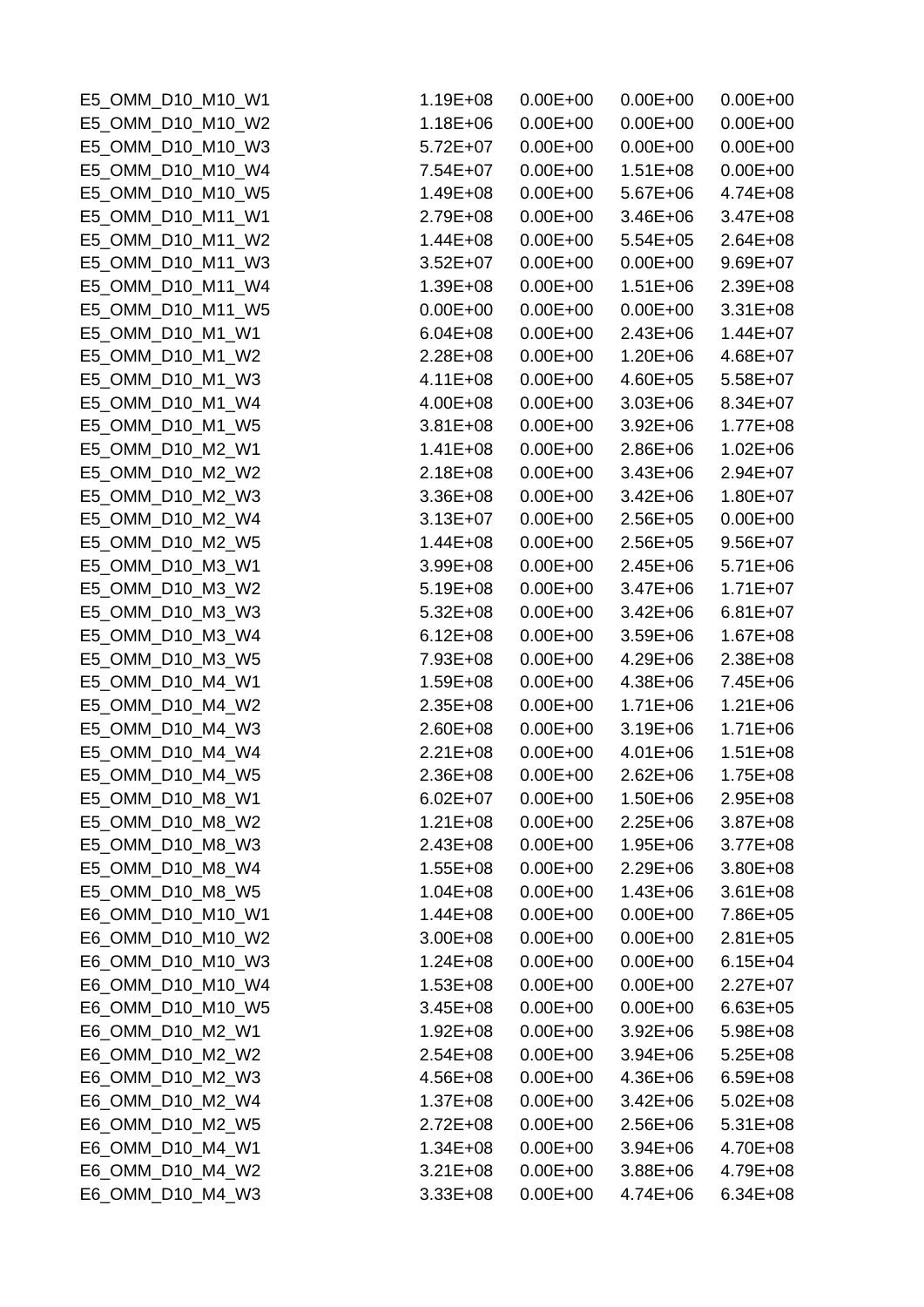| E5 OMM D10 M10 W1                    | $1.19E + 08$                 | $0.00E + 00$ | $0.00E + 00$                 | $0.00E + 00$             |
|--------------------------------------|------------------------------|--------------|------------------------------|--------------------------|
| E5 OMM D10 M10 W2                    | $1.18E + 06$                 | $0.00E + 00$ | $0.00E + 00$                 | $0.00E + 00$             |
| E5 OMM D10 M10 W3                    | $5.72E+07$                   | $0.00E + 00$ | $0.00E + 00$                 | $0.00E + 00$             |
| E5 OMM D10 M10 W4                    | 7.54E+07                     | $0.00E + 00$ | $1.51E + 08$                 | $0.00E + 00$             |
| E5 OMM D10 M10 W5                    | 1.49E+08                     | $0.00E + 00$ | $5.67E + 06$                 | 4.74E+08                 |
| E5 OMM D10 M11 W1                    | 2.79E+08                     | $0.00E + 00$ | $3.46E + 06$                 | $3.47E + 08$             |
| E5 OMM D10 M11 W2                    | $1.44E + 08$                 | $0.00E + 00$ | $5.54E + 05$                 | $2.64E + 08$             |
| E5 OMM D10 M11 W3                    | $3.52E + 07$                 | $0.00E + 00$ | $0.00E + 00$                 | 9.69E+07                 |
| E5 OMM D10 M11 W4                    | $1.39E + 08$                 | $0.00E + 00$ | $1.51E + 06$                 | 2.39E+08                 |
| E5 OMM D10 M11 W5                    | $0.00E + 00$                 | $0.00E + 00$ | $0.00E + 00$                 | $3.31E + 08$             |
| E5 OMM D10 M1 W1                     | $6.04E + 08$                 | $0.00E + 00$ | $2.43E + 06$                 | $1.44E + 07$             |
| E5_OMM_D10_M1_W2                     | $2.28E + 08$                 | $0.00E + 00$ | $1.20E + 06$                 | 4.68E+07                 |
| E5_OMM_D10_M1_W3                     | $4.11E + 08$                 | $0.00E + 00$ | $4.60E + 05$                 | 5.58E+07                 |
| E5 OMM D10 M1 W4                     | 4.00E+08                     | $0.00E + 00$ | $3.03E + 06$                 | 8.34E+07                 |
| E5 OMM D10 M1 W5                     | $3.81E + 08$                 | $0.00E + 00$ | $3.92E + 06$                 | $1.77E + 08$             |
| E5 OMM D10 M2 W1                     | $1.41E + 08$                 | $0.00E + 00$ | $2.86E + 06$                 | $1.02E + 06$             |
| E5_OMM_D10_M2_W2                     | $2.18E + 08$                 | $0.00E + 00$ | $3.43E + 06$                 | $2.94E + 07$             |
| E5 OMM D10 M2 W3                     | $3.36E + 08$                 | $0.00E + 00$ | $3.42E + 06$                 | $1.80E + 07$             |
| E5_OMM_D10_M2_W4                     | $3.13E + 07$                 | $0.00E + 00$ | $2.56E + 05$                 | $0.00E + 00$             |
| E5 OMM D10 M2 W5                     | $1.44E + 08$                 | $0.00E + 00$ | $2.56E + 05$                 | $9.56E + 07$             |
| E5 OMM D10 M3 W1                     | 3.99E+08                     | $0.00E + 00$ | $2.45E + 06$                 | $5.71E + 06$             |
| E5 OMM D10 M3 W2                     | $5.19E + 08$                 | $0.00E + 00$ | $3.47E + 06$                 | $1.71E + 07$             |
| E5 OMM D10 M3 W3                     | $5.32E + 08$                 | $0.00E + 00$ | $3.42E + 06$                 | $6.81E + 07$             |
| E5 OMM D10 M3 W4                     | $6.12E + 08$                 | $0.00E + 00$ | $3.59E + 06$                 | $1.67E + 08$             |
| E5_OMM_D10_M3_W5                     | 7.93E+08                     | $0.00E + 00$ | $4.29E + 06$                 | 2.38E+08                 |
| E5 OMM D10 M4 W1                     | $1.59E + 08$                 | $0.00E + 00$ | $4.38E + 06$                 | 7.45E+06                 |
| E5 OMM D10 M4 W2                     | $2.35E + 08$                 | $0.00E + 00$ | $1.71E + 06$                 | $1.21E + 06$             |
| E5 OMM D10 M4 W3                     | $2.60E + 08$                 | $0.00E + 00$ | $3.19E + 06$                 | $1.71E + 06$             |
| E5 OMM D10 M4 W4                     | $2.21E + 08$                 | $0.00E + 00$ | $4.01E + 06$                 | $1.51E + 08$             |
| E5 OMM D10 M4 W5                     | 2.36E+08                     | $0.00E + 00$ | $2.62E + 06$                 | $1.75E + 08$             |
| E5_OMM_D10_M8_W1                     | $6.02E + 07$                 | $0.00E + 00$ | $1.50E + 06$                 | 2.95E+08                 |
| E5 OMM D10 M8 W2                     | $1.21E + 08$                 | $0.00E + 00$ | $2.25E + 06$                 | $3.87E + 08$             |
| E5 OMM D10 M8 W3                     | $2.43E + 08$                 | $0.00E + 00$ | $1.95E + 06$                 | $3.77E + 08$             |
| E5 OMM D10 M8 W4                     | $1.55E + 08$                 | $0.00E + 00$ | $2.29E + 06$                 | $3.80E + 08$             |
| E5 OMM D10 M8 W5                     | $1.04E + 08$                 | $0.00E + 00$ | $1.43E + 06$                 | $3.61E + 08$             |
| E6 OMM D10 M10 W1                    | $1.44E + 08$                 | $0.00E + 00$ | $0.00E + 00$                 | 7.86E+05                 |
| E6 OMM D10 M10 W2                    | $3.00E + 08$                 | $0.00E + 00$ | $0.00E + 00$                 | $2.81E + 05$             |
| E6 OMM D10 M10 W3                    | $1.24E + 08$                 | $0.00E + 00$ | $0.00E + 00$                 | $6.15E + 04$             |
| E6 OMM D10 M10 W4                    | $1.53E + 08$                 | $0.00E + 00$ | $0.00E + 00$                 | $2.27E+07$               |
| E6 OMM D10 M10 W5                    | $3.45E + 08$                 | $0.00E + 00$ | $0.00E + 00$                 | $6.63E + 05$             |
| E6 OMM D10 M2 W1                     | $1.92E + 08$                 | $0.00E + 00$ | $3.92E + 06$                 | 5.98E+08                 |
| E6 OMM D10 M2 W2                     | $2.54E + 08$                 | $0.00E + 00$ | $3.94E + 06$                 | $5.25E + 08$             |
| E6 OMM D10 M2 W3                     | 4.56E+08                     | $0.00E + 00$ | $4.36E + 06$                 | $6.59E + 08$             |
|                                      |                              | $0.00E + 00$ |                              |                          |
| E6 OMM D10 M2 W4<br>E6 OMM D10 M2 W5 | $1.37E + 08$<br>$2.72E + 08$ | $0.00E + 00$ | $3.42E + 06$<br>$2.56E + 06$ | $5.02E + 08$             |
|                                      | $1.34E + 08$                 | $0.00E + 00$ | $3.94E + 06$                 | $5.31E + 08$<br>4.70E+08 |
| E6 OMM D10 M4 W1                     | $3.21E + 08$                 | $0.00E + 00$ | $3.88E + 06$                 |                          |
| E6 OMM D10 M4 W2                     |                              |              |                              | 4.79E+08                 |
| E6 OMM D10 M4 W3                     | $3.33E + 08$                 | $0.00E + 00$ | $4.74E + 06$                 | $6.34E + 08$             |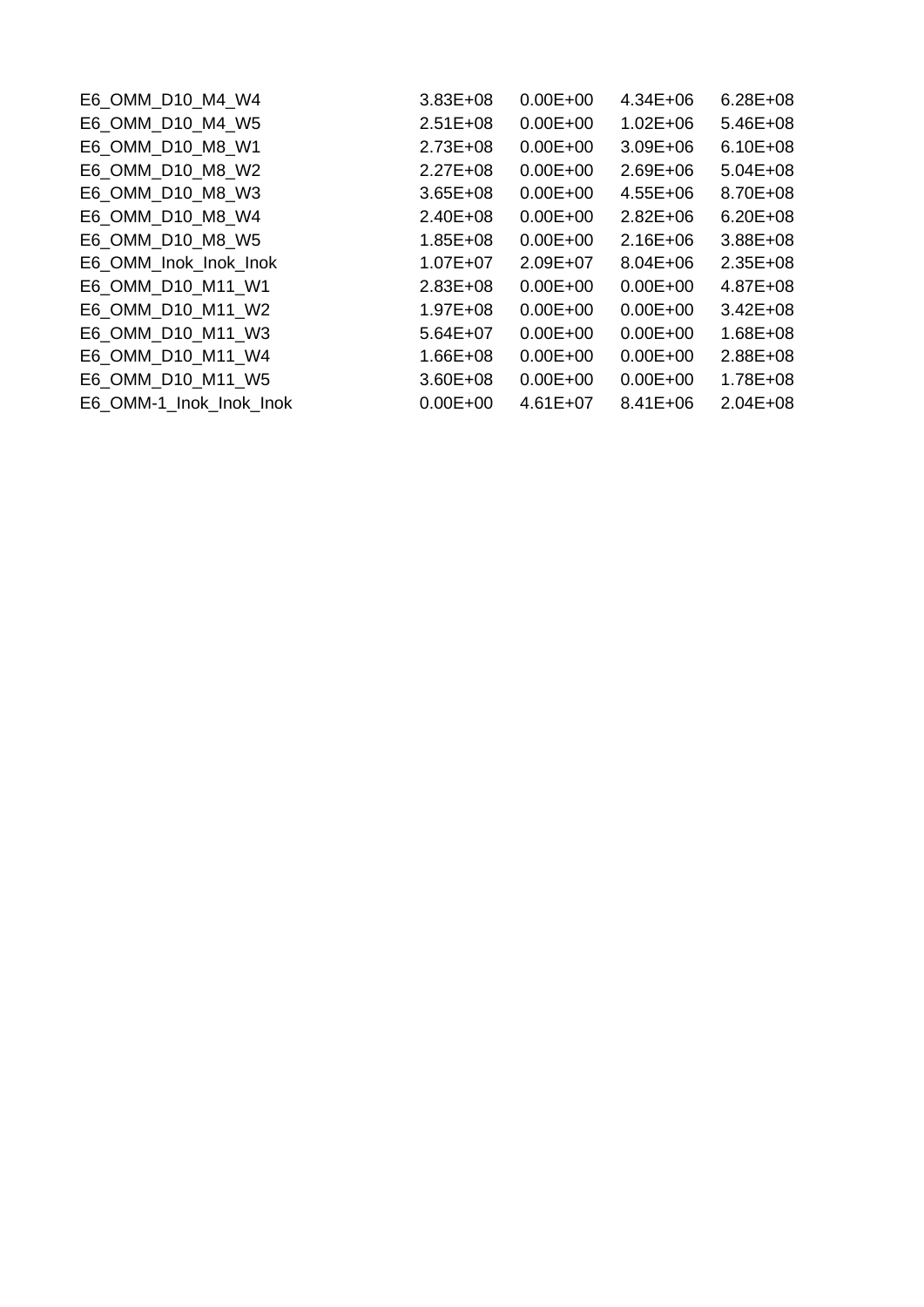| E6 OMM D10 M4 W4        | $3.83E + 08$ | $0.00E + 00$ | $4.34E + 06$ | $6.28E + 08$ |
|-------------------------|--------------|--------------|--------------|--------------|
| E6 OMM D10 M4 W5        | $2.51E+08$   | $0.00E + 00$ | $1.02E + 06$ | $5.46E + 08$ |
| E6 OMM D10 M8 W1        | $2.73E + 08$ | $0.00E + 00$ | $3.09E + 06$ | $6.10E + 08$ |
| E6 OMM D10 M8 W2        | $2.27E + 08$ | $0.00E + 00$ | $2.69E + 06$ | $5.04E + 08$ |
| E6 OMM D10 M8 W3        | $3.65E + 08$ | $0.00E + 00$ | $4.55E + 06$ | 8.70E+08     |
| E6 OMM D10 M8 W4        | $2.40E + 08$ | $0.00E + 00$ | $2.82E + 06$ | $6.20E + 08$ |
| E6 OMM D10 M8 W5        | $1.85E + 08$ | $0.00E + 00$ | $2.16E + 06$ | $3.88E + 08$ |
| E6 OMM Inok Inok Inok   | $1.07E + 07$ | $2.09E + 07$ | $8.04E + 06$ | $2.35E + 08$ |
| E6 OMM D10 M11 W1       | $2.83E + 08$ | $0.00E + 00$ | $0.00E + 00$ | $4.87E + 08$ |
| E6 OMM D10 M11 W2       | $1.97E + 08$ | $0.00E + 00$ | $0.00E + 00$ | $3.42E + 08$ |
| E6 OMM D10 M11 W3       | $5.64E + 07$ | $0.00E + 00$ | $0.00E + 00$ | $1.68E + 08$ |
| E6 OMM D10 M11 W4       | $1.66E + 08$ | $0.00E + 00$ | $0.00E + 00$ | $2.88E + 08$ |
| E6 OMM D10 M11 W5       | $3.60E + 08$ | $0.00E + 00$ | $0.00E + 00$ | $1.78E + 08$ |
| E6 OMM-1 Inok Inok Inok | $0.00E + 00$ | $4.61E+07$   | $8.41E + 06$ | $2.04E + 08$ |
|                         |              |              |              |              |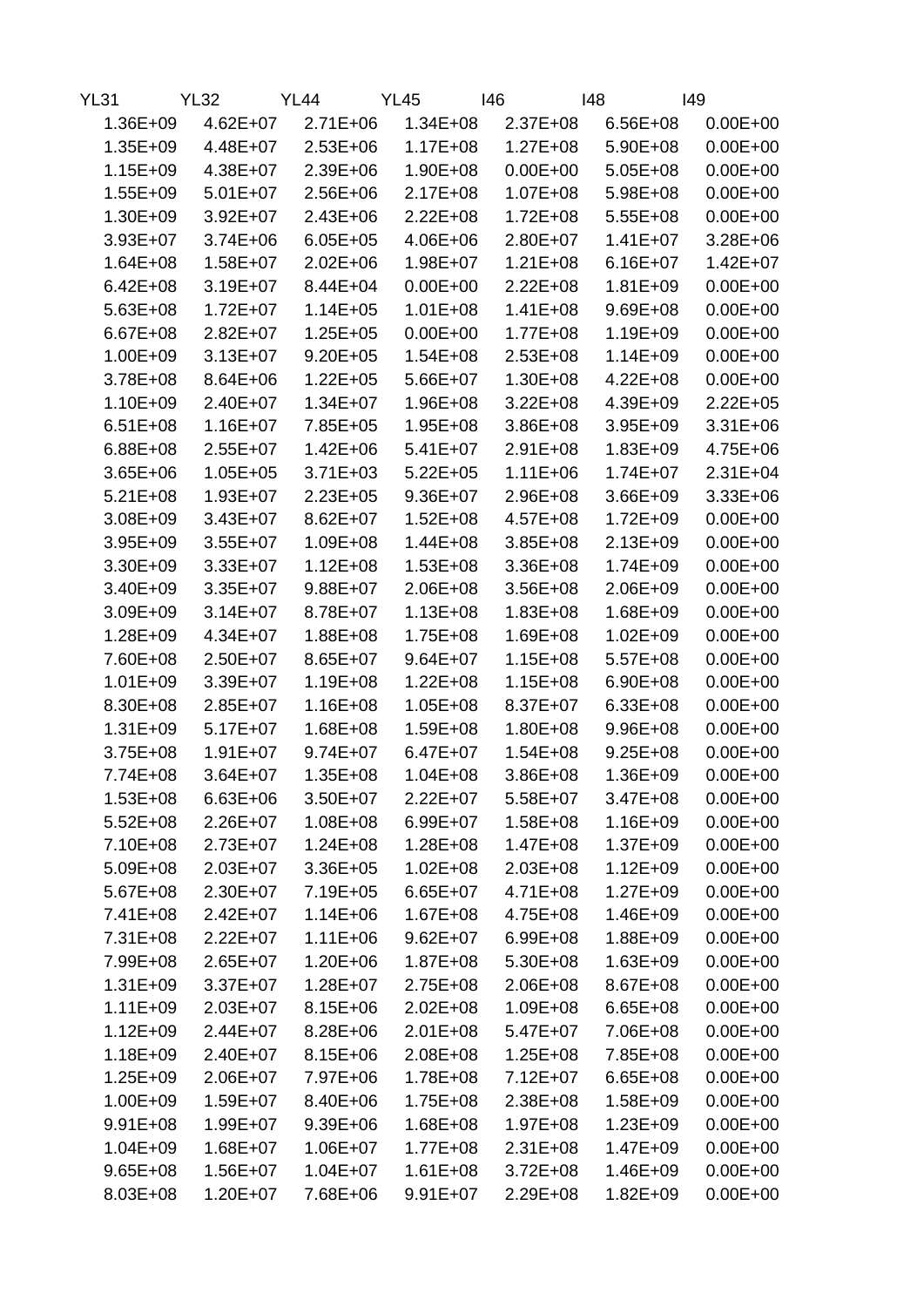| <b>YL31</b>  | <b>YL32</b>  | <b>YL44</b>  | <b>YL45</b>  | 146          | 148          | 149          |
|--------------|--------------|--------------|--------------|--------------|--------------|--------------|
| $1.36E + 09$ | $4.62E + 07$ | $2.71E + 06$ | $1.34E + 08$ | $2.37E + 08$ | $6.56E + 08$ | $0.00E + 00$ |
| $1.35E + 09$ | 4.48E+07     | $2.53E+06$   | $1.17E + 08$ | $1.27E + 08$ | $5.90E + 08$ | $0.00E + 00$ |
| $1.15E + 09$ | 4.38E+07     | $2.39E + 06$ | $1.90E + 08$ | $0.00E + 00$ | $5.05E + 08$ | $0.00E + 00$ |
| $1.55E + 09$ | $5.01E+07$   | $2.56E + 06$ | $2.17E + 08$ | $1.07E + 08$ | $5.98E + 08$ | $0.00E + 00$ |
| $1.30E + 09$ | $3.92E + 07$ | $2.43E + 06$ | $2.22E + 08$ | $1.72E + 08$ | $5.55E+08$   | $0.00E + 00$ |
| $3.93E + 07$ | $3.74E + 06$ | $6.05E + 05$ | $4.06E + 06$ | $2.80E+07$   | $1.41E + 07$ | $3.28E + 06$ |
| $1.64E + 08$ | $1.58E + 07$ | $2.02E + 06$ | $1.98E + 07$ | $1.21E + 08$ | $6.16E + 07$ | $1.42E + 07$ |
| $6.42E + 08$ | $3.19E + 07$ | $8.44E + 04$ | $0.00E + 00$ | $2.22E + 08$ | $1.81E + 09$ | $0.00E + 00$ |
| $5.63E + 08$ | $1.72E + 07$ | $1.14E + 05$ | $1.01E + 08$ | $1.41E + 08$ | $9.69E + 08$ | $0.00E + 00$ |
| $6.67E + 08$ | $2.82E+07$   | $1.25E + 05$ | $0.00E + 00$ | $1.77E + 08$ | $1.19E + 09$ | $0.00E + 00$ |
| $1.00E + 09$ | $3.13E + 07$ | $9.20E + 05$ | $1.54E + 08$ | $2.53E+08$   | $1.14E + 09$ | $0.00E + 00$ |
| $3.78E + 08$ | $8.64E + 06$ | $1.22E + 05$ | $5.66E+07$   | $1.30E + 08$ | $4.22E + 08$ | $0.00E + 00$ |
| $1.10E + 09$ | $2.40E + 07$ | $1.34E + 07$ | $1.96E + 08$ | $3.22E + 08$ | 4.39E+09     | $2.22E + 05$ |
| $6.51E + 08$ | $1.16E + 07$ | $7.85E + 05$ | $1.95E + 08$ | $3.86E + 08$ | $3.95E + 09$ | $3.31E + 06$ |
| $6.88E + 08$ | $2.55E+07$   | $1.42E + 06$ | $5.41E+07$   | $2.91E + 08$ | $1.83E + 09$ | 4.75E+06     |
| $3.65E + 06$ | $1.05E + 05$ | $3.71E + 03$ | $5.22E + 05$ | $1.11E + 06$ | $1.74E + 07$ | $2.31E + 04$ |
| $5.21E + 08$ | $1.93E + 07$ | $2.23E + 05$ | $9.36E + 07$ | $2.96E + 08$ | $3.66E + 09$ | $3.33E + 06$ |
| $3.08E + 09$ | $3.43E + 07$ | $8.62E + 07$ | $1.52E + 08$ | $4.57E + 08$ | $1.72E + 09$ | $0.00E + 00$ |
| $3.95E + 09$ | $3.55E+07$   | $1.09E + 08$ | $1.44E + 08$ | $3.85E + 08$ | $2.13E + 09$ | $0.00E + 00$ |
| $3.30E + 09$ | $3.33E+07$   | $1.12E + 08$ | $1.53E + 08$ | $3.36E + 08$ | $1.74E + 09$ | $0.00E + 00$ |
| $3.40E + 09$ | $3.35E + 07$ | $9.88E + 07$ | $2.06E + 08$ | $3.56E + 08$ | $2.06E + 09$ | $0.00E + 00$ |
| $3.09E + 09$ | $3.14E + 07$ | $8.78E + 07$ | $1.13E + 08$ | $1.83E + 08$ | $1.68E + 09$ | $0.00E + 00$ |
| $1.28E + 09$ | $4.34E + 07$ | $1.88E + 08$ | $1.75E + 08$ | $1.69E + 08$ | $1.02E + 09$ | $0.00E + 00$ |
| 7.60E+08     | $2.50E+07$   | $8.65E+07$   | $9.64E + 07$ | $1.15E + 08$ | $5.57E+08$   | $0.00E + 00$ |
| $1.01E + 09$ | 3.39E+07     | $1.19E + 08$ | $1.22E + 08$ | $1.15E + 08$ | $6.90E + 08$ | $0.00E + 00$ |
| 8.30E+08     | $2.85E+07$   | $1.16E + 08$ | $1.05E + 08$ | 8.37E+07     | $6.33E + 08$ | $0.00E + 00$ |
| $1.31E + 09$ | $5.17E+07$   | $1.68E + 08$ | $1.59E + 08$ | $1.80E + 08$ | $9.96E + 08$ | $0.00E + 00$ |
| $3.75E + 08$ | $1.91E + 07$ | $9.74E + 07$ | $6.47E + 07$ | $1.54E + 08$ | $9.25E + 08$ | $0.00E + 00$ |
| 7.74E+08     | $3.64E + 07$ | $1.35E + 08$ | $1.04E + 08$ | $3.86E + 08$ | $1.36E + 09$ | $0.00E + 00$ |
| $1.53E + 08$ | $6.63E + 06$ | $3.50E+07$   | $2.22E+07$   | $5.58E+07$   | $3.47E + 08$ | $0.00E + 00$ |
| $5.52E + 08$ | $2.26E+07$   | $1.08E + 08$ | $6.99E + 07$ | $1.58E + 08$ | $1.16E + 09$ | $0.00E + 00$ |
| $7.10E + 08$ | $2.73E+07$   | $1.24E + 08$ | $1.28E + 08$ | $1.47E + 08$ | $1.37E + 09$ | $0.00E + 00$ |
| $5.09E + 08$ | $2.03E+07$   | $3.36E + 05$ | $1.02E + 08$ | $2.03E + 08$ | $1.12E + 09$ | $0.00E + 00$ |
| $5.67E + 08$ | $2.30E + 07$ | $7.19E + 05$ | $6.65E+07$   | $4.71E + 08$ | $1.27E + 09$ | $0.00E + 00$ |
| $7.41E + 08$ | $2.42E + 07$ | $1.14E + 06$ | $1.67E + 08$ | $4.75E + 08$ | $1.46E + 09$ | $0.00E + 00$ |
| $7.31E + 08$ | $2.22E+07$   | $1.11E + 06$ | $9.62E + 07$ | $6.99E + 08$ | $1.88E + 09$ | $0.00E + 00$ |
| 7.99E+08     | $2.65E+07$   | $1.20E + 06$ | $1.87E + 08$ | $5.30E + 08$ | $1.63E + 09$ | $0.00E + 00$ |
| $1.31E + 09$ | $3.37E + 07$ | $1.28E + 07$ | $2.75E + 08$ | $2.06E + 08$ | $8.67E + 08$ | $0.00E + 00$ |
| $1.11E + 09$ | $2.03E + 07$ | $8.15E + 06$ | $2.02E + 08$ | $1.09E + 08$ | $6.65E + 08$ | $0.00E + 00$ |
| $1.12E + 09$ | $2.44E + 07$ | $8.28E + 06$ | $2.01E + 08$ | $5.47E+07$   | 7.06E+08     | $0.00E + 00$ |
| $1.18E + 09$ | $2.40E + 07$ | $8.15E + 06$ | $2.08E + 08$ | $1.25E + 08$ | 7.85E+08     | $0.00E + 00$ |
| $1.25E + 09$ | $2.06E + 07$ | 7.97E+06     | $1.78E + 08$ | $7.12E + 07$ | $6.65E + 08$ | $0.00E + 00$ |
| $1.00E + 09$ | $1.59E + 07$ | $8.40E + 06$ | $1.75E + 08$ | $2.38E + 08$ | $1.58E + 09$ | $0.00E + 00$ |
| $9.91E + 08$ | $1.99E + 07$ | $9.39E + 06$ | $1.68E + 08$ | $1.97E + 08$ | $1.23E + 09$ | $0.00E + 00$ |
| $1.04E + 09$ | $1.68E + 07$ | $1.06E + 07$ | $1.77E + 08$ | $2.31E+08$   | $1.47E + 09$ | $0.00E + 00$ |
| $9.65E + 08$ | $1.56E + 07$ | $1.04E + 07$ | $1.61E + 08$ | $3.72E + 08$ | $1.46E + 09$ | $0.00E + 00$ |
| $8.03E + 08$ | $1.20E + 07$ | 7.68E+06     | $9.91E+07$   | $2.29E + 08$ | $1.82E + 09$ | $0.00E + 00$ |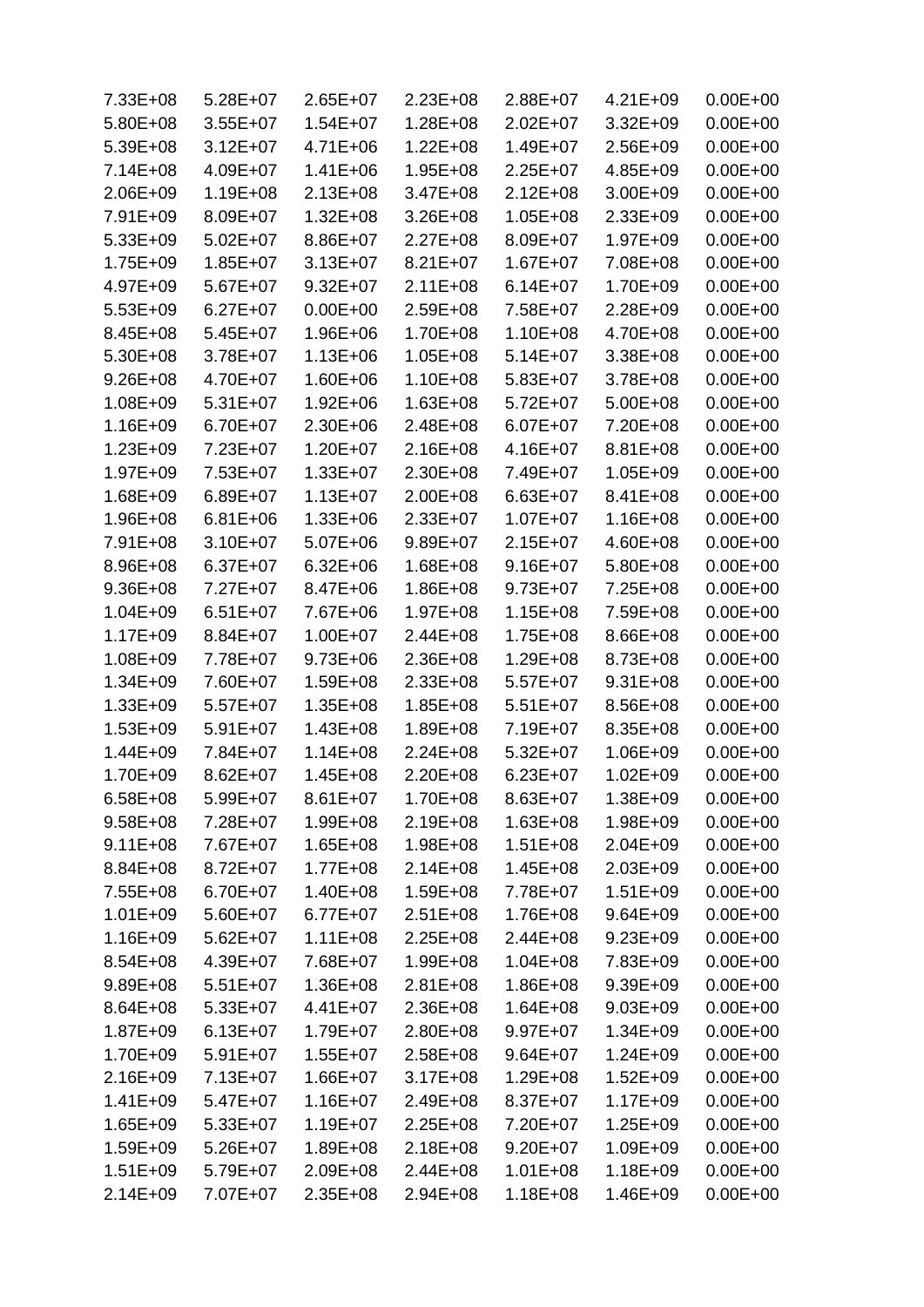| $7.33E + 08$                 | $5.28E+07$   | $2.65E+07$   | $2.23E+08$                   | $2.88E+07$   | $4.21E + 09$ | $0.00E + 00$ |
|------------------------------|--------------|--------------|------------------------------|--------------|--------------|--------------|
| $5.80E + 08$                 | $3.55E+07$   | $1.54E + 07$ | 1.28E+08                     | $2.02E + 07$ | $3.32E + 09$ | $0.00E + 00$ |
| $5.39E + 08$                 | $3.12E + 07$ | $4.71E + 06$ | $1.22E + 08$                 | $1.49E + 07$ | $2.56E+09$   | $0.00E + 00$ |
| $7.14E + 08$                 | $4.09E + 07$ | 1.41E+06     | $1.95E + 08$                 | $2.25E+07$   | $4.85E + 09$ | $0.00E + 00$ |
| $2.06E + 09$                 | $1.19E + 08$ | $2.13E + 08$ | $3.47E + 08$                 | $2.12E + 08$ | $3.00E + 09$ | $0.00E + 00$ |
| 7.91E+09                     | 8.09E+07     | $1.32E + 08$ | $3.26E + 08$                 | $1.05E + 08$ | $2.33E + 09$ | $0.00E + 00$ |
| $5.33E + 09$                 | $5.02E + 07$ | 8.86E+07     | $2.27E + 08$                 | 8.09E+07     | $1.97E + 09$ | $0.00E + 00$ |
| $1.75E + 09$                 | $1.85E+07$   | $3.13E + 07$ | $8.21E + 07$                 | $1.67E + 07$ | 7.08E+08     | $0.00E + 00$ |
| $4.97E + 09$                 | $5.67E+07$   | $9.32E + 07$ | $2.11E + 08$                 | $6.14E + 07$ | 1.70E+09     | $0.00E + 00$ |
| $5.53E+09$                   | $6.27E + 07$ | $0.00E + 00$ | 2.59E+08                     | 7.58E+07     | $2.28E + 09$ | $0.00E + 00$ |
| $8.45E + 08$                 | $5.45E+07$   | 1.96E+06     | 1.70E+08                     | $1.10E + 08$ | 4.70E+08     | $0.00E + 00$ |
| $5.30E + 08$                 | 3.78E+07     | $1.13E + 06$ | $1.05E + 08$                 | $5.14E + 07$ | $3.38E + 08$ | $0.00E + 00$ |
| $9.26E + 08$                 | 4.70E+07     | $1.60E + 06$ | $1.10E + 08$                 | $5.83E+07$   | $3.78E + 08$ | $0.00E + 00$ |
| $1.08E + 09$                 | $5.31E+07$   | $1.92E + 06$ | $1.63E + 08$                 | $5.72E+07$   | $5.00E + 08$ | $0.00E + 00$ |
| $1.16E + 09$                 | $6.70E + 07$ | $2.30E + 06$ | 2.48E+08                     | $6.07E + 07$ | 7.20E+08     | $0.00E + 00$ |
| $1.23E + 09$                 | 7.23E+07     | $1.20E + 07$ | $2.16E + 08$                 | 4.16E+07     | $8.81E + 08$ | $0.00E + 00$ |
| $1.97E + 09$                 | 7.53E+07     | $1.33E + 07$ | $2.30E + 08$                 | 7.49E+07     | $1.05E + 09$ | $0.00E + 00$ |
| $1.68E + 09$                 | $6.89E + 07$ | $1.13E + 07$ | 2.00E+08                     | $6.63E + 07$ | 8.41E+08     | $0.00E + 00$ |
| $1.96E + 08$                 | $6.81E + 06$ | $1.33E + 06$ | 2.33E+07                     | $1.07E + 07$ | $1.16E + 08$ | $0.00E + 00$ |
| 7.91E+08                     | $3.10E + 07$ | $5.07E + 06$ | $9.89E + 07$                 | $2.15E+07$   | $4.60E + 08$ | $0.00E + 00$ |
| 8.96E+08                     | $6.37E+07$   | $6.32E + 06$ | 1.68E+08                     | $9.16E + 07$ | $5.80E + 08$ | $0.00E + 00$ |
| $9.36E + 08$                 | $7.27E+07$   | 8.47E+06     | 1.86E+08                     | $9.73E + 07$ | 7.25E+08     | $0.00E + 00$ |
| $1.04E + 09$                 | $6.51E+07$   | 7.67E+06     | 1.97E+08                     | $1.15E + 08$ | 7.59E+08     | $0.00E + 00$ |
| $1.17E + 09$                 | 8.84E+07     | $1.00E + 07$ | $2.44E + 08$                 | $1.75E + 08$ | $8.66E + 08$ | $0.00E + 00$ |
| $1.08E + 09$                 | 7.78E+07     | $9.73E + 06$ | $2.36E + 08$                 | $1.29E + 08$ | 8.73E+08     | $0.00E + 00$ |
| $1.34E + 09$                 | 7.60E+07     | $1.59E + 08$ | 2.33E+08                     | $5.57E+07$   | $9.31E + 08$ | $0.00E + 00$ |
| $1.33E + 09$                 | $5.57E+07$   | $1.35E + 08$ | 1.85E+08                     | $5.51E+07$   | 8.56E+08     | $0.00E + 00$ |
| $1.53E + 09$                 | $5.91E+07$   | $1.43E + 08$ | 1.89E+08                     | 7.19E+07     | $8.35E + 08$ | $0.00E + 00$ |
| $1.44E + 09$                 | 7.84E+07     | $1.14E + 08$ | $2.24E + 08$                 | $5.32E+07$   | $1.06E + 09$ | $0.00E + 00$ |
| $1.70E + 09$                 | $8.62E + 07$ | $1.45E + 08$ | 2.20E+08                     | $6.23E+07$   | $1.02E + 09$ | $0.00E + 00$ |
|                              | $5.99E+07$   | $8.61E + 07$ | 1.70E+08                     | 8.63E+07     | $1.38E + 09$ | $0.00E + 00$ |
| $6.58E + 08$<br>$9.58E + 08$ |              | $1.99E + 08$ |                              | $1.63E + 08$ | $1.98E + 09$ | $0.00E + 00$ |
|                              | 7.28E+07     |              | $2.19E + 08$<br>$1.98E + 08$ |              | $2.04E + 09$ |              |
| $9.11E + 08$                 | 7.67E+07     | $1.65E + 08$ | $2.14E + 08$                 | $1.51E + 08$ |              | $0.00E + 00$ |
| 8.84E+08<br>$7.55E + 08$     | $8.72E + 07$ | $1.77E + 08$ |                              | $1.45E + 08$ | $2.03E + 09$ | $0.00E + 00$ |
|                              | $6.70E + 07$ | $1.40E + 08$ | $1.59E + 08$                 | 7.78E+07     | $1.51E + 09$ | $0.00E + 00$ |
| $1.01E + 09$                 | $5.60E+07$   | $6.77E+07$   | $2.51E + 08$                 | 1.76E+08     | $9.64E + 09$ | $0.00E + 00$ |
| $1.16E + 09$                 | $5.62E+07$   | $1.11E + 08$ | $2.25E + 08$                 | $2.44E + 08$ | $9.23E + 09$ | $0.00E + 00$ |
| $8.54E + 08$                 | 4.39E+07     | 7.68E+07     | 1.99E+08                     | $1.04E + 08$ | 7.83E+09     | $0.00E + 00$ |
| $9.89E + 08$                 | $5.51E+07$   | $1.36E + 08$ | $2.81E + 08$                 | $1.86E + 08$ | $9.39E + 09$ | $0.00E + 00$ |
| $8.64E + 08$                 | $5.33E+07$   | $4.41E + 07$ | $2.36E + 08$                 | $1.64E + 08$ | $9.03E + 09$ | $0.00E + 00$ |
| $1.87E + 09$                 | $6.13E+07$   | $1.79E + 07$ | $2.80E + 08$                 | $9.97E+07$   | $1.34E + 09$ | $0.00E + 00$ |
| $1.70E + 09$                 | $5.91E+07$   | $1.55E+07$   | $2.58E + 08$                 | $9.64E + 07$ | $1.24E + 09$ | $0.00E + 00$ |
| $2.16E + 09$                 | $7.13E+07$   | $1.66E + 07$ | $3.17E + 08$                 | $1.29E + 08$ | $1.52E + 09$ | $0.00E + 00$ |
| $1.41E + 09$                 | $5.47E+07$   | $1.16E + 07$ | $2.49E + 08$                 | $8.37E + 07$ | $1.17E + 09$ | $0.00E + 00$ |
| $1.65E + 09$                 | $5.33E+07$   | $1.19E + 07$ | $2.25E + 08$                 | 7.20E+07     | $1.25E + 09$ | $0.00E + 00$ |
| $1.59E + 09$                 | $5.26E+07$   | $1.89E + 08$ | $2.18E + 08$                 | $9.20E + 07$ | $1.09E + 09$ | $0.00E + 00$ |
| $1.51E + 09$                 | 5.79E+07     | $2.09E + 08$ | $2.44E + 08$                 | $1.01E + 08$ | $1.18E + 09$ | $0.00E + 00$ |
| $2.14E + 09$                 | 7.07E+07     | $2.35E + 08$ | $2.94E + 08$                 | $1.18E + 08$ | $1.46E + 09$ | $0.00E + 00$ |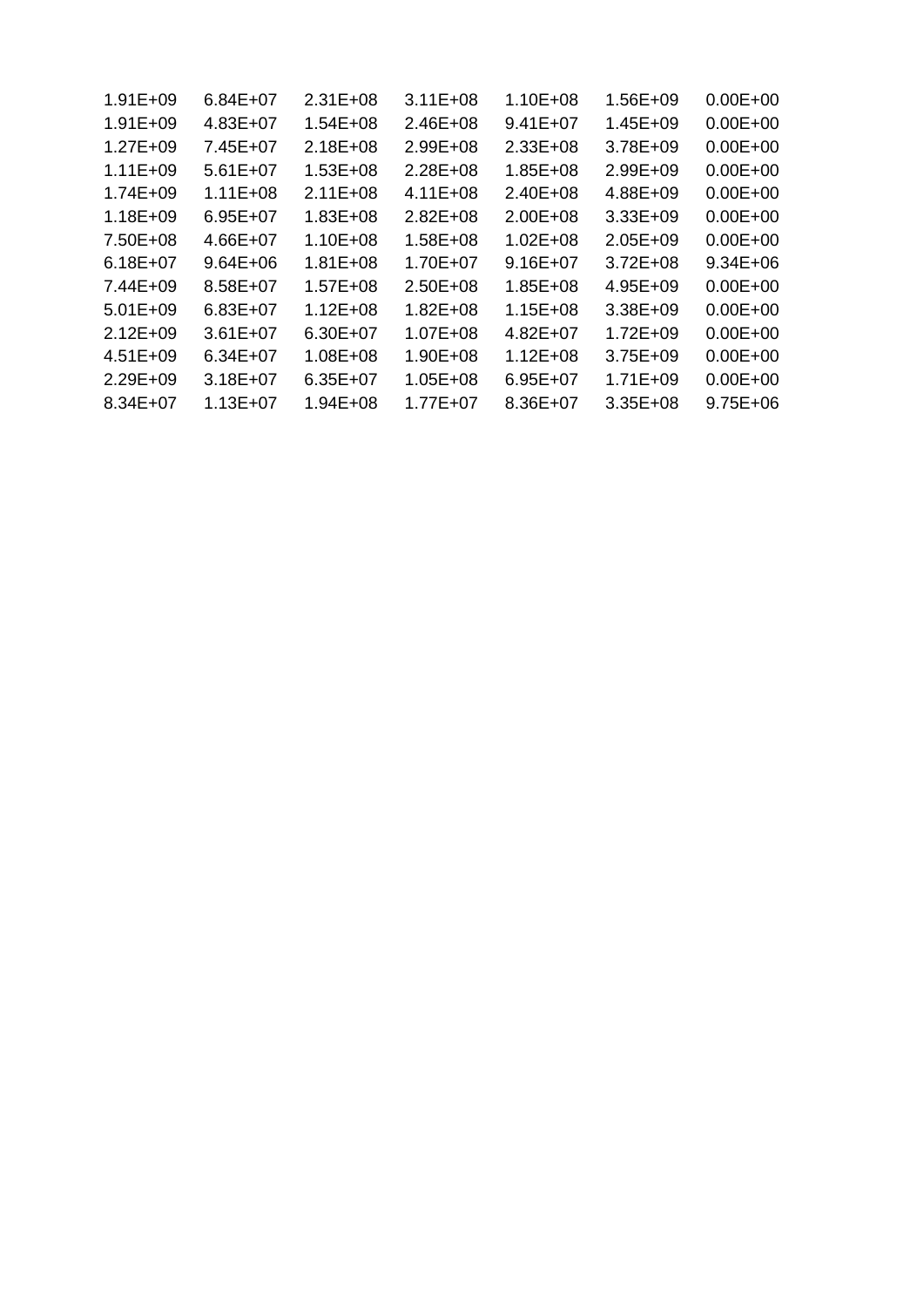| $1.91E + 09$ | $6.84E+07$   | $2.31E + 08$ | $3.11E + 08$ | $1.10E + 08$ | $1.56E + 09$ | $0.00E + 00$ |
|--------------|--------------|--------------|--------------|--------------|--------------|--------------|
| $1.91E + 09$ | $4.83E+07$   | $1.54E + 08$ | $2.46E + 08$ | $9.41E + 07$ | $1.45E + 09$ | $0.00E + 00$ |
| $1.27E + 09$ | 7.45E+07     | $2.18E + 08$ | $2.99E + 08$ | $2.33E+08$   | $3.78E + 09$ | $0.00E + 00$ |
| $1.11E + 09$ | $5.61E+07$   | $1.53E + 08$ | $2.28E + 08$ | $1.85E + 08$ | $2.99E + 09$ | $0.00E + 00$ |
| 1.74E+09     | $1.11E + 08$ | $2.11E + 08$ | $4.11E + 08$ | $2.40E + 08$ | 4.88E+09     | $0.00E + 00$ |
| $1.18E + 09$ | $6.95E + 07$ | $1.83E + 08$ | $2.82E + 08$ | $2.00E + 08$ | $3.33E + 09$ | $0.00E + 00$ |
| 7.50E+08     | $4.66E+07$   | $1.10E + 08$ | $1.58E + 08$ | $1.02E + 08$ | $2.05E + 09$ | $0.00E + 00$ |
| $6.18E + 07$ | $9.64E + 06$ | $1.81E + 08$ | 1.70E+07     | $9.16E + 07$ | $3.72E + 08$ | $9.34E + 06$ |
| 7.44E+09     | $8.58E+07$   | $1.57E + 08$ | $2.50E + 08$ | $1.85E + 08$ | $4.95E + 09$ | $0.00E + 00$ |
| $5.01E + 09$ | $6.83E+07$   | $1.12E + 08$ | $1.82E + 08$ | $1.15E + 08$ | $3.38E + 09$ | $0.00E + 00$ |
| $2.12E + 09$ | $3.61E + 07$ | $6.30E + 07$ | $1.07E + 08$ | $4.82E+07$   | $1.72E + 09$ | $0.00E + 00$ |
| $4.51E + 09$ | $6.34E + 07$ | $1.08E + 08$ | $1.90E + 08$ | $1.12E + 08$ | $3.75E + 09$ | $0.00E + 00$ |
| $2.29E + 09$ | $3.18E + 07$ | $6.35E+07$   | $1.05E + 08$ | $6.95E+07$   | $1.71E + 09$ | $0.00E + 00$ |
| $8.34E + 07$ | $1.13E + 07$ | $1.94E + 08$ | $1.77E+07$   | $8.36E+07$   | $3.35E + 08$ | $9.75E + 06$ |
|              |              |              |              |              |              |              |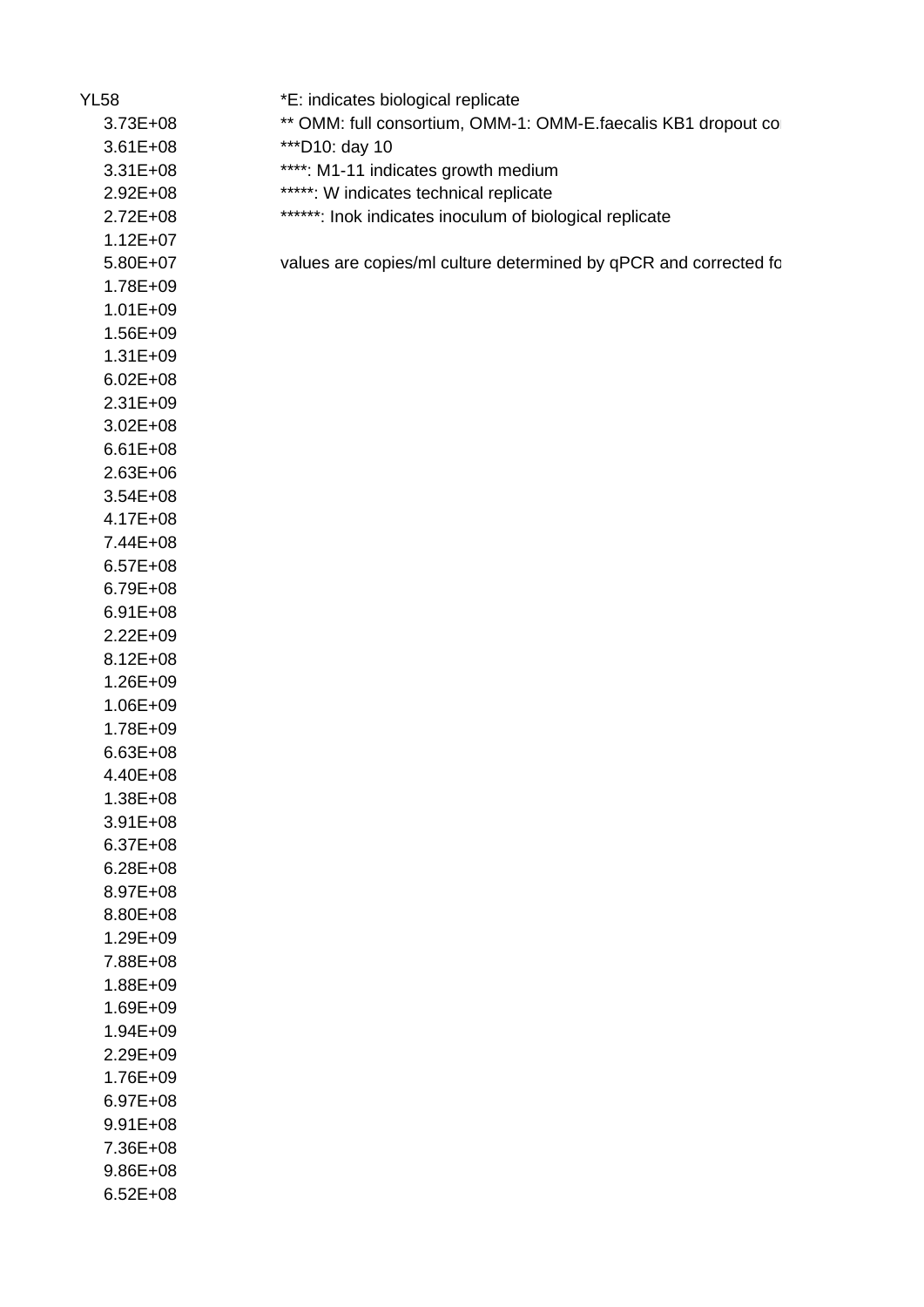| <b>YL58</b>  | *E: indicates biological replicate                               |
|--------------|------------------------------------------------------------------|
| $3.73E + 08$ | ** OMM: full consortium, OMM-1: OMM-E.faecalis KB1 dropout co    |
| $3.61E + 08$ | *** D10: day 10                                                  |
| $3.31E + 08$ | ****: M1-11 indicates growth medium                              |
| $2.92E + 08$ | *****: W indicates technical replicate                           |
| $2.72E + 08$ | ******: Inok indicates inoculum of biological replicate          |
| $1.12E + 07$ |                                                                  |
| $5.80E+07$   | values are copies/ml culture determined by qPCR and corrected fo |
| 1.78E+09     |                                                                  |
| $1.01E + 09$ |                                                                  |
| $1.56E + 09$ |                                                                  |
| $1.31E + 09$ |                                                                  |
| $6.02E + 08$ |                                                                  |
| $2.31E + 09$ |                                                                  |
| $3.02E + 08$ |                                                                  |
| $6.61E + 08$ |                                                                  |
| $2.63E + 06$ |                                                                  |
| $3.54E + 08$ |                                                                  |
| $4.17E + 08$ |                                                                  |
| 7.44E+08     |                                                                  |
| $6.57E + 08$ |                                                                  |
| $6.79E + 08$ |                                                                  |
| $6.91E + 08$ |                                                                  |
| $2.22E + 09$ |                                                                  |
| $8.12E + 08$ |                                                                  |
| $1.26E + 09$ |                                                                  |
| $1.06E + 09$ |                                                                  |
| 1.78E+09     |                                                                  |
| $6.63E + 08$ |                                                                  |
| 4.40E+08     |                                                                  |
| $1.38E + 08$ |                                                                  |
| $3.91E + 08$ |                                                                  |
| $6.37E + 08$ |                                                                  |
| $6.28E + 08$ |                                                                  |
| 8.97E+08     |                                                                  |
| 8.80E+08     |                                                                  |
| $1.29E + 09$ |                                                                  |
| 7.88E+08     |                                                                  |
| $1.88E + 09$ |                                                                  |
| $1.69E + 09$ |                                                                  |
| $1.94E + 09$ |                                                                  |
| $2.29E + 09$ |                                                                  |
| $1.76E + 09$ |                                                                  |
| $6.97E + 08$ |                                                                  |
| $9.91E + 08$ |                                                                  |
| 7.36E+08     |                                                                  |
| $9.86E + 08$ |                                                                  |
| $6.52E + 08$ |                                                                  |
|              |                                                                  |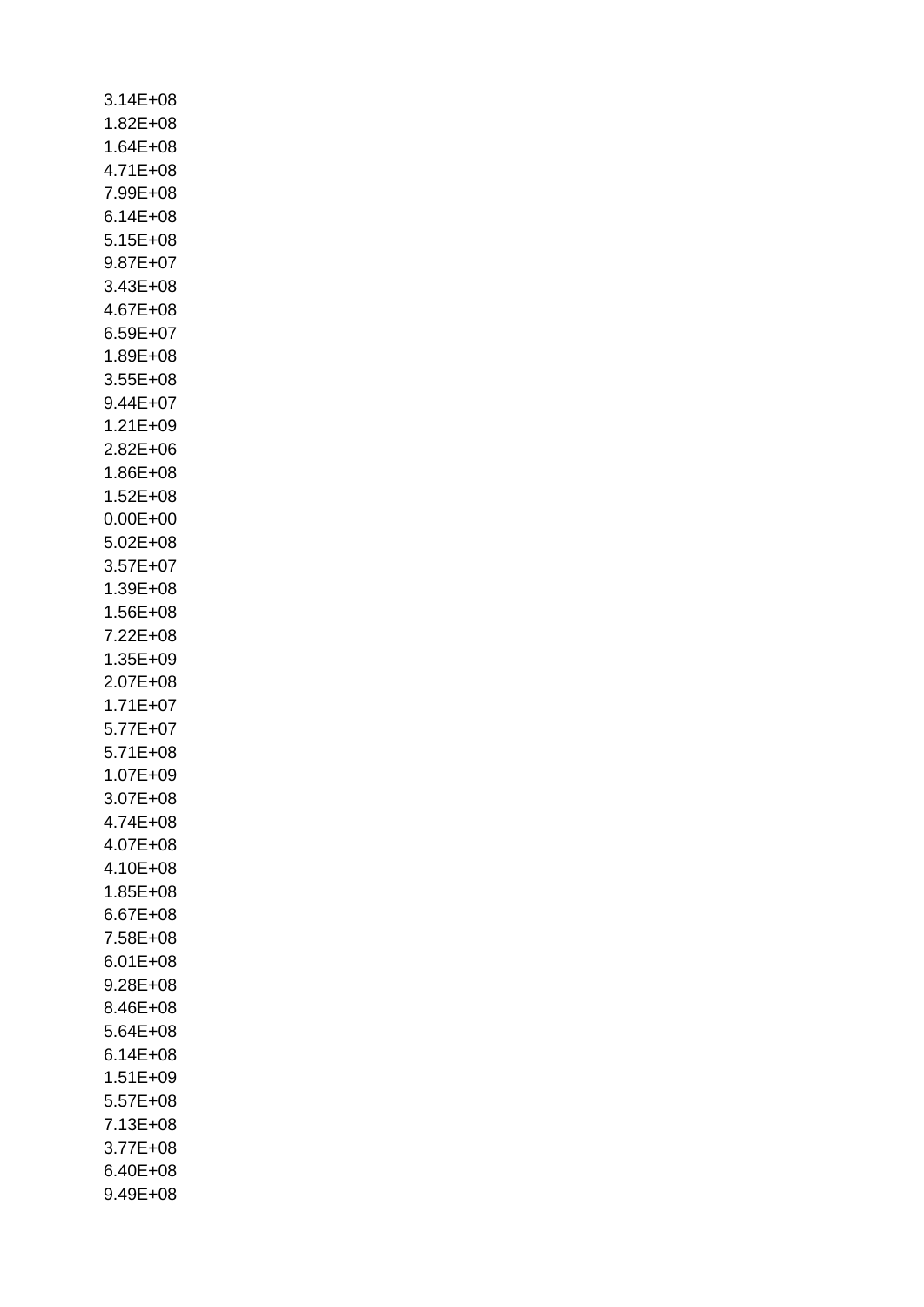| $3.14E + 08$ |  |  |
|--------------|--|--|
| $1.82E + 08$ |  |  |
| 1.64E+08     |  |  |
| 4.71E+08     |  |  |
| 7.99E+08     |  |  |
| $6.14E + 08$ |  |  |
| $5.15E + 08$ |  |  |
| $9.87E + 07$ |  |  |
| $3.43E + 08$ |  |  |
| 4.67E+08     |  |  |
| $6.59E + 07$ |  |  |
| $1.89E + 08$ |  |  |
| $3.55E+08$   |  |  |
| $9.44E + 07$ |  |  |
| 1.21E+09     |  |  |
| $2.82E + 06$ |  |  |
| $1.86E + 08$ |  |  |
| $1.52E + 08$ |  |  |
| $0.00E + 00$ |  |  |
| $5.02E + 08$ |  |  |
| $3.57E + 07$ |  |  |
| 1.39E+08     |  |  |
| $1.56E + 08$ |  |  |
| 7.22E+08     |  |  |
| 1.35E+09     |  |  |
| $2.07E + 08$ |  |  |
| $1.71E + 07$ |  |  |
| $5.77E+07$   |  |  |
| $5.71E + 08$ |  |  |
| $1.07E + 09$ |  |  |
| $3.07E + 08$ |  |  |
| 4.74E+08     |  |  |
| 4.07E+08     |  |  |
| 4.10E+08     |  |  |
| $1.85E + 08$ |  |  |
| $6.67E + 08$ |  |  |
| 7.58E+08     |  |  |
| $6.01E + 08$ |  |  |
| $9.28E + 08$ |  |  |
| 8.46E+08     |  |  |
| 5.64E+08     |  |  |
| $6.14E + 08$ |  |  |
| $1.51E + 09$ |  |  |
| $5.57E + 08$ |  |  |
| 7.13E+08     |  |  |
| $3.77E + 08$ |  |  |
| 6.40E+08     |  |  |
| $9.49E + 08$ |  |  |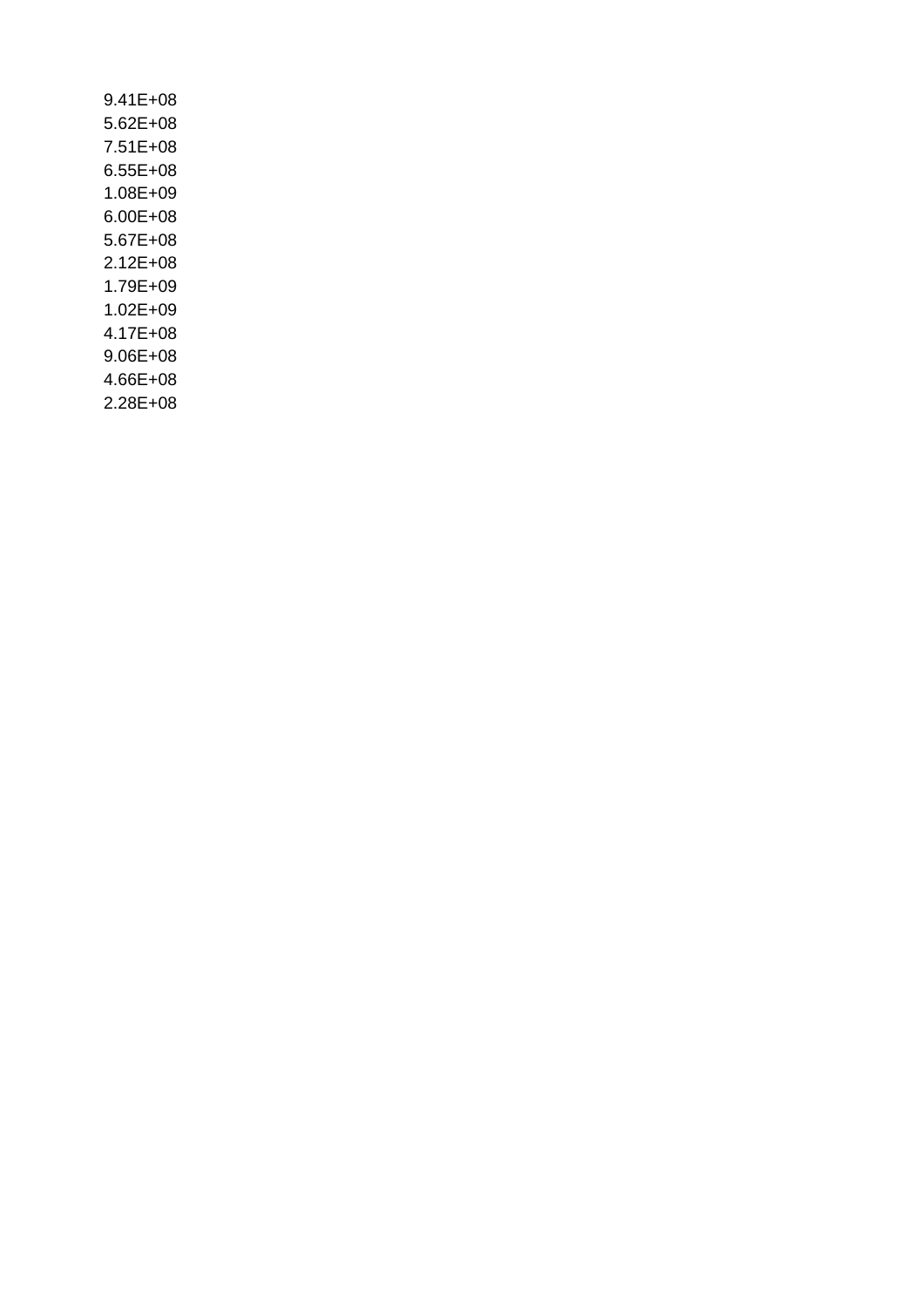| 9.41E+08     |
|--------------|
| 5.62E+08     |
| 7.51E+08     |
| $6.55E + 08$ |
| 1.08E+09     |
| 6.00E+08     |
| 5.67E+08     |
| 2.12E+08     |
| 1.79E+09     |
| $1.02E + 09$ |
| 4.17E+08     |
| 9.06E+08     |
| 4.66E+08     |
| $2.28E + 08$ |
|              |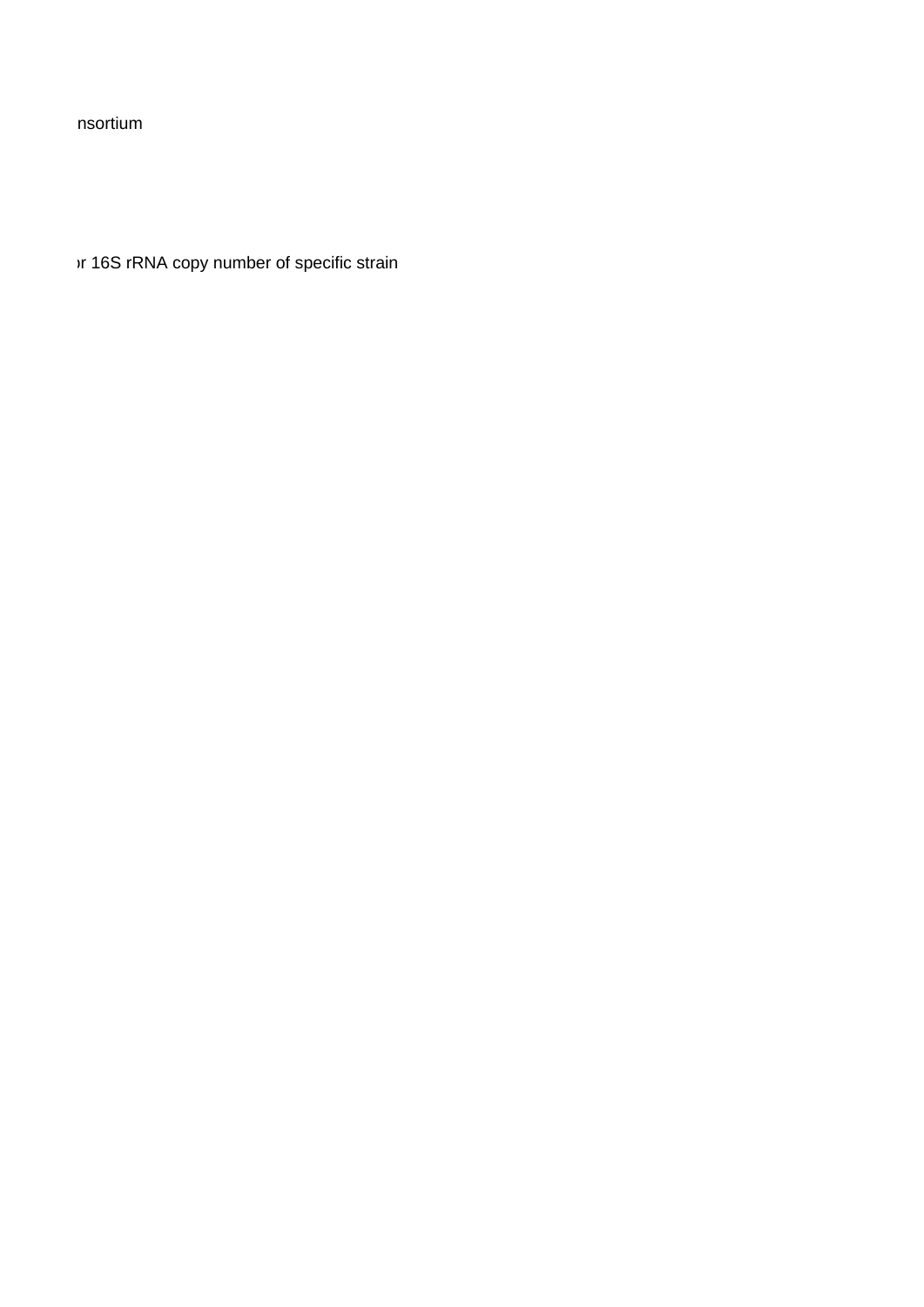nsortium

vr 16S rRNA copy number of specific strain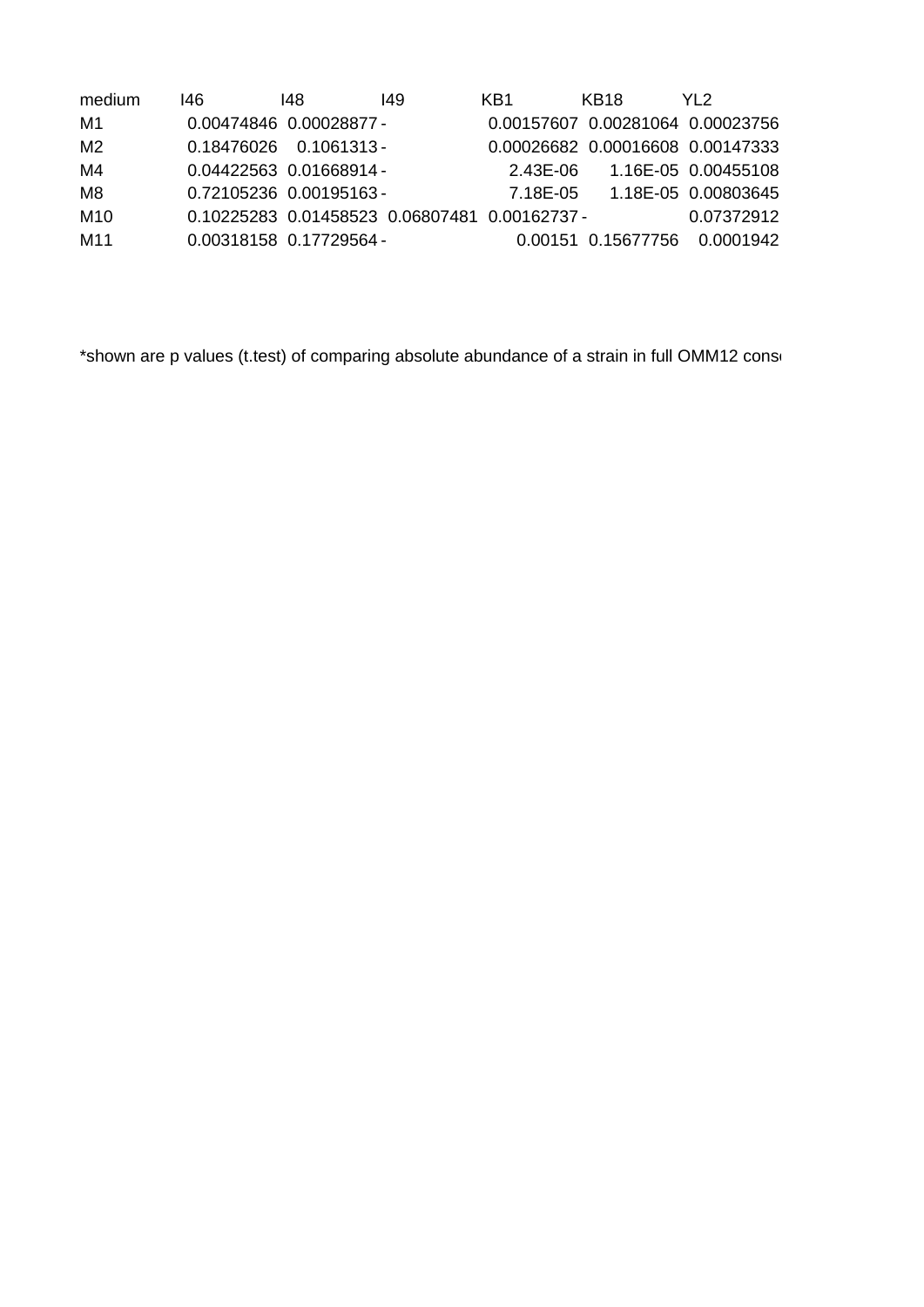| medium         | 146. | 148                                           | 149 | KB1      | KB18 | YI 2                             |
|----------------|------|-----------------------------------------------|-----|----------|------|----------------------------------|
| M1             |      | 0.00474846 0.00028877 -                       |     |          |      | 0.00157607 0.00281064 0.00023756 |
| M <sub>2</sub> |      | $0.18476026$ $0.1061313$                      |     |          |      | 0.00026682 0.00016608 0.00147333 |
| M4             |      | 0.04422563 0.01668914 -                       |     | 2.43E-06 |      | 1.16E-05 0.00455108              |
| M8             |      | 0.72105236 0.00195163 -                       |     | 7.18E-05 |      | 1.18E-05 0.00803645              |
| M10            |      | 0.10225283 0.01458523 0.06807481 0.00162737 - |     |          |      | 0.07372912                       |
| M11            |      | 0.00318158  0.17729564 -                      |     |          |      | 0.00151 0.15677756 0.0001942     |

\*shown are p values (t.test) of comparing absolute abundance of a strain in full OMM12 consortium v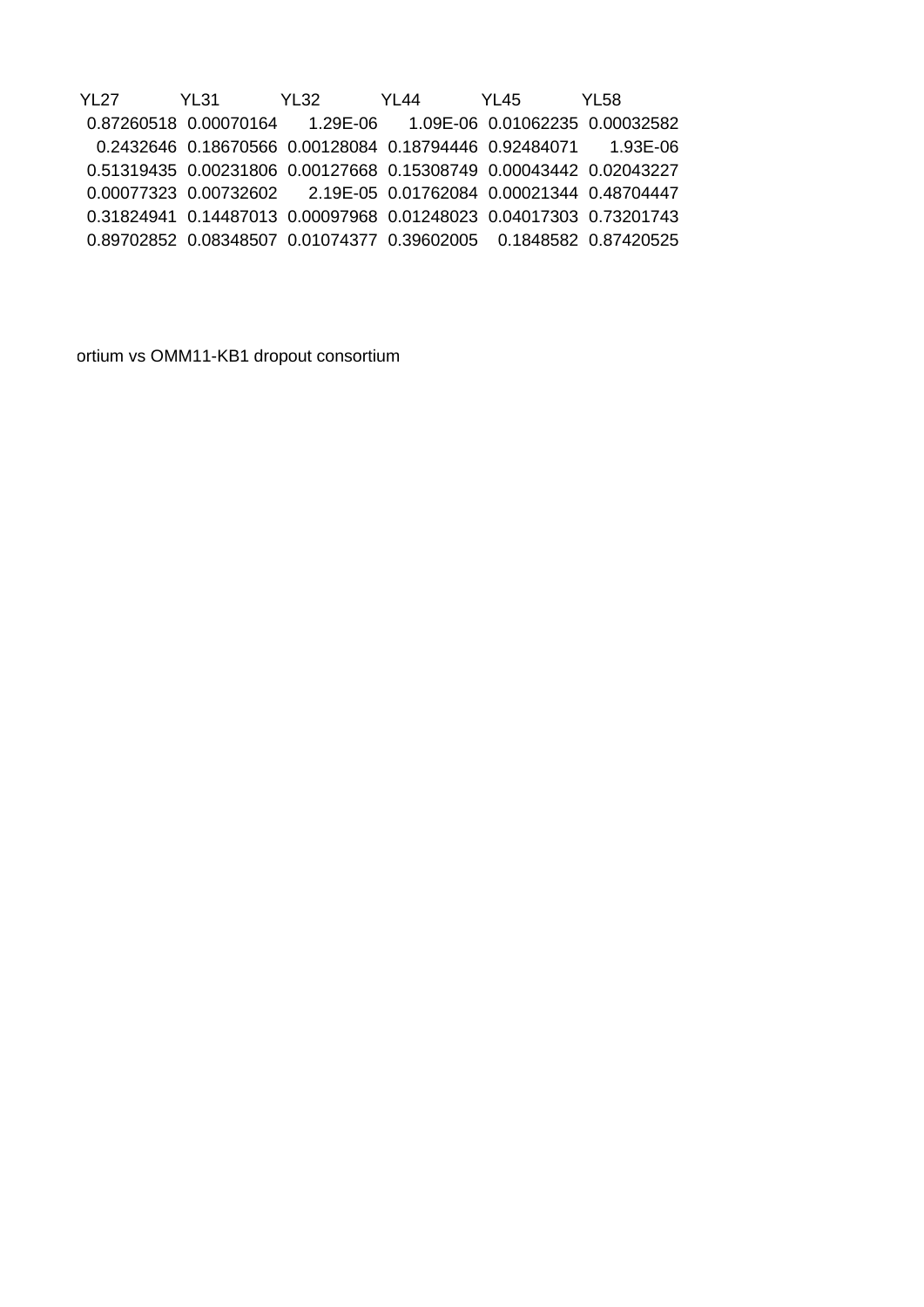YL27 YL31 YL32 YL44 YL45 YL58 0.87260518 0.00070164 1.29E-06 1.09E-06 0.01062235 0.00032582 0.2432646 0.18670566 0.00128084 0.18794446 0.92484071 1.93E-06 0.51319435 0.00231806 0.00127668 0.15308749 0.00043442 0.02043227 0.00077323 0.00732602 2.19E-05 0.01762084 0.00021344 0.48704447 0.31824941 0.14487013 0.00097968 0.01248023 0.04017303 0.73201743 0.89702852 0.08348507 0.01074377 0.39602005 0.1848582 0.87420525

ortium vs OMM11-KB1 dropout consortium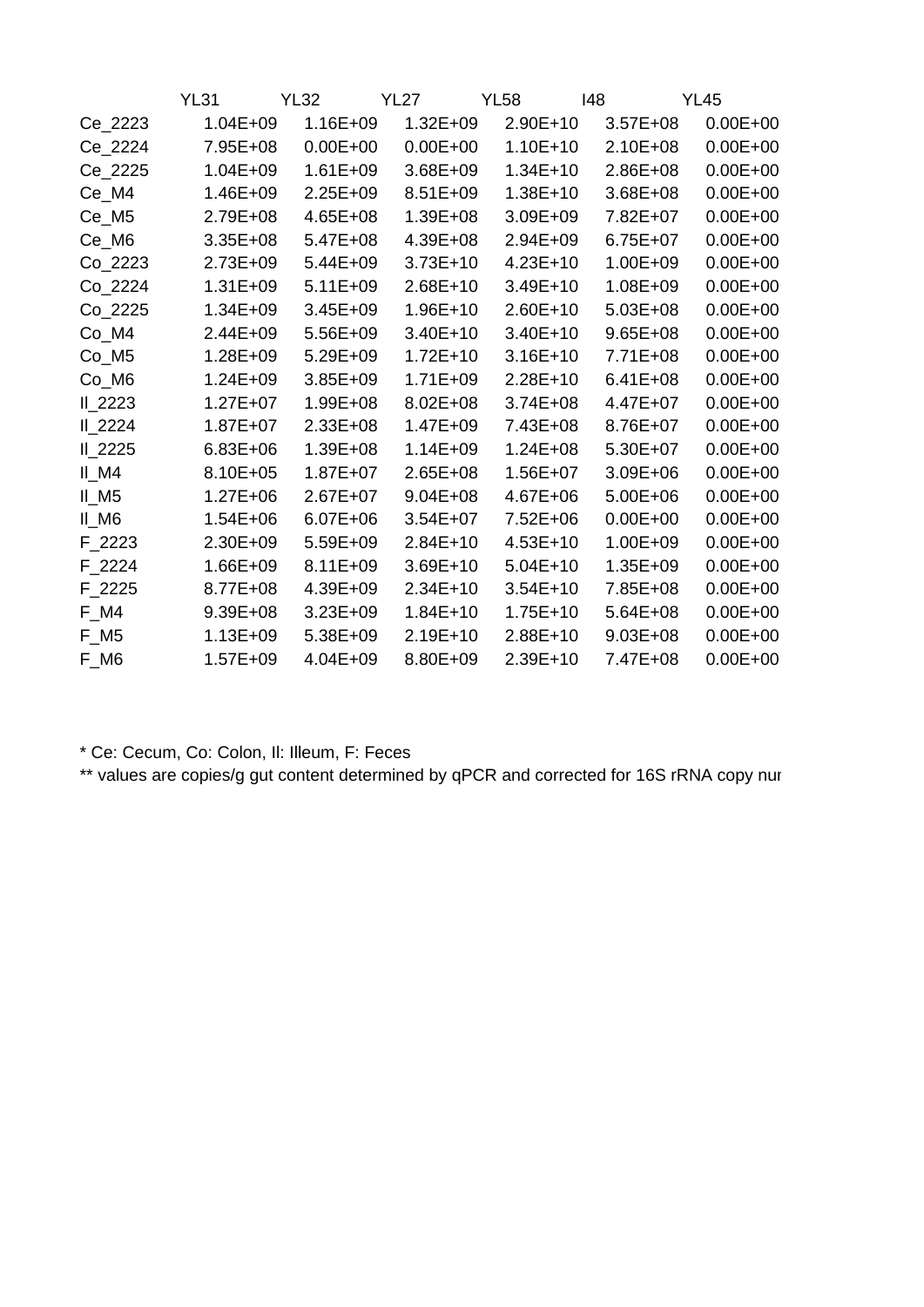|                                 | <b>YL31</b>  | <b>YL32</b>  | <b>YL27</b>  | <b>YL58</b>  | 148          | <b>YL45</b>  |
|---------------------------------|--------------|--------------|--------------|--------------|--------------|--------------|
| Ce_2223                         | $1.04E + 09$ | $1.16E + 09$ | $1.32E + 09$ | 2.90E+10     | $3.57E + 08$ | $0.00E + 00$ |
| Ce_2224                         | 7.95E+08     | $0.00E + 00$ | $0.00E + 00$ | $1.10E + 10$ | $2.10E + 08$ | $0.00E + 00$ |
| Ce_2225                         | $1.04E + 09$ | $1.61E + 09$ | $3.68E + 09$ | $1.34E + 10$ | $2.86E + 08$ | $0.00E + 00$ |
| Ce_M4                           | 1.46E+09     | $2.25E+09$   | $8.51E + 09$ | $1.38E + 10$ | $3.68E + 08$ | $0.00E + 00$ |
| Ce_M5                           | 2.79E+08     | $4.65E + 08$ | $1.39E + 08$ | $3.09E + 09$ | 7.82E+07     | $0.00E + 00$ |
| Ce_M6                           | $3.35E + 08$ | $5.47E + 08$ | 4.39E+08     | $2.94E + 09$ | $6.75E + 07$ | $0.00E + 00$ |
| Co_2223                         | $2.73E + 09$ | $5.44E + 09$ | $3.73E+10$   | $4.23E+10$   | $1.00E + 09$ | $0.00E + 00$ |
| Co_2224                         | $1.31E + 09$ | $5.11E + 09$ | $2.68E+10$   | $3.49E+10$   | $1.08E + 09$ | $0.00E + 00$ |
| Co_2225                         | 1.34E+09     | $3.45E + 09$ | $1.96E+10$   | $2.60E+10$   | $5.03E + 08$ | $0.00E + 00$ |
| $Co$ <sub><math>M4</math></sub> | $2.44E + 09$ | $5.56E + 09$ | $3.40E + 10$ | $3.40E+10$   | $9.65E + 08$ | $0.00E + 00$ |
| $Co$ $M5$                       | 1.28E+09     | $5.29E + 09$ | $1.72E + 10$ | $3.16E + 10$ | 7.71E+08     | $0.00E + 00$ |
| $Co$ $M6$                       | $1.24E + 09$ | $3.85E + 09$ | $1.71E + 09$ | $2.28E+10$   | $6.41E + 08$ | $0.00E + 00$ |
| $II_2223$                       | $1.27E + 07$ | 1.99E+08     | $8.02E + 08$ | $3.74E + 08$ | $4.47E + 07$ | $0.00E + 00$ |
| $II_2224$                       | $1.87E + 07$ | $2.33E + 08$ | $1.47E + 09$ | 7.43E+08     | 8.76E+07     | $0.00E + 00$ |
| II 2225                         | $6.83E + 06$ | 1.39E+08     | $1.14E + 09$ | $1.24E + 08$ | $5.30E+07$   | $0.00E + 00$ |
| $II$ M4                         | 8.10E+05     | $1.87E + 07$ | $2.65E + 08$ | $1.56E + 07$ | 3.09E+06     | $0.00E + 00$ |
| $II$ M <sub>5</sub>             | $1.27E + 06$ | $2.67E+07$   | $9.04E + 08$ | $4.67E + 06$ | $5.00E + 06$ | $0.00E + 00$ |
| $II$ <sub>M6</sub>              | $1.54E + 06$ | $6.07E + 06$ | $3.54E + 07$ | 7.52E+06     | $0.00E + 00$ | $0.00E + 00$ |
| F <sub>2223</sub>               | 2.30E+09     | $5.59E + 09$ | $2.84E+10$   | $4.53E+10$   | $1.00E + 09$ | $0.00E + 00$ |
| F 2224                          | $1.66E + 09$ | $8.11E + 09$ | $3.69E+10$   | $5.04E+10$   | $1.35E + 09$ | $0.00E + 00$ |
| $F_2$ 2225                      | 8.77E+08     | 4.39E+09     | $2.34E+10$   | $3.54E+10$   | 7.85E+08     | $0.00E + 00$ |
| F M4                            | 9.39E+08     | $3.23E + 09$ | $1.84E + 10$ | $1.75E + 10$ | $5.64E + 08$ | $0.00E + 00$ |
| $F$ <sub>_M5</sub>              | $1.13E + 09$ | $5.38E + 09$ | $2.19E+10$   | $2.88E+10$   | $9.03E + 08$ | $0.00E + 00$ |
| F M6                            | $1.57E + 09$ | $4.04E + 09$ | 8.80E+09     | $2.39E+10$   | 7.47E+08     | $0.00E + 00$ |

\* Ce: Cecum, Co: Colon, Il: Illeum, F: Feces

\*\* values are copies/g gut content determined by qPCR and corrected for 16S rRNA copy nur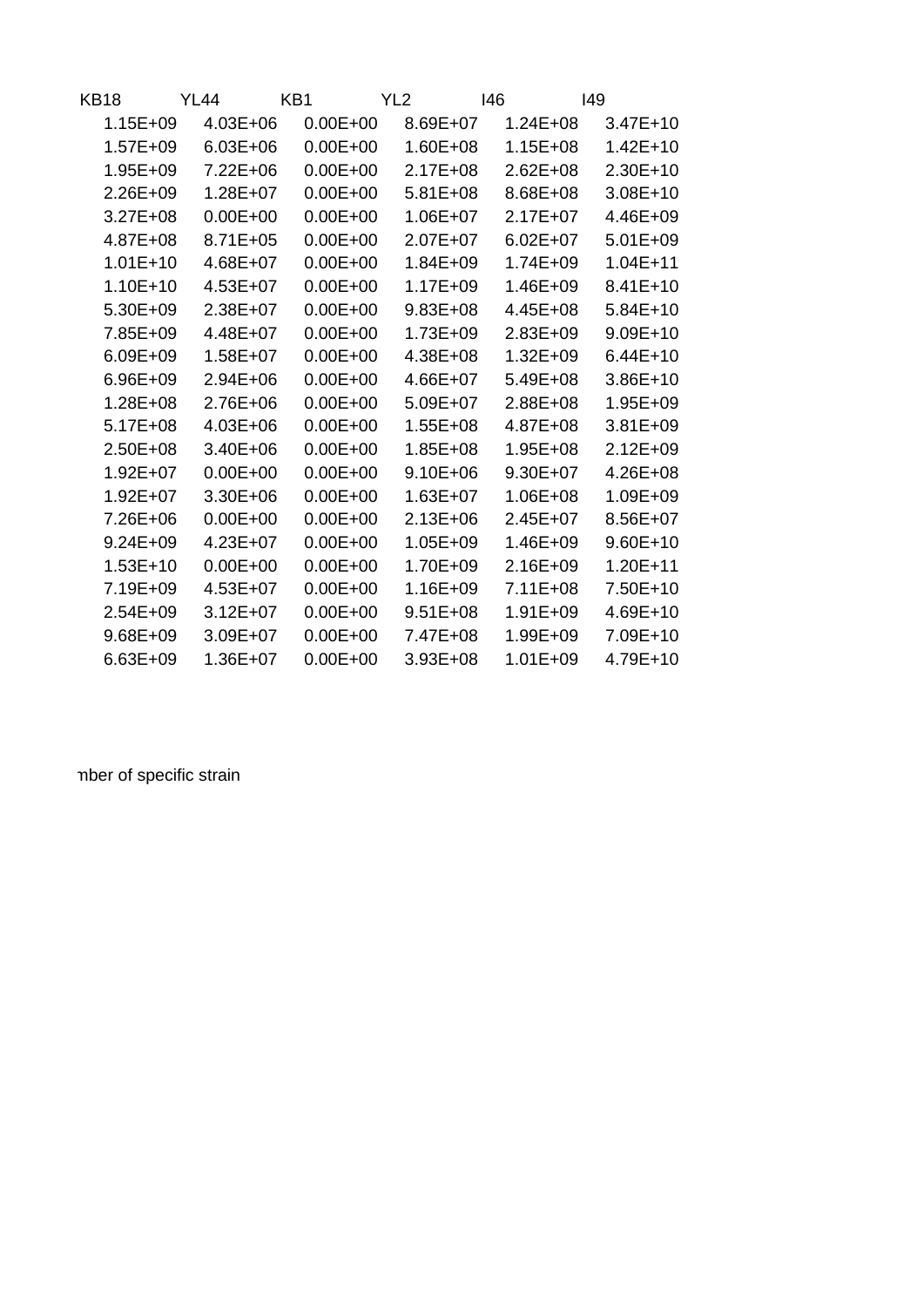| KB18         | YL44         | KB1          | YL <sub>2</sub> | 146          | 149          |
|--------------|--------------|--------------|-----------------|--------------|--------------|
| $1.15E + 09$ | $4.03E + 06$ | $0.00E + 00$ | 8.69E+07        | $1.24E + 08$ | $3.47E+10$   |
| $1.57E + 09$ | $6.03E + 06$ | $0.00E + 00$ | $1.60E + 08$    | $1.15E + 08$ | $1.42E + 10$ |
| $1.95E + 09$ | $7.22E + 06$ | $0.00E + 00$ | $2.17E + 08$    | $2.62E + 08$ | 2.30E+10     |
| $2.26E + 09$ | $1.28E + 07$ | $0.00E + 00$ | $5.81E + 08$    | 8.68E+08     | $3.08E + 10$ |
| $3.27E + 08$ | $0.00E + 00$ | $0.00E + 00$ | $1.06E + 07$    | $2.17E+07$   | 4.46E+09     |
| $4.87E + 08$ | $8.71E + 05$ | $0.00E + 00$ | $2.07E + 07$    | $6.02E + 07$ | $5.01E + 09$ |
| $1.01E + 10$ | $4.68E + 07$ | $0.00E + 00$ | $1.84E + 09$    | 1.74E+09     | $1.04E + 11$ |
| $1.10E+10$   | $4.53E + 07$ | $0.00E + 00$ | $1.17E + 09$    | $1.46E + 09$ | $8.41E+10$   |
| $5.30E + 09$ | $2.38E + 07$ | $0.00E + 00$ | $9.83E + 08$    | $4.45E + 08$ | $5.84E+10$   |
| 7.85E+09     | 4.48E+07     | $0.00E + 00$ | $1.73E + 09$    | $2.83E + 09$ | $9.09E + 10$ |
| $6.09E + 09$ | $1.58E + 07$ | $0.00E + 00$ | $4.38E + 08$    | $1.32E + 09$ | $6.44E+10$   |
| $6.96E + 09$ | $2.94E + 06$ | $0.00E + 00$ | $4.66E + 07$    | $5.49E + 08$ | $3.86E+10$   |
| $1.28E + 08$ | $2.76E + 06$ | $0.00E + 00$ | $5.09E + 07$    | $2.88E + 08$ | $1.95E + 09$ |
| $5.17E + 08$ | $4.03E + 06$ | $0.00E + 00$ | $1.55E + 08$    | $4.87E + 08$ | $3.81E + 09$ |
| $2.50E + 08$ | $3.40E + 06$ | $0.00E + 00$ | $1.85E + 08$    | $1.95E + 08$ | $2.12E + 09$ |
| $1.92E + 07$ | $0.00E + 00$ | $0.00E + 00$ | $9.10E + 06$    | $9.30E + 07$ | $4.26E + 08$ |
| $1.92E + 07$ | $3.30E + 06$ | $0.00E + 00$ | $1.63E + 07$    | $1.06E + 08$ | $1.09E + 09$ |
| 7.26E+06     | $0.00E + 00$ | $0.00E + 00$ | $2.13E + 06$    | $2.45E+07$   | $8.56E+07$   |
| $9.24E + 09$ | $4.23E + 07$ | $0.00E + 00$ | $1.05E + 09$    | 1.46E+09     | $9.60E+10$   |
| $1.53E+10$   | $0.00E + 00$ | $0.00E + 00$ | 1.70E+09        | $2.16E + 09$ | $1.20E + 11$ |
| 7.19E+09     | $4.53E + 07$ | $0.00E + 00$ | $1.16E + 09$    | $7.11E + 08$ | 7.50E+10     |
| $2.54E + 09$ | $3.12E + 07$ | $0.00E + 00$ | $9.51E + 08$    | $1.91E + 09$ | 4.69E+10     |
| $9.68E + 09$ | $3.09E + 07$ | $0.00E + 00$ | 7.47E+08        | 1.99E+09     | 7.09E+10     |
| $6.63E + 09$ | 1.36E+07     | $0.00E + 00$ | $3.93E + 08$    | $1.01E + 09$ | 4.79E+10     |

mber of specific strain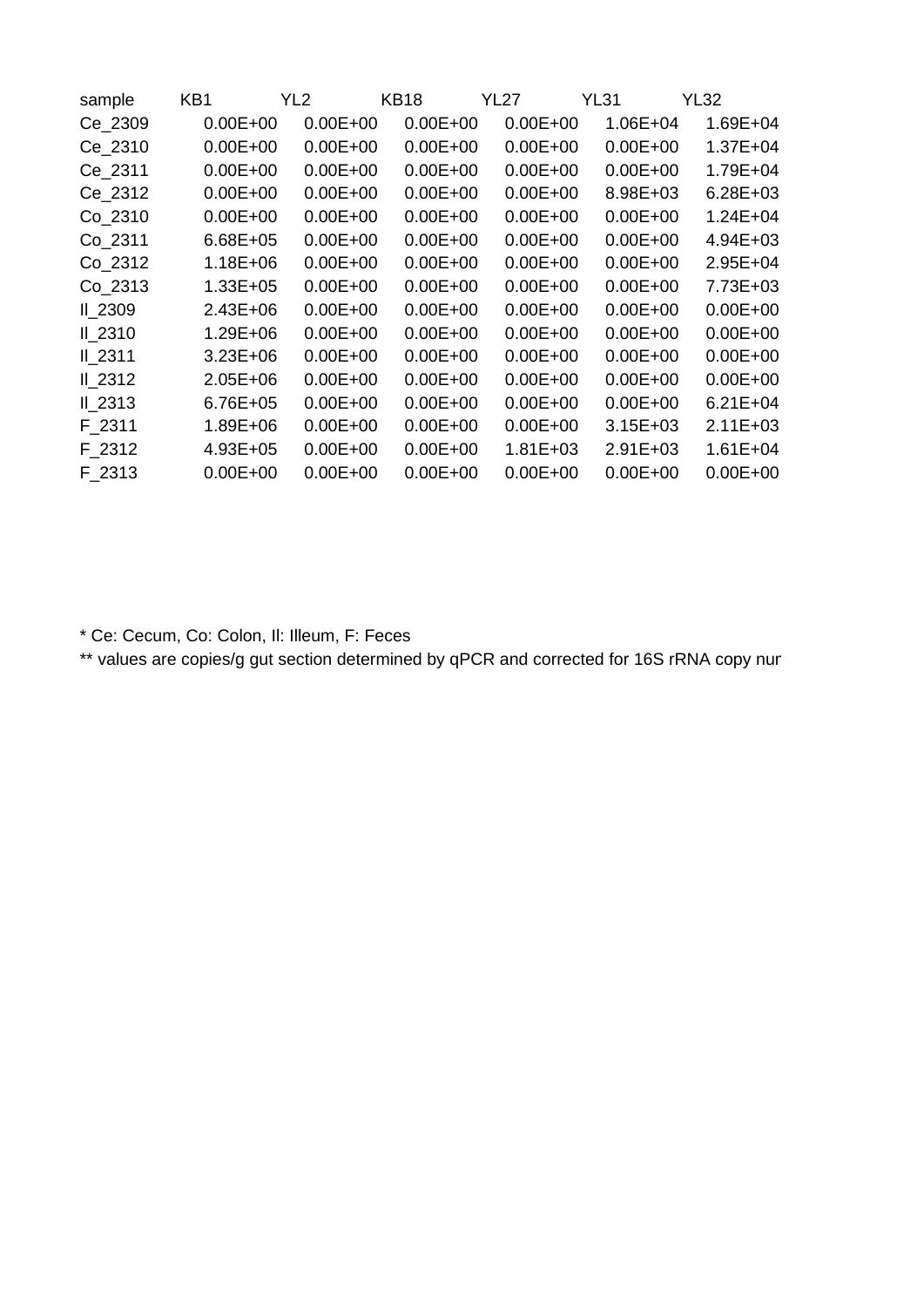| sample  | KB1          | YL <sub>2</sub> | <b>KB18</b>  | YL27         | <b>YL31</b>  | YL32         |
|---------|--------------|-----------------|--------------|--------------|--------------|--------------|
| Ce 2309 | $0.00E + 00$ | $0.00E + 00$    | $0.00E + 00$ | $0.00E + 00$ | $1.06E + 04$ | $1.69E + 04$ |
| Ce 2310 | $0.00E + 00$ | $0.00E + 00$    | $0.00E + 00$ | $0.00E + 00$ | $0.00E + 00$ | $1.37E + 04$ |
| Ce 2311 | $0.00E + 00$ | $0.00E + 00$    | $0.00E + 00$ | $0.00E + 00$ | $0.00E + 00$ | 1.79E+04     |
| Ce 2312 | $0.00E + 00$ | $0.00E + 00$    | $0.00E + 00$ | $0.00E + 00$ | 8.98E+03     | $6.28E + 03$ |
| Co 2310 | $0.00E + 00$ | $0.00E + 00$    | $0.00E + 00$ | $0.00E + 00$ | $0.00E + 00$ | $1.24E + 04$ |
| Co 2311 | $6.68E + 05$ | $0.00E + 00$    | $0.00E + 00$ | $0.00E + 00$ | $0.00E + 00$ | $4.94E + 03$ |
| Co 2312 | $1.18E + 06$ | $0.00E + 00$    | $0.00E + 00$ | $0.00E + 00$ | $0.00E + 00$ | $2.95E + 04$ |
| Co_2313 | $1.33E + 05$ | $0.00E + 00$    | $0.00E + 00$ | $0.00E + 00$ | $0.00E + 00$ | $7.73E + 03$ |
| II 2309 | $2.43E + 06$ | $0.00E + 00$    | $0.00E + 00$ | $0.00E + 00$ | $0.00E + 00$ | $0.00E + 00$ |
| II 2310 | $1.29E + 06$ | $0.00E + 00$    | $0.00E + 00$ | $0.00E + 00$ | $0.00E + 00$ | $0.00E + 00$ |
| II 2311 | $3.23E + 06$ | $0.00E + 00$    | $0.00E + 00$ | $0.00E + 00$ | $0.00E + 00$ | $0.00E + 00$ |
| II 2312 | $2.05E + 06$ | $0.00E + 00$    | $0.00E + 00$ | $0.00E + 00$ | $0.00E + 00$ | $0.00E + 00$ |
| II 2313 | $6.76E + 05$ | $0.00E + 00$    | $0.00E + 00$ | $0.00E + 00$ | $0.00E + 00$ | $6.21E + 04$ |
| F 2311  | 1.89E+06     | $0.00E + 00$    | $0.00E + 00$ | $0.00E + 00$ | $3.15E + 03$ | $2.11E + 03$ |
| F 2312  | $4.93E + 05$ | $0.00E + 00$    | $0.00E + 00$ | $1.81E + 03$ | $2.91E+03$   | $1.61E + 04$ |
| F 2313  | $0.00E + 00$ | $0.00E + 00$    | $0.00E + 00$ | $0.00E + 00$ | $0.00E + 00$ | $0.00E + 00$ |

\* Ce: Cecum, Co: Colon, Il: Illeum, F: Feces

\*\* values are copies/g gut section determined by qPCR and corrected for 16S rRNA copy nur